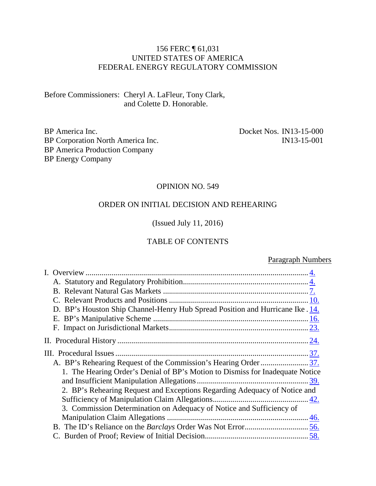#### 156 FERC ¶ 61,031 UNITED STATES OF AMERICA FEDERAL ENERGY REGULATORY COMMISSION

Before Commissioners: Cheryl A. LaFleur, Tony Clark, and Colette D. Honorable.

BP America Inc. BP Corporation North America Inc. BP America Production Company BP Energy Company

Docket Nos. IN13-15-000 IN13-15-001

#### OPINION NO. 549

#### ORDER ON INITIAL DECISION AND REHEARING

(Issued July 11, 2016)

#### TABLE OF CONTENTS

#### Paragraph Numbers

| D. BP's Houston Ship Channel-Henry Hub Spread Position and Hurricane Ike . 14. |
|--------------------------------------------------------------------------------|
|                                                                                |
|                                                                                |
|                                                                                |
|                                                                                |
|                                                                                |
| 1. The Hearing Order's Denial of BP's Motion to Dismiss for Inadequate Notice  |
|                                                                                |
| 2. BP's Rehearing Request and Exceptions Regarding Adequacy of Notice and      |
|                                                                                |
| 3. Commission Determination on Adequacy of Notice and Sufficiency of           |
|                                                                                |
|                                                                                |
|                                                                                |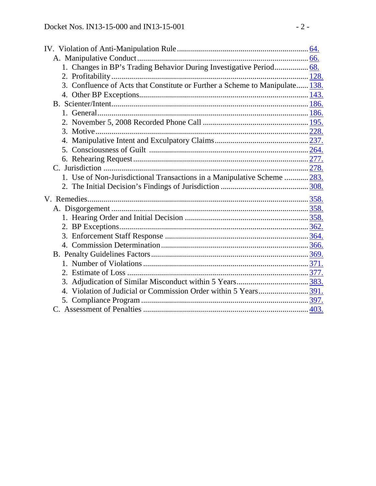| 1. Changes in BP's Trading Behavior During Investigative Period 68.          |  |
|------------------------------------------------------------------------------|--|
|                                                                              |  |
| 3. Confluence of Acts that Constitute or Further a Scheme to Manipulate 138. |  |
|                                                                              |  |
|                                                                              |  |
|                                                                              |  |
|                                                                              |  |
|                                                                              |  |
| 4.                                                                           |  |
|                                                                              |  |
|                                                                              |  |
|                                                                              |  |
| 1. Use of Non-Jurisdictional Transactions in a Manipulative Scheme  283.     |  |
|                                                                              |  |
|                                                                              |  |
|                                                                              |  |
|                                                                              |  |
|                                                                              |  |
|                                                                              |  |
|                                                                              |  |
|                                                                              |  |
|                                                                              |  |
|                                                                              |  |
|                                                                              |  |
|                                                                              |  |
|                                                                              |  |
|                                                                              |  |
|                                                                              |  |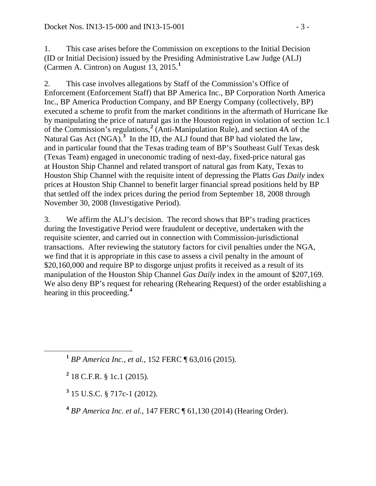1. This case arises before the Commission on exceptions to the Initial Decision (ID or Initial Decision) issued by the Presiding Administrative Law Judge (ALJ) (Carmen A. Cintron) on August 13, 2015.**[1](#page-2-0)**

2. This case involves allegations by Staff of the Commission's Office of Enforcement (Enforcement Staff) that BP America Inc., BP Corporation North America Inc., BP America Production Company, and BP Energy Company (collectively, BP) executed a scheme to profit from the market conditions in the aftermath of Hurricane Ike by manipulating the price of natural gas in the Houston region in violation of section 1c.1 of the Commission's regulations,**[2](#page-2-1)** (Anti-Manipulation Rule), and section 4A of the Natural Gas Act (NGA).<sup>[3](#page-2-2)</sup> In the ID, the ALJ found that BP had violated the law, and in particular found that the Texas trading team of BP's Southeast Gulf Texas desk (Texas Team) engaged in uneconomic trading of next-day, fixed-price natural gas at Houston Ship Channel and related transport of natural gas from Katy, Texas to Houston Ship Channel with the requisite intent of depressing the Platts *Gas Daily* index prices at Houston Ship Channel to benefit larger financial spread positions held by BP that settled off the index prices during the period from September 18, 2008 through November 30, 2008 (Investigative Period).

3. We affirm the ALJ's decision. The record shows that BP's trading practices during the Investigative Period were fraudulent or deceptive, undertaken with the requisite scienter, and carried out in connection with Commission-jurisdictional transactions. After reviewing the statutory factors for civil penalties under the NGA, we find that it is appropriate in this case to assess a civil penalty in the amount of \$20,160,000 and require BP to disgorge unjust profits it received as a result of its manipulation of the Houston Ship Channel *Gas Daily* index in the amount of \$207,169. We also deny BP's request for rehearing (Rehearing Request) of the order establishing a hearing in this proceeding.**[4](#page-2-3)**

<span id="page-2-2"></span>**<sup>3</sup>** 15 U.S.C. § 717c-1 (2012).

<span id="page-2-3"></span>**<sup>4</sup>** *BP America Inc. et al.*, 147 FERC ¶ 61,130 (2014) (Hearing Order).

<span id="page-2-0"></span>**<sup>1</sup>** *BP America Inc., et al.*, 152 FERC ¶ 63,016 (2015).

<span id="page-2-1"></span>**<sup>2</sup>** 18 C.F.R. § 1c.1 (2015).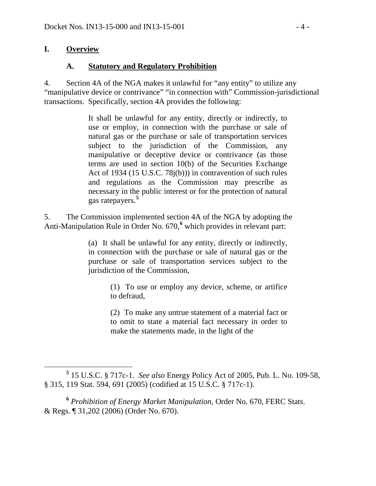#### **I. Overview**

#### <span id="page-3-0"></span>**A. Statutory and Regulatory Prohibition**

4. Section 4A of the NGA makes it unlawful for "any entity" to utilize any "manipulative device or contrivance" "in connection with" Commission-jurisdictional transactions. Specifically, section 4A provides the following:

> <span id="page-3-1"></span>It shall be unlawful for any entity, directly or indirectly, to use or employ, in connection with the purchase or sale of natural gas or the purchase or sale of transportation services subject to the jurisdiction of the Commission, any manipulative or deceptive device or contrivance (as those terms are used in section 10(b) of the Securities Exchange Act of 1934 (15 U.S.C. 78j(b))) in contravention of such rules and regulations as the Commission may prescribe as necessary in the public interest or for the protection of natural gas ratepayers.**[5](#page-3-2)**

5. The Commission implemented section 4A of the NGA by adopting the Anti-Manipulation Rule in Order No. 670,**[6](#page-3-3)** which provides in relevant part:

> (a) It shall be unlawful for any entity, directly or indirectly, in connection with the purchase or sale of natural gas or the purchase or sale of transportation services subject to the jurisdiction of the Commission,

> > (1) To use or employ any device, scheme, or artifice to defraud,

> > (2) To make any untrue statement of a material fact or to omit to state a material fact necessary in order to make the statements made, in the light of the

<span id="page-3-2"></span>**<sup>5</sup>** 15 U.S.C. § 717c-1. *See also* Energy Policy Act of 2005, Pub. L. No. 109-58, § 315, 119 Stat. 594, 691 (2005) (codified at 15 U.S.C. § 717c-1).

<span id="page-3-3"></span>**<sup>6</sup>** *Prohibition of Energy Market Manipulation*, Order No. 670, FERC Stats. & Regs. ¶ 31,202 (2006) (Order No. 670).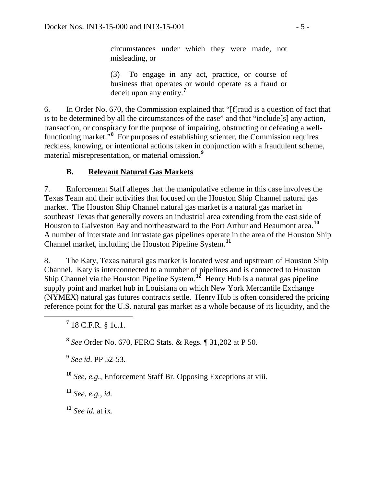circumstances under which they were made, not misleading, or

(3) To engage in any act, practice, or course of business that operates or would operate as a fraud or deceit upon any entity.**[7](#page-4-1)**

6. In Order No. 670, the Commission explained that "[f]raud is a question of fact that is to be determined by all the circumstances of the case" and that "include[s] any action, transaction, or conspiracy for the purpose of impairing, obstructing or defeating a well-functioning market.<sup>5[8](#page-4-2)</sup> For purposes of establishing scienter, the Commission requires reckless, knowing, or intentional actions taken in conjunction with a fraudulent scheme, material misrepresentation, or material omission.**[9](#page-4-3)**

### <span id="page-4-0"></span>**B. Relevant Natural Gas Markets**

7. Enforcement Staff alleges that the manipulative scheme in this case involves the Texas Team and their activities that focused on the Houston Ship Channel natural gas market. The Houston Ship Channel natural gas market is a natural gas market in southeast Texas that generally covers an industrial area extending from the east side of Houston to Galveston Bay and northeastward to the Port Arthur and Beaumont area.**[10](#page-4-4)** A number of interstate and intrastate gas pipelines operate in the area of the Houston Ship Channel market, including the Houston Pipeline System.**[11](#page-4-5)**

8. The Katy, Texas natural gas market is located west and upstream of Houston Ship Channel. Katy is interconnected to a number of pipelines and is connected to Houston Ship Channel via the Houston Pipeline System.**[12](#page-4-6)** Henry Hub is a natural gas pipeline supply point and market hub in Louisiana on which New York Mercantile Exchange (NYMEX) natural gas futures contracts settle. Henry Hub is often considered the pricing reference point for the U.S. natural gas market as a whole because of its liquidity, and the

<span id="page-4-1"></span>**<sup>7</sup>** 18 C.F.R. § 1c.1.

<span id="page-4-2"></span>**<sup>8</sup>** *See* Order No. 670, FERC Stats. & Regs. ¶ 31,202 at P 50.

<span id="page-4-3"></span>**<sup>9</sup>** *See id*. PP 52-53.

<span id="page-4-4"></span>**<sup>10</sup>** *See, e.g.*, Enforcement Staff Br. Opposing Exceptions at viii.

<span id="page-4-5"></span>**<sup>11</sup>** *See, e.g.*, *id.*

<span id="page-4-6"></span>**<sup>12</sup>** *See id.* at ix.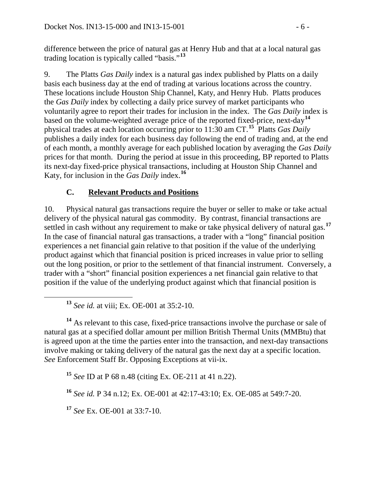difference between the price of natural gas at Henry Hub and that at a local natural gas trading location is typically called "basis."**[13](#page-5-1)**

9. The Platts *Gas Daily* index is a natural gas index published by Platts on a daily basis each business day at the end of trading at various locations across the country. These locations include Houston Ship Channel, Katy, and Henry Hub. Platts produces the *Gas Daily* index by collecting a daily price survey of market participants who voluntarily agree to report their trades for inclusion in the index. The *Gas Daily* index is based on the volume-weighted average price of the reported fixed-price, next-day**[14](#page-5-2)** physical trades at each location occurring prior to 11:30 am CT. **[15](#page-5-3)** Platts *Gas Daily* publishes a daily index for each business day following the end of trading and, at the end of each month, a monthly average for each published location by averaging the *Gas Daily* prices for that month. During the period at issue in this proceeding, BP reported to Platts its next-day fixed-price physical transactions, including at Houston Ship Channel and Katy, for inclusion in the *Gas Daily* index.**[16](#page-5-4)**

### <span id="page-5-0"></span>**C. Relevant Products and Positions**

10. Physical natural gas transactions require the buyer or seller to make or take actual delivery of the physical natural gas commodity. By contrast, financial transactions are settled in cash without any requirement to make or take physical delivery of natural gas.**[17](#page-5-5)** In the case of financial natural gas transactions, a trader with a "long" financial position experiences a net financial gain relative to that position if the value of the underlying product against which that financial position is priced increases in value prior to selling out the long position, or prior to the settlement of that financial instrument. Conversely, a trader with a "short" financial position experiences a net financial gain relative to that position if the value of the underlying product against which that financial position is

**<sup>13</sup>** *See id.* at viii; Ex. OE-001 at 35:2-10.

<span id="page-5-2"></span><span id="page-5-1"></span>**<sup>14</sup>** As relevant to this case, fixed-price transactions involve the purchase or sale of natural gas at a specified dollar amount per million British Thermal Units (MMBtu) that is agreed upon at the time the parties enter into the transaction, and next-day transactions involve making or taking delivery of the natural gas the next day at a specific location. *See* Enforcement Staff Br. Opposing Exceptions at vii-ix.

<span id="page-5-3"></span>**<sup>15</sup>** *See* ID at P 68 n.48 (citing Ex. OE-211 at 41 n.22).

<span id="page-5-4"></span>**<sup>16</sup>** *See id.* P 34 n.12; Ex. OE-001 at 42:17-43:10; Ex. OE-085 at 549:7-20.

<span id="page-5-5"></span>**<sup>17</sup>** *See* Ex. OE-001 at 33:7-10.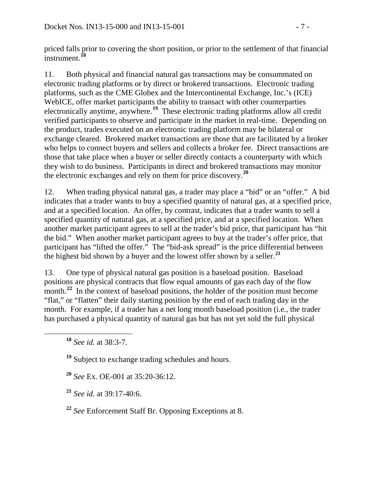priced falls prior to covering the short position, or prior to the settlement of that financial instrument.**[18](#page-6-0)**

11. Both physical and financial natural gas transactions may be consummated on electronic trading platforms or by direct or brokered transactions. Electronic trading platforms, such as the CME Globex and the Intercontinental Exchange, Inc.'s (ICE) WebICE, offer market participants the ability to transact with other counterparties electronically anytime, anywhere.<sup>[19](#page-6-1)</sup> These electronic trading platforms allow all credit verified participants to observe and participate in the market in real-time. Depending on the product, trades executed on an electronic trading platform may be bilateral or exchange cleared. Brokered market transactions are those that are facilitated by a broker who helps to connect buyers and sellers and collects a broker fee. Direct transactions are those that take place when a buyer or seller directly contacts a counterparty with which they wish to do business. Participants in direct and brokered transactions may monitor the electronic exchanges and rely on them for price discovery.**[20](#page-6-2)**

12. When trading physical natural gas, a trader may place a "bid" or an "offer." A bid indicates that a trader wants to buy a specified quantity of natural gas, at a specified price, and at a specified location. An offer, by contrast, indicates that a trader wants to sell a specified quantity of natural gas, at a specified price, and at a specified location. When another market participant agrees to sell at the trader's bid price, that participant has "hit the bid." When another market participant agrees to buy at the trader's offer price, that participant has "lifted the offer." The "bid-ask spread" is the price differential between the highest bid shown by a buyer and the lowest offer shown by a seller.**[21](#page-6-3)**

13. One type of physical natural gas position is a baseload position. Baseload positions are physical contracts that flow equal amounts of gas each day of the flow month.<sup>[22](#page-6-4)</sup> In the context of baseload positions, the holder of the position must become "flat," or "flatten" their daily starting position by the end of each trading day in the month. For example, if a trader has a net long month baseload position (i.e., the trader has purchased a physical quantity of natural gas but has not yet sold the full physical

<span id="page-6-1"></span>**<sup>19</sup>** Subject to exchange trading schedules and hours.

<span id="page-6-2"></span>**<sup>20</sup>** *See* Ex. OE-001 at 35:20-36:12.

<span id="page-6-3"></span>**<sup>21</sup>** *See id.* at 39:17-40:6.

<span id="page-6-4"></span>**<sup>22</sup>** *See* Enforcement Staff Br. Opposing Exceptions at 8.

<span id="page-6-0"></span>**<sup>18</sup>** *See id.* at 38:3-7.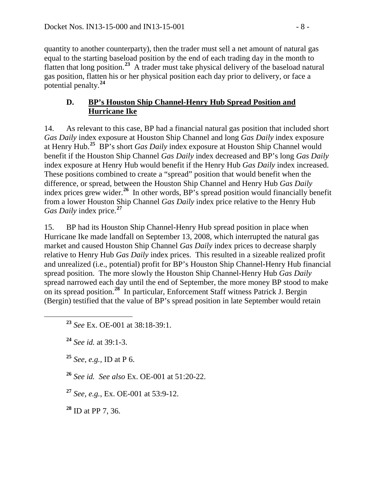quantity to another counterparty), then the trader must sell a net amount of natural gas equal to the starting baseload position by the end of each trading day in the month to flatten that long position.**[23](#page-7-1)** A trader must take physical delivery of the baseload natural gas position, flatten his or her physical position each day prior to delivery, or face a potential penalty.**[24](#page-7-2)**

#### <span id="page-7-0"></span>**D. BP's Houston Ship Channel-Henry Hub Spread Position and Hurricane Ike**

14. As relevant to this case, BP had a financial natural gas position that included short *Gas Daily* index exposure at Houston Ship Channel and long *Gas Daily* index exposure at Henry Hub.**[25](#page-7-3)** BP's short *Gas Daily* index exposure at Houston Ship Channel would benefit if the Houston Ship Channel *Gas Daily* index decreased and BP's long *Gas Daily*  index exposure at Henry Hub would benefit if the Henry Hub *Gas Daily* index increased. These positions combined to create a "spread" position that would benefit when the difference, or spread, between the Houston Ship Channel and Henry Hub *Gas Daily*  index prices grew wider.**[26](#page-7-4)** In other words, BP's spread position would financially benefit from a lower Houston Ship Channel *Gas Daily* index price relative to the Henry Hub *Gas Daily* index price.**[27](#page-7-5)**

15. BP had its Houston Ship Channel-Henry Hub spread position in place when Hurricane Ike made landfall on September 13, 2008, which interrupted the natural gas market and caused Houston Ship Channel *Gas Daily* index prices to decrease sharply relative to Henry Hub *Gas Daily* index prices. This resulted in a sizeable realized profit and unrealized (i.e., potential) profit for BP's Houston Ship Channel-Henry Hub financial spread position. The more slowly the Houston Ship Channel-Henry Hub *Gas Daily* spread narrowed each day until the end of September, the more money BP stood to make on its spread position.**[28](#page-7-6)** In particular, Enforcement Staff witness Patrick J. Bergin (Bergin) testified that the value of BP's spread position in late September would retain

<span id="page-7-2"></span>**<sup>24</sup>** *See id.* at 39:1-3.

<span id="page-7-3"></span>**<sup>25</sup>** *See, e.g.*, ID at P 6.

<span id="page-7-4"></span>**<sup>26</sup>** *See id. See also* Ex. OE-001 at 51:20-22.

<span id="page-7-5"></span>**<sup>27</sup>** *See, e.g.*, Ex. OE-001 at 53:9-12.

<span id="page-7-6"></span>**<sup>28</sup>** ID at PP 7, 36.

<span id="page-7-1"></span>**<sup>23</sup>** *See* Ex. OE-001 at 38:18-39:1.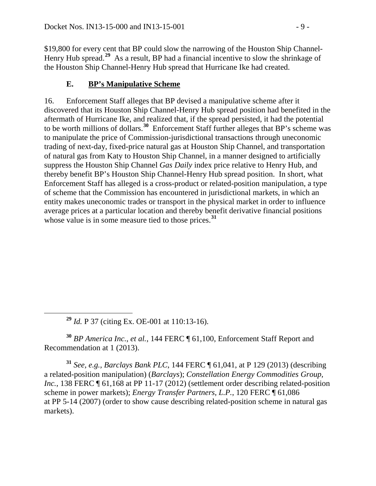\$19,800 for every cent that BP could slow the narrowing of the Houston Ship Channel-Henry Hub spread.<sup>[29](#page-8-1)</sup> As a result, BP had a financial incentive to slow the shrinkage of the Houston Ship Channel-Henry Hub spread that Hurricane Ike had created.

## <span id="page-8-0"></span>**E. BP's Manipulative Scheme**

16. Enforcement Staff alleges that BP devised a manipulative scheme after it discovered that its Houston Ship Channel-Henry Hub spread position had benefited in the aftermath of Hurricane Ike, and realized that, if the spread persisted, it had the potential to be worth millions of dollars.**[30](#page-8-2)** Enforcement Staff further alleges that BP's scheme was to manipulate the price of Commission-jurisdictional transactions through uneconomic trading of next-day, fixed-price natural gas at Houston Ship Channel, and transportation of natural gas from Katy to Houston Ship Channel, in a manner designed to artificially suppress the Houston Ship Channel *Gas Daily* index price relative to Henry Hub, and thereby benefit BP's Houston Ship Channel-Henry Hub spread position. In short, what Enforcement Staff has alleged is a cross-product or related-position manipulation, a type of scheme that the Commission has encountered in jurisdictional markets, in which an entity makes uneconomic trades or transport in the physical market in order to influence average prices at a particular location and thereby benefit derivative financial positions whose value is in some measure tied to those prices.**[31](#page-8-3)**

**<sup>29</sup>** *Id.* P 37 (citing Ex. OE-001 at 110:13-16).

<span id="page-8-2"></span><span id="page-8-1"></span>**<sup>30</sup>** *BP America Inc.*, *et al.*, 144 FERC ¶ 61,100, Enforcement Staff Report and Recommendation at 1 (2013).

<span id="page-8-3"></span>**<sup>31</sup>** *See, e.g., Barclays Bank PLC*, 144 FERC ¶ 61,041, at P 129 (2013) (describing a related-position manipulation) (*Barclays*); *Constellation Energy Commodities Group, Inc.*, 138 FERC  $\llbracket 61,168 \right\rbrace$  at PP 11-17 (2012) (settlement order describing related-position scheme in power markets); *Energy Transfer Partners, L.P.*, 120 FERC ¶ 61,086 at PP 5-14 (2007) (order to show cause describing related-position scheme in natural gas markets).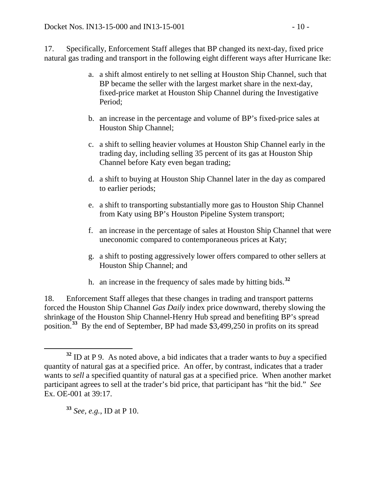17. Specifically, Enforcement Staff alleges that BP changed its next-day, fixed price natural gas trading and transport in the following eight different ways after Hurricane Ike:

- a. a shift almost entirely to net selling at Houston Ship Channel, such that BP became the seller with the largest market share in the next-day, fixed-price market at Houston Ship Channel during the Investigative Period;
- b. an increase in the percentage and volume of BP's fixed-price sales at Houston Ship Channel;
- c. a shift to selling heavier volumes at Houston Ship Channel early in the trading day, including selling 35 percent of its gas at Houston Ship Channel before Katy even began trading;
- d. a shift to buying at Houston Ship Channel later in the day as compared to earlier periods;
- e. a shift to transporting substantially more gas to Houston Ship Channel from Katy using BP's Houston Pipeline System transport;
- f. an increase in the percentage of sales at Houston Ship Channel that were uneconomic compared to contemporaneous prices at Katy;
- g. a shift to posting aggressively lower offers compared to other sellers at Houston Ship Channel; and
- h. an increase in the frequency of sales made by hitting bids.**[32](#page-9-0)**

18. Enforcement Staff alleges that these changes in trading and transport patterns forced the Houston Ship Channel *Gas Daily* index price downward, thereby slowing the shrinkage of the Houston Ship Channel-Henry Hub spread and benefiting BP's spread position.**[33](#page-9-1)** By the end of September, BP had made \$3,499,250 in profits on its spread

<span id="page-9-1"></span>**<sup>33</sup>** *See, e.g.*, ID at P 10.

<span id="page-9-0"></span>**<sup>32</sup>** ID at P 9. As noted above, a bid indicates that a trader wants to *buy* a specified quantity of natural gas at a specified price. An offer, by contrast, indicates that a trader wants to *sell* a specified quantity of natural gas at a specified price. When another market participant agrees to sell at the trader's bid price, that participant has "hit the bid." *See*  Ex. OE-001 at 39:17.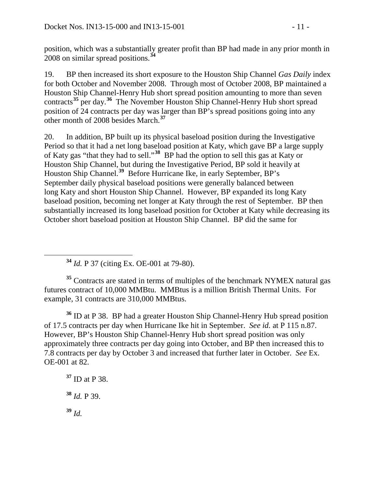position, which was a substantially greater profit than BP had made in any prior month in 2008 on similar spread positions.**[34](#page-10-0)**

19. BP then increased its short exposure to the Houston Ship Channel *Gas Daily* index for both October and November 2008. Through most of October 2008, BP maintained a Houston Ship Channel-Henry Hub short spread position amounting to more than seven contracts**[35](#page-10-1)** per day.**[36](#page-10-2)** The November Houston Ship Channel-Henry Hub short spread position of 24 contracts per day was larger than BP's spread positions going into any other month of 2008 besides March.**[37](#page-10-3)**

20. In addition, BP built up its physical baseload position during the Investigative Period so that it had a net long baseload position at Katy, which gave BP a large supply of Katy gas "that they had to sell."**[38](#page-10-4)** BP had the option to sell this gas at Katy or Houston Ship Channel, but during the Investigative Period, BP sold it heavily at Houston Ship Channel.**[39](#page-10-5)** Before Hurricane Ike, in early September, BP's September daily physical baseload positions were generally balanced between long Katy and short Houston Ship Channel. However, BP expanded its long Katy baseload position, becoming net longer at Katy through the rest of September. BP then substantially increased its long baseload position for October at Katy while decreasing its October short baseload position at Houston Ship Channel. BP did the same for

**<sup>34</sup>** *Id.* P 37 (citing Ex. OE-001 at 79-80).

<span id="page-10-1"></span><span id="page-10-0"></span><sup>35</sup> Contracts are stated in terms of multiples of the benchmark NYMEX natural gas futures contract of 10,000 MMBtu. MMBtus is a million British Thermal Units. For example, 31 contracts are 310,000 MMBtus.

<span id="page-10-2"></span>**<sup>36</sup>** ID at P 38. BP had a greater Houston Ship Channel-Henry Hub spread position of 17.5 contracts per day when Hurricane Ike hit in September. *See id.* at P 115 n.87. However, BP's Houston Ship Channel-Henry Hub short spread position was only approximately three contracts per day going into October, and BP then increased this to 7.8 contracts per day by October 3 and increased that further later in October. *See* Ex. OE-001 at 82.

<span id="page-10-5"></span><span id="page-10-4"></span><span id="page-10-3"></span>**<sup>37</sup>** ID at P 38. **<sup>38</sup>** *Id.* P 39. **<sup>39</sup>** *Id.*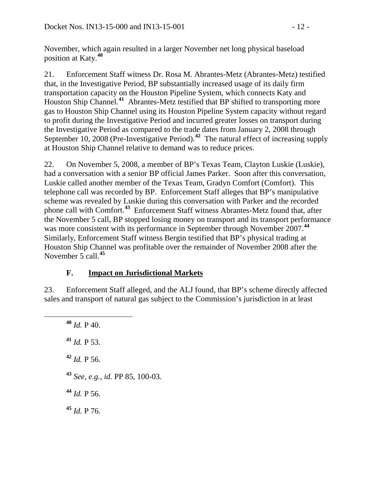November, which again resulted in a larger November net long physical baseload position at Katy.**[40](#page-11-1)**

21. Enforcement Staff witness Dr. Rosa M. Abrantes-Metz (Abrantes-Metz) testified that, in the Investigative Period, BP substantially increased usage of its daily firm transportation capacity on the Houston Pipeline System, which connects Katy and Houston Ship Channel.<sup>[41](#page-11-2)</sup> Abrantes-Metz testified that BP shifted to transporting more gas to Houston Ship Channel using its Houston Pipeline System capacity without regard to profit during the Investigative Period and incurred greater losses on transport during the Investigative Period as compared to the trade dates from January 2, 2008 through September 10, 2008 (Pre-Investigative Period).<sup>[42](#page-11-3)</sup> The natural effect of increasing supply at Houston Ship Channel relative to demand was to reduce prices.

22. On November 5, 2008, a member of BP's Texas Team, Clayton Luskie (Luskie), had a conversation with a senior BP official James Parker. Soon after this conversation, Luskie called another member of the Texas Team, Gradyn Comfort (Comfort). This telephone call was recorded by BP. Enforcement Staff alleges that BP's manipulative scheme was revealed by Luskie during this conversation with Parker and the recorded phone call with Comfort.**[43](#page-11-4)** Enforcement Staff witness Abrantes-Metz found that, after the November 5 call, BP stopped losing money on transport and its transport performance was more consistent with its performance in September through November 2007.<sup>[44](#page-11-5)</sup> Similarly, Enforcement Staff witness Bergin testified that BP's physical trading at Houston Ship Channel was profitable over the remainder of November 2008 after the November 5 call.**[45](#page-11-6)**

### <span id="page-11-0"></span>**F. Impact on Jurisdictional Markets**

<span id="page-11-1"></span>23. Enforcement Staff alleged, and the ALJ found, that BP's scheme directly affected sales and transport of natural gas subject to the Commission's jurisdiction in at least

<span id="page-11-6"></span><span id="page-11-5"></span><span id="page-11-4"></span><span id="page-11-3"></span><span id="page-11-2"></span> **<sup>40</sup>** *Id.* P 40. *Id.* P 53. *Id.* P 56. *See, e.g.*, *id.* PP 85, 100-03. *Id.* P 56. **<sup>45</sup>** *Id.* P 76.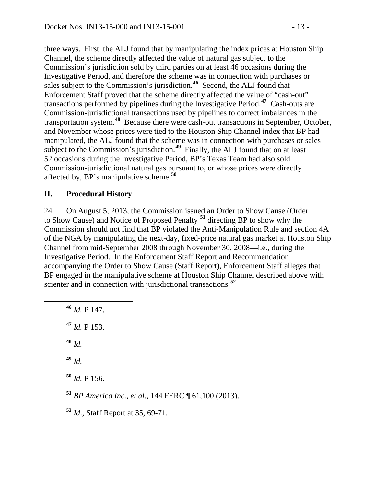three ways. First, the ALJ found that by manipulating the index prices at Houston Ship Channel, the scheme directly affected the value of natural gas subject to the Commission's jurisdiction sold by third parties on at least 46 occasions during the Investigative Period, and therefore the scheme was in connection with purchases or sales subject to the Commission's jurisdiction.**[46](#page-12-1)** Second, the ALJ found that Enforcement Staff proved that the scheme directly affected the value of "cash-out" transactions performed by pipelines during the Investigative Period.**[47](#page-12-2)** Cash-outs are Commission-jurisdictional transactions used by pipelines to correct imbalances in the transportation system.**[48](#page-12-3)** Because there were cash-out transactions in September, October, and November whose prices were tied to the Houston Ship Channel index that BP had manipulated, the ALJ found that the scheme was in connection with purchases or sales subject to the Commission's jurisdiction.**[49](#page-12-4)** Finally, the ALJ found that on at least 52 occasions during the Investigative Period, BP's Texas Team had also sold Commission-jurisdictional natural gas pursuant to, or whose prices were directly affected by, BP's manipulative scheme.**[50](#page-12-5)**

#### <span id="page-12-0"></span>**II. Procedural History**

24. On August 5, 2013, the Commission issued an Order to Show Cause (Order to Show Cause) and Notice of Proposed Penalty **[51](#page-12-6)** directing BP to show why the Commission should not find that BP violated the Anti-Manipulation Rule and section 4A of the NGA by manipulating the next-day, fixed-price natural gas market at Houston Ship Channel from mid-September 2008 through November 30, 2008—i.e., during the Investigative Period. In the Enforcement Staff Report and Recommendation accompanying the Order to Show Cause (Staff Report), Enforcement Staff alleges that BP engaged in the manipulative scheme at Houston Ship Channel described above with scienter and in connection with jurisdictional transactions.**[52](#page-12-7)**

<span id="page-12-7"></span><span id="page-12-6"></span><span id="page-12-5"></span><span id="page-12-4"></span><span id="page-12-3"></span><span id="page-12-2"></span><span id="page-12-1"></span> **<sup>46</sup>** *Id.* P 147. **<sup>47</sup>** *Id.* P 153. **<sup>48</sup>** *Id.* **<sup>49</sup>** *Id.* **<sup>50</sup>** *Id.* P 156. **<sup>51</sup>** *BP America Inc.*, *et al.*, 144 FERC ¶ 61,100 (2013). **<sup>52</sup>** *Id*., Staff Report at 35, 69-71.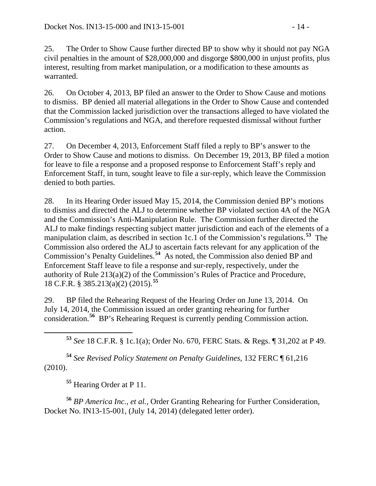25. The Order to Show Cause further directed BP to show why it should not pay NGA civil penalties in the amount of \$28,000,000 and disgorge \$800,000 in unjust profits, plus interest, resulting from market manipulation, or a modification to these amounts as warranted.

26. On October 4, 2013, BP filed an answer to the Order to Show Cause and motions to dismiss. BP denied all material allegations in the Order to Show Cause and contended that the Commission lacked jurisdiction over the transactions alleged to have violated the Commission's regulations and NGA, and therefore requested dismissal without further action.

27. On December 4, 2013, Enforcement Staff filed a reply to BP's answer to the Order to Show Cause and motions to dismiss. On December 19, 2013, BP filed a motion for leave to file a response and a proposed response to Enforcement Staff's reply and Enforcement Staff, in turn, sought leave to file a sur-reply, which leave the Commission denied to both parties.

28. In its Hearing Order issued May 15, 2014, the Commission denied BP's motions to dismiss and directed the ALJ to determine whether BP violated section 4A of the NGA and the Commission's Anti-Manipulation Rule. The Commission further directed the ALJ to make findings respecting subject matter jurisdiction and each of the elements of a manipulation claim, as described in section 1c.1 of the Commission's regulations.**[53](#page-13-0)** The Commission also ordered the ALJ to ascertain facts relevant for any application of the Commission's Penalty Guidelines.**[54](#page-13-1)** As noted, the Commission also denied BP and Enforcement Staff leave to file a response and sur-reply, respectively, under the authority of Rule 213(a)(2) of the Commission's Rules of Practice and Procedure, 18 C.F.R. § 385.213(a)(2) (2015).**[55](#page-13-2)**

29. BP filed the Rehearing Request of the Hearing Order on June 13, 2014. On July 14, 2014, the Commission issued an order granting rehearing for further consideration.**[56](#page-13-3)** BP's Rehearing Request is currently pending Commission action.

**<sup>53</sup>** *See* 18 C.F.R. § 1c.1(a); Order No. 670, FERC Stats. & Regs. ¶ 31,202 at P 49.

<span id="page-13-1"></span><span id="page-13-0"></span>**<sup>54</sup>** *See Revised Policy Statement on Penalty Guidelines*, 132 FERC ¶ 61,216 (2010).

**<sup>55</sup>** Hearing Order at P 11.

<span id="page-13-3"></span><span id="page-13-2"></span>**<sup>56</sup>** *BP America Inc., et al.*, Order Granting Rehearing for Further Consideration, Docket No. IN13-15-001, (July 14, 2014) (delegated letter order).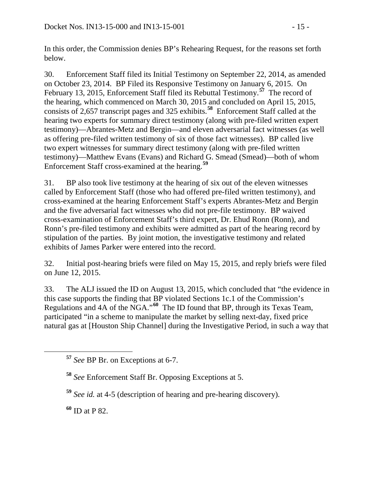In this order, the Commission denies BP's Rehearing Request, for the reasons set forth below.

30. Enforcement Staff filed its Initial Testimony on September 22, 2014, as amended on October 23, 2014. BP Filed its Responsive Testimony on January 6, 2015. On February 13, 2015, Enforcement Staff filed its Rebuttal Testimony.**[57](#page-14-0)** The record of the hearing, which commenced on March 30, 2015 and concluded on April 15, 2015, consists of 2,657 transcript pages and 325 exhibits.**[58](#page-14-1)** Enforcement Staff called at the hearing two experts for summary direct testimony (along with pre-filed written expert testimony)—Abrantes-Metz and Bergin—and eleven adversarial fact witnesses (as well as offering pre-filed written testimony of six of those fact witnesses). BP called live two expert witnesses for summary direct testimony (along with pre-filed written testimony)—Matthew Evans (Evans) and Richard G. Smead (Smead)—both of whom Enforcement Staff cross-examined at the hearing.**[59](#page-14-2)**

31. BP also took live testimony at the hearing of six out of the eleven witnesses called by Enforcement Staff (those who had offered pre-filed written testimony), and cross-examined at the hearing Enforcement Staff's experts Abrantes-Metz and Bergin and the five adversarial fact witnesses who did not pre-file testimony. BP waived cross-examination of Enforcement Staff's third expert, Dr. Ehud Ronn (Ronn), and Ronn's pre-filed testimony and exhibits were admitted as part of the hearing record by stipulation of the parties. By joint motion, the investigative testimony and related exhibits of James Parker were entered into the record.

32. Initial post-hearing briefs were filed on May 15, 2015, and reply briefs were filed on June 12, 2015.

33. The ALJ issued the ID on August 13, 2015, which concluded that "the evidence in this case supports the finding that BP violated Sections 1c.1 of the Commission's Regulations and 4A of the NGA."**[60](#page-14-3)** The ID found that BP, through its Texas Team, participated "in a scheme to manipulate the market by selling next-day, fixed price natural gas at [Houston Ship Channel] during the Investigative Period, in such a way that

<span id="page-14-3"></span>**<sup>60</sup>** ID at P 82.

<span id="page-14-0"></span>**<sup>57</sup>** *See* BP Br. on Exceptions at 6-7.

<span id="page-14-1"></span>**<sup>58</sup>** *See* Enforcement Staff Br. Opposing Exceptions at 5.

<span id="page-14-2"></span>**<sup>59</sup>** *See id.* at 4-5 (description of hearing and pre-hearing discovery).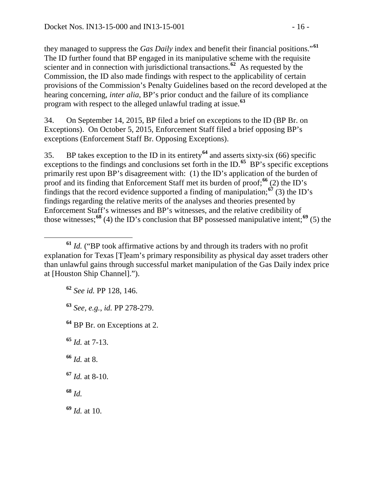they managed to suppress the *Gas Daily* index and benefit their financial positions."**[61](#page-15-0)** The ID further found that BP engaged in its manipulative scheme with the requisite scienter and in connection with jurisdictional transactions.<sup>[62](#page-15-1)</sup> As requested by the Commission, the ID also made findings with respect to the applicability of certain provisions of the Commission's Penalty Guidelines based on the record developed at the hearing concerning, *inter alia*, BP's prior conduct and the failure of its compliance program with respect to the alleged unlawful trading at issue.**[63](#page-15-2)**

34. On September 14, 2015, BP filed a brief on exceptions to the ID (BP Br. on Exceptions). On October 5, 2015, Enforcement Staff filed a brief opposing BP's exceptions (Enforcement Staff Br. Opposing Exceptions).

35. BP takes exception to the ID in its entirety**[64](#page-15-3)** and asserts sixty-six (66) specific exceptions to the findings and conclusions set forth in the ID.<sup>[65](#page-15-4)</sup> BP's specific exceptions primarily rest upon BP's disagreement with: (1) the ID's application of the burden of proof and its finding that Enforcement Staff met its burden of proof;**[66](#page-15-5)** (2) the ID's findings that the record evidence supported a finding of manipulation; $\frac{67}{3}$  $\frac{67}{3}$  $\frac{67}{3}$  (3) the ID's findings regarding the relative merits of the analyses and theories presented by Enforcement Staff's witnesses and BP's witnesses, and the relative credibility of those witnesses;**[68](#page-15-7)** (4) the ID's conclusion that BP possessed manipulative intent;**[69](#page-15-8)** (5) the

- **<sup>62</sup>** *See id.* PP 128, 146.
- <span id="page-15-2"></span>**<sup>63</sup>** *See, e.g.*, *id.* PP 278-279.
- <span id="page-15-3"></span>**<sup>64</sup>** BP Br. on Exceptions at 2.
- <span id="page-15-4"></span>**<sup>65</sup>** *Id.* at 7-13.
- <span id="page-15-5"></span>**<sup>66</sup>** *Id.* at 8.
- <span id="page-15-6"></span>**<sup>67</sup>** *Id.* at 8-10.
- <span id="page-15-7"></span>**<sup>68</sup>** *Id.*
- <span id="page-15-8"></span>**<sup>69</sup>** *Id.* at 10.

<span id="page-15-1"></span><span id="page-15-0"></span>**<sup>61</sup>** *Id.* ("BP took affirmative actions by and through its traders with no profit explanation for Texas [T]eam's primary responsibility as physical day asset traders other than unlawful gains through successful market manipulation of the Gas Daily index price at [Houston Ship Channel].").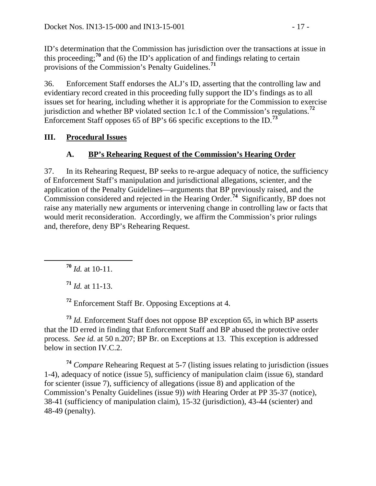ID's determination that the Commission has jurisdiction over the transactions at issue in this proceeding;<sup>[70](#page-16-2)</sup> and (6) the ID's application of and findings relating to certain provisions of the Commission's Penalty Guidelines.**[71](#page-16-3)**

36. Enforcement Staff endorses the ALJ's ID, asserting that the controlling law and evidentiary record created in this proceeding fully support the ID's findings as to all issues set for hearing, including whether it is appropriate for the Commission to exercise jurisdiction and whether BP violated section 1c.1 of the Commission's regulations.**[72](#page-16-4)** Enforcement Staff opposes 65 of BP's 66 specific exceptions to the ID.**[73](#page-16-5)**

#### **III. Procedural Issues**

### <span id="page-16-1"></span><span id="page-16-0"></span>**A. BP's Rehearing Request of the Commission's Hearing Order**

37. In its Rehearing Request, BP seeks to re-argue adequacy of notice, the sufficiency of Enforcement Staff's manipulation and jurisdictional allegations, scienter, and the application of the Penalty Guidelines—arguments that BP previously raised, and the Commission considered and rejected in the Hearing Order.**[74](#page-16-6)** Significantly, BP does not raise any materially new arguments or intervening change in controlling law or facts that would merit reconsideration. Accordingly, we affirm the Commission's prior rulings and, therefore, deny BP's Rehearing Request.

<span id="page-16-2"></span>**<sup>70</sup>** *Id.* at 10-11.

**<sup>71</sup>** *Id.* at 11-13.

**<sup>72</sup>** Enforcement Staff Br. Opposing Exceptions at 4.

<span id="page-16-5"></span><span id="page-16-4"></span><span id="page-16-3"></span>**<sup>73</sup>** *Id.* Enforcement Staff does not oppose BP exception 65, in which BP asserts that the ID erred in finding that Enforcement Staff and BP abused the protective order process. *See id.* at 50 n.207; BP Br. on Exceptions at 13. This exception is addressed below in section IV.C.2.

<span id="page-16-6"></span>**<sup>74</sup>** *Compare* Rehearing Request at 5-7 (listing issues relating to jurisdiction (issues 1-4), adequacy of notice (issue 5), sufficiency of manipulation claim (issue 6), standard for scienter (issue 7), sufficiency of allegations (issue 8) and application of the Commission's Penalty Guidelines (issue 9)) *with* Hearing Order at PP 35-37 (notice), 38-41 (sufficiency of manipulation claim), 15-32 (jurisdiction), 43-44 (scienter) and 48-49 (penalty).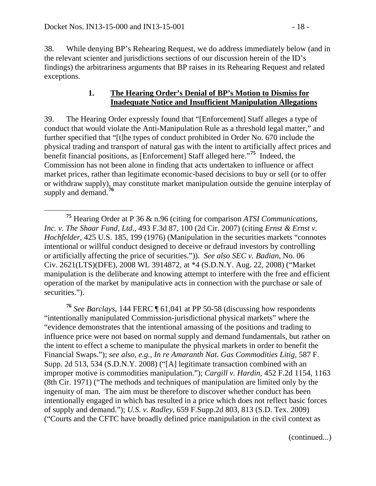38. While denying BP's Rehearing Request, we do address immediately below (and in the relevant scienter and jurisdictions sections of our discussion herein of the ID's findings) the arbitrariness arguments that BP raises in its Rehearing Request and related exceptions.

#### <span id="page-17-0"></span>**1. The Hearing Order's Denial of BP's Motion to Dismiss for Inadequate Notice and Insufficient Manipulation Allegations**

39. The Hearing Order expressly found that "[Enforcement] Staff alleges a type of conduct that would violate the Anti-Manipulation Rule as a threshold legal matter," and further specified that "[t]he types of conduct prohibited in Order No. 670 include the physical trading and transport of natural gas with the intent to artificially affect prices and benefit financial positions, as [Enforcement] Staff alleged here."**[75](#page-17-1)** Indeed, the Commission has not been alone in finding that acts undertaken to influence or affect market prices, rather than legitimate economic-based decisions to buy or sell (or to offer or withdraw supply), may constitute market manipulation outside the genuine interplay of supply and demand.**[76](#page-17-2)**

<span id="page-17-2"></span>**<sup>76</sup>** *See Barclays*, 144 FERC ¶ 61,041 at PP 50-58 (discussing how respondents "intentionally manipulated Commission-jurisdictional physical markets" where the "evidence demonstrates that the intentional amassing of the positions and trading to influence price were not based on normal supply and demand fundamentals, but rather on the intent to effect a scheme to manipulate the physical markets in order to benefit the Financial Swaps."); *see also, e.g., In re Amaranth Nat. Gas Commodities Litig,* 587 F. Supp. 2d 513, 534 (S.D.N.Y. 2008) ("[A] legitimate transaction combined with an improper motive is commodities manipulation."); *Cargill v. Hardin*, 452 F.2d 1154, 1163 (8th Cir. 1971) ("The methods and techniques of manipulation are limited only by the ingenuity of man. The aim must be therefore to discover whether conduct has been intentionally engaged in which has resulted in a price which does not reflect basic forces of supply and demand."); *U.S. v. Radley*, 659 F.Supp.2d 803, 813 (S.D. Tex. 2009) ("Courts and the CFTC have broadly defined price manipulation in the civil context as

(continued...)

<span id="page-17-1"></span>**<sup>75</sup>** Hearing Order at P 36 & n.96 (citing for comparison *ATSI Communications, Inc. v. The Shaar Fund, Ltd*., 493 F.3d 87, 100 (2d Cir. 2007) (citing *Ernst & Ernst v. Hochfelder*, 425 U.S. 185, 199 (1976) (Manipulation in the securities markets "connotes intentional or willful conduct designed to deceive or defraud investors by controlling or artificially affecting the price of securities.")). *See also SEC v. Badian*, No. 06 Civ. 2621(LTS)(DFE), 2008 WL 3914872, at \*4 (S.D.N.Y. Aug. 22, 2008) ("Market manipulation is the deliberate and knowing attempt to interfere with the free and efficient operation of the market by manipulative acts in connection with the purchase or sale of securities.").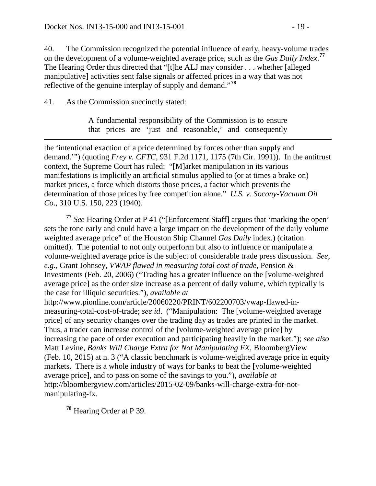40. The Commission recognized the potential influence of early, heavy-volume trades on the development of a volume-weighted average price, such as the *Gas Daily Index*. **[77](#page-18-0)** The Hearing Order thus directed that "[t]he ALJ may consider . . . whether [alleged manipulative] activities sent false signals or affected prices in a way that was not reflective of the genuine interplay of supply and demand."**[78](#page-18-1)**

41. As the Commission succinctly stated:

A fundamental responsibility of the Commission is to ensure that prices are 'just and reasonable,' and consequently

 $\overline{a}$ the 'intentional exaction of a price determined by forces other than supply and demand.'") (quoting *Frey v. CFTC*, 931 F.2d 1171, 1175 (7th Cir. 1991)). In the antitrust context, the Supreme Court has ruled: "[M]arket manipulation in its various manifestations is implicitly an artificial stimulus applied to (or at times a brake on) market prices, a force which distorts those prices, a factor which prevents the determination of those prices by free competition alone." *U.S. v. Socony-Vacuum Oil Co*., 310 U.S. 150, 223 (1940).

<span id="page-18-0"></span>**<sup>77</sup>** *See* Hearing Order at P 41 ("[Enforcement Staff] argues that 'marking the open' sets the tone early and could have a large impact on the development of the daily volume weighted average price" of the Houston Ship Channel *Gas Daily* index.) (citation omitted). The potential to not only outperform but also to influence or manipulate a volume-weighted average price is the subject of considerable trade press discussion. *See, e.g.,* Grant Johnsey, *VWAP flawed in measuring total cost of trade*, Pension & Investments (Feb. 20, 2006) ("Trading has a greater influence on the [volume-weighted average price] as the order size increase as a percent of daily volume, which typically is the case for illiquid securities."), *available at* http://www.pionline.com/article/20060220/PRINT/602200703/vwap-flawed-inmeasuring-total-cost-of-trade; *see id*. ("Manipulation: The [volume-weighted average price] of any security changes over the trading day as trades are printed in the market. Thus, a trader can increase control of the [volume-weighted average price] by increasing the pace of order execution and participating heavily in the market."); *see also* Matt Levine, *Banks Will Charge Extra for Not Manipulating FX*, BloombergView (Feb. 10, 2015) at n. 3 ("A classic benchmark is volume-weighted average price in equity markets. There is a whole industry of ways for banks to beat the [volume-weighted average price], and to pass on some of the savings to you."), *available at* http://bloombergview.com/articles/2015-02-09/banks-will-charge-extra-for-notmanipulating-fx.

<span id="page-18-1"></span>**<sup>78</sup>** Hearing Order at P 39.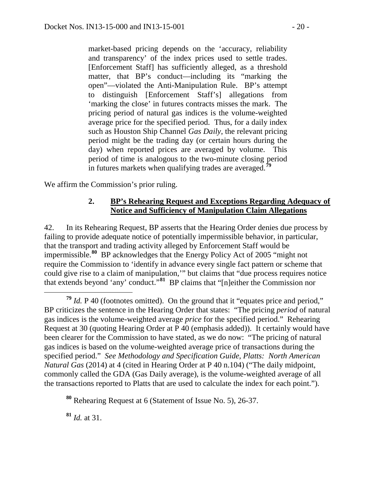market-based pricing depends on the 'accuracy, reliability and transparency' of the index prices used to settle trades. [Enforcement Staff] has sufficiently alleged, as a threshold matter, that BP's conduct—including its "marking the open"—violated the Anti-Manipulation Rule. BP's attempt to distinguish [Enforcement Staff's] allegations from 'marking the close' in futures contracts misses the mark. The pricing period of natural gas indices is the volume-weighted average price for the specified period. Thus, for a daily index such as Houston Ship Channel *Gas Daily*, the relevant pricing period might be the trading day (or certain hours during the day) when reported prices are averaged by volume. This period of time is analogous to the two-minute closing period in futures markets when qualifying trades are averaged.**[79](#page-19-1)**

We affirm the Commission's prior ruling.

#### <span id="page-19-0"></span>**2. BP's Rehearing Request and Exceptions Regarding Adequacy of Notice and Sufficiency of Manipulation Claim Allegations**

42. In its Rehearing Request, BP asserts that the Hearing Order denies due process by failing to provide adequate notice of potentially impermissible behavior, in particular, that the transport and trading activity alleged by Enforcement Staff would be impermissible.**[80](#page-19-2)** BP acknowledges that the Energy Policy Act of 2005 "might not require the Commission to 'identify in advance every single fact pattern or scheme that could give rise to a claim of manipulation,'" but claims that "due process requires notice that extends beyond 'any' conduct."**[81](#page-19-3)** BP claims that "[n]either the Commission nor

<span id="page-19-3"></span>**<sup>81</sup>** *Id.* at 31.

<span id="page-19-1"></span>**<sup>79</sup>** *Id.* P 40 (footnotes omitted). On the ground that it "equates price and period," BP criticizes the sentence in the Hearing Order that states: "The pricing *period* of natural gas indices is the volume-weighted average *price* for the specified period." Rehearing Request at 30 (quoting Hearing Order at P 40 (emphasis added)). It certainly would have been clearer for the Commission to have stated, as we do now: "The pricing of natural gas indices is based on the volume-weighted average price of transactions during the specified period." *See Methodology and Specification Guide, Platts: North American Natural Gas* (2014) at 4 (cited in Hearing Order at P 40 n.104) ("The daily midpoint, commonly called the GDA (Gas Daily average), is the volume-weighted average of all the transactions reported to Platts that are used to calculate the index for each point.").

<span id="page-19-2"></span>**<sup>80</sup>** Rehearing Request at 6 (Statement of Issue No. 5), 26-37.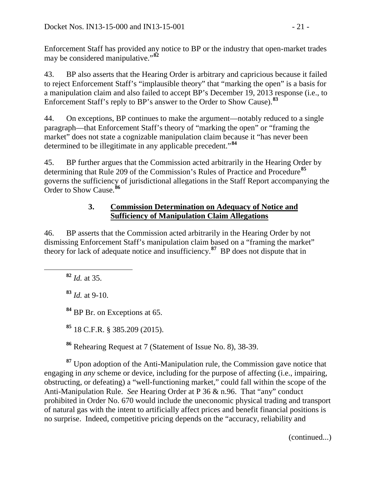Enforcement Staff has provided any notice to BP or the industry that open-market trades may be considered manipulative."**[82](#page-20-1)**

43. BP also asserts that the Hearing Order is arbitrary and capricious because it failed to reject Enforcement Staff's "implausible theory" that "marking the open" is a basis for a manipulation claim and also failed to accept BP's December 19, 2013 response (i.e., to Enforcement Staff's reply to BP's answer to the Order to Show Cause).**[83](#page-20-2)**

44. On exceptions, BP continues to make the argument—notably reduced to a single paragraph—that Enforcement Staff's theory of "marking the open" or "framing the market" does not state a cognizable manipulation claim because it "has never been determined to be illegitimate in any applicable precedent."**[84](#page-20-3)**

45. BP further argues that the Commission acted arbitrarily in the Hearing Order by determining that Rule 209 of the Commission's Rules of Practice and Procedure**[85](#page-20-4)** governs the sufficiency of jurisdictional allegations in the Staff Report accompanying the Order to Show Cause.**[86](#page-20-5)**

### <span id="page-20-0"></span>**3. Commission Determination on Adequacy of Notice and Sufficiency of Manipulation Claim Allegations**

<span id="page-20-1"></span>46. BP asserts that the Commission acted arbitrarily in the Hearing Order by not dismissing Enforcement Staff's manipulation claim based on a "framing the market" theory for lack of adequate notice and insufficiency.**[87](#page-20-6)** BP does not dispute that in

**<sup>82</sup>** *Id.* at 35.

<span id="page-20-2"></span>**<sup>83</sup>** *Id.* at 9-10.

<span id="page-20-3"></span>**<sup>84</sup>** BP Br. on Exceptions at 65.

**<sup>85</sup>** 18 C.F.R. § 385.209 (2015).

**<sup>86</sup>** Rehearing Request at 7 (Statement of Issue No. 8), 38-39.

<span id="page-20-6"></span><span id="page-20-5"></span><span id="page-20-4"></span>**<sup>87</sup>** Upon adoption of the Anti-Manipulation rule, the Commission gave notice that engaging in *any* scheme or device, including for the purpose of affecting (i.e., impairing, obstructing, or defeating) a "well-functioning market," could fall within the scope of the Anti-Manipulation Rule. *See* Hearing Order at P 36 & n.96. That "any" conduct prohibited in Order No. 670 would include the uneconomic physical trading and transport of natural gas with the intent to artificially affect prices and benefit financial positions is no surprise. Indeed, competitive pricing depends on the "accuracy, reliability and

(continued...)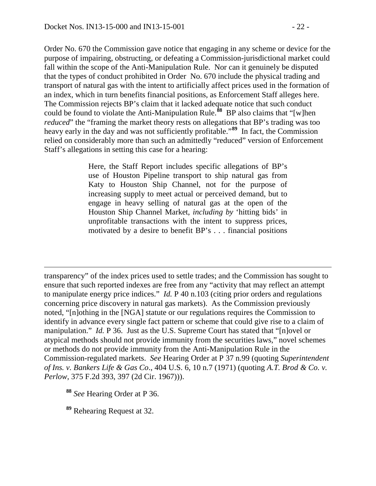Order No. 670 the Commission gave notice that engaging in any scheme or device for the purpose of impairing, obstructing, or defeating a Commission-jurisdictional market could fall within the scope of the Anti-Manipulation Rule. Nor can it genuinely be disputed that the types of conduct prohibited in Order No. 670 include the physical trading and transport of natural gas with the intent to artificially affect prices used in the formation of an index, which in turn benefits financial positions, as Enforcement Staff alleges here. The Commission rejects BP's claim that it lacked adequate notice that such conduct could be found to violate the Anti-Manipulation Rule.**[88](#page-21-0)** BP also claims that "[w]hen *reduced*" the "framing the market theory rests on allegations that BP's trading was too heavy early in the day and was not sufficiently profitable."**[89](#page-21-1)** In fact, the Commission relied on considerably more than such an admittedly "reduced" version of Enforcement Staff's allegations in setting this case for a hearing:

> Here, the Staff Report includes specific allegations of BP's use of Houston Pipeline transport to ship natural gas from Katy to Houston Ship Channel, not for the purpose of increasing supply to meet actual or perceived demand, but to engage in heavy selling of natural gas at the open of the Houston Ship Channel Market, *including by* 'hitting bids' in unprofitable transactions with the intent to suppress prices, motivated by a desire to benefit BP's . . . financial positions

transparency" of the index prices used to settle trades; and the Commission has sought to ensure that such reported indexes are free from any "activity that may reflect an attempt to manipulate energy price indices." *Id.* P 40 n.103 (citing prior orders and regulations concerning price discovery in natural gas markets). As the Commission previously noted, "[n]othing in the [NGA] statute or our regulations requires the Commission to identify in advance every single fact pattern or scheme that could give rise to a claim of manipulation." *Id.* P 36. Just as the U.S. Supreme Court has stated that "[n]ovel or atypical methods should not provide immunity from the securities laws," novel schemes or methods do not provide immunity from the Anti-Manipulation Rule in the Commission-regulated markets. *See* Hearing Order at P 37 n.99 (quoting *Superintendent of Ins. v. Bankers Life & Gas Co*., 404 U.S. 6, 10 n.7 (1971) (quoting *A.T. Brod & Co. v. Perlow*, 375 F.2d 393, 397 (2d Cir. 1967))).

<span id="page-21-0"></span>**<sup>88</sup>** *See* Hearing Order at P 36.

 $\overline{a}$ 

<span id="page-21-1"></span>**<sup>89</sup>** Rehearing Request at 32.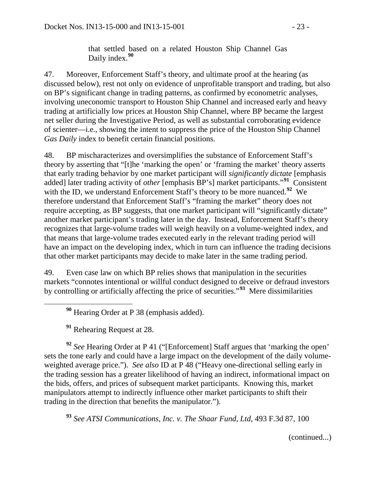that settled based on a related Houston Ship Channel Gas Daily index.**[90](#page-22-0)**

47. Moreover, Enforcement Staff's theory, and ultimate proof at the hearing (as discussed below), rest not only on evidence of unprofitable transport and trading, but also on BP's significant change in trading patterns, as confirmed by econometric analyses, involving uneconomic transport to Houston Ship Channel and increased early and heavy trading at artificially low prices at Houston Ship Channel, where BP became the largest net seller during the Investigative Period, as well as substantial corroborating evidence of scienter—i.e., showing the intent to suppress the price of the Houston Ship Channel *Gas Daily* index to benefit certain financial positions.

48. BP mischaracterizes and oversimplifies the substance of Enforcement Staff's theory by asserting that "[t]he 'marking the open' or 'framing the market' theory asserts that early trading behavior by one market participant will *significantly dictate* [emphasis added] later trading activity of *other* [emphasis BP's] market participants."**[91](#page-22-1)** Consistent with the ID, we understand Enforcement Staff's theory to be more nuanced.<sup>[92](#page-22-2)</sup> We therefore understand that Enforcement Staff's "framing the market" theory does not require accepting, as BP suggests, that one market participant will "significantly dictate" another market participant's trading later in the day. Instead, Enforcement Staff's theory recognizes that large-volume trades will weigh heavily on a volume-weighted index, and that means that large-volume trades executed early in the relevant trading period will have an impact on the developing index, which in turn can influence the trading decisions that other market participants may decide to make later in the same trading period.

49. Even case law on which BP relies shows that manipulation in the securities markets "connotes intentional or willful conduct designed to deceive or defraud investors by controlling or artificially affecting the price of securities."**[93](#page-22-3)** Mere dissimilarities

**<sup>90</sup>** Hearing Order at P 38 (emphasis added).

**<sup>91</sup>** Rehearing Request at 28.

<span id="page-22-2"></span><span id="page-22-1"></span><span id="page-22-0"></span>**<sup>92</sup>** *See* Hearing Order at P 41 ("[Enforcement] Staff argues that 'marking the open' sets the tone early and could have a large impact on the development of the daily volumeweighted average price."). *See also* ID at P 48 ("Heavy one-directional selling early in the trading session has a greater likelihood of having an indirect, informational impact on the bids, offers, and prices of subsequent market participants. Knowing this, market manipulators attempt to indirectly influence other market participants to shift their trading in the direction that benefits the manipulator.").

<span id="page-22-3"></span>**<sup>93</sup>** *See ATSI Communications, Inc. v. The Shaar Fund, Ltd*, 493 F.3d 87, 100

(continued...)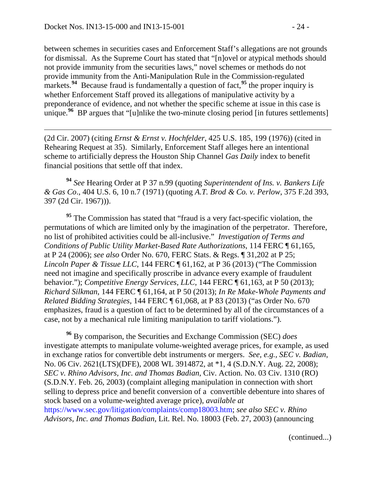$\overline{a}$ 

between schemes in securities cases and Enforcement Staff's allegations are not grounds for dismissal. As the Supreme Court has stated that "[n]ovel or atypical methods should not provide immunity from the securities laws," novel schemes or methods do not provide immunity from the Anti-Manipulation Rule in the Commission-regulated markets.<sup>[94](#page-23-0)</sup> Because fraud is fundamentally a question of fact,<sup>[95](#page-23-1)</sup> the proper inquiry is whether Enforcement Staff proved its allegations of manipulative activity by a preponderance of evidence, and not whether the specific scheme at issue in this case is unique.<sup>[96](#page-23-2)</sup> BP argues that "[u]nlike the two-minute closing period [in futures settlements]

(2d Cir. 2007) (citing *Ernst & Ernst v. Hochfelder*, 425 U.S. 185, 199 (1976)) (cited in Rehearing Request at 35). Similarly, Enforcement Staff alleges here an intentional scheme to artificially depress the Houston Ship Channel *Gas Daily* index to benefit financial positions that settle off that index.

<span id="page-23-0"></span>**<sup>94</sup>** *See* Hearing Order at P 37 n.99 (quoting *Superintendent of Ins. v. Bankers Life & Gas Co*., 404 U.S. 6, 10 n.7 (1971) (quoting *A.T. Brod & Co. v. Perlow*, 375 F.2d 393, 397 (2d Cir. 1967))).

<span id="page-23-1"></span><sup>95</sup> The Commission has stated that "fraud is a very fact-specific violation, the permutations of which are limited only by the imagination of the perpetrator. Therefore, no list of prohibited activities could be all-inclusive." *Investigation of Terms and Conditions of Public Utility Market-Based Rate Authorizations*, 114 FERC ¶ 61,165, at P 24 (2006); *see also* Order No. 670, FERC Stats. & Regs. ¶ 31,202 at P 25; *Lincoln Paper & Tissue LLC*, 144 FERC ¶ 61,162, at P 36 (2013) ("The Commission need not imagine and specifically proscribe in advance every example of fraudulent behavior."); *Competitive Energy Services, LLC*, 144 FERC ¶ 61,163, at P 50 (2013); *Richard Silkman*, 144 FERC ¶ 61,164, at P 50 (2013); *In Re Make-Whole Payments and Related Bidding Strategies*, 144 FERC ¶ 61,068, at P 83 (2013) ("as Order No. 670 emphasizes, fraud is a question of fact to be determined by all of the circumstances of a case, not by a mechanical rule limiting manipulation to tariff violations.").

<span id="page-23-2"></span>**<sup>96</sup>** By comparison, the Securities and Exchange Commission (SEC) *does* investigate attempts to manipulate volume-weighted average prices, for example, as used in exchange ratios for convertible debt instruments or mergers. *See, e.g., SEC v. Badian*, No. 06 Civ. 2621(LTS)(DFE), 2008 WL 3914872, at \*1, 4 (S.D.N.Y. Aug. 22, 2008); *SEC v. Rhino Advisors, Inc. and Thomas Badian*, Civ. Action. No. 03 Civ. 1310 (RO) (S.D.N.Y. Feb. 26, 2003) (complaint alleging manipulation in connection with short selling to depress price and benefit conversion of a convertible debenture into shares of stock based on a volume-weighted average price), *available at* [https://www.sec.gov/litigation/complaints/comp18003.htm;](https://www.sec.gov/litigation/complaints/comp18003.htm) *see also SEC v. Rhino Advisors, Inc. and Thomas Badian*, Lit. Rel. No. 18003 (Feb. 27, 2003) (announcing

(continued...)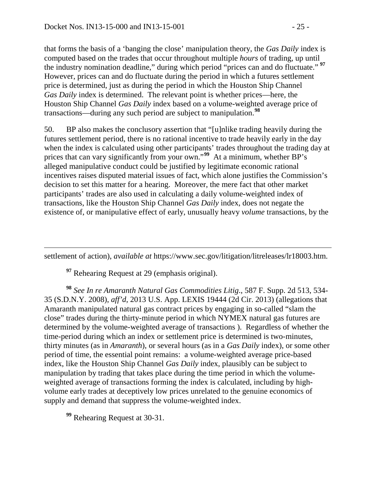that forms the basis of a 'banging the close' manipulation theory, the *Gas Daily* index is computed based on the trades that occur throughout multiple *hours* of trading, up until the industry nomination deadline," during which period "prices can and do fluctuate." **[97](#page-24-0)** However, prices can and do fluctuate during the period in which a futures settlement price is determined, just as during the period in which the Houston Ship Channel *Gas Daily* index is determined. The relevant point is whether prices—here, the Houston Ship Channel *Gas Daily* index based on a volume-weighted average price of transactions—during any such period are subject to manipulation.**[98](#page-24-1)**

50. BP also makes the conclusory assertion that "[u]nlike trading heavily during the futures settlement period, there is no rational incentive to trade heavily early in the day when the index is calculated using other participants' trades throughout the trading day at prices that can vary significantly from your own."**[99](#page-24-2)** At a minimum, whether BP's alleged manipulative conduct could be justified by legitimate economic rational incentives raises disputed material issues of fact, which alone justifies the Commission's decision to set this matter for a hearing. Moreover, the mere fact that other market participants' trades are also used in calculating a daily volume-weighted index of transactions, like the Houston Ship Channel *Gas Daily* index, does not negate the existence of, or manipulative effect of early, unusually heavy *volume* transactions, by the

<span id="page-24-0"></span>settlement of action), *available at* https://www.sec.gov/litigation/litreleases/lr18003.htm.

**<sup>97</sup>** Rehearing Request at 29 (emphasis original).

 $\overline{a}$ 

<span id="page-24-1"></span>**<sup>98</sup>** *See In re Amaranth Natural Gas Commodities Litig*., 587 F. Supp. 2d 513, 534- 35 (S.D.N.Y. 2008), *aff'd*, 2013 U.S. App. LEXIS 19444 (2d Cir. 2013) (allegations that Amaranth manipulated natural gas contract prices by engaging in so-called "slam the close" trades during the thirty-minute period in which NYMEX natural gas futures are determined by the volume-weighted average of transactions ). Regardless of whether the time-period during which an index or settlement price is determined is two-minutes, thirty minutes (as in *Amaranth*), or several hours (as in a *Gas Daily* index), or some other period of time, the essential point remains: a volume-weighted average price-based index, like the Houston Ship Channel *Gas Daily* index, plausibly can be subject to manipulation by trading that takes place during the time period in which the volumeweighted average of transactions forming the index is calculated, including by highvolume early trades at deceptively low prices unrelated to the genuine economics of supply and demand that suppress the volume-weighted index.

<span id="page-24-2"></span>**<sup>99</sup>** Rehearing Request at 30-31.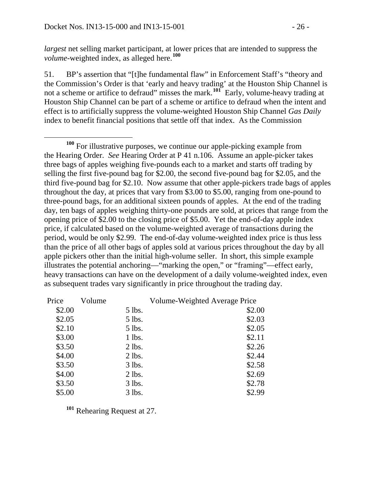*largest* net selling market participant, at lower prices that are intended to suppress the *volume*-weighted index, as alleged here.**[100](#page-25-0)**

51. BP's assertion that "[t]he fundamental flaw" in Enforcement Staff's "theory and the Commission's Order is that 'early and heavy trading' at the Houston Ship Channel is not a scheme or artifice to defraud" misses the mark.**[101](#page-25-1)** Early, volume-heavy trading at Houston Ship Channel can be part of a scheme or artifice to defraud when the intent and effect is to artificially suppress the volume-weighted Houston Ship Channel *Gas Daily* index to benefit financial positions that settle off that index. As the Commission

<span id="page-25-0"></span> **<sup>100</sup>** For illustrative purposes, we continue our apple-picking example from the Hearing Order. *See* Hearing Order at P 41 n.106. Assume an apple-picker takes three bags of apples weighing five-pounds each to a market and starts off trading by selling the first five-pound bag for \$2.00, the second five-pound bag for \$2.05, and the third five-pound bag for \$2.10. Now assume that other apple-pickers trade bags of apples throughout the day, at prices that vary from \$3.00 to \$5.00, ranging from one-pound to three-pound bags, for an additional sixteen pounds of apples. At the end of the trading day, ten bags of apples weighing thirty-one pounds are sold, at prices that range from the opening price of \$2.00 to the closing price of \$5.00. Yet the end-of-day apple index price, if calculated based on the volume-weighted average of transactions during the period, would be only \$2.99. The end-of-day volume-weighted index price is thus less than the price of all other bags of apples sold at various prices throughout the day by all apple pickers other than the initial high-volume seller. In short, this simple example illustrates the potential anchoring—"marking the open," or "framing"—effect early, heavy transactions can have on the development of a daily volume-weighted index, even as subsequent trades vary significantly in price throughout the trading day.

| Price  | Volume |          | Volume-Weighted Average Price |
|--------|--------|----------|-------------------------------|
| \$2.00 |        | 5 lbs.   | \$2.00                        |
| \$2.05 |        | 5 lbs.   | \$2.03                        |
| \$2.10 |        | 5 lbs.   | \$2.05                        |
| \$3.00 |        | 1 lbs.   | \$2.11                        |
| \$3.50 |        | $2$ lbs. | \$2.26                        |
| \$4.00 |        | $2$ lbs. | \$2.44                        |
| \$3.50 |        | $3$ lbs. | \$2.58                        |
| \$4.00 |        | $2$ lbs. | \$2.69                        |
| \$3.50 |        | 3 lbs.   | \$2.78                        |
| \$5.00 |        | $3$ lbs. | \$2.99                        |
|        |        |          |                               |

<span id="page-25-1"></span>**<sup>101</sup>** Rehearing Request at 27.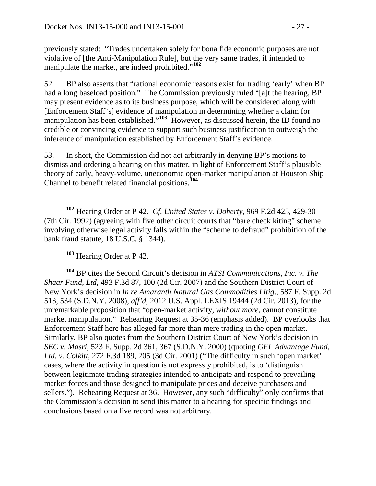previously stated: "Trades undertaken solely for bona fide economic purposes are not violative of [the Anti-Manipulation Rule], but the very same trades, if intended to manipulate the market, are indeed prohibited."**[102](#page-26-0)**

52. BP also asserts that "rational economic reasons exist for trading 'early' when BP had a long baseload position." The Commission previously ruled "[a]t the hearing, BP may present evidence as to its business purpose, which will be considered along with [Enforcement Staff's] evidence of manipulation in determining whether a claim for manipulation has been established."<sup>[103](#page-26-1)</sup> However, as discussed herein, the ID found no credible or convincing evidence to support such business justification to outweigh the inference of manipulation established by Enforcement Staff's evidence.

53. In short, the Commission did not act arbitrarily in denying BP's motions to dismiss and ordering a hearing on this matter, in light of Enforcement Staff's plausible theory of early, heavy-volume, uneconomic open-market manipulation at Houston Ship Channel to benefit related financial positions.**[104](#page-26-2)**

**<sup>103</sup>** Hearing Order at P 42.

<span id="page-26-2"></span><span id="page-26-1"></span>**<sup>104</sup>** BP cites the Second Circuit's decision in *ATSI Communications, Inc. v. The Shaar Fund, Ltd*, 493 F.3d 87, 100 (2d Cir. 2007) and the Southern District Court of New York's decision in *In re Amaranth Natural Gas Commodities Litig*., 587 F. Supp. 2d 513, 534 (S.D.N.Y. 2008), *aff'd*, 2012 U.S. Appl. LEXIS 19444 (2d Cir. 2013), for the unremarkable proposition that "open-market activity, *without more*, cannot constitute market manipulation." Rehearing Request at 35-36 (emphasis added). BP overlooks that Enforcement Staff here has alleged far more than mere trading in the open market. Similarly, BP also quotes from the Southern District Court of New York's decision in *SEC v. Masri*, 523 F. Supp. 2d 361, 367 (S.D.N.Y. 2000) (quoting *GFL Advantage Fund, Ltd. v. Colkitt*, 272 F.3d 189, 205 (3d Cir. 2001) ("The difficulty in such 'open market' cases, where the activity in question is not expressly prohibited, is to 'distinguish between legitimate trading strategies intended to anticipate and respond to prevailing market forces and those designed to manipulate prices and deceive purchasers and sellers."). Rehearing Request at 36. However, any such "difficulty" only confirms that the Commission's decision to send this matter to a hearing for specific findings and conclusions based on a live record was not arbitrary.

<span id="page-26-0"></span>**<sup>102</sup>** Hearing Order at P 42. *Cf. United States v. Doherty*, 969 F.2d 425, 429-30 (7th Cir. 1992) (agreeing with five other circuit courts that "bare check kiting" scheme involving otherwise legal activity falls within the "scheme to defraud" prohibition of the bank fraud statute, 18 U.S.C. § 1344).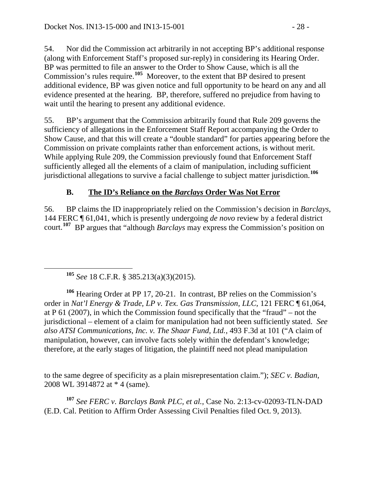54. Nor did the Commission act arbitrarily in not accepting BP's additional response (along with Enforcement Staff's proposed sur-reply) in considering its Hearing Order. BP was permitted to file an answer to the Order to Show Cause, which is all the Commission's rules require.**[105](#page-27-1)** Moreover, to the extent that BP desired to present additional evidence, BP was given notice and full opportunity to be heard on any and all evidence presented at the hearing. BP, therefore, suffered no prejudice from having to wait until the hearing to present any additional evidence.

55. BP's argument that the Commission arbitrarily found that Rule 209 governs the sufficiency of allegations in the Enforcement Staff Report accompanying the Order to Show Cause, and that this will create a "double standard" for parties appearing before the Commission on private complaints rather than enforcement actions, is without merit. While applying Rule 209, the Commission previously found that Enforcement Staff sufficiently alleged all the elements of a claim of manipulation, including sufficient jurisdictional allegations to survive a facial challenge to subject matter jurisdiction.**[106](#page-27-2)**

## <span id="page-27-0"></span>**B. The ID's Reliance on the** *Barclays* **Order Was Not Error**

56. BP claims the ID inappropriately relied on the Commission's decision in *Barclays*, 144 FERC ¶ 61,041, which is presently undergoing *de novo* review by a federal district court.**[107](#page-27-3)** BP argues that "although *Barclays* may express the Commission's position on

**<sup>105</sup>** *See* 18 C.F.R. § 385.213(a)(3)(2015).

<span id="page-27-2"></span><span id="page-27-1"></span>**<sup>106</sup>** Hearing Order at PP 17, 20-21. In contrast, BP relies on the Commission's order in *Nat'l Energy & Trade, LP v. Tex. Gas Transmission, LLC*, 121 FERC ¶ 61,064, at P 61 (2007), in which the Commission found specifically that the "fraud" – not the jurisdictional – element of a claim for manipulation had not been sufficiently stated. *See also ATSI Communications, Inc. v. The Shaar Fund, Ltd.*, 493 F.3d at 101 ("A claim of manipulation, however, can involve facts solely within the defendant's knowledge; therefore, at the early stages of litigation, the plaintiff need not plead manipulation

to the same degree of specificity as a plain misrepresentation claim."); *SEC v. Badian*, 2008 WL 3914872 at \* 4 (same).

<span id="page-27-3"></span>**<sup>107</sup>** *See FERC v. Barclays Bank PLC, et al.*, Case No. 2:13-cv-02093-TLN-DAD (E.D. Cal. Petition to Affirm Order Assessing Civil Penalties filed Oct. 9, 2013).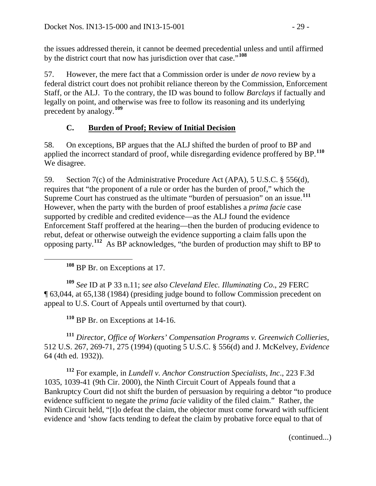the issues addressed therein, it cannot be deemed precedential unless and until affirmed by the district court that now has jurisdiction over that case."**[108](#page-28-1)**

57. However, the mere fact that a Commission order is under *de novo* review by a federal district court does not prohibit reliance thereon by the Commission, Enforcement Staff, or the ALJ. To the contrary, the ID was bound to follow *Barclays* if factually and legally on point, and otherwise was free to follow its reasoning and its underlying precedent by analogy.**[109](#page-28-2)**

### <span id="page-28-0"></span>**C. Burden of Proof; Review of Initial Decision**

58. On exceptions, BP argues that the ALJ shifted the burden of proof to BP and applied the incorrect standard of proof, while disregarding evidence proffered by BP.**[110](#page-28-3)** We disagree.

59. Section 7(c) of the Administrative Procedure Act (APA), 5 U.S.C. § 556(d), requires that "the proponent of a rule or order has the burden of proof," which the Supreme Court has construed as the ultimate "burden of persuasion" on an issue.**[111](#page-28-4)** However, when the party with the burden of proof establishes a *prima facie* case supported by credible and credited evidence—as the ALJ found the evidence Enforcement Staff proffered at the hearing—then the burden of producing evidence to rebut, defeat or otherwise outweigh the evidence supporting a claim falls upon the opposing party.**[112](#page-28-5)** As BP acknowledges, "the burden of production may shift to BP to

**<sup>108</sup>** BP Br. on Exceptions at 17.

<span id="page-28-2"></span><span id="page-28-1"></span>**<sup>109</sup>** *See* ID at P 33 n.11; *see also Cleveland Elec. Illuminating Co*., 29 FERC ¶ 63,044, at 65,138 (1984) (presiding judge bound to follow Commission precedent on appeal to U.S. Court of Appeals until overturned by that court).

**<sup>110</sup>** BP Br. on Exceptions at 14-16.

<span id="page-28-4"></span><span id="page-28-3"></span>**<sup>111</sup>** *Director, Office of Workers' Compensation Programs v. Greenwich Collieries*, 512 U.S. 267, 269-71, 275 (1994) (quoting 5 U.S.C. § 556(d) and J. McKelvey, *Evidence* 64 (4th ed. 1932)).

<span id="page-28-5"></span>**<sup>112</sup>** For example, in *Lundell v. Anchor Construction Specialists, Inc*., 223 F.3d 1035, 1039-41 (9th Cir. 2000), the Ninth Circuit Court of Appeals found that a Bankruptcy Court did not shift the burden of persuasion by requiring a debtor "to produce evidence sufficient to negate the *prima facie* validity of the filed claim." Rather, the Ninth Circuit held, "[t]o defeat the claim, the objector must come forward with sufficient evidence and 'show facts tending to defeat the claim by probative force equal to that of

(continued...)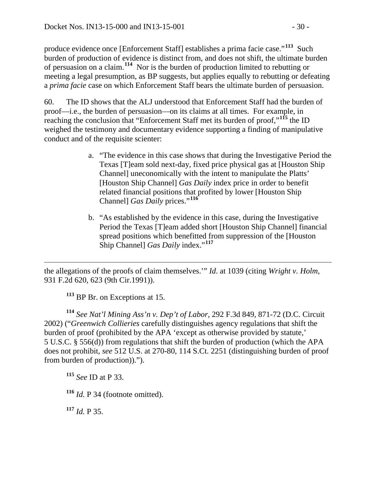produce evidence once [Enforcement Staff] establishes a prima facie case."**[113](#page-29-0)** Such burden of production of evidence is distinct from, and does not shift, the ultimate burden of persuasion on a claim.**[114](#page-29-1)** Nor is the burden of production limited to rebutting or meeting a legal presumption, as BP suggests, but applies equally to rebutting or defeating a *prima facie* case on which Enforcement Staff bears the ultimate burden of persuasion.

60. The ID shows that the ALJ understood that Enforcement Staff had the burden of proof—i.e., the burden of persuasion—on its claims at all times. For example, in reaching the conclusion that "Enforcement Staff met its burden of proof,"**[115](#page-29-2)** the ID weighed the testimony and documentary evidence supporting a finding of manipulative conduct and of the requisite scienter:

- a. "The evidence in this case shows that during the Investigative Period the Texas [T]eam sold next-day, fixed price physical gas at [Houston Ship Channel] uneconomically with the intent to manipulate the Platts' [Houston Ship Channel] *Gas Daily* index price in order to benefit related financial positions that profited by lower [Houston Ship Channel] *Gas Daily* prices."**[116](#page-29-3)**
- b. "As established by the evidence in this case, during the Investigative Period the Texas [T]eam added short [Houston Ship Channel] financial spread positions which benefitted from suppression of the [Houston Ship Channel] *Gas Daily* index."**[117](#page-29-4)**

 $\overline{a}$ the allegations of the proofs of claim themselves.'" *Id*. at 1039 (citing *[Wright v. Holm](http://www.westlaw.com/Link/Document/FullText?findType=Y&serNum=1991084296&pubNum=350&originatingDoc=I645c0756798e11d98c82a53fc8ac8757&refType=RP&fi=co_pp_sp_350_623&originationContext=document&vr=3.0&rs=cblt1.0&transitionType=DocumentItem&contextData=(sc.Search)#co_pp_sp_350_623)*, [931 F.2d 620, 623 \(9th Cir.1991\)\)](http://www.westlaw.com/Link/Document/FullText?findType=Y&serNum=1991084296&pubNum=350&originatingDoc=I645c0756798e11d98c82a53fc8ac8757&refType=RP&fi=co_pp_sp_350_623&originationContext=document&vr=3.0&rs=cblt1.0&transitionType=DocumentItem&contextData=(sc.Search)#co_pp_sp_350_623).

**<sup>113</sup>** BP Br. on Exceptions at 15.

<span id="page-29-1"></span><span id="page-29-0"></span>**<sup>114</sup>** *See Nat'l Mining Ass'n v. Dep't of Labor*, 292 F.3d 849, 871-72 (D.C. Circuit 2002) ("*Greenwich Collieries* carefully distinguishes agency regulations that shift the burden of proof (prohibited by the APA 'except as otherwise provided by statute,' [5 U.S.C. § 556\(d\)\)](http://www.westlaw.com/Link/Document/FullText?findType=L&pubNum=1000546&cite=5USCAS556&originatingDoc=Ib4e2eb0c79d711d99c4dbb2f0352441d&refType=RB&originationContext=document&vr=3.0&rs=cblt1.0&transitionType=DocumentItem&contextData=(sc.Keycite)#co_pp_5ba1000067d06) from regulations that shift the burden of production (which the APA does not prohibit, *see* [512 U.S. at 270-80, 114 S.Ct. 2251](http://www.westlaw.com/Link/Document/FullText?findType=Y&serNum=1994131909&pubNum=708&originatingDoc=Ib4e2eb0c79d711d99c4dbb2f0352441d&refType=RP&originationContext=document&vr=3.0&rs=cblt1.0&transitionType=DocumentItem&contextData=(sc.Keycite)) (distinguishing burden of proof from burden of production)).").

<span id="page-29-2"></span>**<sup>115</sup>** *See* ID at P 33.

<span id="page-29-3"></span>**<sup>116</sup>** *Id.* P 34 (footnote omitted).

<span id="page-29-4"></span>**<sup>117</sup>** *Id.* P 35.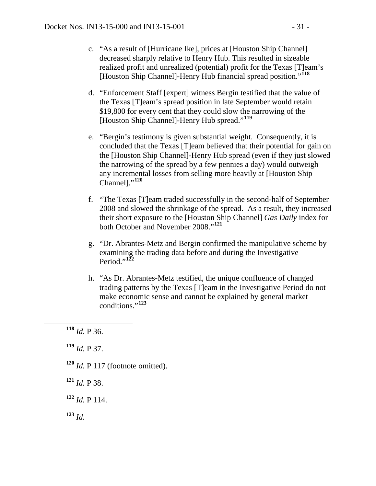- c. "As a result of [Hurricane Ike], prices at [Houston Ship Channel] decreased sharply relative to Henry Hub. This resulted in sizeable realized profit and unrealized (potential) profit for the Texas [T]eam's [Houston Ship Channel]-Henry Hub financial spread position."**[118](#page-30-0)**
- d. "Enforcement Staff [expert] witness Bergin testified that the value of the Texas [T]eam's spread position in late September would retain \$19,800 for every cent that they could slow the narrowing of the [Houston Ship Channel]-Henry Hub spread."**[119](#page-30-1)**
- e. "Bergin's testimony is given substantial weight. Consequently, it is concluded that the Texas [T]eam believed that their potential for gain on the [Houston Ship Channel]-Henry Hub spread (even if they just slowed the narrowing of the spread by a few pennies a day) would outweigh any incremental losses from selling more heavily at [Houston Ship Channel]."**[120](#page-30-2)**
- f. "The Texas [T]eam traded successfully in the second-half of September 2008 and slowed the shrinkage of the spread. As a result, they increased their short exposure to the [Houston Ship Channel] *Gas Daily* index for both October and November 2008."**[121](#page-30-3)**
- g. "Dr. Abrantes-Metz and Bergin confirmed the manipulative scheme by examining the trading data before and during the Investigative Period<sup> $,122$  $,122$ </sup>
- h. "As Dr. Abrantes-Metz testified, the unique confluence of changed trading patterns by the Texas [T]eam in the Investigative Period do not make economic sense and cannot be explained by general market conditions."**[123](#page-30-5)**

<span id="page-30-1"></span>**<sup>119</sup>** *Id.* P 37.

- <span id="page-30-2"></span>**<sup>120</sup>** *Id.* P 117 (footnote omitted).
- <span id="page-30-3"></span>**<sup>121</sup>** *Id.* P 38.
- <span id="page-30-4"></span>**<sup>122</sup>** *Id.* P 114.

<span id="page-30-5"></span>**<sup>123</sup>** *Id.*

<span id="page-30-0"></span>**<sup>118</sup>** *Id.* P 36.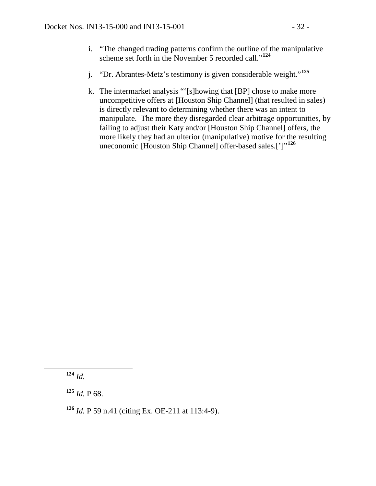- i. "The changed trading patterns confirm the outline of the manipulative scheme set forth in the November 5 recorded call."**[124](#page-31-0)**
- j. "Dr. Abrantes-Metz's testimony is given considerable weight."**[125](#page-31-1)**
- k. The intermarket analysis "'[s]howing that [BP] chose to make more uncompetitive offers at [Houston Ship Channel] (that resulted in sales) is directly relevant to determining whether there was an intent to manipulate. The more they disregarded clear arbitrage opportunities, by failing to adjust their Katy and/or [Houston Ship Channel] offers, the more likely they had an ulterior (manipulative) motive for the resulting uneconomic [Houston Ship Channel] offer-based sales.[']"**[126](#page-31-2)**

<span id="page-31-1"></span> $125$  *Id.* P 68.

<span id="page-31-2"></span>**<sup>126</sup>** *Id.* P 59 n.41 (citing Ex. OE-211 at 113:4-9).

<span id="page-31-0"></span>**<sup>124</sup>** *Id.*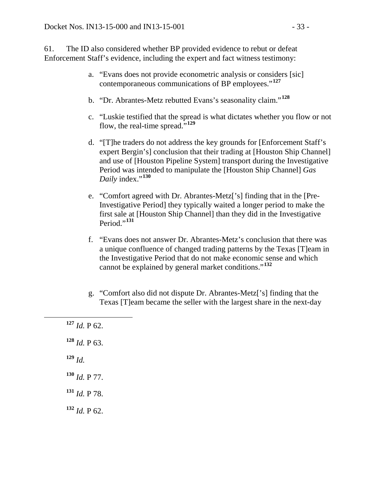61. The ID also considered whether BP provided evidence to rebut or defeat Enforcement Staff's evidence, including the expert and fact witness testimony:

- a. "Evans does not provide econometric analysis or considers [sic] contemporaneous communications of BP employees."**[127](#page-32-0)**
- b. "Dr. Abrantes-Metz rebutted Evans's seasonality claim."**[128](#page-32-1)**
- c. "Luskie testified that the spread is what dictates whether you flow or not flow, the real-time spread.<sup>5,[129](#page-32-2)</sup>
- d. "[T]he traders do not address the key grounds for [Enforcement Staff's expert Bergin's] conclusion that their trading at [Houston Ship Channel] and use of [Houston Pipeline System] transport during the Investigative Period was intended to manipulate the [Houston Ship Channel] *Gas Daily* index."**[130](#page-32-3)**
- e. "Comfort agreed with Dr. Abrantes-Metz['s] finding that in the [Pre-Investigative Period] they typically waited a longer period to make the first sale at [Houston Ship Channel] than they did in the Investigative Period."**[131](#page-32-4)**
- f. "Evans does not answer Dr. Abrantes-Metz's conclusion that there was a unique confluence of changed trading patterns by the Texas [T]eam in the Investigative Period that do not make economic sense and which cannot be explained by general market conditions."**[132](#page-32-5)**
- g. "Comfort also did not dispute Dr. Abrantes-Metz['s] finding that the Texas [T]eam became the seller with the largest share in the next-day
- <span id="page-32-2"></span><span id="page-32-1"></span><span id="page-32-0"></span> **<sup>127</sup>** *Id.* P 62.  $128$  *Id.* P 63. **<sup>129</sup>** *Id.* **<sup>130</sup>** *Id.* P 77. **<sup>131</sup>** *Id.* P 78.
- <span id="page-32-5"></span><span id="page-32-4"></span><span id="page-32-3"></span>**<sup>132</sup>** *Id.* P 62.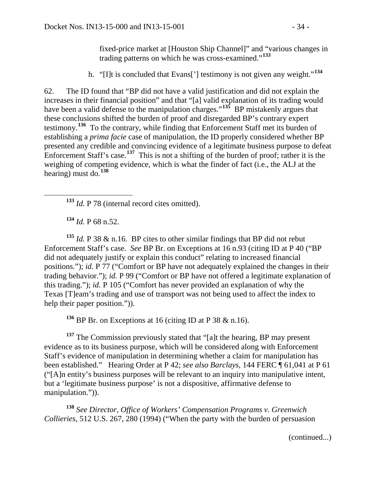fixed-price market at [Houston Ship Channel]" and "various changes in trading patterns on which he was cross-examined."**[133](#page-33-0)**

h. "[I]t is concluded that Evans['] testimony is not given any weight."**[134](#page-33-1)**

62. The ID found that "BP did not have a valid justification and did not explain the increases in their financial position" and that "[a] valid explanation of its trading would have been a valid defense to the manipulation charges."<sup>[135](#page-33-2)</sup> BP mistakenly argues that these conclusions shifted the burden of proof and disregarded BP's contrary expert testimony.**[136](#page-33-3)** To the contrary, while finding that Enforcement Staff met its burden of establishing a *prima facie* case of manipulation, the ID properly considered whether BP presented any credible and convincing evidence of a legitimate business purpose to defeat Enforcement Staff's case.**[137](#page-33-4)** This is not a shifting of the burden of proof; rather it is the weighing of competing evidence, which is what the finder of fact (i.e., the ALJ at the hearing) must do.**[138](#page-33-5)**

**<sup>133</sup>** *Id.* P 78 (internal record cites omitted).

**<sup>134</sup>** *Id.* P 68 n.52.

<span id="page-33-2"></span><span id="page-33-1"></span><span id="page-33-0"></span><sup>135</sup> *Id.* P 38  $\&$  n.16. BP cites to other similar findings that BP did not rebut Enforcement Staff's case. *See* BP Br. on Exceptions at 16 n.93 (citing ID at P 40 ("BP did not adequately justify or explain this conduct" relating to increased financial positions."); *id.* P 77 ("Comfort or BP have not adequately explained the changes in their trading behavior."); *id.* P 99 ("Comfort or BP have not offered a legitimate explanation of this trading."); *id.* P 105 ("Comfort has never provided an explanation of why the Texas [T]eam's trading and use of transport was not being used to affect the index to help their paper position.")).

**<sup>136</sup>** BP Br. on Exceptions at 16 (citing ID at P 38 & n.16).

<span id="page-33-4"></span><span id="page-33-3"></span>**<sup>137</sup>** The Commission previously stated that "[a]t the hearing, BP may present evidence as to its business purpose, which will be considered along with Enforcement Staff's evidence of manipulation in determining whether a claim for manipulation has been established." Hearing Order at P 42; *see also Barclays*, 144 FERC ¶ 61,041 at P 61 ("[A]n entity's business purposes will be relevant to an inquiry into manipulative intent, but a 'legitimate business purpose' is not a dispositive, affirmative defense to manipulation.")).

<span id="page-33-5"></span>**<sup>138</sup>** *See Director, Office of Workers' Compensation Programs v. Greenwich Collieries*, 512 U.S. 267, 280 (1994) ("When the party with the burden of persuasion

(continued...)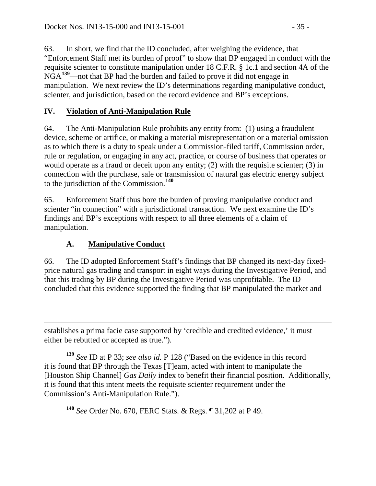63. In short, we find that the ID concluded, after weighing the evidence, that "Enforcement Staff met its burden of proof" to show that BP engaged in conduct with the requisite scienter to constitute manipulation under 18 C.F.R. § 1c.1 and section 4A of the NGA**[139](#page-34-2)**—not that BP had the burden and failed to prove it did not engage in manipulation. We next review the ID's determinations regarding manipulative conduct, scienter, and jurisdiction, based on the record evidence and BP's exceptions.

## <span id="page-34-0"></span>**IV. Violation of Anti-Manipulation Rule**

64. The Anti-Manipulation Rule prohibits any entity from: (1) using a fraudulent device, scheme or artifice, or making a material misrepresentation or a material omission as to which there is a duty to speak under a Commission-filed tariff, Commission order, rule or regulation, or engaging in any act, practice, or course of business that operates or would operate as a fraud or deceit upon any entity; (2) with the requisite scienter; (3) in connection with the purchase, sale or transmission of natural gas electric energy subject to the jurisdiction of the Commission.**[140](#page-34-3)**

65. Enforcement Staff thus bore the burden of proving manipulative conduct and scienter "in connection" with a jurisdictional transaction. We next examine the ID's findings and BP's exceptions with respect to all three elements of a claim of manipulation.

# <span id="page-34-1"></span>**A. Manipulative Conduct**

66. The ID adopted Enforcement Staff's findings that BP changed its next-day fixedprice natural gas trading and transport in eight ways during the Investigative Period, and that this trading by BP during the Investigative Period was unprofitable. The ID concluded that this evidence supported the finding that BP manipulated the market and

 $\overline{a}$ establishes a prima facie case supported by 'credible and credited evidence,' it must either be rebutted or accepted as true.").

<span id="page-34-2"></span>**<sup>139</sup>** *See* ID at P 33; *see also id.* P 128 ("Based on the evidence in this record it is found that BP through the Texas [T]eam, acted with intent to manipulate the [Houston Ship Channel] *Gas Daily* index to benefit their financial position. Additionally, it is found that this intent meets the requisite scienter requirement under the Commission's Anti-Manipulation Rule.").

<span id="page-34-3"></span>**<sup>140</sup>** *See* Order No. 670, FERC Stats. & Regs. ¶ 31,202 at P 49.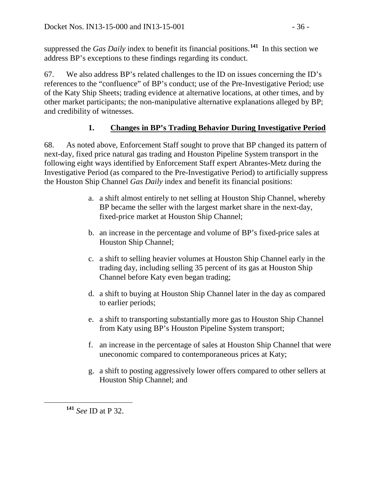suppressed the *Gas Daily* index to benefit its financial positions.**[141](#page-35-1)** In this section we address BP's exceptions to these findings regarding its conduct.

67. We also address BP's related challenges to the ID on issues concerning the ID's references to the "confluence" of BP's conduct; use of the Pre-Investigative Period; use of the Katy Ship Sheets; trading evidence at alternative locations, at other times, and by other market participants; the non-manipulative alternative explanations alleged by BP; and credibility of witnesses.

# <span id="page-35-0"></span>**1. Changes in BP's Trading Behavior During Investigative Period**

68. As noted above, Enforcement Staff sought to prove that BP changed its pattern of next-day, fixed price natural gas trading and Houston Pipeline System transport in the following eight ways identified by Enforcement Staff expert Abrantes-Metz during the Investigative Period (as compared to the Pre-Investigative Period) to artificially suppress the Houston Ship Channel *Gas Daily* index and benefit its financial positions:

- a. a shift almost entirely to net selling at Houston Ship Channel, whereby BP became the seller with the largest market share in the next-day, fixed-price market at Houston Ship Channel;
- b. an increase in the percentage and volume of BP's fixed-price sales at Houston Ship Channel;
- c. a shift to selling heavier volumes at Houston Ship Channel early in the trading day, including selling 35 percent of its gas at Houston Ship Channel before Katy even began trading;
- d. a shift to buying at Houston Ship Channel later in the day as compared to earlier periods;
- e. a shift to transporting substantially more gas to Houston Ship Channel from Katy using BP's Houston Pipeline System transport;
- f. an increase in the percentage of sales at Houston Ship Channel that were uneconomic compared to contemporaneous prices at Katy;
- g. a shift to posting aggressively lower offers compared to other sellers at Houston Ship Channel; and

<span id="page-35-1"></span>**<sup>141</sup>** *See* ID at P 32.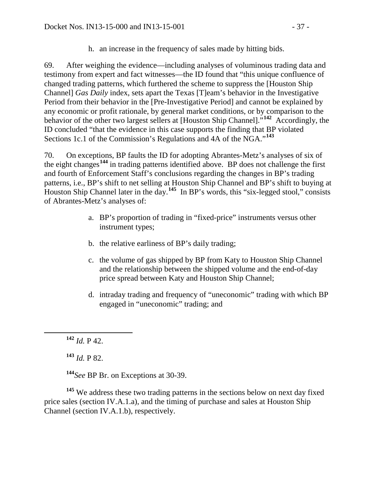h. an increase in the frequency of sales made by hitting bids.

69. After weighing the evidence—including analyses of voluminous trading data and testimony from expert and fact witnesses—the ID found that "this unique confluence of changed trading patterns, which furthered the scheme to suppress the [Houston Ship Channel] *Gas Daily* index, sets apart the Texas [T]eam's behavior in the Investigative Period from their behavior in the [Pre-Investigative Period] and cannot be explained by any economic or profit rationale, by general market conditions, or by comparison to the behavior of the other two largest sellers at [Houston Ship Channel]."**[142](#page-36-0)** Accordingly, the ID concluded "that the evidence in this case supports the finding that BP violated Sections 1c.1 of the Commission's Regulations and 4A of the NGA."**[143](#page-36-1)**

70. On exceptions, BP faults the ID for adopting Abrantes-Metz's analyses of six of the eight changes**[144](#page-36-2)** in trading patterns identified above. BP does not challenge the first and fourth of Enforcement Staff's conclusions regarding the changes in BP's trading patterns*,* i.e., BP's shift to net selling at Houston Ship Channel and BP's shift to buying at Houston Ship Channel later in the day.**[145](#page-36-3)** In BP's words, this "six-legged stool," consists of Abrantes-Metz's analyses of:

- a. BP's proportion of trading in "fixed-price" instruments versus other instrument types;
- b. the relative earliness of BP's daily trading;
- c. the volume of gas shipped by BP from Katy to Houston Ship Channel and the relationship between the shipped volume and the end-of-day price spread between Katy and Houston Ship Channel;
- d. intraday trading and frequency of "uneconomic" trading with which BP engaged in "uneconomic" trading; and

**<sup>143</sup>** *Id.* P 82.

**<sup>144</sup>***See* BP Br. on Exceptions at 30-39.

<span id="page-36-3"></span><span id="page-36-2"></span><span id="page-36-1"></span>**<sup>145</sup>** We address these two trading patterns in the sections below on next day fixed price sales (section IV.A.1.a), and the timing of purchase and sales at Houston Ship Channel (section IV.A.1.b), respectively.

<span id="page-36-0"></span>**<sup>142</sup>** *Id.* P 42.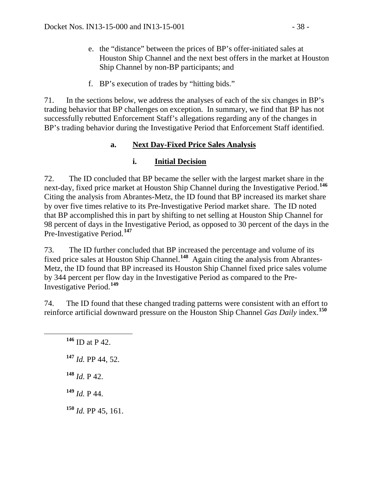- e. the "distance" between the prices of BP's offer-initiated sales at Houston Ship Channel and the next best offers in the market at Houston Ship Channel by non-BP participants; and
- f. BP's execution of trades by "hitting bids."

71. In the sections below, we address the analyses of each of the six changes in BP's trading behavior that BP challenges on exception. In summary, we find that BP has not successfully rebutted Enforcement Staff's allegations regarding any of the changes in BP's trading behavior during the Investigative Period that Enforcement Staff identified.

## **a. Next Day-Fixed Price Sales Analysis**

## **i. Initial Decision**

72. The ID concluded that BP became the seller with the largest market share in the next-day, fixed price market at Houston Ship Channel during the Investigative Period.**[146](#page-37-0)** Citing the analysis from Abrantes-Metz, the ID found that BP increased its market share by over five times relative to its Pre-Investigative Period market share. The ID noted that BP accomplished this in part by shifting to net selling at Houston Ship Channel for 98 percent of days in the Investigative Period, as opposed to 30 percent of the days in the Pre-Investigative Period.**[147](#page-37-1)**

73. The ID further concluded that BP increased the percentage and volume of its fixed price sales at Houston Ship Channel.**[148](#page-37-2)** Again citing the analysis from Abrantes-Metz, the ID found that BP increased its Houston Ship Channel fixed price sales volume by 344 percent per flow day in the Investigative Period as compared to the Pre-Investigative Period.**[149](#page-37-3)**

<span id="page-37-0"></span>74. The ID found that these changed trading patterns were consistent with an effort to reinforce artificial downward pressure on the Houston Ship Channel *Gas Daily* index.**[150](#page-37-4)**

- **<sup>146</sup>** ID at P 42.
- <span id="page-37-1"></span>**<sup>147</sup>** *Id.* PP 44, 52.
- <span id="page-37-2"></span> $148$  *Id.* P 42.
- <span id="page-37-3"></span>**<sup>149</sup>** *Id.* P 44.
- <span id="page-37-4"></span>**<sup>150</sup>** *Id.* PP 45, 161.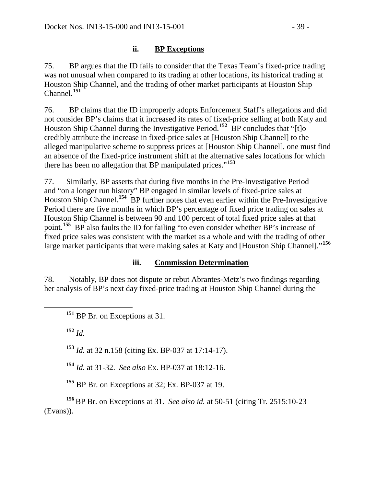### **ii. BP Exceptions**

75. BP argues that the ID fails to consider that the Texas Team's fixed-price trading was not unusual when compared to its trading at other locations, its historical trading at Houston Ship Channel, and the trading of other market participants at Houston Ship Channel.**[151](#page-38-0)**

76. BP claims that the ID improperly adopts Enforcement Staff's allegations and did not consider BP's claims that it increased its rates of fixed-price selling at both Katy and Houston Ship Channel during the Investigative Period.<sup>[152](#page-38-1)</sup> BP concludes that "[t]o credibly attribute the increase in fixed-price sales at [Houston Ship Channel] to the alleged manipulative scheme to suppress prices at [Houston Ship Channel], one must find an absence of the fixed-price instrument shift at the alternative sales locations for which there has been no allegation that BP manipulated prices."**[153](#page-38-2)**

77. Similarly, BP asserts that during five months in the Pre-Investigative Period and "on a longer run history" BP engaged in similar levels of fixed-price sales at Houston Ship Channel.**[154](#page-38-3)** BP further notes that even earlier within the Pre-Investigative Period there are five months in which BP's percentage of fixed price trading on sales at Houston Ship Channel is between 90 and 100 percent of total fixed price sales at that point.**[155](#page-38-4)** BP also faults the ID for failing "to even consider whether BP's increase of fixed price sales was consistent with the market as a whole and with the trading of other large market participants that were making sales at Katy and [Houston Ship Channel]."**[156](#page-38-5)**

### **iii. Commission Determination**

<span id="page-38-0"></span>78. Notably, BP does not dispute or rebut Abrantes-Metz's two findings regarding her analysis of BP's next day fixed-price trading at Houston Ship Channel during the

**<sup>151</sup>** BP Br. on Exceptions at 31.

<span id="page-38-1"></span>**<sup>152</sup>** *Id.*

<span id="page-38-2"></span>**<sup>153</sup>** *Id.* at 32 n.158 (citing Ex. BP-037 at 17:14-17).

**<sup>154</sup>** *Id.* at 31-32. *See also* Ex. BP-037 at 18:12-16.

**<sup>155</sup>** BP Br. on Exceptions at 32; Ex. BP-037 at 19.

<span id="page-38-5"></span><span id="page-38-4"></span><span id="page-38-3"></span>**<sup>156</sup>** BP Br. on Exceptions at 31. *See also id.* at 50-51 (citing Tr. 2515:10-23 (Evans)).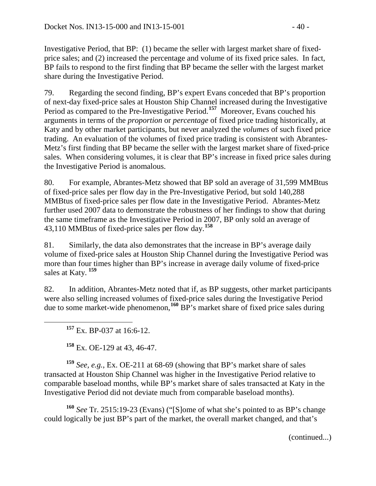Investigative Period, that BP: (1) became the seller with largest market share of fixedprice sales; and (2) increased the percentage and volume of its fixed price sales. In fact, BP fails to respond to the first finding that BP became the seller with the largest market share during the Investigative Period.

79. Regarding the second finding, BP's expert Evans conceded that BP's proportion of next-day fixed-price sales at Houston Ship Channel increased during the Investigative Period as compared to the Pre-Investigative Period.**[157](#page-39-0)** Moreover, Evans couched his arguments in terms of the *proportion* or *percentage* of fixed price trading historically, at Katy and by other market participants, but never analyzed the *volumes* of such fixed price trading. An evaluation of the volumes of fixed price trading is consistent with Abrantes-Metz's first finding that BP became the seller with the largest market share of fixed-price sales. When considering volumes, it is clear that BP's increase in fixed price sales during the Investigative Period is anomalous.

80. For example, Abrantes-Metz showed that BP sold an average of 31,599 MMBtus of fixed-price sales per flow day in the Pre-Investigative Period, but sold 140,288 MMBtus of fixed-price sales per flow date in the Investigative Period. Abrantes-Metz further used 2007 data to demonstrate the robustness of her findings to show that during the same timeframe as the Investigative Period in 2007, BP only sold an average of 43,110 MMBtus of fixed-price sales per flow day.**[158](#page-39-1)**

81. Similarly, the data also demonstrates that the increase in BP's average daily volume of fixed-price sales at Houston Ship Channel during the Investigative Period was more than four times higher than BP's increase in average daily volume of fixed-price sales at Katy. **[159](#page-39-2)**

82. In addition, Abrantes-Metz noted that if, as BP suggests, other market participants were also selling increased volumes of fixed-price sales during the Investigative Period due to some market-wide phenomenon,**[160](#page-39-3)** BP's market share of fixed price sales during

**<sup>157</sup>** Ex. BP-037 at 16:6-12.

**<sup>158</sup>** Ex. OE-129 at 43, 46-47.

<span id="page-39-2"></span><span id="page-39-1"></span><span id="page-39-0"></span>**<sup>159</sup>** *See, e.g.*, Ex. OE-211 at 68-69 (showing that BP's market share of sales transacted at Houston Ship Channel was higher in the Investigative Period relative to comparable baseload months, while BP's market share of sales transacted at Katy in the Investigative Period did not deviate much from comparable baseload months).

<span id="page-39-3"></span>**<sup>160</sup>** *See* Tr. 2515:19-23 (Evans) ("[S]ome of what she's pointed to as BP's change could logically be just BP's part of the market, the overall market changed, and that's

(continued...)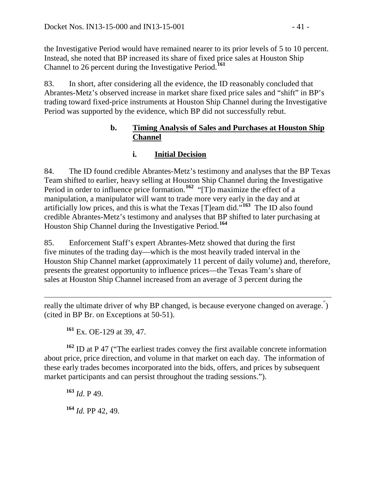the Investigative Period would have remained nearer to its prior levels of 5 to 10 percent. Instead, she noted that BP increased its share of fixed price sales at Houston Ship Channel to 26 percent during the Investigative Period.**[161](#page-40-0)**

83. In short, after considering all the evidence, the ID reasonably concluded that Abrantes-Metz's observed increase in market share fixed price sales and "shift" in BP's trading toward fixed-price instruments at Houston Ship Channel during the Investigative Period was supported by the evidence, which BP did not successfully rebut.

### **b. Timing Analysis of Sales and Purchases at Houston Ship Channel**

# **i. Initial Decision**

84. The ID found credible Abrantes-Metz's testimony and analyses that the BP Texas Team shifted to earlier, heavy selling at Houston Ship Channel during the Investigative Period in order to influence price formation.<sup>[162](#page-40-1)</sup> "[T]<sup>o</sup> maximize the effect of a manipulation, a manipulator will want to trade more very early in the day and at artificially low prices, and this is what the Texas [T]eam did."**[163](#page-40-2)** The ID also found credible Abrantes-Metz's testimony and analyses that BP shifted to later purchasing at Houston Ship Channel during the Investigative Period.**[164](#page-40-3)**

85. Enforcement Staff's expert Abrantes-Metz showed that during the first five minutes of the trading day—which is the most heavily traded interval in the Houston Ship Channel market (approximately 11 percent of daily volume) and, therefore, presents the greatest opportunity to influence prices—the Texas Team's share of sales at Houston Ship Channel increased from an average of 3 percent during the

 $\overline{a}$ really the ultimate driver of why BP changed, is because everyone changed on average.<sup>"</sup>) (cited in BP Br. on Exceptions at 50-51).

**<sup>161</sup>** Ex. OE-129 at 39, 47.

<span id="page-40-2"></span><span id="page-40-1"></span><span id="page-40-0"></span>**<sup>162</sup>** ID at P 47 ("The earliest trades convey the first available concrete information about price, price direction, and volume in that market on each day. The information of these early trades becomes incorporated into the bids, offers, and prices by subsequent market participants and can persist throughout the trading sessions.").

<span id="page-40-3"></span>**<sup>163</sup>** *Id*. P 49. **<sup>164</sup>** *Id.* PP 42, 49.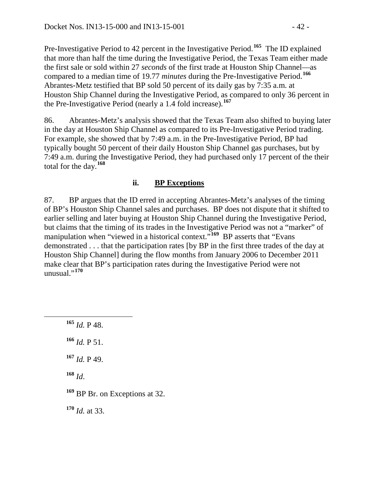Pre-Investigative Period to 42 percent in the Investigative Period.**[165](#page-41-0)** The ID explained that more than half the time during the Investigative Period, the Texas Team either made the first sale or sold within 27 *seconds* of the first trade at Houston Ship Channel—as compared to a median time of 19.77 *minutes* during the Pre-Investigative Period.**[166](#page-41-1)** Abrantes-Metz testified that BP sold 50 percent of its daily gas by 7:35 a.m. at Houston Ship Channel during the Investigative Period, as compared to only 36 percent in the Pre-Investigative Period (nearly a 1.4 fold increase).**[167](#page-41-2)**

86. Abrantes-Metz's analysis showed that the Texas Team also shifted to buying later in the day at Houston Ship Channel as compared to its Pre-Investigative Period trading. For example, she showed that by 7:49 a.m. in the Pre-Investigative Period, BP had typically bought 50 percent of their daily Houston Ship Channel gas purchases, but by 7:49 a.m. during the Investigative Period, they had purchased only 17 percent of the their total for the day.**[168](#page-41-3)**

### **ii. BP Exceptions**

87. BP argues that the ID erred in accepting Abrantes-Metz's analyses of the timing of BP's Houston Ship Channel sales and purchases. BP does not dispute that it shifted to earlier selling and later buying at Houston Ship Channel during the Investigative Period, but claims that the timing of its trades in the Investigative Period was not a "marker" of manipulation when "viewed in a historical context."<sup>[169](#page-41-4)</sup> BP asserts that "Evans" demonstrated . . . that the participation rates [by BP in the first three trades of the day at Houston Ship Channel] during the flow months from January 2006 to December 2011 make clear that BP's participation rates during the Investigative Period were not unusual."**[170](#page-41-5)**

<span id="page-41-5"></span><span id="page-41-4"></span><span id="page-41-3"></span><span id="page-41-2"></span><span id="page-41-1"></span><span id="page-41-0"></span> **<sup>165</sup>** *Id.* P 48. *Id.* P 51. *Id.* P 49. **<sup>168</sup>** *Id*. BP Br. on Exceptions at 32. *Id.* at 33.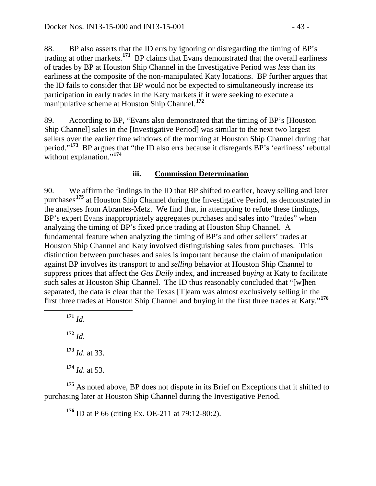88. BP also asserts that the ID errs by ignoring or disregarding the timing of BP's trading at other markets.**[171](#page-42-0)** BP claims that Evans demonstrated that the overall earliness of trades by BP at Houston Ship Channel in the Investigative Period was *less* than its earliness at the composite of the non-manipulated Katy locations. BP further argues that the ID fails to consider that BP would not be expected to simultaneously increase its participation in early trades in the Katy markets if it were seeking to execute a manipulative scheme at Houston Ship Channel.**[172](#page-42-1)**

89. According to BP, "Evans also demonstrated that the timing of BP's [Houston Ship Channel] sales in the [Investigative Period] was similar to the next two largest sellers over the earlier time windows of the morning at Houston Ship Channel during that period."**[173](#page-42-2)** BP argues that "the ID also errs because it disregards BP's 'earliness' rebuttal without explanation."<sup>[174](#page-42-3)</sup>

### **iii. Commission Determination**

90. We affirm the findings in the ID that BP shifted to earlier, heavy selling and later purchases**[175](#page-42-4)** at Houston Ship Channel during the Investigative Period, as demonstrated in the analyses from Abrantes-Metz. We find that, in attempting to refute these findings, BP's expert Evans inappropriately aggregates purchases and sales into "trades" when analyzing the timing of BP's fixed price trading at Houston Ship Channel. A fundamental feature when analyzing the timing of BP's and other sellers' trades at Houston Ship Channel and Katy involved distinguishing sales from purchases. This distinction between purchases and sales is important because the claim of manipulation against BP involves its transport to and *selling* behavior at Houston Ship Channel to suppress prices that affect the *Gas Daily* index, and increased *buying* at Katy to facilitate such sales at Houston Ship Channel. The ID thus reasonably concluded that "[w]hen separated, the data is clear that the Texas [T]eam was almost exclusively selling in the first three trades at Houston Ship Channel and buying in the first three trades at Katy."**[176](#page-42-5)**

<span id="page-42-0"></span>**<sup>171</sup>** *Id*.

<span id="page-42-1"></span>**<sup>172</sup>** *Id*. **<sup>173</sup>** *Id*. at 33. **<sup>174</sup>** *Id*. at 53.

<span id="page-42-5"></span><span id="page-42-4"></span><span id="page-42-3"></span><span id="page-42-2"></span><sup>175</sup> As noted above, BP does not dispute in its Brief on Exceptions that it shifted to purchasing later at Houston Ship Channel during the Investigative Period.

**<sup>176</sup>** ID at P 66 (citing Ex. OE-211 at 79:12-80:2).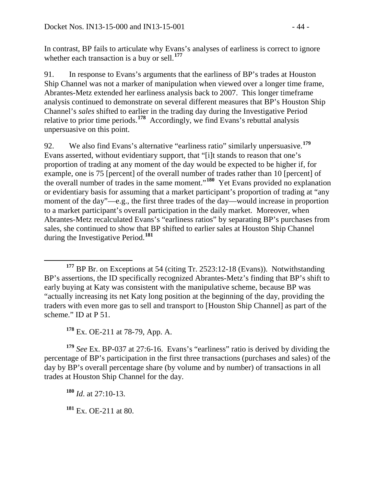In contrast, BP fails to articulate why Evans's analyses of earliness is correct to ignore whether each transaction is a buy or sell.**[177](#page-43-0)**

91. In response to Evans's arguments that the earliness of BP's trades at Houston Ship Channel was not a marker of manipulation when viewed over a longer time frame, Abrantes-Metz extended her earliness analysis back to 2007. This longer timeframe analysis continued to demonstrate on several different measures that BP's Houston Ship Channel's *sales* shifted to earlier in the trading day during the Investigative Period relative to prior time periods.**[178](#page-43-1)** Accordingly, we find Evans's rebuttal analysis unpersuasive on this point.

92. We also find Evans's alternative "earliness ratio" similarly unpersuasive.**[179](#page-43-2)** Evans asserted, without evidentiary support, that "[i]t stands to reason that one's proportion of trading at any moment of the day would be expected to be higher if, for example, one is 75 [percent] of the overall number of trades rather than 10 [percent] of the overall number of trades in the same moment."**[180](#page-43-3)** Yet Evans provided no explanation or evidentiary basis for assuming that a market participant's proportion of trading at "any moment of the day"—e.g., the first three trades of the day—would increase in proportion to a market participant's overall participation in the daily market. Moreover, when Abrantes-Metz recalculated Evans's "earliness ratios" by separating BP's purchases from sales, she continued to show that BP shifted to earlier sales at Houston Ship Channel during the Investigative Period.**[181](#page-43-4)**

**<sup>178</sup>** Ex. OE-211 at 78-79, App. A.

<span id="page-43-3"></span><span id="page-43-2"></span><span id="page-43-1"></span>**<sup>179</sup>** *See* Ex. BP-037 at 27:6-16. Evans's "earliness" ratio is derived by dividing the percentage of BP's participation in the first three transactions (purchases and sales) of the day by BP's overall percentage share (by volume and by number) of transactions in all trades at Houston Ship Channel for the day.

**<sup>180</sup>** *Id*. at 27:10-13.

<span id="page-43-4"></span>**<sup>181</sup>** Ex. OE-211 at 80.

<span id="page-43-0"></span>**<sup>177</sup>** BP Br. on Exceptions at 54 (citing Tr. 2523:12-18 (Evans)). Notwithstanding BP's assertions, the ID specifically recognized Abrantes-Metz's finding that BP's shift to early buying at Katy was consistent with the manipulative scheme, because BP was "actually increasing its net Katy long position at the beginning of the day, providing the traders with even more gas to sell and transport to [Houston Ship Channel] as part of the scheme." ID at P 51.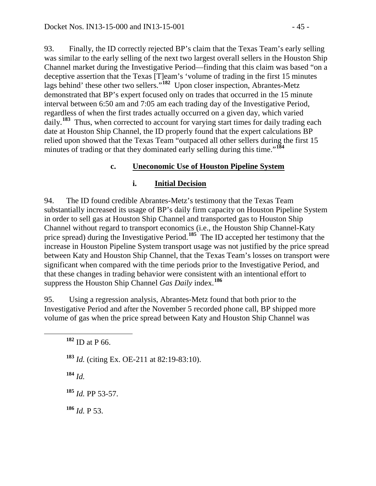93. Finally, the ID correctly rejected BP's claim that the Texas Team's early selling was similar to the early selling of the next two largest overall sellers in the Houston Ship Channel market during the Investigative Period—finding that this claim was based "on a deceptive assertion that the Texas [T]eam's 'volume of trading in the first 15 minutes lags behind' these other two sellers."**[182](#page-44-0)** Upon closer inspection, Abrantes-Metz demonstrated that BP's expert focused only on trades that occurred in the 15 minute interval between 6:50 am and 7:05 am each trading day of the Investigative Period, regardless of when the first trades actually occurred on a given day, which varied daily.<sup>[183](#page-44-1)</sup> Thus, when corrected to account for varying start times for daily trading each date at Houston Ship Channel, the ID properly found that the expert calculations BP relied upon showed that the Texas Team "outpaced all other sellers during the first 15 minutes of trading or that they dominated early selling during this time."<sup>[184](#page-44-2)</sup>

### **c. Uneconomic Use of Houston Pipeline System**

### **i. Initial Decision**

94. The ID found credible Abrantes-Metz's testimony that the Texas Team substantially increased its usage of BP's daily firm capacity on Houston Pipeline System in order to sell gas at Houston Ship Channel and transported gas to Houston Ship Channel without regard to transport economics (i.e., the Houston Ship Channel-Katy price spread) during the Investigative Period.**[185](#page-44-3)** The ID accepted her testimony that the increase in Houston Pipeline System transport usage was not justified by the price spread between Katy and Houston Ship Channel, that the Texas Team's losses on transport were significant when compared with the time periods prior to the Investigative Period, and that these changes in trading behavior were consistent with an intentional effort to suppress the Houston Ship Channel *Gas Daily* index.**[186](#page-44-4)**

<span id="page-44-0"></span>95. Using a regression analysis, Abrantes-Metz found that both prior to the Investigative Period and after the November 5 recorded phone call, BP shipped more volume of gas when the price spread between Katy and Houston Ship Channel was

<span id="page-44-1"></span>**<sup>183</sup>** *Id.* (citing Ex. OE-211 at 82:19-83:10).

<span id="page-44-2"></span>**<sup>184</sup>** *Id.*

<span id="page-44-3"></span>**<sup>185</sup>** *Id.* PP 53-57.

<span id="page-44-4"></span>**<sup>186</sup>** *Id.* P 53.

**<sup>182</sup>** ID at P 66.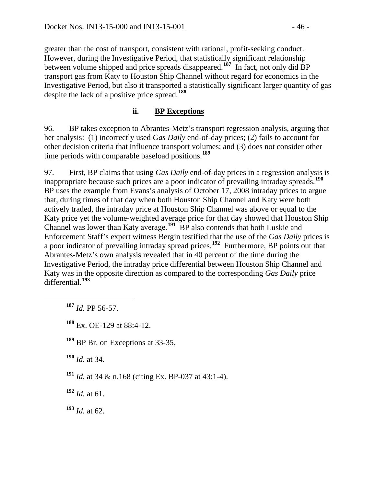greater than the cost of transport, consistent with rational, profit-seeking conduct. However, during the Investigative Period, that statistically significant relationship between volume shipped and price spreads disappeared.**[187](#page-45-0)** In fact, not only did BP transport gas from Katy to Houston Ship Channel without regard for economics in the Investigative Period, but also it transported a statistically significant larger quantity of gas despite the lack of a positive price spread.**[188](#page-45-1)**

### **ii. BP Exceptions**

96. BP takes exception to Abrantes-Metz's transport regression analysis, arguing that her analysis: (1) incorrectly used *Gas Daily* end-of-day prices; (2) fails to account for other decision criteria that influence transport volumes; and (3) does not consider other time periods with comparable baseload positions.**[189](#page-45-2)**

97. First, BP claims that using *Gas Daily* end-of-day prices in a regression analysis is inappropriate because such prices are a poor indicator of prevailing intraday spreads.**[190](#page-45-3)** BP uses the example from Evans's analysis of October 17, 2008 intraday prices to argue that, during times of that day when both Houston Ship Channel and Katy were both actively traded, the intraday price at Houston Ship Channel was above or equal to the Katy price yet the volume-weighted average price for that day showed that Houston Ship Channel was lower than Katy average.**[191](#page-45-4)** BP also contends that both Luskie and Enforcement Staff's expert witness Bergin testified that the use of the *Gas Daily* prices is a poor indicator of prevailing intraday spread prices.**[192](#page-45-5)** Furthermore, BP points out that Abrantes-Metz's own analysis revealed that in 40 percent of the time during the Investigative Period, the intraday price differential between Houston Ship Channel and Katy was in the opposite direction as compared to the corresponding *Gas Daily* price differential.**[193](#page-45-6)**

<span id="page-45-0"></span>**<sup>187</sup>** *Id.* PP 56-57.

<span id="page-45-1"></span>**<sup>188</sup>** Ex. OE-129 at 88:4-12.

<span id="page-45-2"></span>**<sup>189</sup>** BP Br. on Exceptions at 33-35.

<span id="page-45-3"></span>**<sup>190</sup>** *Id.* at 34.

<span id="page-45-4"></span>**<sup>191</sup>** *Id.* at 34 & n.168 (citing Ex. BP-037 at 43:1-4).

<span id="page-45-5"></span>**<sup>192</sup>** *Id.* at 61.

<span id="page-45-6"></span>**<sup>193</sup>** *Id.* at 62.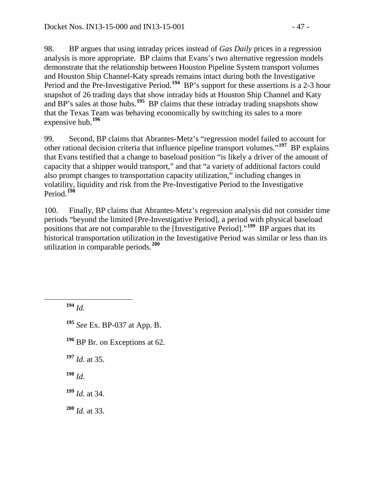98. BP argues that using intraday prices instead of *Gas Daily* prices in a regression analysis is more appropriate. BP claims that Evans's two alternative regression models demonstrate that the relationship between Houston Pipeline System transport volumes and Houston Ship Channel-Katy spreads remains intact during both the Investigative Period and the Pre-Investigative Period.**[194](#page-46-0)** BP's support for these assertions is a 2-3 hour snapshot of 26 trading days that show intraday bids at Houston Ship Channel and Katy and BP's sales at those hubs.**[195](#page-46-1)** BP claims that these intraday trading snapshots show that the Texas Team was behaving economically by switching its sales to a more expensive hub.**[196](#page-46-2)**

99. Second, BP claims that Abrantes-Metz's "regression model failed to account for other rational decision criteria that influence pipeline transport volumes."**[197](#page-46-3)** BP explains that Evans testified that a change to baseload position "is likely a driver of the amount of capacity that a shipper would transport," and that "a variety of additional factors could also prompt changes to transportation capacity utilization," including changes in volatility, liquidity and risk from the Pre-Investigative Period to the Investigative Period.**[198](#page-46-4)**

100. Finally, BP claims that Abrantes-Metz's regression analysis did not consider time periods "beyond the limited [Pre-Investigative Period], a period with physical baseload positions that are not comparable to the [Investigative Period]."**[199](#page-46-5)** BP argues that its historical transportation utilization in the Investigative Period was similar or less than its utilization in comparable periods.**[200](#page-46-6)**

<span id="page-46-0"></span>**<sup>194</sup>** *Id.*

<span id="page-46-1"></span>**<sup>195</sup>** *See* Ex. BP-037 at App. B.

<span id="page-46-2"></span>**<sup>196</sup>** BP Br. on Exceptions at 62.

<span id="page-46-3"></span>**<sup>197</sup>** *Id.* at 35.

<span id="page-46-4"></span>**<sup>198</sup>** *Id.* 

<span id="page-46-5"></span>**<sup>199</sup>** *Id.* at 34.

<span id="page-46-6"></span>**<sup>200</sup>** *Id.* at 33.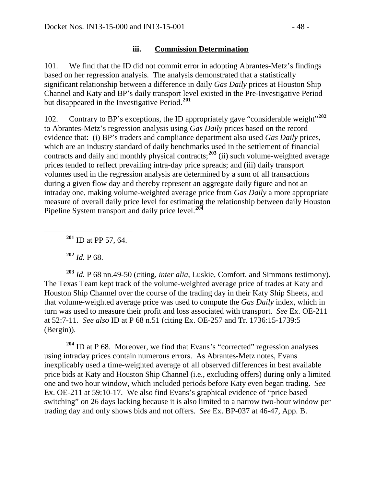### **iii. Commission Determination**

101. We find that the ID did not commit error in adopting Abrantes-Metz's findings based on her regression analysis. The analysis demonstrated that a statistically significant relationship between a difference in daily *Gas Daily* prices at Houston Ship Channel and Katy and BP's daily transport level existed in the Pre-Investigative Period but disappeared in the Investigative Period.**[201](#page-47-0)**

102. Contrary to BP's exceptions, the ID appropriately gave "considerable weight"**[202](#page-47-1)** to Abrantes-Metz's regression analysis using *Gas Daily* prices based on the record evidence that: (i) BP's traders and compliance department also used *Gas Daily* prices, which are an industry standard of daily benchmarks used in the settlement of financial contracts and daily and monthly physical contracts;**[203](#page-47-2)** (ii) such volume-weighted average prices tended to reflect prevailing intra-day price spreads; and (iii) daily transport volumes used in the regression analysis are determined by a sum of all transactions during a given flow day and thereby represent an aggregate daily figure and not an intraday one, making volume-weighted average price from *Gas Daily* a more appropriate measure of overall daily price level for estimating the relationship between daily Houston Pipeline System transport and daily price level.**[204](#page-47-3)**

**<sup>201</sup>** ID at PP 57, 64.

**<sup>202</sup>** *Id.* P 68.

<span id="page-47-2"></span><span id="page-47-1"></span><span id="page-47-0"></span>**<sup>203</sup>** *Id.* P 68 nn.49-50 (citing, *inter alia*, Luskie, Comfort, and Simmons testimony). The Texas Team kept track of the volume-weighted average price of trades at Katy and Houston Ship Channel over the course of the trading day in their Katy Ship Sheets, and that volume-weighted average price was used to compute the *Gas Daily* index, which in turn was used to measure their profit and loss associated with transport. *See* Ex. OE-211 at 52:7-11. *See also* ID at P 68 n.51 (citing Ex. OE-257 and Tr. 1736:15-1739:5 (Bergin)).

<span id="page-47-3"></span>**<sup>204</sup>** ID at P 68. Moreover, we find that Evans's "corrected" regression analyses using intraday prices contain numerous errors. As Abrantes-Metz notes, Evans inexplicably used a time-weighted average of all observed differences in best available price bids at Katy and Houston Ship Channel (i.e., excluding offers) during only a limited one and two hour window, which included periods before Katy even began trading. *See*  Ex. OE-211 at 59:10-17. We also find Evans's graphical evidence of "price based switching" on 26 days lacking because it is also limited to a narrow two-hour window per trading day and only shows bids and not offers. *See* Ex. BP-037 at 46-47, App. B.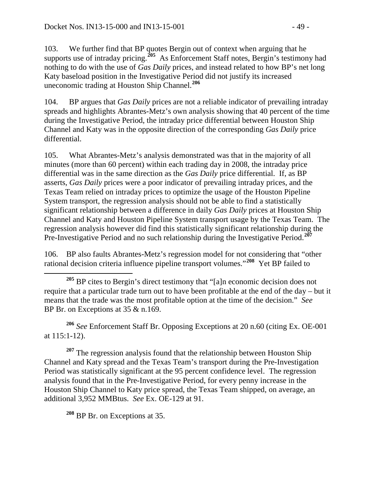103. We further find that BP quotes Bergin out of context when arguing that he supports use of intraday pricing.<sup>[205](#page-48-0)</sup> As Enforcement Staff notes, Bergin's testimony had nothing to do with the use of *Gas Daily* prices, and instead related to how BP's net long Katy baseload position in the Investigative Period did not justify its increased uneconomic trading at Houston Ship Channel.**[206](#page-48-1)**

104. BP argues that *Gas Daily* prices are not a reliable indicator of prevailing intraday spreads and highlights Abrantes-Metz's own analysis showing that 40 percent of the time during the Investigative Period, the intraday price differential between Houston Ship Channel and Katy was in the opposite direction of the corresponding *Gas Daily* price differential.

105. What Abrantes-Metz's analysis demonstrated was that in the majority of all minutes (more than 60 percent) within each trading day in 2008, the intraday price differential was in the same direction as the *Gas Daily* price differential. If, as BP asserts, *Gas Daily* prices were a poor indicator of prevailing intraday prices, and the Texas Team relied on intraday prices to optimize the usage of the Houston Pipeline System transport, the regression analysis should not be able to find a statistically significant relationship between a difference in daily *Gas Daily* prices at Houston Ship Channel and Katy and Houston Pipeline System transport usage by the Texas Team. The regression analysis however did find this statistically significant relationship during the Pre-Investigative Period and no such relationship during the Investigative Period.**[207](#page-48-2)**

106. BP also faults Abrantes-Metz's regression model for not considering that "other rational decision criteria influence pipeline transport volumes."**[208](#page-48-3)** Yet BP failed to

<span id="page-48-1"></span>**<sup>206</sup>** *See* Enforcement Staff Br. Opposing Exceptions at 20 n.60 (citing Ex. OE-001 at 115:1-12).

<span id="page-48-2"></span><sup>207</sup> The regression analysis found that the relationship between Houston Ship Channel and Katy spread and the Texas Team's transport during the Pre-Investigation Period was statistically significant at the 95 percent confidence level. The regression analysis found that in the Pre-Investigative Period, for every penny increase in the Houston Ship Channel to Katy price spread, the Texas Team shipped, on average, an additional 3,952 MMBtus. *See* Ex. OE-129 at 91.

<span id="page-48-3"></span>**<sup>208</sup>** BP Br. on Exceptions at 35.

<span id="page-48-0"></span>**<sup>205</sup>** BP cites to Bergin's direct testimony that "[a]n economic decision does not require that a particular trade turn out to have been profitable at the end of the day – but it means that the trade was the most profitable option at the time of the decision." *See* BP Br. on Exceptions at 35 & n.169.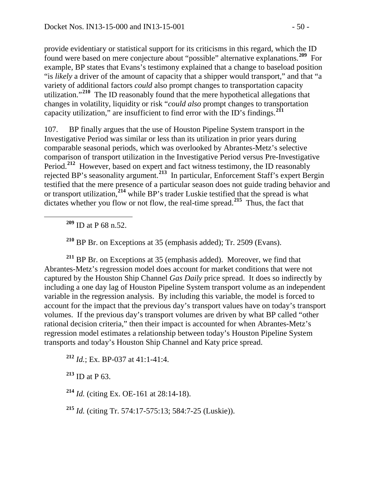provide evidentiary or statistical support for its criticisms in this regard, which the ID found were based on mere conjecture about "possible" alternative explanations.**[209](#page-49-0)** For example, BP states that Evans's testimony explained that a change to baseload position "is *likely* a driver of the amount of capacity that a shipper would transport," and that "a variety of additional factors *could* also prompt changes to transportation capacity utilization."**[210](#page-49-1)** The ID reasonably found that the mere hypothetical allegations that changes in volatility, liquidity or risk "*could also* prompt changes to transportation capacity utilization," are insufficient to find error with the ID's findings.**[211](#page-49-2)**

107. BP finally argues that the use of Houston Pipeline System transport in the Investigative Period was similar or less than its utilization in prior years during comparable seasonal periods, which was overlooked by Abrantes-Metz's selective comparison of transport utilization in the Investigative Period versus Pre-Investigative Period.<sup>[212](#page-49-3)</sup> However, based on expert and fact witness testimony, the ID reasonably rejected BP's seasonality argument.**[213](#page-49-4)** In particular, Enforcement Staff's expert Bergin testified that the mere presence of a particular season does not guide trading behavior and or transport utilization,**[214](#page-49-5)** while BP's trader Luskie testified that the spread is what dictates whether you flow or not flow, the real-time spread.**[215](#page-49-6)** Thus, the fact that

**<sup>209</sup>** ID at P 68 n.52.

**<sup>210</sup>** BP Br. on Exceptions at 35 (emphasis added); Tr. 2509 (Evans).

<span id="page-49-2"></span><span id="page-49-1"></span><span id="page-49-0"></span>**<sup>211</sup>** BP Br. on Exceptions at 35 (emphasis added). Moreover, we find that Abrantes-Metz's regression model does account for market conditions that were not captured by the Houston Ship Channel *Gas Daily* price spread. It does so indirectly by including a one day lag of Houston Pipeline System transport volume as an independent variable in the regression analysis. By including this variable, the model is forced to account for the impact that the previous day's transport values have on today's transport volumes. If the previous day's transport volumes are driven by what BP called "other rational decision criteria," then their impact is accounted for when Abrantes-Metz's regression model estimates a relationship between today's Houston Pipeline System transports and today's Houston Ship Channel and Katy price spread.

<span id="page-49-3"></span>**<sup>212</sup>** *Id.*; Ex. BP-037 at 41:1-41:4.

<span id="page-49-4"></span>**<sup>213</sup>** ID at P 63.

<span id="page-49-5"></span>**<sup>214</sup>** *Id.* (citing Ex. OE-161 at 28:14-18).

<span id="page-49-6"></span>**<sup>215</sup>** *Id.* (citing Tr. 574:17-575:13; 584:7-25 (Luskie)).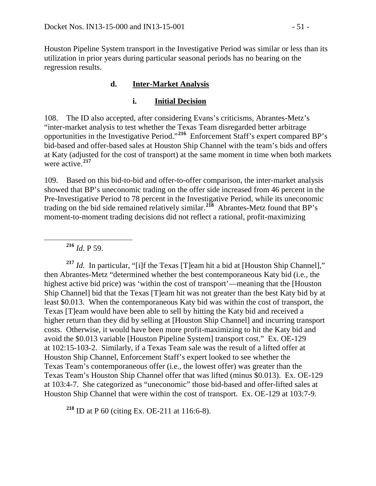Houston Pipeline System transport in the Investigative Period was similar or less than its utilization in prior years during particular seasonal periods has no bearing on the regression results.

# **d. Inter-Market Analysis**

## **i. Initial Decision**

108. The ID also accepted, after considering Evans's criticisms, Abrantes-Metz's "inter-market analysis to test whether the Texas Team disregarded better arbitrage opportunities in the Investigative Period."**[216](#page-50-0)** Enforcement Staff's expert compared BP's bid-based and offer-based sales at Houston Ship Channel with the team's bids and offers at Katy (adjusted for the cost of transport) at the same moment in time when both markets were active.**[217](#page-50-1)**

109. Based on this bid-to-bid and offer-to-offer comparison, the inter-market analysis showed that BP's uneconomic trading on the offer side increased from 46 percent in the Pre-Investigative Period to 78 percent in the Investigative Period, while its uneconomic trading on the bid side remained relatively similar.**[218](#page-50-2)** Abrantes-Metz found that BP's moment-to-moment trading decisions did not reflect a rational, profit-maximizing

**<sup>216</sup>** *Id.* P 59.

<span id="page-50-1"></span><span id="page-50-0"></span>**<sup>217</sup>** *Id.* In particular, "[i]f the Texas [T]eam hit a bid at [Houston Ship Channel]," then Abrantes-Metz "determined whether the best contemporaneous Katy bid (i.e*.*, the highest active bid price) was 'within the cost of transport'—meaning that the [Houston Ship Channel] bid that the Texas [T]eam hit was not greater than the best Katy bid by at least \$0.013. When the contemporaneous Katy bid was within the cost of transport, the Texas [T]eam would have been able to sell by hitting the Katy bid and received a higher return than they did by selling at [Houston Ship Channel] and incurring transport costs. Otherwise, it would have been more profit-maximizing to hit the Katy bid and avoid the \$0.013 variable [Houston Pipeline System] transport cost." Ex. OE-129 at 102:15-103-2. Similarly, if a Texas Team sale was the result of a lifted offer at Houston Ship Channel, Enforcement Staff's expert looked to see whether the Texas Team's contemporaneous offer (i.e., the lowest offer) was greater than the Texas Team's Houston Ship Channel offer that was lifted (minus \$0.013). Ex. OE-129 at 103:4-7. She categorized as "uneconomic" those bid-based and offer-lifted sales at Houston Ship Channel that were within the cost of transport. Ex. OE-129 at 103:7-9.

<span id="page-50-2"></span>**<sup>218</sup>** ID at P 60 (citing Ex. OE-211 at 116:6-8).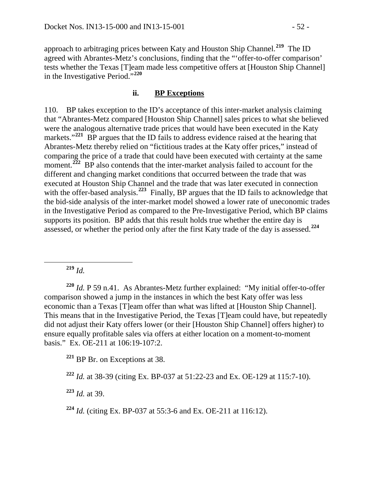approach to arbitraging prices between Katy and Houston Ship Channel.**[219](#page-51-0)** The ID agreed with Abrantes-Metz's conclusions, finding that the "'offer-to-offer comparison' tests whether the Texas [T]eam made less competitive offers at [Houston Ship Channel] in the Investigative Period."**[220](#page-51-1)**

#### **ii. BP Exceptions**

110. BP takes exception to the ID's acceptance of this inter-market analysis claiming that "Abrantes-Metz compared [Houston Ship Channel] sales prices to what she believed were the analogous alternative trade prices that would have been executed in the Katy markets."<sup>[221](#page-51-2)</sup> BP argues that the ID fails to address evidence raised at the hearing that Abrantes-Metz thereby relied on "fictitious trades at the Katy offer prices," instead of comparing the price of a trade that could have been executed with certainty at the same moment.<sup>[222](#page-51-3)</sup> BP also contends that the inter-market analysis failed to account for the different and changing market conditions that occurred between the trade that was executed at Houston Ship Channel and the trade that was later executed in connection with the offer-based analysis.<sup>[223](#page-51-4)</sup> Finally, BP argues that the ID fails to acknowledge that the bid-side analysis of the inter-market model showed a lower rate of uneconomic trades in the Investigative Period as compared to the Pre-Investigative Period, which BP claims supports its position. BP adds that this result holds true whether the entire day is assessed, or whether the period only after the first Katy trade of the day is assessed.**[224](#page-51-5)**

**<sup>219</sup>** *Id.*

<span id="page-51-1"></span><span id="page-51-0"></span>**<sup>220</sup>** *Id.* P 59 n.41. As Abrantes-Metz further explained: "My initial offer-to-offer comparison showed a jump in the instances in which the best Katy offer was less economic than a Texas [T]eam offer than what was lifted at [Houston Ship Channel]. This means that in the Investigative Period, the Texas [T]eam could have, but repeatedly did not adjust their Katy offers lower (or their [Houston Ship Channel] offers higher) to ensure equally profitable sales via offers at either location on a moment-to-moment basis." Ex. OE-211 at 106:19-107:2.

<span id="page-51-2"></span>**<sup>221</sup>** BP Br. on Exceptions at 38.

<span id="page-51-3"></span>**<sup>222</sup>** *Id.* at 38-39 (citing Ex. BP-037 at 51:22-23 and Ex. OE-129 at 115:7-10).

<span id="page-51-4"></span>**<sup>223</sup>** *Id.* at 39.

<span id="page-51-5"></span>**<sup>224</sup>** *Id.* (citing Ex. BP-037 at 55:3-6 and Ex. OE-211 at 116:12).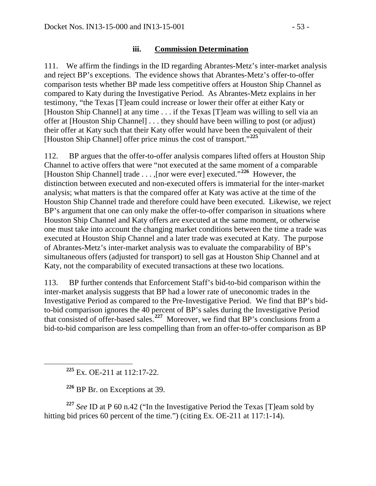### **iii. Commission Determination**

111. We affirm the findings in the ID regarding Abrantes-Metz's inter-market analysis and reject BP's exceptions. The evidence shows that Abrantes-Metz's offer-to-offer comparison tests whether BP made less competitive offers at Houston Ship Channel as compared to Katy during the Investigative Period. As Abrantes-Metz explains in her testimony, "the Texas [T]eam could increase or lower their offer at either Katy or [Houston Ship Channel] at any time . . . if the Texas [T]eam was willing to sell via an offer at [Houston Ship Channel] . . . they should have been willing to post (or adjust) their offer at Katy such that their Katy offer would have been the equivalent of their [Houston Ship Channel] offer price minus the cost of transport."**[225](#page-52-0)**

112. BP argues that the offer-to-offer analysis compares lifted offers at Houston Ship Channel to active offers that were "not executed at the same moment of a comparable [Houston Ship Channel] trade . . . ,[nor were ever] executed."**[226](#page-52-1)** However, the distinction between executed and non-executed offers is immaterial for the inter-market analysis; what matters is that the compared offer at Katy was active at the time of the Houston Ship Channel trade and therefore could have been executed. Likewise, we reject BP's argument that one can only make the offer-to-offer comparison in situations where Houston Ship Channel and Katy offers are executed at the same moment, or otherwise one must take into account the changing market conditions between the time a trade was executed at Houston Ship Channel and a later trade was executed at Katy. The purpose of Abrantes-Metz's inter-market analysis was to evaluate the comparability of BP's simultaneous offers (adjusted for transport) to sell gas at Houston Ship Channel and at Katy, not the comparability of executed transactions at these two locations.

113. BP further contends that Enforcement Staff's bid-to-bid comparison within the inter-market analysis suggests that BP had a lower rate of uneconomic trades in the Investigative Period as compared to the Pre-Investigative Period. We find that BP's bidto-bid comparison ignores the 40 percent of BP's sales during the Investigative Period that consisted of offer-based sales.**[227](#page-52-2)** Moreover, we find that BP's conclusions from a bid-to-bid comparison are less compelling than from an offer-to-offer comparison as BP

**<sup>225</sup>** Ex. OE-211 at 112:17-22.

**<sup>226</sup>** BP Br. on Exceptions at 39.

<span id="page-52-2"></span><span id="page-52-1"></span><span id="page-52-0"></span>**<sup>227</sup>** *See* ID at P 60 n.42 ("In the Investigative Period the Texas [T]eam sold by hitting bid prices 60 percent of the time.") (citing Ex. OE-211 at 117:1-14).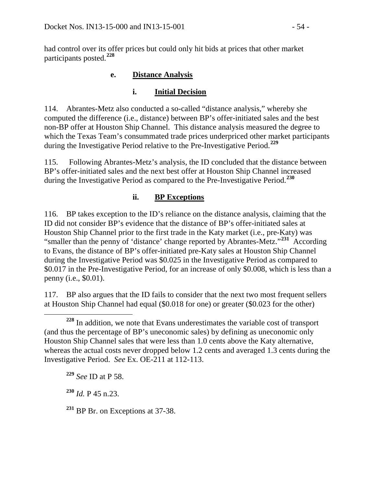had control over its offer prices but could only hit bids at prices that other market participants posted.**[228](#page-53-0)**

# **e. Distance Analysis**

# **i. Initial Decision**

114. Abrantes-Metz also conducted a so-called "distance analysis," whereby she computed the difference (i.e., distance) between BP's offer-initiated sales and the best non-BP offer at Houston Ship Channel. This distance analysis measured the degree to which the Texas Team's consummated trade prices underpriced other market participants during the Investigative Period relative to the Pre-Investigative Period.**[229](#page-53-1)**

115. Following Abrantes-Metz's analysis, the ID concluded that the distance between BP's offer-initiated sales and the next best offer at Houston Ship Channel increased during the Investigative Period as compared to the Pre-Investigative Period.**[230](#page-53-2)**

# **ii. BP Exceptions**

116. BP takes exception to the ID's reliance on the distance analysis, claiming that the ID did not consider BP's evidence that the distance of BP's offer-initiated sales at Houston Ship Channel prior to the first trade in the Katy market (i.e.*,* pre-Katy) was "smaller than the penny of 'distance' change reported by Abrantes-Metz."**[231](#page-53-3)** According to Evans, the distance of BP's offer-initiated pre-Katy sales at Houston Ship Channel during the Investigative Period was \$0.025 in the Investigative Period as compared to \$0.017 in the Pre-Investigative Period, for an increase of only \$0.008, which is less than a penny (i.e., \$0.01).

117. BP also argues that the ID fails to consider that the next two most frequent sellers at Houston Ship Channel had equal (\$0.018 for one) or greater (\$0.023 for the other)

<span id="page-53-1"></span>**<sup>229</sup>** *See* ID at P 58.

<span id="page-53-2"></span>**<sup>230</sup>** *Id.* P 45 n.23.

<span id="page-53-3"></span><sup>231</sup> BP Br. on Exceptions at 37-38.

<span id="page-53-0"></span>**<sup>228</sup>** In addition, we note that Evans underestimates the variable cost of transport (and thus the percentage of BP's uneconomic sales) by defining as uneconomic only Houston Ship Channel sales that were less than 1.0 cents above the Katy alternative, whereas the actual costs never dropped below 1.2 cents and averaged 1.3 cents during the Investigative Period. *See* Ex. OE-211 at 112-113.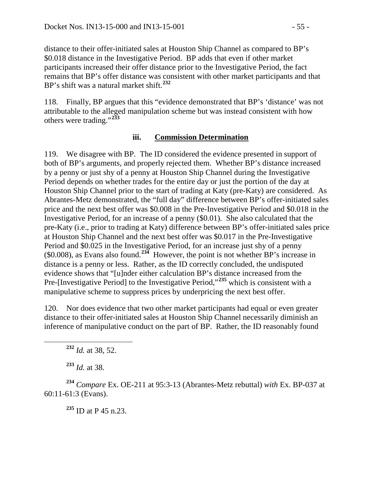distance to their offer-initiated sales at Houston Ship Channel as compared to BP's \$0.018 distance in the Investigative Period. BP adds that even if other market participants increased their offer distance prior to the Investigative Period, the fact remains that BP's offer distance was consistent with other market participants and that BP's shift was a natural market shift.**[232](#page-54-0)**

118. Finally, BP argues that this "evidence demonstrated that BP's 'distance' was not attributable to the alleged manipulation scheme but was instead consistent with how others were trading."**[233](#page-54-1)**

#### **iii. Commission Determination**

119. We disagree with BP. The ID considered the evidence presented in support of both of BP's arguments, and properly rejected them. Whether BP's distance increased by a penny or just shy of a penny at Houston Ship Channel during the Investigative Period depends on whether trades for the entire day or just the portion of the day at Houston Ship Channel prior to the start of trading at Katy (pre-Katy) are considered. As Abrantes-Metz demonstrated, the "full day" difference between BP's offer-initiated sales price and the next best offer was \$0.008 in the Pre-Investigative Period and \$0.018 in the Investigative Period, for an increase of a penny (\$0.01). She also calculated that the pre-Katy (i.e., prior to trading at Katy) difference between BP's offer-initiated sales price at Houston Ship Channel and the next best offer was \$0.017 in the Pre-Investigative Period and \$0.025 in the Investigative Period, for an increase just shy of a penny (\$0.008), as Evans also found.**[234](#page-54-2)** However, the point is not whether BP's increase in distance is a penny or less. Rather, as the ID correctly concluded, the undisputed evidence shows that "[u]nder either calculation BP's distance increased from the Pre-[Investigative Period] to the Investigative Period,"**[235](#page-54-3)** which is consistent with a manipulative scheme to suppress prices by underpricing the next best offer.

120. Nor does evidence that two other market participants had equal or even greater distance to their offer-initiated sales at Houston Ship Channel necessarily diminish an inference of manipulative conduct on the part of BP. Rather, the ID reasonably found

**<sup>232</sup>** *Id.* at 38, 52.

**<sup>233</sup>** *Id.* at 38.

<span id="page-54-3"></span><span id="page-54-2"></span><span id="page-54-1"></span><span id="page-54-0"></span>**<sup>234</sup>** *Compare* Ex. OE-211 at 95:3-13 (Abrantes-Metz rebuttal) *with* Ex. BP-037 at 60:11-61:3 (Evans).

**<sup>235</sup>** ID at P 45 n.23.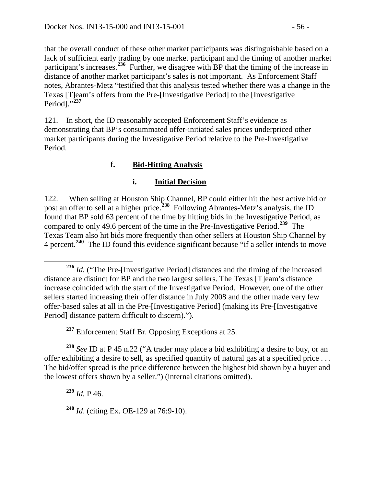that the overall conduct of these other market participants was distinguishable based on a lack of sufficient early trading by one market participant and the timing of another market participant's increases.<sup>[236](#page-55-0)</sup> Further, we disagree with BP that the timing of the increase in distance of another market participant's sales is not important. As Enforcement Staff notes, Abrantes-Metz "testified that this analysis tested whether there was a change in the Texas [T]eam's offers from the Pre-[Investigative Period] to the [Investigative Period]."**[237](#page-55-1)**

121. In short, the ID reasonably accepted Enforcement Staff's evidence as demonstrating that BP's consummated offer-initiated sales prices underpriced other market participants during the Investigative Period relative to the Pre-Investigative Period.

# **f. Bid-Hitting Analysis**

## **i. Initial Decision**

122. When selling at Houston Ship Channel, BP could either hit the best active bid or post an offer to sell at a higher price.**[238](#page-55-2)** Following Abrantes-Metz's analysis, the ID found that BP sold 63 percent of the time by hitting bids in the Investigative Period, as compared to only 49.6 percent of the time in the Pre-Investigative Period.**[239](#page-55-3)** The Texas Team also hit bids more frequently than other sellers at Houston Ship Channel by 4 percent.**[240](#page-55-4)** The ID found this evidence significant because "if a seller intends to move

**<sup>237</sup>** Enforcement Staff Br. Opposing Exceptions at 25.

<span id="page-55-3"></span><span id="page-55-2"></span><span id="page-55-1"></span>**<sup>238</sup>** *See* ID at P 45 n.22 ("A trader may place a bid exhibiting a desire to buy, or an offer exhibiting a desire to sell, as specified quantity of natural gas at a specified price . . . The bid/offer spread is the price difference between the highest bid shown by a buyer and the lowest offers shown by a seller.") (internal citations omitted).

**<sup>239</sup>** *Id.* P 46.

<span id="page-55-4"></span>**<sup>240</sup>** *Id*. (citing Ex. OE-129 at 76:9-10).

<span id="page-55-0"></span>**<sup>236</sup>** *Id.* ("The Pre-[Investigative Period] distances and the timing of the increased distance are distinct for BP and the two largest sellers. The Texas [T]eam's distance increase coincided with the start of the Investigative Period. However, one of the other sellers started increasing their offer distance in July 2008 and the other made very few offer-based sales at all in the Pre-[Investigative Period] (making its Pre-[Investigative Period] distance pattern difficult to discern).").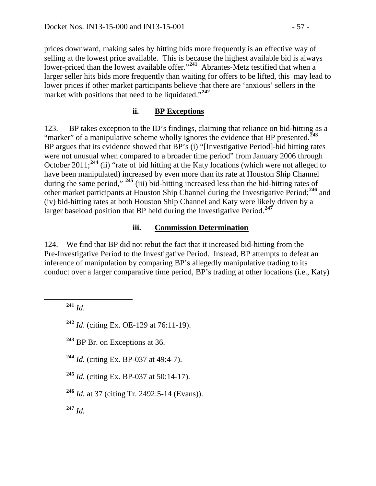prices downward, making sales by hitting bids more frequently is an effective way of selling at the lowest price available. This is because the highest available bid is always lower-priced than the lowest available offer."<sup>[241](#page-56-0)</sup> Abrantes-Metz testified that when a larger seller hits bids more frequently than waiting for offers to be lifted, this may lead to lower prices if other market participants believe that there are 'anxious' sellers in the market with positions that need to be liquidated."**[242](#page-56-1)**

#### **ii. BP Exceptions**

123. BP takes exception to the ID's findings, claiming that reliance on bid-hitting as a "marker" of a manipulative scheme wholly ignores the evidence that BP presented.**[243](#page-56-2)** BP argues that its evidence showed that BP's (i) "[Investigative Period]-bid hitting rates were not unusual when compared to a broader time period" from January 2006 through October 2011;**[244](#page-56-3)** (ii) "rate of bid hitting at the Katy locations (which were not alleged to have been manipulated) increased by even more than its rate at Houston Ship Channel during the same period," **[245](#page-56-4)** (iii) bid-hitting increased less than the bid-hitting rates of other market participants at Houston Ship Channel during the Investigative Period;**[246](#page-56-5)** and (iv) bid-hitting rates at both Houston Ship Channel and Katy were likely driven by a larger baseload position that BP held during the Investigative Period.**[247](#page-56-6)**

#### **iii. Commission Determination**

124. We find that BP did not rebut the fact that it increased bid-hitting from the Pre-Investigative Period to the Investigative Period. Instead, BP attempts to defeat an inference of manipulation by comparing BP's allegedly manipulative trading to its conduct over a larger comparative time period, BP's trading at other locations (i.e., Katy)

<span id="page-56-0"></span>**<sup>241</sup>** *Id*.

<span id="page-56-1"></span>**<sup>242</sup>** *Id*. (citing Ex. OE-129 at 76:11-19).

<span id="page-56-2"></span>**<sup>243</sup>** BP Br. on Exceptions at 36.

<span id="page-56-3"></span>**<sup>244</sup>** *Id.* (citing Ex. BP-037 at 49:4-7).

<span id="page-56-4"></span>**<sup>245</sup>** *Id.* (citing Ex. BP-037 at 50:14-17).

<span id="page-56-5"></span>**<sup>246</sup>** *Id.* at 37 (citing Tr. 2492:5-14 (Evans)).

<span id="page-56-6"></span>**<sup>247</sup>** *Id.*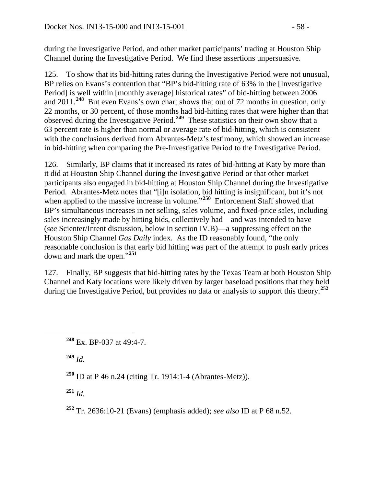during the Investigative Period, and other market participants' trading at Houston Ship Channel during the Investigative Period. We find these assertions unpersuasive.

125. To show that its bid-hitting rates during the Investigative Period were not unusual, BP relies on Evans's contention that "BP's bid-hitting rate of 63% in the [Investigative Period] is well within [monthly average] historical rates" of bid-hitting between 2006 and 2011.**[248](#page-57-0)** But even Evans's own chart shows that out of 72 months in question, only 22 months, or 30 percent, of those months had bid-hitting rates that were higher than that observed during the Investigative Period.**[249](#page-57-1)** These statistics on their own show that a 63 percent rate is higher than normal or average rate of bid-hitting, which is consistent with the conclusions derived from Abrantes-Metz's testimony, which showed an increase in bid-hitting when comparing the Pre-Investigative Period to the Investigative Period.

126. Similarly, BP claims that it increased its rates of bid-hitting at Katy by more than it did at Houston Ship Channel during the Investigative Period or that other market participants also engaged in bid-hitting at Houston Ship Channel during the Investigative Period. Abrantes-Metz notes that "[i]n isolation, bid hitting is insignificant, but it's not when applied to the massive increase in volume."<sup>[250](#page-57-2)</sup> Enforcement Staff showed that BP's simultaneous increases in net selling, sales volume, and fixed-price sales, including sales increasingly made by hitting bids, collectively had—and was intended to have (*see* Scienter/Intent discussion, below in section IV.B)—a suppressing effect on the Houston Ship Channel *Gas Daily* index. As the ID reasonably found, "the only reasonable conclusion is that early bid hitting was part of the attempt to push early prices down and mark the open."**[251](#page-57-3)**

127. Finally, BP suggests that bid-hitting rates by the Texas Team at both Houston Ship Channel and Katy locations were likely driven by larger baseload positions that they held during the Investigative Period, but provides no data or analysis to support this theory.**[252](#page-57-4)**

<span id="page-57-1"></span>**<sup>249</sup>** *Id.*

<span id="page-57-2"></span>**<sup>250</sup>** ID at P 46 n.24 (citing Tr. 1914:1-4 (Abrantes-Metz)).

<span id="page-57-3"></span> $251$  *Id.* 

<span id="page-57-4"></span>**<sup>252</sup>** Tr. 2636:10-21 (Evans) (emphasis added); *see also* ID at P 68 n.52.

<span id="page-57-0"></span>**<sup>248</sup>** Ex. BP-037 at 49:4-7.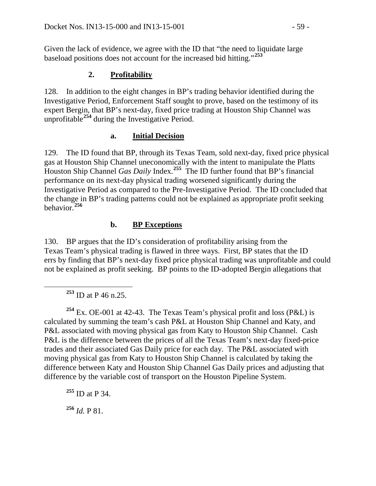Given the lack of evidence, we agree with the ID that "the need to liquidate large baseload positions does not account for the increased bid hitting."**[253](#page-58-0)**

### **2. Profitability**

128. In addition to the eight changes in BP's trading behavior identified during the Investigative Period, Enforcement Staff sought to prove, based on the testimony of its expert Bergin, that BP's next-day, fixed price trading at Houston Ship Channel was unprofitable**[254](#page-58-1)** during the Investigative Period.

### **a. Initial Decision**

129. The ID found that BP, through its Texas Team, sold next-day, fixed price physical gas at Houston Ship Channel uneconomically with the intent to manipulate the Platts Houston Ship Channel *Gas Daily* Index.**[255](#page-58-2)** The ID further found that BP's financial performance on its next-day physical trading worsened significantly during the Investigative Period as compared to the Pre-Investigative Period. The ID concluded that the change in BP's trading patterns could not be explained as appropriate profit seeking behavior.**[256](#page-58-3)**

## **b. BP Exceptions**

130. BP argues that the ID's consideration of profitability arising from the Texas Team's physical trading is flawed in three ways. First, BP states that the ID errs by finding that BP's next-day fixed price physical trading was unprofitable and could not be explained as profit seeking. BP points to the ID-adopted Bergin allegations that

**<sup>253</sup>** ID at P 46 n.25.

<span id="page-58-1"></span><span id="page-58-0"></span><sup>254</sup> Ex. OE-001 at 42-43. The Texas Team's physical profit and loss ( $P&L$ ) is calculated by summing the team's cash P&L at Houston Ship Channel and Katy, and P&L associated with moving physical gas from Katy to Houston Ship Channel. Cash P&L is the difference between the prices of all the Texas Team's next-day fixed-price trades and their associated Gas Daily price for each day. The P&L associated with moving physical gas from Katy to Houston Ship Channel is calculated by taking the difference between Katy and Houston Ship Channel Gas Daily prices and adjusting that difference by the variable cost of transport on the Houston Pipeline System.

<span id="page-58-3"></span><span id="page-58-2"></span>**<sup>255</sup>** ID at P 34. **<sup>256</sup>** *Id.* P 81.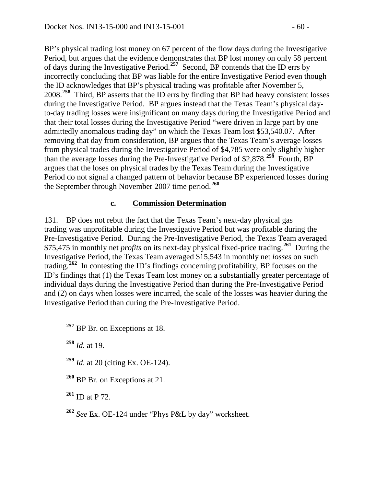BP's physical trading lost money on 67 percent of the flow days during the Investigative Period, but argues that the evidence demonstrates that BP lost money on only 58 percent of days during the Investigative Period.**[257](#page-59-0)** Second, BP contends that the ID errs by incorrectly concluding that BP was liable for the entire Investigative Period even though the ID acknowledges that BP's physical trading was profitable after November 5, 2008.**[258](#page-59-1)** Third, BP asserts that the ID errs by finding that BP had heavy consistent losses during the Investigative Period. BP argues instead that the Texas Team's physical dayto-day trading losses were insignificant on many days during the Investigative Period and that their total losses during the Investigative Period "were driven in large part by one admittedly anomalous trading day" on which the Texas Team lost \$53,540.07. After removing that day from consideration, BP argues that the Texas Team's average losses from physical trades during the Investigative Period of \$4,785 were only slightly higher than the average losses during the Pre-Investigative Period of \$2,878.**[259](#page-59-2)** Fourth, BP argues that the loses on physical trades by the Texas Team during the Investigative Period do not signal a changed pattern of behavior because BP experienced losses during the September through November 2007 time period.**[260](#page-59-3)**

### **c. Commission Determination**

131. BP does not rebut the fact that the Texas Team's next-day physical gas trading was unprofitable during the Investigative Period but was profitable during the Pre-Investigative Period. During the Pre-Investigative Period, the Texas Team averaged \$75,475 in monthly net *profits* on its next-day physical fixed-price trading.**[261](#page-59-4)** During the Investigative Period, the Texas Team averaged \$15,543 in monthly net *losses* on such trading.**[262](#page-59-5)** In contesting the ID's findings concerning profitability, BP focuses on the ID's findings that (1) the Texas Team lost money on a substantially greater percentage of individual days during the Investigative Period than during the Pre-Investigative Period and (2) on days when losses were incurred, the scale of the losses was heavier during the Investigative Period than during the Pre-Investigative Period.

<span id="page-59-1"></span>**<sup>258</sup>** *Id.* at 19.

<span id="page-59-2"></span>**<sup>259</sup>** *Id*. at 20 (citing Ex. OE-124).

<span id="page-59-3"></span>**<sup>260</sup>** BP Br. on Exceptions at 21.

<span id="page-59-4"></span>**<sup>261</sup>** ID at P 72.

<span id="page-59-5"></span>**<sup>262</sup>** *See* Ex. OE-124 under "Phys P&L by day" worksheet.

<span id="page-59-0"></span>**<sup>257</sup>** BP Br. on Exceptions at 18.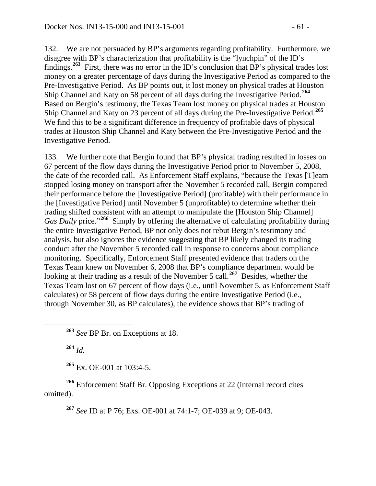132. We are not persuaded by BP's arguments regarding profitability. Furthermore, we disagree with BP's characterization that profitability is the "lynchpin" of the ID's findings.**[263](#page-60-0)** First, there was no error in the ID's conclusion that BP's physical trades lost money on a greater percentage of days during the Investigative Period as compared to the Pre-Investigative Period. As BP points out, it lost money on physical trades at Houston Ship Channel and Katy on 58 percent of all days during the Investigative Period.**[264](#page-60-1)** Based on Bergin's testimony, the Texas Team lost money on physical trades at Houston Ship Channel and Katy on 23 percent of all days during the Pre-Investigative Period.**[265](#page-60-2)** We find this to be a significant difference in frequency of profitable days of physical trades at Houston Ship Channel and Katy between the Pre-Investigative Period and the Investigative Period.

133. We further note that Bergin found that BP's physical trading resulted in losses on 67 percent of the flow days during the Investigative Period prior to November 5, 2008, the date of the recorded call. As Enforcement Staff explains, "because the Texas [T]eam stopped losing money on transport after the November 5 recorded call, Bergin compared their performance before the [Investigative Period] (profitable) with their performance in the [Investigative Period] until November 5 (unprofitable) to determine whether their trading shifted consistent with an attempt to manipulate the [Houston Ship Channel] *Gas Daily* price."**[266](#page-60-3)** Simply by offering the alternative of calculating profitability during the entire Investigative Period, BP not only does not rebut Bergin's testimony and analysis, but also ignores the evidence suggesting that BP likely changed its trading conduct after the November 5 recorded call in response to concerns about compliance monitoring. Specifically, Enforcement Staff presented evidence that traders on the Texas Team knew on November 6, 2008 that BP's compliance department would be looking at their trading as a result of the November 5 call.<sup>[267](#page-60-4)</sup> Besides, whether the Texas Team lost on 67 percent of flow days (i.e., until November 5, as Enforcement Staff calculates) or 58 percent of flow days during the entire Investigative Period (i.e., through November 30, as BP calculates), the evidence shows that BP's trading of

**<sup>264</sup>** *Id.*

**<sup>265</sup>** Ex. OE-001 at 103:4-5.

<span id="page-60-4"></span><span id="page-60-3"></span><span id="page-60-2"></span><span id="page-60-1"></span>**<sup>266</sup>** Enforcement Staff Br. Opposing Exceptions at 22 (internal record cites omitted).

**<sup>267</sup>** *See* ID at P 76; Exs. OE-001 at 74:1-7; OE-039 at 9; OE-043.

<span id="page-60-0"></span>**<sup>263</sup>** *See* BP Br. on Exceptions at 18.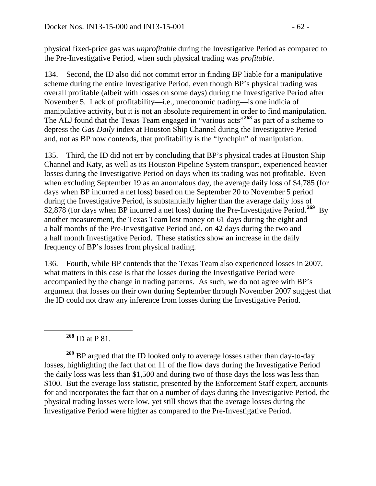physical fixed-price gas was *unprofitable* during the Investigative Period as compared to the Pre-Investigative Period, when such physical trading was *profitable*.

134. Second, the ID also did not commit error in finding BP liable for a manipulative scheme during the entire Investigative Period, even though BP's physical trading was overall profitable (albeit with losses on some days) during the Investigative Period after November 5. Lack of profitability—i.e., uneconomic trading—is one indicia of manipulative activity, but it is not an absolute requirement in order to find manipulation. The ALJ found that the Texas Team engaged in "various acts"**[268](#page-61-0)** as part of a scheme to depress the *Gas Daily* index at Houston Ship Channel during the Investigative Period and, not as BP now contends, that profitability is the "lynchpin" of manipulation.

135. Third, the ID did not err by concluding that BP's physical trades at Houston Ship Channel and Katy, as well as its Houston Pipeline System transport, experienced heavier losses during the Investigative Period on days when its trading was not profitable. Even when excluding September 19 as an anomalous day, the average daily loss of \$4,785 (for days when BP incurred a net loss) based on the September 20 to November 5 period during the Investigative Period, is substantially higher than the average daily loss of \$2,878 (for days when BP incurred a net loss) during the Pre-Investigative Period.**[269](#page-61-1)** By another measurement, the Texas Team lost money on 61 days during the eight and a half months of the Pre-Investigative Period and, on 42 days during the two and a half month Investigative Period. These statistics show an increase in the daily frequency of BP's losses from physical trading.

136. Fourth, while BP contends that the Texas Team also experienced losses in 2007, what matters in this case is that the losses during the Investigative Period were accompanied by the change in trading patterns. As such, we do not agree with BP's argument that losses on their own during September through November 2007 suggest that the ID could not draw any inference from losses during the Investigative Period.

**<sup>268</sup>** ID at P 81.

<span id="page-61-1"></span><span id="page-61-0"></span>**<sup>269</sup>** BP argued that the ID looked only to average losses rather than day-to-day losses, highlighting the fact that on 11 of the flow days during the Investigative Period the daily loss was less than \$1,500 and during two of those days the loss was less than \$100. But the average loss statistic, presented by the Enforcement Staff expert, accounts for and incorporates the fact that on a number of days during the Investigative Period, the physical trading losses were low, yet still shows that the average losses during the Investigative Period were higher as compared to the Pre-Investigative Period.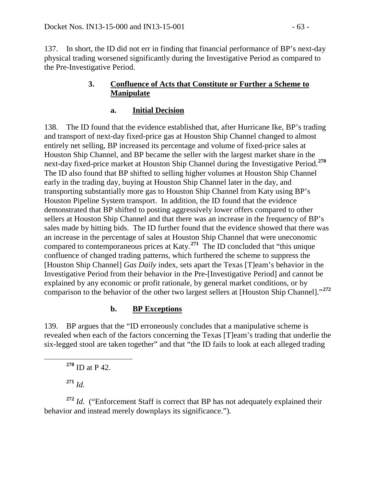137. In short, the ID did not err in finding that financial performance of BP's next-day physical trading worsened significantly during the Investigative Period as compared to the Pre-Investigative Period.

### **3. Confluence of Acts that Constitute or Further a Scheme to Manipulate**

# **a. Initial Decision**

138. The ID found that the evidence established that, after Hurricane Ike, BP's trading and transport of next-day fixed-price gas at Houston Ship Channel changed to almost entirely net selling, BP increased its percentage and volume of fixed-price sales at Houston Ship Channel, and BP became the seller with the largest market share in the next-day fixed-price market at Houston Ship Channel during the Investigative Period.**[270](#page-62-0)** The ID also found that BP shifted to selling higher volumes at Houston Ship Channel early in the trading day, buying at Houston Ship Channel later in the day, and transporting substantially more gas to Houston Ship Channel from Katy using BP's Houston Pipeline System transport. In addition, the ID found that the evidence demonstrated that BP shifted to posting aggressively lower offers compared to other sellers at Houston Ship Channel and that there was an increase in the frequency of BP's sales made by hitting bids. The ID further found that the evidence showed that there was an increase in the percentage of sales at Houston Ship Channel that were uneconomic compared to contemporaneous prices at Katy.**[271](#page-62-1)** The ID concluded that "this unique confluence of changed trading patterns, which furthered the scheme to suppress the [Houston Ship Channel] *Gas Daily* index, sets apart the Texas [T]eam's behavior in the Investigative Period from their behavior in the Pre-[Investigative Period] and cannot be explained by any economic or profit rationale, by general market conditions, or by comparison to the behavior of the other two largest sellers at [Houston Ship Channel]."**[272](#page-62-2)**

# **b. BP Exceptions**

139. BP argues that the "ID erroneously concludes that a manipulative scheme is revealed when each of the factors concerning the Texas [T]eam's trading that underlie the six-legged stool are taken together" and that "the ID fails to look at each alleged trading

**<sup>271</sup>** *Id.*

<span id="page-62-2"></span><span id="page-62-1"></span><span id="page-62-0"></span>**<sup>272</sup>** *Id.* ("Enforcement Staff is correct that BP has not adequately explained their behavior and instead merely downplays its significance.").

**<sup>270</sup>** ID at P 42.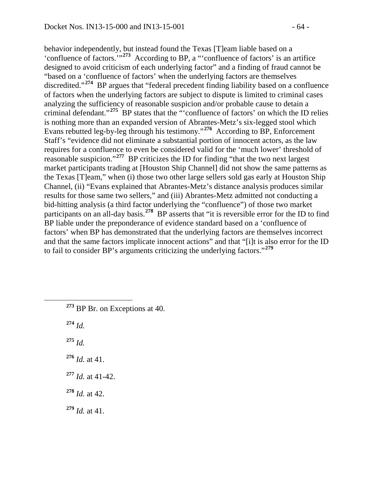behavior independently, but instead found the Texas [T]eam liable based on a 'confluence of factors.'"**[273](#page-63-0)** According to BP, a "'confluence of factors' is an artifice designed to avoid criticism of each underlying factor" and a finding of fraud cannot be "based on a 'confluence of factors' when the underlying factors are themselves discredited."**[274](#page-63-1)** BP argues that "federal precedent finding liability based on a confluence of factors when the underlying factors are subject to dispute is limited to criminal cases analyzing the sufficiency of reasonable suspicion and/or probable cause to detain a criminal defendant."**[275](#page-63-2)** BP states that the "'confluence of factors' on which the ID relies is nothing more than an expanded version of Abrantes-Metz's six-legged stool which Evans rebutted leg-by-leg through his testimony."**[276](#page-63-3)** According to BP, Enforcement Staff's "evidence did not eliminate a substantial portion of innocent actors, as the law requires for a confluence to even be considered valid for the 'much lower' threshold of reasonable suspicion."**[277](#page-63-4)** BP criticizes the ID for finding "that the two next largest market participants trading at [Houston Ship Channel] did not show the same patterns as the Texas [T]eam," when (i) those two other large sellers sold gas early at Houston Ship Channel, (ii) "Evans explained that Abrantes-Metz's distance analysis produces similar results for those same two sellers," and (iii) Abrantes-Metz admitted not conducting a bid-hitting analysis (a third factor underlying the "confluence") of those two market participants on an all-day basis.**[278](#page-63-5)** BP asserts that "it is reversible error for the ID to find BP liable under the preponderance of evidence standard based on a 'confluence of factors' when BP has demonstrated that the underlying factors are themselves incorrect and that the same factors implicate innocent actions" and that "[i]t is also error for the ID to fail to consider BP's arguments criticizing the underlying factors."**[279](#page-63-6)**

<span id="page-63-0"></span>**<sup>273</sup>** BP Br. on Exceptions at 40.

<span id="page-63-1"></span>**<sup>274</sup>** *Id.*

<span id="page-63-2"></span>**<sup>275</sup>** *Id.*

<span id="page-63-3"></span>**<sup>276</sup>** *Id.* at 41.

- <span id="page-63-4"></span>**<sup>277</sup>** *Id.* at 41-42.
- <span id="page-63-5"></span>**<sup>278</sup>** *Id.* at 42.

<span id="page-63-6"></span>**<sup>279</sup>** *Id.* at 41.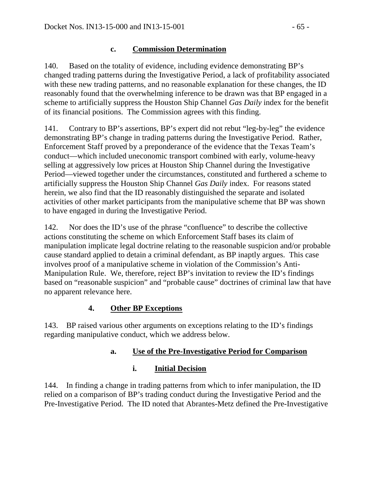## **c. Commission Determination**

140. Based on the totality of evidence, including evidence demonstrating BP's changed trading patterns during the Investigative Period, a lack of profitability associated with these new trading patterns, and no reasonable explanation for these changes, the ID reasonably found that the overwhelming inference to be drawn was that BP engaged in a scheme to artificially suppress the Houston Ship Channel *Gas Daily* index for the benefit of its financial positions. The Commission agrees with this finding.

141. Contrary to BP's assertions, BP's expert did not rebut "leg-by-leg" the evidence demonstrating BP's change in trading patterns during the Investigative Period. Rather, Enforcement Staff proved by a preponderance of the evidence that the Texas Team's conduct—which included uneconomic transport combined with early, volume-heavy selling at aggressively low prices at Houston Ship Channel during the Investigative Period—viewed together under the circumstances, constituted and furthered a scheme to artificially suppress the Houston Ship Channel *Gas Daily* index. For reasons stated herein, we also find that the ID reasonably distinguished the separate and isolated activities of other market participants from the manipulative scheme that BP was shown to have engaged in during the Investigative Period.

142. Nor does the ID's use of the phrase "confluence" to describe the collective actions constituting the scheme on which Enforcement Staff bases its claim of manipulation implicate legal doctrine relating to the reasonable suspicion and/or probable cause standard applied to detain a criminal defendant, as BP inaptly argues. This case involves proof of a manipulative scheme in violation of the Commission's Anti-Manipulation Rule. We, therefore, reject BP's invitation to review the ID's findings based on "reasonable suspicion" and "probable cause" doctrines of criminal law that have no apparent relevance here.

# **4. Other BP Exceptions**

143. BP raised various other arguments on exceptions relating to the ID's findings regarding manipulative conduct, which we address below.

# **a. Use of the Pre-Investigative Period for Comparison**

# **i. Initial Decision**

144. In finding a change in trading patterns from which to infer manipulation, the ID relied on a comparison of BP's trading conduct during the Investigative Period and the Pre-Investigative Period. The ID noted that Abrantes-Metz defined the Pre-Investigative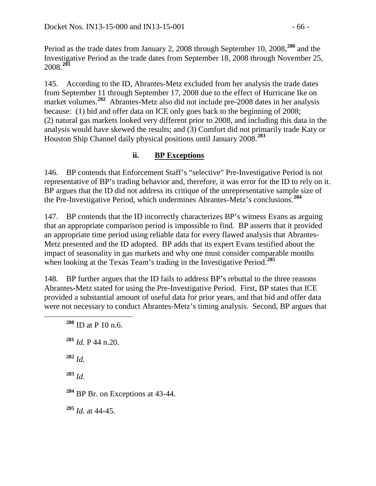Period as the trade dates from January 2, 2008 through September 10, 2008,**[280](#page-65-0)** and the Investigative Period as the trade dates from September 18, 2008 through November 25, 2008.**[281](#page-65-1)**

145. According to the ID, Abrantes-Metz excluded from her analysis the trade dates from September 11 through September 17, 2008 due to the effect of Hurricane Ike on market volumes.<sup>[282](#page-65-2)</sup> Abrantes-Metz also did not include pre-2008 dates in her analysis because: (1) bid and offer data on ICE only goes back to the beginning of 2008; (2) natural gas markets looked very different prior to 2008, and including this data in the analysis would have skewed the results; and (3) Comfort did not primarily trade Katy or Houston Ship Channel daily physical positions until January 2008.**[283](#page-65-3)**

# **ii. BP Exceptions**

146. BP contends that Enforcement Staff's "selective" Pre-Investigative Period is not representative of BP's trading behavior and, therefore, it was error for the ID to rely on it. BP argues that the ID did not address its critique of the unrepresentative sample size of the Pre-Investigative Period, which undermines Abrantes-Metz's conclusions.**[284](#page-65-4)**

147. BP contends that the ID incorrectly characterizes BP's witness Evans as arguing that an appropriate comparison period is impossible to find. BP asserts that it provided an appropriate time period using reliable data for every flawed analysis that Abrantes-Metz presented and the ID adopted. BP adds that its expert Evans testified about the impact of seasonality in gas markets and why one must consider comparable months when looking at the Texas Team's trading in the Investigative Period.**[285](#page-65-5)**

<span id="page-65-0"></span>148. BP further argues that the ID fails to address BP's rebuttal to the three reasons Abrantes-Metz stated for using the Pre-Investigative Period. First, BP states that ICE provided a substantial amount of useful data for prior years, and that bid and offer data were not necessary to conduct Abrantes-Metz's timing analysis. Second, BP argues that

<span id="page-65-5"></span><span id="page-65-4"></span><span id="page-65-3"></span><span id="page-65-2"></span><span id="page-65-1"></span> **<sup>280</sup>** ID at P 10 n.6. **<sup>281</sup>** *Id.* P 44 n.20. **<sup>282</sup>** *Id.* **<sup>283</sup>** *Id.* **<sup>284</sup>** BP Br. on Exceptions at 43-44. **<sup>285</sup>** *Id.* at 44-45.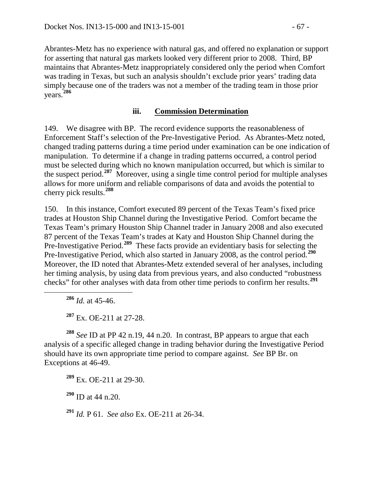Abrantes-Metz has no experience with natural gas, and offered no explanation or support for asserting that natural gas markets looked very different prior to 2008. Third, BP maintains that Abrantes-Metz inappropriately considered only the period when Comfort was trading in Texas, but such an analysis shouldn't exclude prior years' trading data simply because one of the traders was not a member of the trading team in those prior years.**[286](#page-66-0)**

### **iii. Commission Determination**

149. We disagree with BP. The record evidence supports the reasonableness of Enforcement Staff's selection of the Pre-Investigative Period. As Abrantes-Metz noted, changed trading patterns during a time period under examination can be one indication of manipulation. To determine if a change in trading patterns occurred, a control period must be selected during which no known manipulation occurred, but which is similar to the suspect period.**[287](#page-66-1)** Moreover, using a single time control period for multiple analyses allows for more uniform and reliable comparisons of data and avoids the potential to cherry pick results.**[288](#page-66-2)**

150. In this instance, Comfort executed 89 percent of the Texas Team's fixed price trades at Houston Ship Channel during the Investigative Period. Comfort became the Texas Team's primary Houston Ship Channel trader in January 2008 and also executed 87 percent of the Texas Team's trades at Katy and Houston Ship Channel during the Pre-Investigative Period.**[289](#page-66-3)** These facts provide an evidentiary basis for selecting the Pre-Investigative Period, which also started in January 2008, as the control period.**[290](#page-66-4)** Moreover, the ID noted that Abrantes-Metz extended several of her analyses, including her timing analysis, by using data from previous years, and also conducted "robustness checks" for other analyses with data from other time periods to confirm her results.**[291](#page-66-5)**

**<sup>286</sup>** *Id.* at 45-46.

**<sup>287</sup>** Ex. OE-211 at 27-28.

<span id="page-66-3"></span><span id="page-66-2"></span><span id="page-66-1"></span><span id="page-66-0"></span>**<sup>288</sup>** *See* ID at PP 42 n.19, 44 n.20. In contrast, BP appears to argue that each analysis of a specific alleged change in trading behavior during the Investigative Period should have its own appropriate time period to compare against. *See* BP Br. on Exceptions at 46-49.

**<sup>289</sup>** Ex. OE-211 at 29-30.

<span id="page-66-4"></span>**<sup>290</sup>** ID at 44 n.20.

<span id="page-66-5"></span>**<sup>291</sup>** *Id.* P 61. *See also* Ex. OE-211 at 26-34.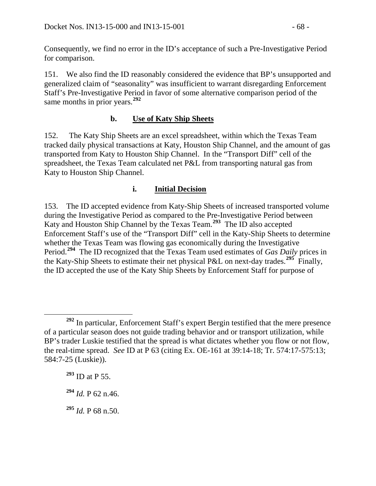Consequently, we find no error in the ID's acceptance of such a Pre-Investigative Period for comparison.

151. We also find the ID reasonably considered the evidence that BP's unsupported and generalized claim of "seasonality" was insufficient to warrant disregarding Enforcement Staff's Pre-Investigative Period in favor of some alternative comparison period of the same months in prior years.**[292](#page-67-0)**

# **b. Use of Katy Ship Sheets**

152. The Katy Ship Sheets are an excel spreadsheet, within which the Texas Team tracked daily physical transactions at Katy, Houston Ship Channel, and the amount of gas transported from Katy to Houston Ship Channel. In the "Transport Diff" cell of the spreadsheet, the Texas Team calculated net P&L from transporting natural gas from Katy to Houston Ship Channel.

### **i. Initial Decision**

153. The ID accepted evidence from Katy-Ship Sheets of increased transported volume during the Investigative Period as compared to the Pre-Investigative Period between Katy and Houston Ship Channel by the Texas Team.**[293](#page-67-1)** The ID also accepted Enforcement Staff's use of the "Transport Diff" cell in the Katy-Ship Sheets to determine whether the Texas Team was flowing gas economically during the Investigative Period.**[294](#page-67-2)** The ID recognized that the Texas Team used estimates of *Gas Daily* prices in the Katy-Ship Sheets to estimate their net physical P&L on next-day trades.<sup>[295](#page-67-3)</sup> Finally, the ID accepted the use of the Katy Ship Sheets by Enforcement Staff for purpose of

<span id="page-67-0"></span>**<sup>292</sup>** In particular, Enforcement Staff's expert Bergin testified that the mere presence of a particular season does not guide trading behavior and or transport utilization, while BP's trader Luskie testified that the spread is what dictates whether you flow or not flow, the real-time spread. *See* ID at P 63 (citing Ex. OE-161 at 39:14-18; Tr. 574:17-575:13; 584:7-25 (Luskie)).

<span id="page-67-1"></span>**<sup>293</sup>** ID at P 55.

<span id="page-67-2"></span>**<sup>294</sup>** *Id.* P 62 n.46.

<span id="page-67-3"></span>**<sup>295</sup>** *Id.* P 68 n.50.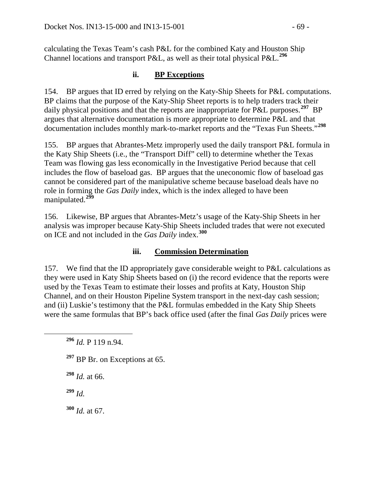calculating the Texas Team's cash P&L for the combined Katy and Houston Ship Channel locations and transport P&L, as well as their total physical P&L.**[296](#page-68-0)**

### **ii. BP Exceptions**

154. BP argues that ID erred by relying on the Katy-Ship Sheets for P&L computations. BP claims that the purpose of the Katy-Ship Sheet reports is to help traders track their daily physical positions and that the reports are inappropriate for P&L purposes.<sup>[297](#page-68-1)</sup> BP argues that alternative documentation is more appropriate to determine P&L and that documentation includes monthly mark-to-market reports and the "Texas Fun Sheets."**[298](#page-68-2)**

155. BP argues that Abrantes-Metz improperly used the daily transport P&L formula in the Katy Ship Sheets (i.e.*,* the "Transport Diff" cell) to determine whether the Texas Team was flowing gas less economically in the Investigative Period because that cell includes the flow of baseload gas. BP argues that the uneconomic flow of baseload gas cannot be considered part of the manipulative scheme because baseload deals have no role in forming the *Gas Daily* index, which is the index alleged to have been manipulated.**[299](#page-68-3)**

156. Likewise, BP argues that Abrantes-Metz's usage of the Katy-Ship Sheets in her analysis was improper because Katy-Ship Sheets included trades that were not executed on ICE and not included in the *Gas Daily* index.**[300](#page-68-4)**

### **iii. Commission Determination**

157. We find that the ID appropriately gave considerable weight to P&L calculations as they were used in Katy Ship Sheets based on (i) the record evidence that the reports were used by the Texas Team to estimate their losses and profits at Katy, Houston Ship Channel, and on their Houston Pipeline System transport in the next-day cash session; and (ii) Luskie's testimony that the P&L formulas embedded in the Katy Ship Sheets were the same formulas that BP's back office used (after the final *Gas Daily* prices were

<span id="page-68-1"></span><sup>297</sup> BP Br. on Exceptions at 65.

<span id="page-68-2"></span>**<sup>298</sup>** *Id.* at 66.

<span id="page-68-3"></span>**<sup>299</sup>** *Id.*

<span id="page-68-4"></span>**<sup>300</sup>** *Id.* at 67.

<span id="page-68-0"></span>**<sup>296</sup>** *Id.* P 119 n.94.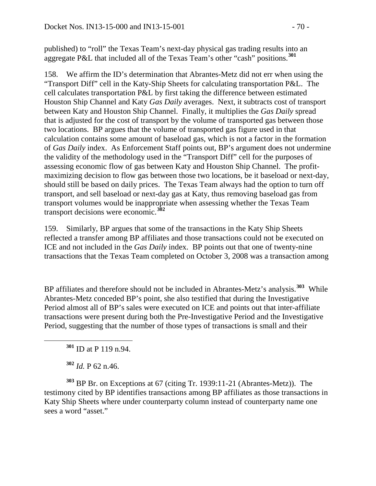published) to "roll" the Texas Team's next-day physical gas trading results into an aggregate P&L that included all of the Texas Team's other "cash" positions.**[301](#page-69-0)**

158. We affirm the ID's determination that Abrantes-Metz did not err when using the "Transport Diff" cell in the Katy-Ship Sheets for calculating transportation P&L. The cell calculates transportation P&L by first taking the difference between estimated Houston Ship Channel and Katy *Gas Daily* averages. Next, it subtracts cost of transport between Katy and Houston Ship Channel. Finally, it multiplies the *Gas Daily* spread that is adjusted for the cost of transport by the volume of transported gas between those two locations. BP argues that the volume of transported gas figure used in that calculation contains some amount of baseload gas, which is not a factor in the formation of *Gas Daily* index. As Enforcement Staff points out, BP's argument does not undermine the validity of the methodology used in the "Transport Diff" cell for the purposes of assessing economic flow of gas between Katy and Houston Ship Channel. The profitmaximizing decision to flow gas between those two locations, be it baseload or next-day, should still be based on daily prices. The Texas Team always had the option to turn off transport, and sell baseload or next-day gas at Katy, thus removing baseload gas from transport volumes would be inappropriate when assessing whether the Texas Team transport decisions were economic.**[302](#page-69-1)**

159. Similarly, BP argues that some of the transactions in the Katy Ship Sheets reflected a transfer among BP affiliates and those transactions could not be executed on ICE and not included in the *Gas Daily* index. BP points out that one of twenty-nine transactions that the Texas Team completed on October 3, 2008 was a transaction among

BP affiliates and therefore should not be included in Abrantes-Metz's analysis.**[303](#page-69-2)** While Abrantes-Metz conceded BP's point, she also testified that during the Investigative Period almost all of BP's sales were executed on ICE and points out that inter-affiliate transactions were present during both the Pre-Investigative Period and the Investigative Period, suggesting that the number of those types of transactions is small and their

**<sup>301</sup>** ID at P 119 n.94.

**<sup>302</sup>** *Id.* P 62 n.46.

<span id="page-69-2"></span><span id="page-69-1"></span><span id="page-69-0"></span>**<sup>303</sup>** BP Br. on Exceptions at 67 (citing Tr. 1939:11-21 (Abrantes-Metz)). The testimony cited by BP identifies transactions among BP affiliates as those transactions in Katy Ship Sheets where under counterparty column instead of counterparty name one sees a word "asset."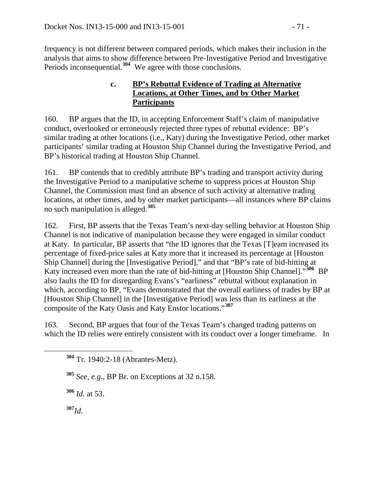frequency is not different between compared periods, which makes their inclusion in the analysis that aims to show difference between Pre-Investigative Period and Investigative Periods inconsequential.**[304](#page-70-0)** We agree with those conclusions.

### **c. BP's Rebuttal Evidence of Trading at Alternative Locations, at Other Times, and by Other Market Participants**

160. BP argues that the ID, in accepting Enforcement Staff's claim of manipulative conduct, overlooked or erroneously rejected three types of rebuttal evidence: BP's similar trading at other locations (i.e., Katy) during the Investigative Period, other market participants' similar trading at Houston Ship Channel during the Investigative Period, and BP's historical trading at Houston Ship Channel.

161. BP contends that to credibly attribute BP's trading and transport activity during the Investigative Period to a manipulative scheme to suppress prices at Houston Ship Channel, the Commission must find an absence of such activity at alternative trading locations, at other times, and by other market participants—all instances where BP claims no such manipulation is alleged.**[305](#page-70-1)**

162. First, BP asserts that the Texas Team's next-day selling behavior at Houston Ship Channel is not indicative of manipulation because they were engaged in similar conduct at Katy. In particular, BP asserts that "the ID ignores that the Texas [T]eam increased its percentage of fixed-price sales at Katy more that it increased its percentage at [Houston Ship Channel] during the [Investigative Period]," and that "BP's rate of bid-hitting at Katy increased even more than the rate of bid-hitting at [Houston Ship Channel]."**[306](#page-70-2)** BP also faults the ID for disregarding Evans's "earliness" rebuttal without explanation in which, according to BP, "Evans demonstrated that the overall earliness of trades by BP at [Houston Ship Channel] in the [Investigative Period] was less than its earliness at the composite of the Katy Oasis and Katy Enstor locations."**[307](#page-70-3)**

<span id="page-70-0"></span>163. Second, BP argues that four of the Texas Team's changed trading patterns on which the ID relies were entirely consistent with its conduct over a longer timeframe. In

<span id="page-70-1"></span>**<sup>305</sup>** *See, e.g.*, BP Br. on Exceptions at 32 n.158.

<span id="page-70-2"></span>**<sup>306</sup>** *Id.* at 53.

<span id="page-70-3"></span>**<sup>307</sup>***Id.*

**<sup>304</sup>** Tr. 1940:2-18 (Abrantes-Metz).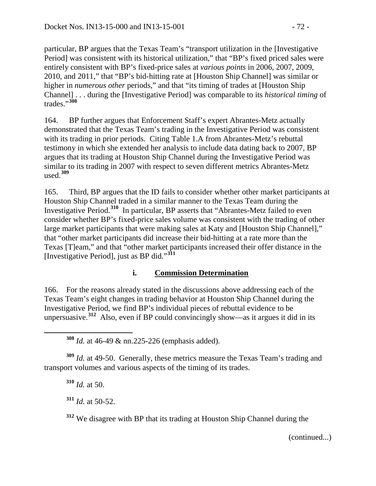particular, BP argues that the Texas Team's "transport utilization in the [Investigative Period] was consistent with its historical utilization," that "BP's fixed priced sales were entirely consistent with BP's fixed-price sales at *various points* in 2006, 2007, 2009, 2010, and 2011," that "BP's bid-hitting rate at [Houston Ship Channel] was similar or higher in *numerous other* periods," and that "its timing of trades at [Houston Ship Channel] . . . during the [Investigative Period] was comparable to its *historical timing* of trades."**[308](#page-71-0)**

164. BP further argues that Enforcement Staff's expert Abrantes-Metz actually demonstrated that the Texas Team's trading in the Investigative Period was consistent with its trading in prior periods. Citing Table 1.A from Abrantes-Metz's rebuttal testimony in which she extended her analysis to include data dating back to 2007, BP argues that its trading at Houston Ship Channel during the Investigative Period was similar to its trading in 2007 with respect to seven different metrics Abrantes-Metz used.**[309](#page-71-1)**

165. Third, BP argues that the ID fails to consider whether other market participants at Houston Ship Channel traded in a similar manner to the Texas Team during the Investigative Period.**[310](#page-71-2)** In particular, BP asserts that "Abrantes-Metz failed to even consider whether BP's fixed-price sales volume was consistent with the trading of other large market participants that were making sales at Katy and [Houston Ship Channel]," that "other market participants did increase their bid-hitting at a rate more than the Texas [T]eam," and that "other market participants increased their offer distance in the [Investigative Period], just as BP did."**[311](#page-71-3)**

### **i. Commission Determination**

166. For the reasons already stated in the discussions above addressing each of the Texas Team's eight changes in trading behavior at Houston Ship Channel during the Investigative Period, we find BP's individual pieces of rebuttal evidence to be unpersuasive.**[312](#page-71-4)** Also, even if BP could convincingly show—as it argues it did in its

**<sup>308</sup>** *Id.* at 46-49 & nn.225-226 (emphasis added).

<span id="page-71-3"></span><span id="page-71-2"></span><span id="page-71-1"></span><span id="page-71-0"></span>**<sup>309</sup>** *Id.* at 49-50. Generally, these metrics measure the Texas Team's trading and transport volumes and various aspects of the timing of its trades.

**<sup>310</sup>** *Id.* at 50.

**<sup>311</sup>** *Id.* at 50-52.

<span id="page-71-4"></span>**<sup>312</sup>** We disagree with BP that its trading at Houston Ship Channel during the

(continued...)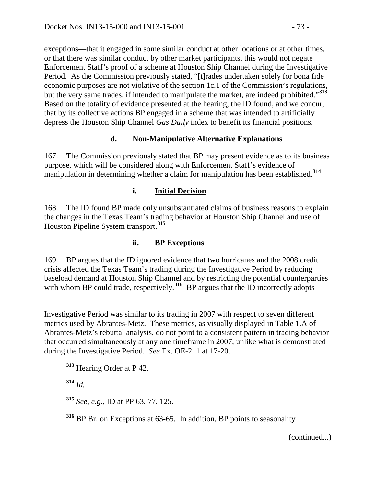exceptions—that it engaged in some similar conduct at other locations or at other times, or that there was similar conduct by other market participants, this would not negate Enforcement Staff's proof of a scheme at Houston Ship Channel during the Investigative Period. As the Commission previously stated, "[t]rades undertaken solely for bona fide economic purposes are not violative of the section 1c.1 of the Commission's regulations, but the very same trades, if intended to manipulate the market, are indeed prohibited."**[313](#page-72-0)** Based on the totality of evidence presented at the hearing, the ID found, and we concur, that by its collective actions BP engaged in a scheme that was intended to artificially depress the Houston Ship Channel *Gas Daily* index to benefit its financial positions.

### **d. Non-Manipulative Alternative Explanations**

167. The Commission previously stated that BP may present evidence as to its business purpose, which will be considered along with Enforcement Staff's evidence of manipulation in determining whether a claim for manipulation has been established.**[314](#page-72-1)**

### **i. Initial Decision**

168. The ID found BP made only unsubstantiated claims of business reasons to explain the changes in the Texas Team's trading behavior at Houston Ship Channel and use of Houston Pipeline System transport.**[315](#page-72-2)**

### **ii. BP Exceptions**

169. BP argues that the ID ignored evidence that two hurricanes and the 2008 credit crisis affected the Texas Team's trading during the Investigative Period by reducing baseload demand at Houston Ship Channel and by restricting the potential counterparties with whom BP could trade, respectively.<sup>[316](#page-72-3)</sup> BP argues that the ID incorrectly adopts

 $\overline{a}$ Investigative Period was similar to its trading in 2007 with respect to seven different metrics used by Abrantes-Metz. These metrics, as visually displayed in Table 1.A of Abrantes-Metz's rebuttal analysis, do not point to a consistent pattern in trading behavior that occurred simultaneously at any one timeframe in 2007, unlike what is demonstrated during the Investigative Period. *See* Ex. OE-211 at 17-20.

<span id="page-72-0"></span>**<sup>313</sup>** Hearing Order at P 42.

<span id="page-72-1"></span>**<sup>314</sup>** *Id.*

<span id="page-72-2"></span>**<sup>315</sup>** *See, e.g*., ID at PP 63, 77, 125.

<span id="page-72-3"></span>**<sup>316</sup>** BP Br. on Exceptions at 63-65. In addition, BP points to seasonality

(continued...)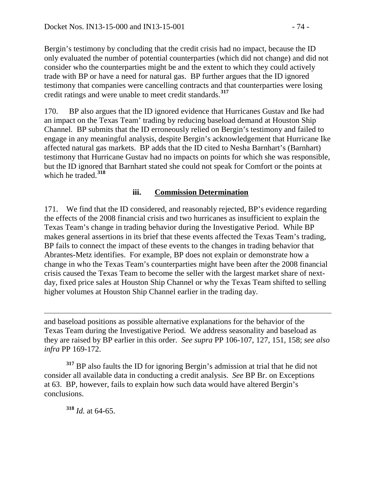Bergin's testimony by concluding that the credit crisis had no impact, because the ID only evaluated the number of potential counterparties (which did not change) and did not consider who the counterparties might be and the extent to which they could actively trade with BP or have a need for natural gas. BP further argues that the ID ignored testimony that companies were cancelling contracts and that counterparties were losing credit ratings and were unable to meet credit standards.**[317](#page-73-0)**

170. BP also argues that the ID ignored evidence that Hurricanes Gustav and Ike had an impact on the Texas Team' trading by reducing baseload demand at Houston Ship Channel. BP submits that the ID erroneously relied on Bergin's testimony and failed to engage in any meaningful analysis, despite Bergin's acknowledgement that Hurricane Ike affected natural gas markets. BP adds that the ID cited to Nesha Barnhart's (Barnhart) testimony that Hurricane Gustav had no impacts on points for which she was responsible, but the ID ignored that Barnhart stated she could not speak for Comfort or the points at which he traded.**[318](#page-73-1)**

### **iii. Commission Determination**

171. We find that the ID considered, and reasonably rejected, BP's evidence regarding the effects of the 2008 financial crisis and two hurricanes as insufficient to explain the Texas Team's change in trading behavior during the Investigative Period. While BP makes general assertions in its brief that these events affected the Texas Team's trading, BP fails to connect the impact of these events to the changes in trading behavior that Abrantes-Metz identifies. For example, BP does not explain or demonstrate how a change in who the Texas Team's counterparties might have been after the 2008 financial crisis caused the Texas Team to become the seller with the largest market share of nextday, fixed price sales at Houston Ship Channel or why the Texas Team shifted to selling higher volumes at Houston Ship Channel earlier in the trading day.

 $\overline{a}$ and baseload positions as possible alternative explanations for the behavior of the Texas Team during the Investigative Period. We address seasonality and baseload as they are raised by BP earlier in this order. *See supra* PP 106-107, 127, 151, 158; *see also infra* PP 169-172.

<span id="page-73-1"></span><span id="page-73-0"></span>**<sup>317</sup>** BP also faults the ID for ignoring Bergin's admission at trial that he did not consider all available data in conducting a credit analysis. *See* BP Br. on Exceptions at 63. BP, however, fails to explain how such data would have altered Bergin's conclusions.

**<sup>318</sup>** *Id.* at 64-65.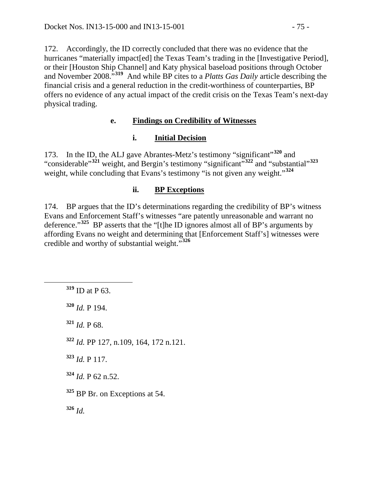172. Accordingly, the ID correctly concluded that there was no evidence that the hurricanes "materially impact[ed] the Texas Team's trading in the [Investigative Period], or their [Houston Ship Channel] and Katy physical baseload positions through October and November 2008."**[319](#page-74-0)** And while BP cites to a *Platts Gas Daily* article describing the financial crisis and a general reduction in the credit-worthiness of counterparties, BP offers no evidence of any actual impact of the credit crisis on the Texas Team's next-day physical trading.

# **e. Findings on Credibility of Witnesses**

# **i. Initial Decision**

173. In the ID, the ALJ gave Abrantes-Metz's testimony "significant"**[320](#page-74-1)** and "considerable"<sup>[321](#page-74-2)</sup> weight, and Bergin's testimony "significant"<sup>[322](#page-74-3)</sup> and "substantial"<sup>[323](#page-74-4)</sup> weight, while concluding that Evans's testimony "is not given any weight."<sup>[324](#page-74-5)</sup>

# **ii. BP Exceptions**

174. BP argues that the ID's determinations regarding the credibility of BP's witness Evans and Enforcement Staff's witnesses "are patently unreasonable and warrant no deference."**[325](#page-74-6)** BP asserts that the "[t]he ID ignores almost all of BP's arguments by affording Evans no weight and determining that [Enforcement Staff's] witnesses were credible and worthy of substantial weight."**[326](#page-74-7)**

<span id="page-74-0"></span>**<sup>319</sup>** ID at P 63.

<span id="page-74-1"></span>**<sup>320</sup>** *Id.* P 194.

<span id="page-74-2"></span>**<sup>321</sup>** *Id.* P 68.

<span id="page-74-3"></span>**<sup>322</sup>** *Id.* PP 127, n.109, 164, 172 n.121.

<span id="page-74-4"></span>**<sup>323</sup>** *Id.* P 117.

<span id="page-74-5"></span> $324$  *Id.* P 62 n.52.

<span id="page-74-6"></span>**<sup>325</sup>** BP Br. on Exceptions at 54.

<span id="page-74-7"></span>**<sup>326</sup>** *Id.*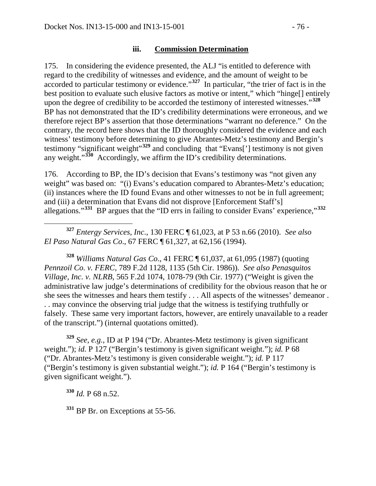175. In considering the evidence presented, the ALJ "is entitled to deference with regard to the credibility of witnesses and evidence, and the amount of weight to be accorded to particular testimony or evidence."**[327](#page-75-0)** In particular, "the trier of fact is in the best position to evaluate such elusive factors as motive or intent," which "hinge[] entirely upon the degree of credibility to be accorded the testimony of interested witnesses."**[328](#page-75-1)** BP has not demonstrated that the ID's credibility determinations were erroneous, and we therefore reject BP's assertion that those determinations "warrant no deference." On the contrary, the record here shows that the ID thoroughly considered the evidence and each witness' testimony before determining to give Abrantes-Metz's testimony and Bergin's testimony "significant weight<sup>"[329](#page-75-2)</sup> and concluding that "Evans['] testimony is not given any weight."**[330](#page-75-3)** Accordingly, we affirm the ID's credibility determinations.

176. According to BP, the ID's decision that Evans's testimony was "not given any weight" was based on: "(i) Evans's education compared to Abrantes-Metz's education; (ii) instances where the ID found Evans and other witnesses to not be in full agreement; and (iii) a determination that Evans did not disprove [Enforcement Staff's] allegations."**[331](#page-75-4)** BP argues that the "ID errs in failing to consider Evans' experience,"**[332](#page-75-5)**

<span id="page-75-0"></span> **<sup>327</sup>** *Entergy Services, Inc*., 130 FERC ¶ 61,023, at P 53 n.66 (2010). *See also El Paso Natural Gas Co*., 67 FERC ¶ 61,327, at 62,156 (1994).

<span id="page-75-1"></span>**<sup>328</sup>** *Williams Natural Gas Co*., 41 FERC ¶ 61,037, at 61,095 (1987) (quoting *Pennzoil Co. v. FERC*, 789 F.2d 1128, 1135 (5th Cir. 1986)). *See also Penasquitos Village, Inc. v. NLRB*, 565 F.2d 1074, 1078-79 (9th Cir. 1977) ("Weight is given the administrative law judge's determinations of credibility for the obvious reason that he or she sees the witnesses and hears them testify . . . All aspects of the witnesses' demeanor . . . may convince the observing trial judge that the witness is testifying truthfully or falsely. These same very important factors, however, are entirely unavailable to a reader of the transcript.") (internal quotations omitted).

<span id="page-75-5"></span><span id="page-75-2"></span>**<sup>329</sup>** *See, e.g.*, ID at P 194 ("Dr. Abrantes-Metz testimony is given significant weight."); *id.* P 127 ("Bergin's testimony is given significant weight."); *id.* P 68 ("Dr. Abrantes-Metz's testimony is given considerable weight."); *id.* P 117 ("Bergin's testimony is given substantial weight."); *id.* P 164 ("Bergin's testimony is given significant weight.").

<span id="page-75-3"></span>**<sup>330</sup>** *Id.* P 68 n.52.

<span id="page-75-4"></span><sup>331</sup> BP Br. on Exceptions at 55-56.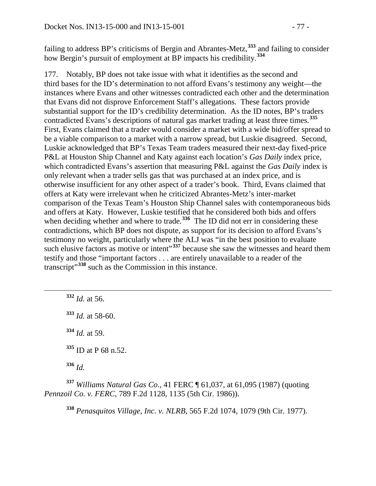failing to address BP's criticisms of Bergin and Abrantes-Metz,**[333](#page-76-0)** and failing to consider how Bergin's pursuit of employment at BP impacts his credibility.**[334](#page-76-1)**

177. Notably, BP does not take issue with what it identifies as the second and third bases for the ID's determination to not afford Evans's testimony any weight—the instances where Evans and other witnesses contradicted each other and the determination that Evans did not disprove Enforcement Staff's allegations. These factors provide substantial support for the ID's credibility determination. As the ID notes, BP's traders contradicted Evans's descriptions of natural gas market trading at least three times.**[335](#page-76-2)** First, Evans claimed that a trader would consider a market with a wide bid/offer spread to be a viable comparison to a market with a narrow spread, but Luskie disagreed. Second, Luskie acknowledged that BP's Texas Team traders measured their next-day fixed-price P&L at Houston Ship Channel and Katy against each location's *Gas Daily* index price, which contradicted Evans's assertion that measuring P&L against the *Gas Daily* index is only relevant when a trader sells gas that was purchased at an index price, and is otherwise insufficient for any other aspect of a trader's book. Third, Evans claimed that offers at Katy were irrelevant when he criticized Abrantes-Metz's inter-market comparison of the Texas Team's Houston Ship Channel sales with contemporaneous bids and offers at Katy. However, Luskie testified that he considered both bids and offers when deciding whether and where to trade.<sup>[336](#page-76-3)</sup> The ID did not err in considering these contradictions, which BP does not dispute, as support for its decision to afford Evans's testimony no weight, particularly where the ALJ was "in the best position to evaluate such elusive factors as motive or intent<sup>[337](#page-76-4)</sup> because she saw the witnesses and heard them testify and those "important factors . . . are entirely unavailable to a reader of the transcript"**[338](#page-76-5)** such as the Commission in this instance.

<span id="page-76-0"></span> **<sup>332</sup>** *Id.* at 56. **<sup>333</sup>** *Id.* at 58-60. **<sup>334</sup>** *Id.* at 59. **<sup>335</sup>** ID at P 68 n.52. **<sup>336</sup>** *Id.*

<span id="page-76-5"></span><span id="page-76-4"></span><span id="page-76-3"></span><span id="page-76-2"></span><span id="page-76-1"></span>**<sup>337</sup>** *Williams Natural Gas Co*., 41 FERC ¶ 61,037, at 61,095 (1987) (quoting *Pennzoil Co. v. FERC*, 789 F.2d 1128, 1135 (5th Cir. 1986)).

**<sup>338</sup>** *Penasquitos Village, Inc. v. NLRB*, 565 F.2d 1074, 1079 (9th Cir. 1977).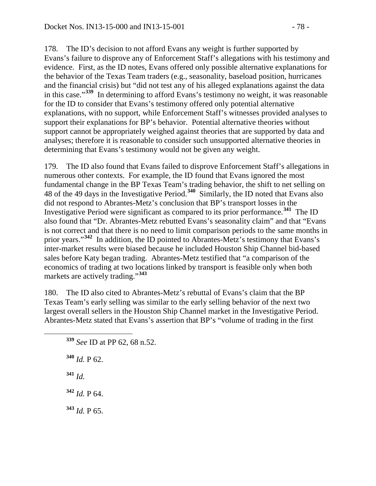178. The ID's decision to not afford Evans any weight is further supported by Evans's failure to disprove any of Enforcement Staff's allegations with his testimony and evidence. First, as the ID notes, Evans offered only possible alternative explanations for the behavior of the Texas Team traders (e.g., seasonality, baseload position, hurricanes and the financial crisis) but "did not test any of his alleged explanations against the data in this case."**[339](#page-77-0)** In determining to afford Evans's testimony no weight, it was reasonable for the ID to consider that Evans's testimony offered only potential alternative explanations, with no support, while Enforcement Staff's witnesses provided analyses to support their explanations for BP's behavior. Potential alternative theories without support cannot be appropriately weighed against theories that are supported by data and analyses; therefore it is reasonable to consider such unsupported alternative theories in determining that Evans's testimony would not be given any weight.

179. The ID also found that Evans failed to disprove Enforcement Staff's allegations in numerous other contexts. For example, the ID found that Evans ignored the most fundamental change in the BP Texas Team's trading behavior, the shift to net selling on 48 of the 49 days in the Investigative Period.**[340](#page-77-1)** Similarly, the ID noted that Evans also did not respond to Abrantes-Metz's conclusion that BP's transport losses in the Investigative Period were significant as compared to its prior performance.**[341](#page-77-2)** The ID also found that "Dr. Abrantes-Metz rebutted Evans's seasonality claim" and that "Evans is not correct and that there is no need to limit comparison periods to the same months in prior years."**[342](#page-77-3)** In addition, the ID pointed to Abrantes-Metz's testimony that Evans's inter-market results were biased because he included Houston Ship Channel bid-based sales before Katy began trading. Abrantes-Metz testified that "a comparison of the economics of trading at two locations linked by transport is feasible only when both markets are actively trading."**[343](#page-77-4)**

180. The ID also cited to Abrantes-Metz's rebuttal of Evans's claim that the BP Texas Team's early selling was similar to the early selling behavior of the next two largest overall sellers in the Houston Ship Channel market in the Investigative Period. Abrantes-Metz stated that Evans's assertion that BP's "volume of trading in the first

<span id="page-77-2"></span><span id="page-77-1"></span>**<sup>340</sup>** *Id.* P 62. **<sup>341</sup>** *Id.* **<sup>342</sup>** *Id.* P 64.

<span id="page-77-4"></span><span id="page-77-3"></span>**<sup>343</sup>** *Id.* P 65.

<span id="page-77-0"></span>**<sup>339</sup>** *See* ID at PP 62, 68 n.52.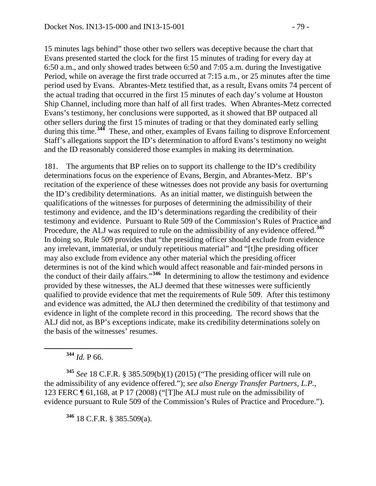15 minutes lags behind" those other two sellers was deceptive because the chart that Evans presented started the clock for the first 15 minutes of trading for every day at 6:50 a.m., and only showed trades between 6:50 and 7:05 a.m. during the Investigative Period, while on average the first trade occurred at 7:15 a.m., or 25 minutes after the time period used by Evans. Abrantes-Metz testified that, as a result, Evans omits 74 percent of the actual trading that occurred in the first 15 minutes of each day's volume at Houston Ship Channel, including more than half of all first trades. When Abrantes-Metz corrected Evans's testimony, her conclusions were supported, as it showed that BP outpaced all other sellers during the first 15 minutes of trading or that they dominated early selling during this time.<sup>[344](#page-78-0)</sup> These, and other, examples of Evans failing to disprove Enforcement Staff's allegations support the ID's determination to afford Evans's testimony no weight and the ID reasonably considered those examples in making its determination.

181. The arguments that BP relies on to support its challenge to the ID's credibility determinations focus on the experience of Evans, Bergin, and Abrantes-Metz. BP's recitation of the experience of these witnesses does not provide any basis for overturning the ID's credibility determinations. As an initial matter, we distinguish between the qualifications of the witnesses for purposes of determining the admissibility of their testimony and evidence, and the ID's determinations regarding the credibility of their testimony and evidence. Pursuant to Rule 509 of the Commission's Rules of Practice and Procedure, the ALJ was required to rule on the admissibility of any evidence offered.**[345](#page-78-1)** In doing so, Rule 509 provides that "the presiding officer should exclude from evidence any irrelevant, immaterial, or unduly repetitious material" and "[t]he presiding officer may also exclude from evidence any other material which the presiding officer determines is not of the kind which would affect reasonable and fair-minded persons in the conduct of their daily affairs."**[346](#page-78-2)** In determining to allow the testimony and evidence provided by these witnesses, the ALJ deemed that these witnesses were sufficiently qualified to provide evidence that met the requirements of Rule 509. After this testimony and evidence was admitted, the ALJ then determined the credibility of that testimony and evidence in light of the complete record in this proceeding. The record shows that the ALJ did not, as BP's exceptions indicate, make its credibility determinations solely on the basis of the witnesses' resumes.

**<sup>344</sup>** *Id.* P 66.

<span id="page-78-2"></span><span id="page-78-1"></span><span id="page-78-0"></span>**<sup>345</sup>** *See* 18 C.F.R. § 385.509(b)(1) (2015) ("The presiding officer will rule on the admissibility of any evidence offered."); *see also Energy Transfer Partners, L.P.*, 123 FERC ¶ 61,168, at P 17 (2008) ("[T]he ALJ must rule on the admissibility of evidence pursuant to Rule 509 of the Commission's Rules of Practice and Procedure.").

**<sup>346</sup>** 18 C.F.R. § 385.509(a).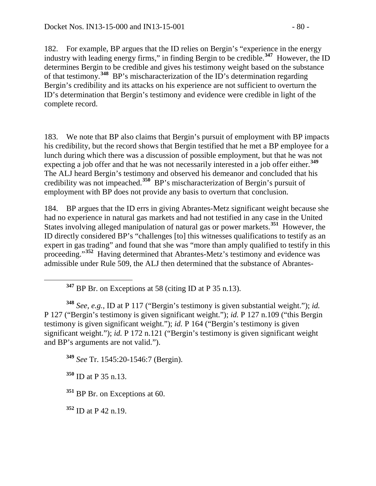182. For example, BP argues that the ID relies on Bergin's "experience in the energy industry with leading energy firms," in finding Bergin to be credible.**[347](#page-79-0)** However, the ID determines Bergin to be credible and gives his testimony weight based on the substance of that testimony.**[348](#page-79-1)** BP's mischaracterization of the ID's determination regarding Bergin's credibility and its attacks on his experience are not sufficient to overturn the ID's determination that Bergin's testimony and evidence were credible in light of the complete record.

183. We note that BP also claims that Bergin's pursuit of employment with BP impacts his credibility, but the record shows that Bergin testified that he met a BP employee for a lunch during which there was a discussion of possible employment, but that he was not expecting a job offer and that he was not necessarily interested in a job offer either.**[349](#page-79-2)** The ALJ heard Bergin's testimony and observed his demeanor and concluded that his credibility was not impeached.**[350](#page-79-3)** BP's mischaracterization of Bergin's pursuit of employment with BP does not provide any basis to overturn that conclusion.

184. BP argues that the ID errs in giving Abrantes-Metz significant weight because she had no experience in natural gas markets and had not testified in any case in the United States involving alleged manipulation of natural gas or power markets.**[351](#page-79-4)** However, the ID directly considered BP's "challenges [to] this witnesses qualifications to testify as an expert in gas trading" and found that she was "more than amply qualified to testify in this proceeding."**[352](#page-79-5)** Having determined that Abrantes-Metz's testimony and evidence was admissible under Rule 509, the ALJ then determined that the substance of Abrantes-

<span id="page-79-1"></span><span id="page-79-0"></span>**<sup>348</sup>** *See, e.g.*, ID at P 117 ("Bergin's testimony is given substantial weight."); *id.* P 127 ("Bergin's testimony is given significant weight."); *id.* P 127 n.109 ("this Bergin testimony is given significant weight."); *id.* P 164 ("Bergin's testimony is given significant weight."); *id.* P 172 n.121 ("Bergin's testimony is given significant weight and BP's arguments are not valid.").

<span id="page-79-2"></span>**<sup>349</sup>** *See* Tr. 1545:20-1546:7 (Bergin).

<span id="page-79-3"></span>**<sup>350</sup>** ID at P 35 n.13.

<span id="page-79-4"></span>**<sup>351</sup>** BP Br. on Exceptions at 60.

<span id="page-79-5"></span>**<sup>352</sup>** ID at P 42 n.19.

**<sup>347</sup>** BP Br. on Exceptions at 58 (citing ID at P 35 n.13).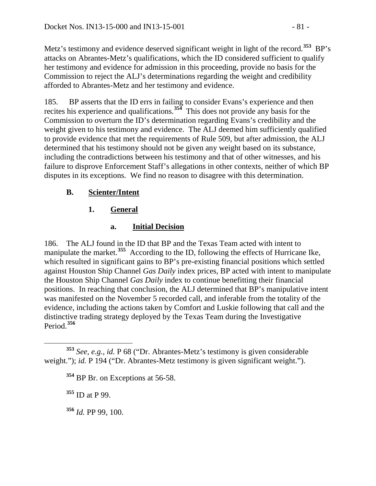Metz's testimony and evidence deserved significant weight in light of the record.**[353](#page-80-0)** BP's attacks on Abrantes-Metz's qualifications, which the ID considered sufficient to qualify her testimony and evidence for admission in this proceeding, provide no basis for the Commission to reject the ALJ's determinations regarding the weight and credibility afforded to Abrantes-Metz and her testimony and evidence.

185. BP asserts that the ID errs in failing to consider Evans's experience and then recites his experience and qualifications.**[354](#page-80-1)** This does not provide any basis for the Commission to overturn the ID's determination regarding Evans's credibility and the weight given to his testimony and evidence. The ALJ deemed him sufficiently qualified to provide evidence that met the requirements of Rule 509, but after admission, the ALJ determined that his testimony should not be given any weight based on its substance, including the contradictions between his testimony and that of other witnesses, and his failure to disprove Enforcement Staff's allegations in other contexts, neither of which BP disputes in its exceptions. We find no reason to disagree with this determination.

# **B. Scienter/Intent**

# **1. General**

# **a. Initial Decision**

186. The ALJ found in the ID that BP and the Texas Team acted with intent to manipulate the market.**[355](#page-80-2)** According to the ID, following the effects of Hurricane Ike, which resulted in significant gains to BP's pre-existing financial positions which settled against Houston Ship Channel *Gas Daily* index prices, BP acted with intent to manipulate the Houston Ship Channel *Gas Daily* index to continue benefitting their financial positions. In reaching that conclusion, the ALJ determined that BP's manipulative intent was manifested on the November 5 recorded call, and inferable from the totality of the evidence, including the actions taken by Comfort and Luskie following that call and the distinctive trading strategy deployed by the Texas Team during the Investigative Period.**[356](#page-80-3)**

**<sup>355</sup>** ID at P 99.

<span id="page-80-3"></span>**<sup>356</sup>** *Id.* PP 99, 100.

<span id="page-80-2"></span><span id="page-80-1"></span><span id="page-80-0"></span>**<sup>353</sup>** *See, e.g.*, *id.* P 68 ("Dr. Abrantes-Metz's testimony is given considerable weight."); *id.* P 194 ("Dr. Abrantes-Metz testimony is given significant weight.").

<sup>&</sup>lt;sup>354</sup> BP Br. on Exceptions at 56-58.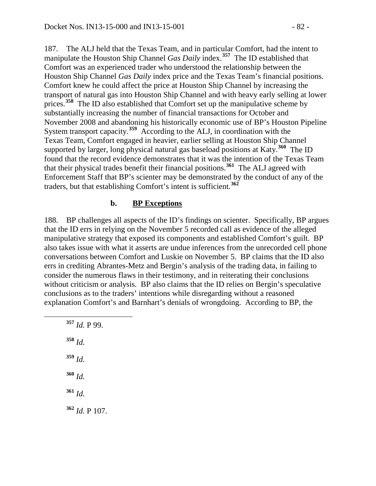187. The ALJ held that the Texas Team, and in particular Comfort, had the intent to manipulate the Houston Ship Channel *Gas Daily* index.**[357](#page-81-0)** The ID established that Comfort was an experienced trader who understood the relationship between the Houston Ship Channel *Gas Daily* index price and the Texas Team's financial positions. Comfort knew he could affect the price at Houston Ship Channel by increasing the transport of natural gas into Houston Ship Channel and with heavy early selling at lower prices.**[358](#page-81-1)** The ID also established that Comfort set up the manipulative scheme by substantially increasing the number of financial transactions for October and November 2008 and abandoning his historically economic use of BP's Houston Pipeline System transport capacity.**[359](#page-81-2)** According to the ALJ, in coordination with the Texas Team, Comfort engaged in heavier, earlier selling at Houston Ship Channel supported by larger, long physical natural gas baseload positions at Katy.**[360](#page-81-3)** The ID found that the record evidence demonstrates that it was the intention of the Texas Team that their physical trades benefit their financial positions.**[361](#page-81-4)** The ALJ agreed with Enforcement Staff that BP's scienter may be demonstrated by the conduct of any of the traders, but that establishing Comfort's intent is sufficient.**[362](#page-81-5)**

### **b. BP Exceptions**

188. BP challenges all aspects of the ID's findings on scienter. Specifically, BP argues that the ID errs in relying on the November 5 recorded call as evidence of the alleged manipulative strategy that exposed its components and established Comfort's guilt. BP also takes issue with what it asserts are undue inferences from the unrecorded cell phone conversations between Comfort and Luskie on November 5. BP claims that the ID also errs in crediting Abrantes-Metz and Bergin's analysis of the trading data, in failing to consider the numerous flaws in their testimony, and in reiterating their conclusions without criticism or analysis. BP also claims that the ID relies on Bergin's speculative conclusions as to the traders' intentions while disregarding without a reasoned explanation Comfort's and Barnhart's denials of wrongdoing. According to BP, the

<span id="page-81-5"></span><span id="page-81-4"></span><span id="page-81-3"></span><span id="page-81-2"></span><span id="page-81-1"></span><span id="page-81-0"></span> **<sup>357</sup>** *Id.* P 99. **<sup>358</sup>** *Id.* **<sup>359</sup>** *Id.* **<sup>360</sup>** *Id.* **<sup>361</sup>** *Id.* **<sup>362</sup>** *Id.* P 107.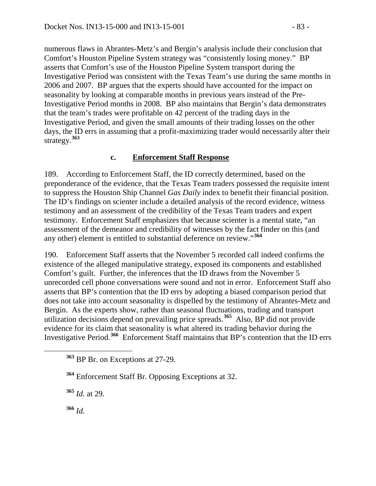numerous flaws in Abrantes-Metz's and Bergin's analysis include their conclusion that Comfort's Houston Pipeline System strategy was "consistently losing money." BP asserts that Comfort's use of the Houston Pipeline System transport during the Investigative Period was consistent with the Texas Team's use during the same months in 2006 and 2007. BP argues that the experts should have accounted for the impact on seasonality by looking at comparable months in previous years instead of the Pre-Investigative Period months in 2008. BP also maintains that Bergin's data demonstrates that the team's trades were profitable on 42 percent of the trading days in the Investigative Period, and given the small amounts of their trading losses on the other days, the ID errs in assuming that a profit-maximizing trader would necessarily alter their strategy.**[363](#page-82-0)**

### **c. Enforcement Staff Response**

189. According to Enforcement Staff, the ID correctly determined, based on the preponderance of the evidence, that the Texas Team traders possessed the requisite intent to suppress the Houston Ship Channel *Gas Daily* index to benefit their financial position. The ID's findings on scienter include a detailed analysis of the record evidence, witness testimony and an assessment of the credibility of the Texas Team traders and expert testimony. Enforcement Staff emphasizes that because scienter is a mental state, "an assessment of the demeanor and credibility of witnesses by the fact finder on this (and any other) element is entitled to substantial deference on review."**[364](#page-82-1)**

190. Enforcement Staff asserts that the November 5 recorded call indeed confirms the existence of the alleged manipulative strategy, exposed its components and established Comfort's guilt. Further, the inferences that the ID draws from the November 5 unrecorded cell phone conversations were sound and not in error. Enforcement Staff also asserts that BP's contention that the ID errs by adopting a biased comparison period that does not take into account seasonality is dispelled by the testimony of Abrantes-Metz and Bergin. As the experts show, rather than seasonal fluctuations, trading and transport utilization decisions depend on prevailing price spreads.**[365](#page-82-2)** Also, BP did not provide evidence for its claim that seasonality is what altered its trading behavior during the Investigative Period.**[366](#page-82-3)** Enforcement Staff maintains that BP's contention that the ID errs

<span id="page-82-1"></span>**<sup>364</sup>** Enforcement Staff Br. Opposing Exceptions at 32.

<span id="page-82-2"></span>**<sup>365</sup>** *Id.* at 29.

<span id="page-82-3"></span>**<sup>366</sup>** *Id.*

<span id="page-82-0"></span>**<sup>363</sup>** BP Br. on Exceptions at 27-29.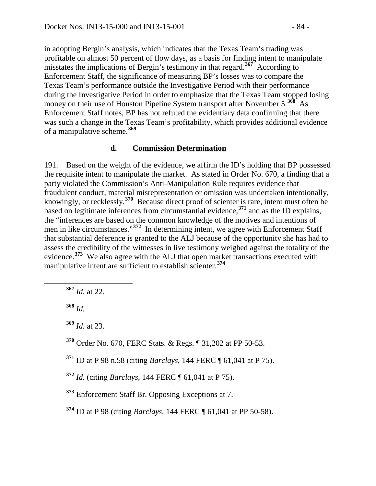in adopting Bergin's analysis, which indicates that the Texas Team's trading was profitable on almost 50 percent of flow days, as a basis for finding intent to manipulate misstates the implications of Bergin's testimony in that regard.**[367](#page-83-0)** According to Enforcement Staff, the significance of measuring BP's losses was to compare the Texas Team's performance outside the Investigative Period with their performance during the Investigative Period in order to emphasize that the Texas Team stopped losing money on their use of Houston Pipeline System transport after November 5.**[368](#page-83-1)** As Enforcement Staff notes, BP has not refuted the evidentiary data confirming that there was such a change in the Texas Team's profitability, which provides additional evidence of a manipulative scheme.**[369](#page-83-2)**

#### **d. Commission Determination**

191. Based on the weight of the evidence, we affirm the ID's holding that BP possessed the requisite intent to manipulate the market. As stated in Order No. 670, a finding that a party violated the Commission's Anti-Manipulation Rule requires evidence that fraudulent conduct, material misrepresentation or omission was undertaken intentionally, knowingly, or recklessly.**[370](#page-83-3)** Because direct proof of scienter is rare, intent must often be based on legitimate inferences from circumstantial evidence,**[371](#page-83-4)** and as the ID explains, the "inferences are based on the common knowledge of the motives and intentions of men in like circumstances."**[372](#page-83-5)** In determining intent, we agree with Enforcement Staff that substantial deference is granted to the ALJ because of the opportunity she has had to assess the credibility of the witnesses in live testimony weighed against the totality of the evidence.**[373](#page-83-6)** We also agree with the ALJ that open market transactions executed with manipulative intent are sufficient to establish scienter.**[374](#page-83-7)**

<span id="page-83-0"></span>**<sup>367</sup>** *Id.* at 22.

<span id="page-83-1"></span>**<sup>368</sup>** *Id.*

<span id="page-83-2"></span>**<sup>369</sup>** *Id.* at 23.

<span id="page-83-3"></span>**<sup>370</sup>** Order No. 670, FERC Stats. & Regs. ¶ 31,202 at PP 50-53.

<span id="page-83-4"></span>**<sup>371</sup>** ID at P 98 n.58 (citing *Barclays*, 144 FERC ¶ 61,041 at P 75).

<span id="page-83-5"></span>**<sup>372</sup>** *Id.* (citing *Barclays,* 144 FERC ¶ 61,041 at P 75).

<span id="page-83-6"></span>**<sup>373</sup>** Enforcement Staff Br. Opposing Exceptions at 7.

<span id="page-83-7"></span>**<sup>374</sup>** ID at P 98 (citing *Barclays*, 144 FERC ¶ 61,041 at PP 50-58).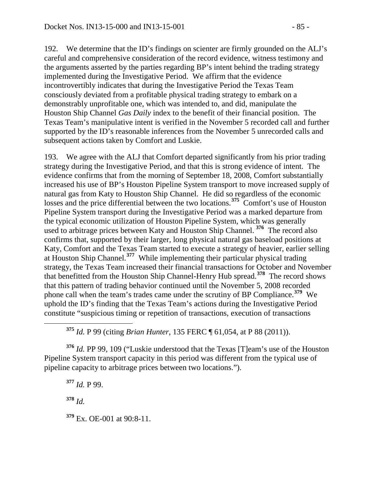192. We determine that the ID's findings on scienter are firmly grounded on the ALJ's careful and comprehensive consideration of the record evidence, witness testimony and the arguments asserted by the parties regarding BP's intent behind the trading strategy implemented during the Investigative Period. We affirm that the evidence incontrovertibly indicates that during the Investigative Period the Texas Team consciously deviated from a profitable physical trading strategy to embark on a demonstrably unprofitable one, which was intended to, and did, manipulate the Houston Ship Channel *Gas Daily* index to the benefit of their financial position. The Texas Team's manipulative intent is verified in the November 5 recorded call and further supported by the ID's reasonable inferences from the November 5 unrecorded calls and subsequent actions taken by Comfort and Luskie.

193. We agree with the ALJ that Comfort departed significantly from his prior trading strategy during the Investigative Period, and that this is strong evidence of intent. The evidence confirms that from the morning of September 18, 2008, Comfort substantially increased his use of BP's Houston Pipeline System transport to move increased supply of natural gas from Katy to Houston Ship Channel. He did so regardless of the economic losses and the price differential between the two locations.<sup>[375](#page-84-0)</sup> Comfort's use of Houston Pipeline System transport during the Investigative Period was a marked departure from the typical economic utilization of Houston Pipeline System, which was generally used to arbitrage prices between Katy and Houston Ship Channel. **[376](#page-84-1)** The record also confirms that, supported by their larger, long physical natural gas baseload positions at Katy, Comfort and the Texas Team started to execute a strategy of heavier, earlier selling at Houston Ship Channel.**[377](#page-84-2)** While implementing their particular physical trading strategy, the Texas Team increased their financial transactions for October and November that benefitted from the Houston Ship Channel-Henry Hub spread.**[378](#page-84-3)** The record shows that this pattern of trading behavior continued until the November 5, 2008 recorded phone call when the team's trades came under the scrutiny of BP Compliance.**[379](#page-84-4)** We uphold the ID's finding that the Texas Team's actions during the Investigative Period constitute "suspicious timing or repetition of transactions, execution of transactions

**<sup>375</sup>** *Id.* P 99 (citing *Brian Hunter*, 135 FERC ¶ 61,054, at P 88 (2011)).

<span id="page-84-2"></span><span id="page-84-1"></span><span id="page-84-0"></span>**<sup>376</sup>** *Id.* PP 99, 109 ("Luskie understood that the Texas [T]eam's use of the Houston Pipeline System transport capacity in this period was different from the typical use of pipeline capacity to arbitrage prices between two locations.").

<span id="page-84-4"></span><span id="page-84-3"></span>**<sup>377</sup>** *Id.* P 99. **<sup>378</sup>** *Id.* **<sup>379</sup>** Ex. OE-001 at 90:8-11.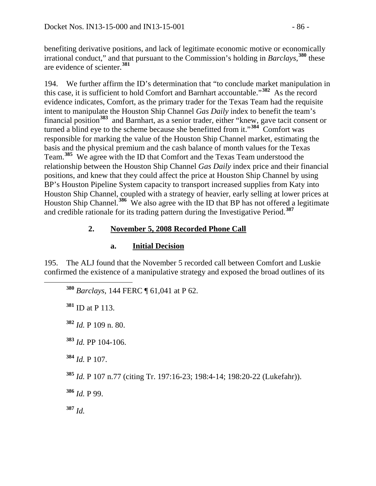benefiting derivative positions, and lack of legitimate economic motive or economically irrational conduct," and that pursuant to the Commission's holding in *Barclays*, **[380](#page-85-0)** these are evidence of scienter.**[381](#page-85-1)**

194. We further affirm the ID's determination that "to conclude market manipulation in this case, it is sufficient to hold Comfort and Barnhart accountable."**[382](#page-85-2)** As the record evidence indicates, Comfort, as the primary trader for the Texas Team had the requisite intent to manipulate the Houston Ship Channel *Gas Daily* index to benefit the team's financial position**[383](#page-85-3)** and Barnhart, as a senior trader, either "knew, gave tacit consent or turned a blind eye to the scheme because she benefitted from it."<sup>[384](#page-85-4)</sup> Comfort was responsible for marking the value of the Houston Ship Channel market, estimating the basis and the physical premium and the cash balance of month values for the Texas Team.**[385](#page-85-5)** We agree with the ID that Comfort and the Texas Team understood the relationship between the Houston Ship Channel *Gas Daily* index price and their financial positions, and knew that they could affect the price at Houston Ship Channel by using BP's Houston Pipeline System capacity to transport increased supplies from Katy into Houston Ship Channel, coupled with a strategy of heavier, early selling at lower prices at Houston Ship Channel.**[386](#page-85-6)** We also agree with the ID that BP has not offered a legitimate and credible rationale for its trading pattern during the Investigative Period.**[387](#page-85-7)**

# **2. November 5, 2008 Recorded Phone Call**

# **a. Initial Decision**

<span id="page-85-1"></span><span id="page-85-0"></span>195. The ALJ found that the November 5 recorded call between Comfort and Luskie confirmed the existence of a manipulative strategy and exposed the broad outlines of its

**<sup>380</sup>** *Barclays*, 144 FERC ¶ 61,041 at P 62.

**<sup>381</sup>** ID at P 113.

<span id="page-85-2"></span>**<sup>382</sup>** *Id.* P 109 n. 80.

<span id="page-85-3"></span>**<sup>383</sup>** *Id.* PP 104-106.

<span id="page-85-4"></span>**<sup>384</sup>** *Id.* P 107.

<span id="page-85-5"></span>**<sup>385</sup>** *Id.* P 107 n.77 (citing Tr. 197:16-23; 198:4-14; 198:20-22 (Lukefahr)).

<span id="page-85-6"></span>**<sup>386</sup>** *Id.* P 99.

<span id="page-85-7"></span>**<sup>387</sup>** *Id.*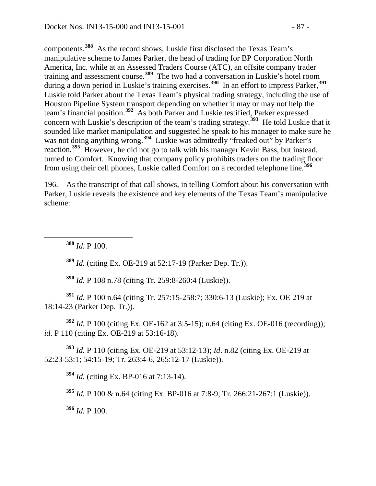components.**[388](#page-86-0)** As the record shows, Luskie first disclosed the Texas Team's manipulative scheme to James Parker, the head of trading for BP Corporation North America, Inc. while at an Assessed Traders Course (ATC), an offsite company trader training and assessment course.**[389](#page-86-1)** The two had a conversation in Luskie's hotel room during a down period in Luskie's training exercises.**[390](#page-86-2)** In an effort to impress Parker,**[391](#page-86-3)** Luskie told Parker about the Texas Team's physical trading strategy, including the use of Houston Pipeline System transport depending on whether it may or may not help the team's financial position.**[392](#page-86-4)** As both Parker and Luskie testified, Parker expressed concern with Luskie's description of the team's trading strategy.**[393](#page-86-5)** He told Luskie that it sounded like market manipulation and suggested he speak to his manager to make sure he was not doing anything wrong.<sup>[394](#page-86-6)</sup> Luskie was admittedly "freaked out" by Parker's reaction.**[395](#page-86-7)** However, he did not go to talk with his manager Kevin Bass, but instead, turned to Comfort. Knowing that company policy prohibits traders on the trading floor from using their cell phones, Luskie called Comfort on a recorded telephone line.**[396](#page-86-8)**

196. As the transcript of that call shows, in telling Comfort about his conversation with Parker, Luskie reveals the existence and key elements of the Texas Team's manipulative scheme:

<span id="page-86-0"></span>**<sup>388</sup>** *Id.* P 100.

**<sup>389</sup>** *Id.* (citing Ex. OE-219 at 52:17-19 (Parker Dep. Tr.)).

**<sup>390</sup>** *Id.* P 108 n.78 (citing Tr. 259:8-260:4 (Luskie)).

<span id="page-86-3"></span><span id="page-86-2"></span><span id="page-86-1"></span>**<sup>391</sup>** *Id.* P 100 n.64 (citing Tr. 257:15-258:7; 330:6-13 (Luskie); Ex. OE 219 at 18:14-23 (Parker Dep. Tr.)).

<span id="page-86-4"></span>**<sup>392</sup>** *Id.* P 100 (citing Ex. OE-162 at 3:5-15); n.64 (citing Ex. OE-016 (recording)); *id*. P 110 (citing Ex. OE-219 at 53:16-18).

<span id="page-86-7"></span><span id="page-86-6"></span><span id="page-86-5"></span>**<sup>393</sup>** *Id.* P 110 (citing Ex. OE-219 at 53:12-13); *Id*. n.82 (citing Ex. OE-219 at 52:23-53:1; 54:15-19; Tr. 263:4-6, 265:12-17 (Luskie)).

**<sup>394</sup>** *Id.* (citing Ex. BP-016 at 7:13-14).

**<sup>395</sup>** *Id.* P 100 & n.64 (citing Ex. BP-016 at 7:8-9; Tr. 266:21-267:1 (Luskie)).

<span id="page-86-8"></span>**<sup>396</sup>** *Id.* P 100.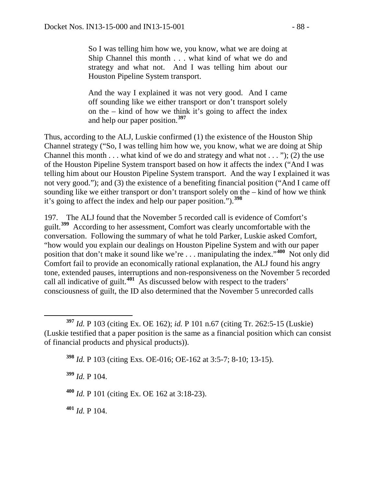So I was telling him how we, you know, what we are doing at Ship Channel this month . . . what kind of what we do and strategy and what not. And I was telling him about our Houston Pipeline System transport.

And the way I explained it was not very good. And I came off sounding like we either transport or don't transport solely on the – kind of how we think it's going to affect the index and help our paper position.**[397](#page-87-0)**

Thus, according to the ALJ, Luskie confirmed (1) the existence of the Houston Ship Channel strategy ("So, I was telling him how we, you know, what we are doing at Ship Channel this month  $\dots$  what kind of we do and strategy and what not  $\dots$  "); (2) the use of the Houston Pipeline System transport based on how it affects the index ("And I was telling him about our Houston Pipeline System transport. And the way I explained it was not very good."); and (3) the existence of a benefiting financial position ("And I came off sounding like we either transport or don't transport solely on the – kind of how we think it's going to affect the index and help our paper position.").**[398](#page-87-1)**

197. The ALJ found that the November 5 recorded call is evidence of Comfort's guilt.**[399](#page-87-2)** According to her assessment, Comfort was clearly uncomfortable with the conversation. Following the summary of what he told Parker, Luskie asked Comfort, "how would you explain our dealings on Houston Pipeline System and with our paper position that don't make it sound like we're . . . manipulating the index."**[400](#page-87-3)** Not only did Comfort fail to provide an economically rational explanation, the ALJ found his angry tone, extended pauses, interruptions and non-responsiveness on the November 5 recorded call all indicative of guilt.**[401](#page-87-4)** As discussed below with respect to the traders' consciousness of guilt, the ID also determined that the November 5 unrecorded calls

**<sup>398</sup>** *Id.* P 103 (citing Exs. OE-016; OE-162 at 3:5-7; 8-10; 13-15).

<span id="page-87-2"></span>**<sup>399</sup>** *Id.* P 104.

<span id="page-87-3"></span>**<sup>400</sup>** *Id.* P 101 (citing Ex. OE 162 at 3:18-23).

<span id="page-87-4"></span>**<sup>401</sup>** *Id.* P 104.

<span id="page-87-1"></span><span id="page-87-0"></span>**<sup>397</sup>** *Id.* <sup>P</sup> 103 (citing Ex. OE 162); *id.* P 101 n.67 (citing Tr. 262:5-15 (Luskie) (Luskie testified that a paper position is the same as a financial position which can consist of financial products and physical products)).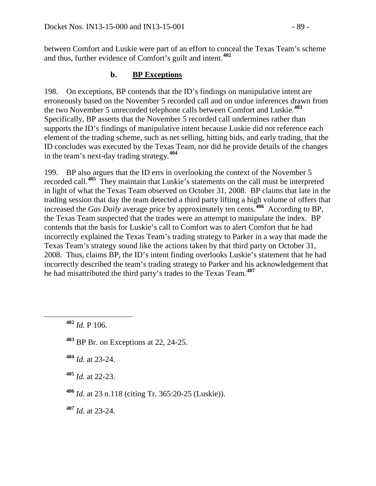between Comfort and Luskie were part of an effort to conceal the Texas Team's scheme and thus, further evidence of Comfort's guilt and intent.**[402](#page-88-0)**

# **b. BP Exceptions**

198. On exceptions, BP contends that the ID's findings on manipulative intent are erroneously based on the November 5 recorded call and on undue inferences drawn from the two November 5 unrecorded telephone calls between Comfort and Luskie.**[403](#page-88-1)** Specifically, BP asserts that the November 5 recorded call undermines rather than supports the ID's findings of manipulative intent because Luskie did not reference each element of the trading scheme, such as net selling, hitting bids, and early trading, that the ID concludes was executed by the Texas Team, nor did he provide details of the changes in the team's next-day trading strategy.**[404](#page-88-2)**

199. BP also argues that the ID errs in overlooking the context of the November 5 recorded call.**[405](#page-88-3)** They maintain that Luskie's statements on the call must be interpreted in light of what the Texas Team observed on October 31, 2008. BP claims that late in the trading session that day the team detected a third party lifting a high volume of offers that increased the *Gas Daily* average price by approximately ten cents.**[406](#page-88-4)** According to BP, the Texas Team suspected that the trades were an attempt to manipulate the index. BP contends that the basis for Luskie's call to Comfort was to alert Comfort that he had incorrectly explained the Texas Team's trading strategy to Parker in a way that made the Texas Team's strategy sound like the actions taken by that third party on October 31, 2008. Thus, claims BP, the ID's intent finding overlooks Luskie's statement that he had incorrectly described the team's trading strategy to Parker and his acknowledgement that he had misattributed the third party's trades to the Texas Team.**[407](#page-88-5)**

<span id="page-88-1"></span>**<sup>403</sup>** BP Br. on Exceptions at 22, 24-25.

<span id="page-88-2"></span>**<sup>404</sup>** *Id.* at 23-24.

<span id="page-88-3"></span>**<sup>405</sup>** *Id.* at 22-23.

<span id="page-88-4"></span>**<sup>406</sup>** *Id.* at 23 n.118 (citing Tr. 365:20-25 (Luskie)).

<span id="page-88-5"></span>**<sup>407</sup>** *Id.* at 23-24.

<span id="page-88-0"></span>**<sup>402</sup>** *Id.* P 106.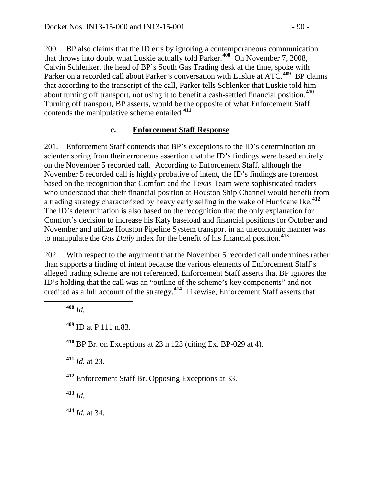200. BP also claims that the ID errs by ignoring a contemporaneous communication that throws into doubt what Luskie actually told Parker.**[408](#page-89-0)** On November 7, 2008, Calvin Schlenker, the head of BP's South Gas Trading desk at the time, spoke with Parker on a recorded call about Parker's conversation with Luskie at ATC.**[409](#page-89-1)** BP claims that according to the transcript of the call, Parker tells Schlenker that Luskie told him about turning off transport, not using it to benefit a cash-settled financial position.**[410](#page-89-2)** Turning off transport, BP asserts, would be the opposite of what Enforcement Staff contends the manipulative scheme entailed.**[411](#page-89-3)**

### **c. Enforcement Staff Response**

201. Enforcement Staff contends that BP's exceptions to the ID's determination on scienter spring from their erroneous assertion that the ID's findings were based entirely on the November 5 recorded call. According to Enforcement Staff, although the November 5 recorded call is highly probative of intent, the ID's findings are foremost based on the recognition that Comfort and the Texas Team were sophisticated traders who understood that their financial position at Houston Ship Channel would benefit from a trading strategy characterized by heavy early selling in the wake of Hurricane Ike.**[412](#page-89-4)** The ID's determination is also based on the recognition that the only explanation for Comfort's decision to increase his Katy baseload and financial positions for October and November and utilize Houston Pipeline System transport in an uneconomic manner was to manipulate the *Gas Daily* index for the benefit of his financial position.**[413](#page-89-5)**

202. With respect to the argument that the November 5 recorded call undermines rather than supports a finding of intent because the various elements of Enforcement Staff's alleged trading scheme are not referenced, Enforcement Staff asserts that BP ignores the ID's holding that the call was an "outline of the scheme's key components" and not credited as a full account of the strategy.**[414](#page-89-6)** Likewise, Enforcement Staff asserts that

<span id="page-89-3"></span>**<sup>411</sup>** *Id.* at 23.

<span id="page-89-4"></span>**<sup>412</sup>** Enforcement Staff Br. Opposing Exceptions at 33.

<span id="page-89-5"></span>**<sup>413</sup>** *Id.*

<span id="page-89-6"></span>**<sup>414</sup>** *Id.* at 34.

<span id="page-89-0"></span>**<sup>408</sup>** *Id.*

<span id="page-89-1"></span>**<sup>409</sup>** ID at P 111 n.83.

<span id="page-89-2"></span>**<sup>410</sup>** BP Br. on Exceptions at 23 n.123 (citing Ex. BP-029 at 4).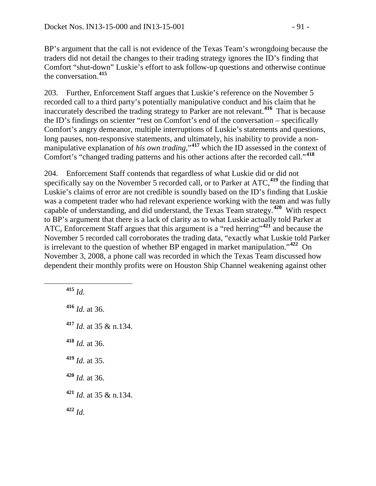BP's argument that the call is not evidence of the Texas Team's wrongdoing because the traders did not detail the changes to their trading strategy ignores the ID's finding that Comfort "shut-down" Luskie's effort to ask follow-up questions and otherwise continue the conversation.**[415](#page-90-0)**

203. Further, Enforcement Staff argues that Luskie's reference on the November 5 recorded call to a third party's potentially manipulative conduct and his claim that he inaccurately described the trading strategy to Parker are not relevant.**[416](#page-90-1)** That is because the ID's findings on scienter "rest on Comfort's end of the conversation – specifically Comfort's angry demeanor, multiple interruptions of Luskie's statements and questions, long pauses, non-responsive statements, and ultimately, his inability to provide a nonmanipulative explanation of *his own trading*,"<sup>[417](#page-90-2)</sup> which the ID assessed in the context of Comfort's "changed trading patterns and his other actions after the recorded call."**[418](#page-90-3)**

204. Enforcement Staff contends that regardless of what Luskie did or did not specifically say on the November 5 recorded call, or to Parker at ATC,**[419](#page-90-4)** the finding that Luskie's claims of error are not credible is soundly based on the ID's finding that Luskie was a competent trader who had relevant experience working with the team and was fully capable of understanding, and did understand, the Texas Team strategy.**[420](#page-90-5)** With respect to BP's argument that there is a lack of clarity as to what Luskie actually told Parker at ATC, Enforcement Staff argues that this argument is a "red herring"**[421](#page-90-6)** and because the November 5 recorded call corroborates the trading data, "exactly what Luskie told Parker is irrelevant to the question of whether BP engaged in market manipulation."**[422](#page-90-7)** On November 3, 2008, a phone call was recorded in which the Texas Team discussed how dependent their monthly profits were on Houston Ship Channel weakening against other

<span id="page-90-7"></span><span id="page-90-6"></span><span id="page-90-5"></span><span id="page-90-4"></span><span id="page-90-3"></span><span id="page-90-2"></span><span id="page-90-1"></span><span id="page-90-0"></span> **<sup>415</sup>** *Id. Id.* at 36. *Id.* at 35 & n.134. *Id.* at 36. *Id.* at 35. *Id.* at 36. *Id.* at 35 & n.134. **<sup>422</sup>** *Id.*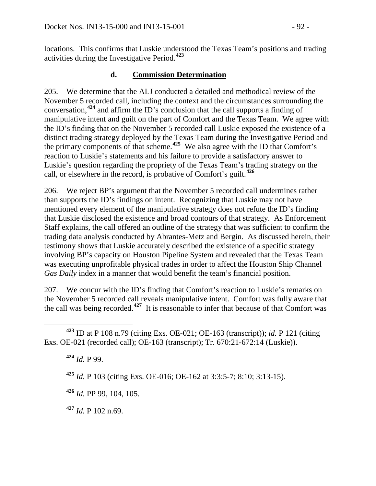locations. This confirms that Luskie understood the Texas Team's positions and trading activities during the Investigative Period.**[423](#page-91-0)**

## **d. Commission Determination**

205. We determine that the ALJ conducted a detailed and methodical review of the November 5 recorded call, including the context and the circumstances surrounding the conversation,**[424](#page-91-1)** and affirm the ID's conclusion that the call supports a finding of manipulative intent and guilt on the part of Comfort and the Texas Team. We agree with the ID's finding that on the November 5 recorded call Luskie exposed the existence of a distinct trading strategy deployed by the Texas Team during the Investigative Period and the primary components of that scheme.**[425](#page-91-2)** We also agree with the ID that Comfort's reaction to Luskie's statements and his failure to provide a satisfactory answer to Luskie's question regarding the propriety of the Texas Team's trading strategy on the call, or elsewhere in the record, is probative of Comfort's guilt.**[426](#page-91-3)**

206. We reject BP's argument that the November 5 recorded call undermines rather than supports the ID's findings on intent. Recognizing that Luskie may not have mentioned every element of the manipulative strategy does not refute the ID's finding that Luskie disclosed the existence and broad contours of that strategy. As Enforcement Staff explains, the call offered an outline of the strategy that was sufficient to confirm the trading data analysis conducted by Abrantes-Metz and Bergin. As discussed herein, their testimony shows that Luskie accurately described the existence of a specific strategy involving BP's capacity on Houston Pipeline System and revealed that the Texas Team was executing unprofitable physical trades in order to affect the Houston Ship Channel *Gas Daily* index in a manner that would benefit the team's financial position.

207. We concur with the ID's finding that Comfort's reaction to Luskie's remarks on the November 5 recorded call reveals manipulative intent. Comfort was fully aware that the call was being recorded.**[427](#page-91-4)** It is reasonable to infer that because of that Comfort was

**<sup>424</sup>** *Id.* P 99.

**<sup>425</sup>** *Id.* P 103 (citing Exs. OE-016; OE-162 at 3:3:5-7; 8:10; 3:13-15).

<span id="page-91-3"></span>**<sup>426</sup>** *Id.* PP 99, 104, 105.

<span id="page-91-4"></span>**<sup>427</sup>** *Id.* P 102 n.69.

<span id="page-91-2"></span><span id="page-91-1"></span><span id="page-91-0"></span>**<sup>423</sup>** ID at P 108 n.79 (citing Exs. OE-021; OE-163 (transcript)); *id.* P 121 (citing Exs. OE-021 (recorded call); OE-163 (transcript); Tr. 670:21-672:14 (Luskie)).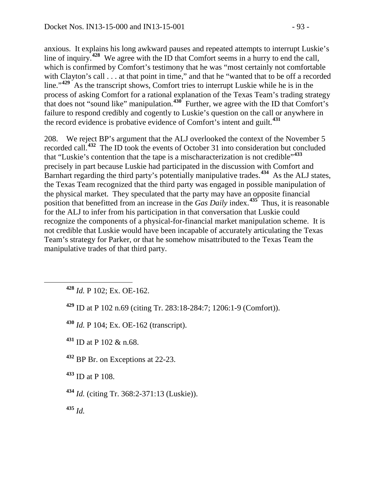anxious. It explains his long awkward pauses and repeated attempts to interrupt Luskie's line of inquiry.**[428](#page-92-0)** We agree with the ID that Comfort seems in a hurry to end the call, which is confirmed by Comfort's testimony that he was "most certainly not comfortable with Clayton's call . . . at that point in time," and that he "wanted that to be off a recorded line."<sup>[429](#page-92-1)</sup> As the transcript shows, Comfort tries to interrupt Luskie while he is in the process of asking Comfort for a rational explanation of the Texas Team's trading strategy that does not "sound like" manipulation.**[430](#page-92-2)** Further, we agree with the ID that Comfort's failure to respond credibly and cogently to Luskie's question on the call or anywhere in the record evidence is probative evidence of Comfort's intent and guilt.**[431](#page-92-3)**

208. We reject BP's argument that the ALJ overlooked the context of the November 5 recorded call.**[432](#page-92-4)** The ID took the events of October 31 into consideration but concluded that "Luskie's contention that the tape is a mischaracterization is not credible"**[433](#page-92-5)** precisely in part because Luskie had participated in the discussion with Comfort and Barnhart regarding the third party's potentially manipulative trades.**[434](#page-92-6)** As the ALJ states, the Texas Team recognized that the third party was engaged in possible manipulation of the physical market. They speculated that the party may have an opposite financial position that benefitted from an increase in the *Gas Daily* index.**[435](#page-92-7)** Thus, it is reasonable for the ALJ to infer from his participation in that conversation that Luskie could recognize the components of a physical-for-financial market manipulation scheme. It is not credible that Luskie would have been incapable of accurately articulating the Texas Team's strategy for Parker, or that he somehow misattributed to the Texas Team the manipulative trades of that third party.

<span id="page-92-0"></span>**<sup>428</sup>** *Id.* P 102; Ex. OE-162.

<span id="page-92-1"></span>**<sup>429</sup>** ID at P 102 n.69 (citing Tr. 283:18-284:7; 1206:1-9 (Comfort)).

<span id="page-92-2"></span>**<sup>430</sup>** *Id.* P 104; Ex. OE-162 (transcript).

<span id="page-92-3"></span>**<sup>431</sup>** ID at P 102 & n.68.

<span id="page-92-4"></span>**<sup>432</sup>** BP Br. on Exceptions at 22-23.

<span id="page-92-5"></span>**<sup>433</sup>** ID at P 108.

<span id="page-92-6"></span>**<sup>434</sup>** *Id.* (citing Tr. 368:2-371:13 (Luskie)).

<span id="page-92-7"></span>**<sup>435</sup>** *Id.*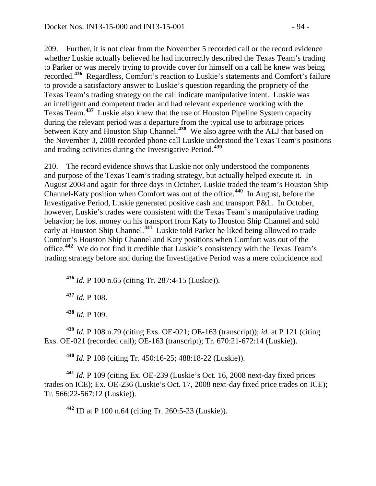209. Further, it is not clear from the November 5 recorded call or the record evidence whether Luskie actually believed he had incorrectly described the Texas Team's trading to Parker or was merely trying to provide cover for himself on a call he knew was being recorded.**[436](#page-93-0)** Regardless, Comfort's reaction to Luskie's statements and Comfort's failure to provide a satisfactory answer to Luskie's question regarding the propriety of the Texas Team's trading strategy on the call indicate manipulative intent. Luskie was an intelligent and competent trader and had relevant experience working with the Texas Team.**[437](#page-93-1)** Luskie also knew that the use of Houston Pipeline System capacity during the relevant period was a departure from the typical use to arbitrage prices between Katy and Houston Ship Channel.**[438](#page-93-2)** We also agree with the ALJ that based on the November 3, 2008 recorded phone call Luskie understood the Texas Team's positions and trading activities during the Investigative Period.**[439](#page-93-3)**

210. The record evidence shows that Luskie not only understood the components and purpose of the Texas Team's trading strategy, but actually helped execute it. In August 2008 and again for three days in October, Luskie traded the team's Houston Ship Channel-Katy position when Comfort was out of the office.**[440](#page-93-4)** In August, before the Investigative Period, Luskie generated positive cash and transport P&L. In October, however, Luskie's trades were consistent with the Texas Team's manipulative trading behavior; he lost money on his transport from Katy to Houston Ship Channel and sold early at Houston Ship Channel.**[441](#page-93-5)** Luskie told Parker he liked being allowed to trade Comfort's Houston Ship Channel and Katy positions when Comfort was out of the office.**[442](#page-93-6)** We do not find it credible that Luskie's consistency with the Texas Team's trading strategy before and during the Investigative Period was a mere coincidence and

<span id="page-93-0"></span>**<sup>436</sup>** *Id.* P 100 n.65 (citing Tr. 287:4-15 (Luskie)).

**<sup>437</sup>** *Id.* P 108.

**<sup>438</sup>** *Id.* P 109.

<span id="page-93-3"></span><span id="page-93-2"></span><span id="page-93-1"></span>**<sup>439</sup>** *Id.* P 108 n.79 (citing Exs. OE-021; OE-163 (transcript)); *id.* at P 121 (citing Exs. OE-021 (recorded call); OE-163 (transcript); Tr. 670:21-672:14 (Luskie)).

**<sup>440</sup>** *Id.* P 108 (citing Tr. 450:16-25; 488:18-22 (Luskie)).

<span id="page-93-6"></span><span id="page-93-5"></span><span id="page-93-4"></span>**<sup>441</sup>** *Id.* P 109 (citing Ex. OE-239 (Luskie's Oct. 16, 2008 next-day fixed prices trades on ICE); Ex. OE-236 (Luskie's Oct. 17, 2008 next-day fixed price trades on ICE); Tr. 566:22-567:12 (Luskie)).

**<sup>442</sup>** ID at P 100 n.64 (citing Tr. 260:5-23 (Luskie)).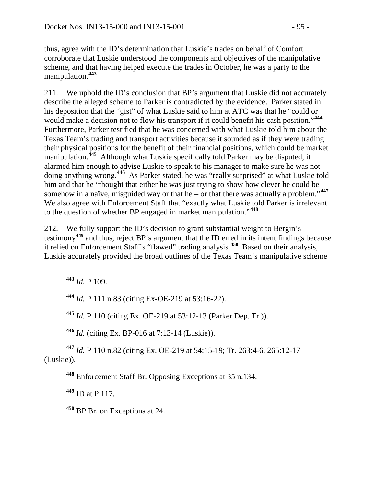thus, agree with the ID's determination that Luskie's trades on behalf of Comfort corroborate that Luskie understood the components and objectives of the manipulative scheme, and that having helped execute the trades in October, he was a party to the manipulation.**[443](#page-94-0)**

211. We uphold the ID's conclusion that BP's argument that Luskie did not accurately describe the alleged scheme to Parker is contradicted by the evidence. Parker stated in his deposition that the "gist" of what Luskie said to him at ATC was that he "could or would make a decision not to flow his transport if it could benefit his cash position."**[444](#page-94-1)** Furthermore, Parker testified that he was concerned with what Luskie told him about the Texas Team's trading and transport activities because it sounded as if they were trading their physical positions for the benefit of their financial positions, which could be market manipulation.**[445](#page-94-2)** Although what Luskie specifically told Parker may be disputed, it alarmed him enough to advise Luskie to speak to his manager to make sure he was not doing anything wrong.**[446](#page-94-3)** As Parker stated, he was "really surprised" at what Luskie told him and that he "thought that either he was just trying to show how clever he could be somehow in a naïve, misguided way or that he – or that there was actually a problem."**[447](#page-94-4)** We also agree with Enforcement Staff that "exactly what Luskie told Parker is irrelevant to the question of whether BP engaged in market manipulation."**[448](#page-94-5)**

212. We fully support the ID's decision to grant substantial weight to Bergin's testimony**[449](#page-94-6)** and thus, reject BP's argument that the ID erred in its intent findings because it relied on Enforcement Staff's "flawed" trading analysis.**[450](#page-94-7)** Based on their analysis, Luskie accurately provided the broad outlines of the Texas Team's manipulative scheme

<span id="page-94-0"></span>**<sup>443</sup>** *Id.* P 109.

<span id="page-94-1"></span>**<sup>444</sup>** *Id.* P 111 n.83 (citing Ex-OE-219 at 53:16-22).

**<sup>445</sup>** *Id.* P 110 (citing Ex. OE-219 at 53:12-13 (Parker Dep. Tr.)).

**<sup>446</sup>** *Id.* (citing Ex. BP-016 at 7:13-14 (Luskie)).

<span id="page-94-6"></span><span id="page-94-5"></span><span id="page-94-4"></span><span id="page-94-3"></span><span id="page-94-2"></span>**<sup>447</sup>** *Id.* P 110 n.82 (citing Ex. OE-219 at 54:15-19; Tr. 263:4-6, 265:12-17 (Luskie)).

**<sup>448</sup>** Enforcement Staff Br. Opposing Exceptions at 35 n.134.

**<sup>449</sup>** ID at P 117.

<span id="page-94-7"></span>**<sup>450</sup>** BP Br. on Exceptions at 24.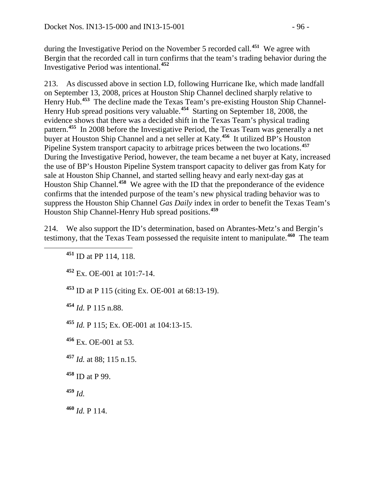during the Investigative Period on the November 5 recorded call.**[451](#page-95-0)** We agree with Bergin that the recorded call in turn confirms that the team's trading behavior during the Investigative Period was intentional.**[452](#page-95-1)**

213. As discussed above in section I.D, following Hurricane Ike, which made landfall on September 13, 2008, prices at Houston Ship Channel declined sharply relative to Henry Hub.**[453](#page-95-2)** The decline made the Texas Team's pre-existing Houston Ship Channel-Henry Hub spread positions very valuable.**[454](#page-95-3)** Starting on September 18, 2008, the evidence shows that there was a decided shift in the Texas Team's physical trading pattern.**[455](#page-95-4)** In 2008 before the Investigative Period, the Texas Team was generally a net buyer at Houston Ship Channel and a net seller at Katy.**[456](#page-95-5)** It utilized BP's Houston Pipeline System transport capacity to arbitrage prices between the two locations.**[457](#page-95-6)** During the Investigative Period, however, the team became a net buyer at Katy, increased the use of BP's Houston Pipeline System transport capacity to deliver gas from Katy for sale at Houston Ship Channel, and started selling heavy and early next-day gas at Houston Ship Channel.**[458](#page-95-7)** We agree with the ID that the preponderance of the evidence confirms that the intended purpose of the team's new physical trading behavior was to suppress the Houston Ship Channel *Gas Daily* index in order to benefit the Texas Team's Houston Ship Channel-Henry Hub spread positions.**[459](#page-95-8)**

<span id="page-95-1"></span><span id="page-95-0"></span>214. We also support the ID's determination, based on Abrantes-Metz's and Bergin's testimony, that the Texas Team possessed the requisite intent to manipulate.**[460](#page-95-9)** The team

**<sup>452</sup>** Ex. OE-001 at 101:7-14.

<span id="page-95-2"></span>**<sup>453</sup>** ID at P 115 (citing Ex. OE-001 at 68:13-19).

<span id="page-95-3"></span>**<sup>454</sup>** *Id.* P 115 n.88.

<span id="page-95-4"></span>**<sup>455</sup>** *Id.* P 115; Ex. OE-001 at 104:13-15.

<span id="page-95-5"></span>**<sup>456</sup>** Ex. OE-001 at 53.

- <span id="page-95-6"></span>**<sup>457</sup>** *Id.* at 88; 115 n.15.
- <span id="page-95-7"></span>**<sup>458</sup>** ID at P 99.
- <span id="page-95-8"></span>**<sup>459</sup>** *Id.*

<span id="page-95-9"></span>**<sup>460</sup>** *Id.* P 114.

**<sup>451</sup>** ID at PP 114, 118.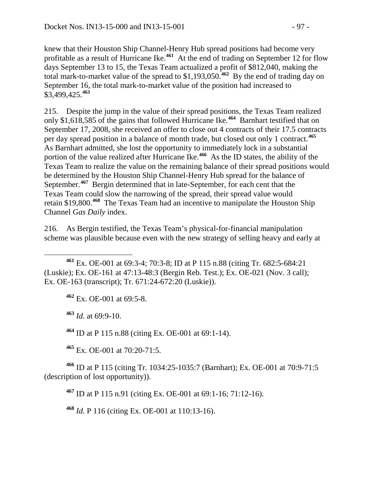knew that their Houston Ship Channel-Henry Hub spread positions had become very profitable as a result of Hurricane Ike.**[461](#page-96-0)** At the end of trading on September 12 for flow days September 13 to 15, the Texas Team actualized a profit of \$812,040, making the total mark-to-market value of the spread to \$1,193,050.**[462](#page-96-1)** By the end of trading day on September 16, the total mark-to-market value of the position had increased to \$3,499,425.**[463](#page-96-2)**

215. Despite the jump in the value of their spread positions, the Texas Team realized only \$1,618,585 of the gains that followed Hurricane Ike. **[464](#page-96-3)** Barnhart testified that on September 17, 2008, she received an offer to close out 4 contracts of their 17.5 contracts per day spread position in a balance of month trade, but closed out only 1 contract.**[465](#page-96-4)** As Barnhart admitted, she lost the opportunity to immediately lock in a substantial portion of the value realized after Hurricane Ike.**[466](#page-96-5)** As the ID states, the ability of the Texas Team to realize the value on the remaining balance of their spread positions would be determined by the Houston Ship Channel-Henry Hub spread for the balance of September.**[467](#page-96-6)** Bergin determined that in late-September, for each cent that the Texas Team could slow the narrowing of the spread, their spread value would retain \$19,800.**[468](#page-96-7)** The Texas Team had an incentive to manipulate the Houston Ship Channel *Gas Daily* index.

216. As Bergin testified, the Texas Team's physical-for-financial manipulation scheme was plausible because even with the new strategy of selling heavy and early at

**<sup>462</sup>** Ex. OE-001 at 69:5-8.

<span id="page-96-2"></span>**<sup>463</sup>** *Id.* at 69:9-10.

**<sup>464</sup>** ID at P 115 n.88 (citing Ex. OE-001 at 69:1-14).

**<sup>465</sup>** Ex. OE-001 at 70:20-71:5.

<span id="page-96-7"></span><span id="page-96-6"></span><span id="page-96-5"></span><span id="page-96-4"></span><span id="page-96-3"></span>**<sup>466</sup>** ID at P 115 (citing Tr. 1034:25-1035:7 (Barnhart); Ex. OE-001 at 70:9-71:5 (description of lost opportunity)).

**<sup>467</sup>** ID at P 115 n.91 (citing Ex. OE-001 at 69:1-16; 71:12-16).

**<sup>468</sup>** *Id.* P 116 (citing Ex. OE-001 at 110:13-16).

<span id="page-96-1"></span><span id="page-96-0"></span>**<sup>461</sup>** Ex. OE-001 at 69:3-4; 70:3-8; ID at P 115 n.88 (citing Tr. 682:5-684:21 (Luskie); Ex. OE-161 at 47:13-48:3 (Bergin Reb. Test.); Ex. OE-021 (Nov. 3 call); Ex. OE-163 (transcript); Tr. 671:24-672:20 (Luskie)).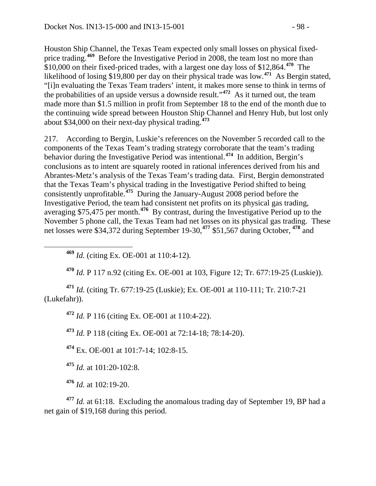Houston Ship Channel, the Texas Team expected only small losses on physical fixed-price trading.<sup>[469](#page-97-0)</sup> Before the Investigative Period in 2008, the team lost no more than \$10,000 on their fixed-priced trades, with a largest one day loss of \$12,864.**[470](#page-97-1)** The likelihood of losing \$19,800 per day on their physical trade was low.**[471](#page-97-2)** As Bergin stated, "[i]n evaluating the Texas Team traders' intent, it makes more sense to think in terms of the probabilities of an upside versus a downside result."**[472](#page-97-3)** As it turned out, the team made more than \$1.5 million in profit from September 18 to the end of the month due to the continuing wide spread between Houston Ship Channel and Henry Hub, but lost only about \$34,000 on their next-day physical trading.**[473](#page-97-4)**

217. According to Bergin, Luskie's references on the November 5 recorded call to the components of the Texas Team's trading strategy corroborate that the team's trading behavior during the Investigative Period was intentional.**[474](#page-97-5)** In addition, Bergin's conclusions as to intent are squarely rooted in rational inferences derived from his and Abrantes-Metz's analysis of the Texas Team's trading data. First, Bergin demonstrated that the Texas Team's physical trading in the Investigative Period shifted to being consistently unprofitable.**[475](#page-97-6)** During the January-August 2008 period before the Investigative Period, the team had consistent net profits on its physical gas trading, averaging \$75,475 per month.**[476](#page-97-7)** By contrast, during the Investigative Period up to the November 5 phone call, the Texas Team had net losses on its physical gas trading. These net losses were \$34,372 during September 19-30,**[477](#page-97-8)** \$51,567 during October, **[478](#page-97-9)** and

**<sup>469</sup>** *Id.* (citing Ex. OE-001 at 110:4-12).

**<sup>470</sup>** *Id.* P 117 n.92 (citing Ex. OE-001 at 103, Figure 12; Tr. 677:19-25 (Luskie)).

<span id="page-97-9"></span><span id="page-97-4"></span><span id="page-97-3"></span><span id="page-97-2"></span><span id="page-97-1"></span><span id="page-97-0"></span>**<sup>471</sup>** *Id.* (citing Tr. 677:19-25 (Luskie); Ex. OE-001 at 110-111; Tr. 210:7-21 (Lukefahr)).

**<sup>472</sup>** *Id.* P 116 (citing Ex. OE-001 at 110:4-22).

**<sup>473</sup>** *Id.* P 118 (citing Ex. OE-001 at 72:14-18; 78:14-20).

<span id="page-97-5"></span>**<sup>474</sup>** Ex. OE-001 at 101:7-14; 102:8-15.

**<sup>475</sup>** *Id.* at 101:20-102:8.

**<sup>476</sup>** *Id.* at 102:19-20.

<span id="page-97-8"></span><span id="page-97-7"></span><span id="page-97-6"></span>**<sup>477</sup>** *Id.* at 61:18. Excluding the anomalous trading day of September 19, BP had a net gain of \$19,168 during this period.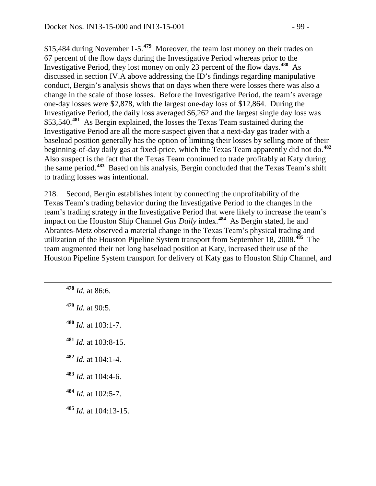\$15,484 during November 1-5.**[479](#page-98-0)** Moreover, the team lost money on their trades on 67 percent of the flow days during the Investigative Period whereas prior to the Investigative Period, they lost money on only 23 percent of the flow days.**[480](#page-98-1)** As discussed in section IV.A above addressing the ID's findings regarding manipulative conduct, Bergin's analysis shows that on days when there were losses there was also a change in the scale of those losses. Before the Investigative Period, the team's average one-day losses were \$2,878, with the largest one-day loss of \$12,864. During the Investigative Period, the daily loss averaged \$6,262 and the largest single day loss was \$53,540.**[481](#page-98-2)** As Bergin explained, the losses the Texas Team sustained during the Investigative Period are all the more suspect given that a next-day gas trader with a baseload position generally has the option of limiting their losses by selling more of their beginning-of-day daily gas at fixed-price, which the Texas Team apparently did not do.**[482](#page-98-3)** Also suspect is the fact that the Texas Team continued to trade profitably at Katy during the same period.**[483](#page-98-4)** Based on his analysis, Bergin concluded that the Texas Team's shift to trading losses was intentional.

218. Second, Bergin establishes intent by connecting the unprofitability of the Texas Team's trading behavior during the Investigative Period to the changes in the team's trading strategy in the Investigative Period that were likely to increase the team's impact on the Houston Ship Channel *Gas Daily* index.**[484](#page-98-5)** As Bergin stated, he and Abrantes-Metz observed a material change in the Texas Team's physical trading and utilization of the Houston Pipeline System transport from September 18, 2008.**[485](#page-98-6)** The team augmented their net long baseload position at Katy, increased their use of the Houston Pipeline System transport for delivery of Katy gas to Houston Ship Channel, and

- **<sup>478</sup>** *Id.* at 86:6.
- <span id="page-98-0"></span>**<sup>479</sup>** *Id.* at 90:5.
- <span id="page-98-1"></span>**<sup>480</sup>** *Id.* at 103:1-7.
- <span id="page-98-2"></span>**<sup>481</sup>** *Id.* at 103:8-15.
- <span id="page-98-3"></span>**<sup>482</sup>** *Id.* at 104:1-4.
- <span id="page-98-4"></span>**<sup>483</sup>** *Id.* at 104:4-6.
- <span id="page-98-5"></span>**<sup>484</sup>** *Id.* at 102:5-7.
- <span id="page-98-6"></span>**<sup>485</sup>** *Id.* at 104:13-15.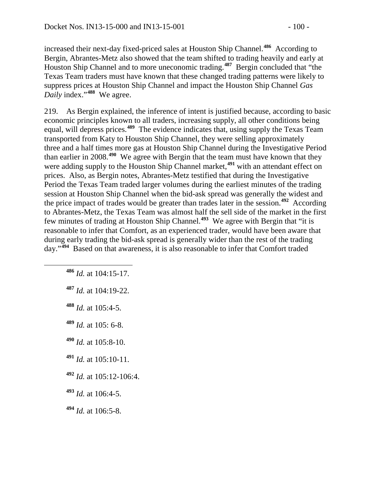increased their next-day fixed-priced sales at Houston Ship Channel.**[486](#page-99-0)** According to Bergin, Abrantes-Metz also showed that the team shifted to trading heavily and early at Houston Ship Channel and to more uneconomic trading.**[487](#page-99-1)** Bergin concluded that "the Texas Team traders must have known that these changed trading patterns were likely to suppress prices at Houston Ship Channel and impact the Houston Ship Channel *Gas Daily* index."**[488](#page-99-2)** We agree.

219. As Bergin explained, the inference of intent is justified because, according to basic economic principles known to all traders, increasing supply, all other conditions being equal, will depress prices.**[489](#page-99-3)** The evidence indicates that, using supply the Texas Team transported from Katy to Houston Ship Channel, they were selling approximately three and a half times more gas at Houston Ship Channel during the Investigative Period than earlier in 2008.**[490](#page-99-4)** We agree with Bergin that the team must have known that they were adding supply to the Houston Ship Channel market,**[491](#page-99-5)** with an attendant effect on prices. Also, as Bergin notes, Abrantes-Metz testified that during the Investigative Period the Texas Team traded larger volumes during the earliest minutes of the trading session at Houston Ship Channel when the bid-ask spread was generally the widest and the price impact of trades would be greater than trades later in the session.**[492](#page-99-6)** According to Abrantes-Metz, the Texas Team was almost half the sell side of the market in the first few minutes of trading at Houston Ship Channel.**[493](#page-99-7)** We agree with Bergin that "it is reasonable to infer that Comfort, as an experienced trader, would have been aware that during early trading the bid-ask spread is generally wider than the rest of the trading day."**[494](#page-99-8)** Based on that awareness, it is also reasonable to infer that Comfort traded

- <span id="page-99-0"></span>**<sup>486</sup>** *Id.* at 104:15-17.
- <span id="page-99-1"></span>**<sup>487</sup>** *Id.* at 104:19-22.
- <span id="page-99-2"></span>**<sup>488</sup>** *Id.* at 105:4-5.
- <span id="page-99-3"></span>**<sup>489</sup>** *Id.* at 105: 6-8.
- <span id="page-99-4"></span>**<sup>490</sup>** *Id.* at 105:8-10.
- <span id="page-99-5"></span>**<sup>491</sup>** *Id.* at 105:10-11.
- <span id="page-99-6"></span>**<sup>492</sup>** *Id.* at 105:12-106:4.
- <span id="page-99-7"></span>**<sup>493</sup>** *Id.* at 106:4-5.
- <span id="page-99-8"></span>**<sup>494</sup>** *Id.* at 106:5-8.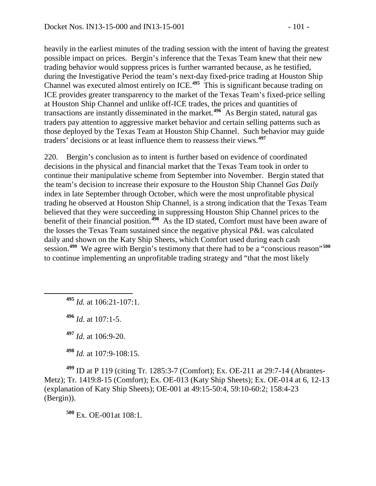heavily in the earliest minutes of the trading session with the intent of having the greatest possible impact on prices. Bergin's inference that the Texas Team knew that their new trading behavior would suppress prices is further warranted because, as he testified, during the Investigative Period the team's next-day fixed-price trading at Houston Ship Channel was executed almost entirely on ICE.**[495](#page-100-0)** This is significant because trading on ICE provides greater transparency to the market of the Texas Team's fixed-price selling at Houston Ship Channel and unlike off-ICE trades, the prices and quantities of transactions are instantly disseminated in the market.**[496](#page-100-1)** As Bergin stated, natural gas traders pay attention to aggressive market behavior and certain selling patterns such as those deployed by the Texas Team at Houston Ship Channel. Such behavior may guide traders' decisions or at least influence them to reassess their views.**[497](#page-100-2)**

220. Bergin's conclusion as to intent is further based on evidence of coordinated decisions in the physical and financial market that the Texas Team took in order to continue their manipulative scheme from September into November. Bergin stated that the team's decision to increase their exposure to the Houston Ship Channel *Gas Daily* index in late September through October, which were the most unprofitable physical trading he observed at Houston Ship Channel, is a strong indication that the Texas Team believed that they were succeeding in suppressing Houston Ship Channel prices to the benefit of their financial position.<sup>[498](#page-100-3)</sup> As the ID stated, Comfort must have been aware of the losses the Texas Team sustained since the negative physical P&L was calculated daily and shown on the Katy Ship Sheets, which Comfort used during each cash session.**[499](#page-100-4)** We agree with Bergin's testimony that there had to be a "conscious reason"**[500](#page-100-5)** to continue implementing an unprofitable trading strategy and "that the most likely

<span id="page-100-0"></span>**<sup>495</sup>** *Id.* at 106:21-107:1.

<span id="page-100-1"></span>**<sup>496</sup>** *Id.* at 107:1-5.

**<sup>497</sup>** *Id.* at 106:9-20.

**<sup>498</sup>** *Id.* at 107:9-108:15.

<span id="page-100-5"></span><span id="page-100-4"></span><span id="page-100-3"></span><span id="page-100-2"></span>**<sup>499</sup>** ID at P 119 (citing Tr. 1285:3-7 (Comfort); Ex. OE-211 at 29:7-14 (Abrantes-Metz); Tr. 1419:8-15 (Comfort); Ex. OE-013 (Katy Ship Sheets); Ex. OE-014 at 6, 12-13 (explanation of Katy Ship Sheets); OE-001 at 49:15-50:4, 59:10-60:2; 158:4-23 (Bergin)).

**<sup>500</sup>** Ex. OE-001at 108:1.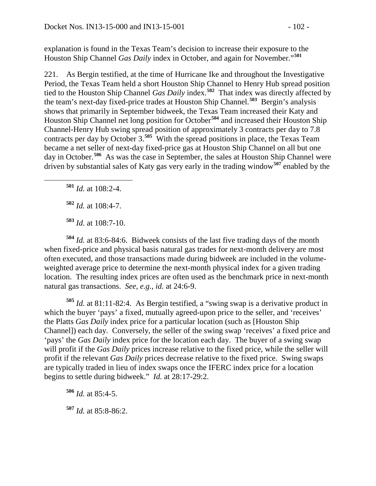explanation is found in the Texas Team's decision to increase their exposure to the Houston Ship Channel *Gas Daily* index in October, and again for November."**[501](#page-101-0)**

221. As Bergin testified, at the time of Hurricane Ike and throughout the Investigative Period, the Texas Team held a short Houston Ship Channel to Henry Hub spread position tied to the Houston Ship Channel *Gas Daily* index.**[502](#page-101-1)** That index was directly affected by the team's next-day fixed-price trades at Houston Ship Channel.**[503](#page-101-2)** Bergin's analysis shows that primarily in September bidweek, the Texas Team increased their Katy and Houston Ship Channel net long position for October**[504](#page-101-3)** and increased their Houston Ship Channel-Henry Hub swing spread position of approximately 3 contracts per day to 7.8 contracts per day by October 3.**[505](#page-101-4)** With the spread positions in place, the Texas Team became a net seller of next-day fixed-price gas at Houston Ship Channel on all but one day in October.**[506](#page-101-5)** As was the case in September, the sales at Houston Ship Channel were driven by substantial sales of Katy gas very early in the trading window**[507](#page-101-6)** enabled by the

<span id="page-101-0"></span>**<sup>501</sup>** *Id.* at 108:2-4.

**<sup>502</sup>** *Id.* at 108:4-7.

**<sup>503</sup>** *Id.* at 108:7-10.

<span id="page-101-3"></span><span id="page-101-2"></span><span id="page-101-1"></span>**<sup>504</sup>** *Id.* at 83:6-84:6. Bidweek consists of the last five trading days of the month when fixed-price and physical basis natural gas trades for next-month delivery are most often executed, and those transactions made during bidweek are included in the volumeweighted average price to determine the next-month physical index for a given trading location. The resulting index prices are often used as the benchmark price in next-month natural gas transactions. *See, e.g., id.* at 24:6-9.

<span id="page-101-4"></span>**<sup>505</sup>** *Id.* at 81:11-82:4. As Bergin testified, a "swing swap is a derivative product in which the buyer 'pays' a fixed, mutually agreed-upon price to the seller, and 'receives' the Platts *Gas Daily* index price for a particular location (such as [Houston Ship Channel]) each day. Conversely, the seller of the swing swap 'receives' a fixed price and 'pays' the *Gas Daily* index price for the location each day. The buyer of a swing swap will profit if the *Gas Daily* prices increase relative to the fixed price, while the seller will profit if the relevant *Gas Daily* prices decrease relative to the fixed price. Swing swaps are typically traded in lieu of index swaps once the IFERC index price for a location begins to settle during bidweek." *Id.* at 28:17-29:2.

<span id="page-101-6"></span><span id="page-101-5"></span>**<sup>506</sup>** *Id.* at 85:4-5. **<sup>507</sup>** *Id.* at 85:8-86:2.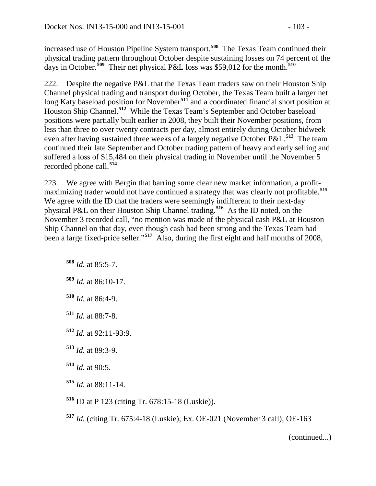increased use of Houston Pipeline System transport.**[508](#page-102-0)** The Texas Team continued their physical trading pattern throughout October despite sustaining losses on 74 percent of the days in October.**[509](#page-102-1)** Their net physical P&L loss was \$59,012 for the month.**[510](#page-102-2)**

222. Despite the negative P&L that the Texas Team traders saw on their Houston Ship Channel physical trading and transport during October, the Texas Team built a larger net long Katy baseload position for November<sup>[511](#page-102-3)</sup> and a coordinated financial short position at Houston Ship Channel.**[512](#page-102-4)** While the Texas Team's September and October baseload positions were partially built earlier in 2008, they built their November positions, from less than three to over twenty contracts per day, almost entirely during October bidweek even after having sustained three weeks of a largely negative October P&L.**[513](#page-102-5)** The team continued their late September and October trading pattern of heavy and early selling and suffered a loss of \$15,484 on their physical trading in November until the November 5 recorded phone call.**[514](#page-102-6)**

223. We agree with Bergin that barring some clear new market information, a profitmaximizing trader would not have continued a strategy that was clearly not profitable.**[515](#page-102-7)** We agree with the ID that the traders were seemingly indifferent to their next-day physical P&L on their Houston Ship Channel trading.**[516](#page-102-8)** As the ID noted, on the November 3 recorded call, "no mention was made of the physical cash P&L at Houston Ship Channel on that day, even though cash had been strong and the Texas Team had been a large fixed-price seller."**[517](#page-102-9)** Also, during the first eight and half months of 2008,

<span id="page-102-0"></span>**<sup>508</sup>** *Id.* at 85:5-7.

<span id="page-102-1"></span>**<sup>509</sup>** *Id.* at 86:10-17.

<span id="page-102-2"></span>**<sup>510</sup>** *Id.* at 86:4-9.

<span id="page-102-3"></span>**<sup>511</sup>** *Id.* at 88:7-8.

<span id="page-102-4"></span>**<sup>512</sup>** *Id.* at 92:11-93:9.

<span id="page-102-5"></span>**<sup>513</sup>** *Id.* at 89:3-9.

<span id="page-102-6"></span>**<sup>514</sup>** *Id.* at 90:5.

<span id="page-102-7"></span>**<sup>515</sup>** *Id.* at 88:11-14.

<span id="page-102-8"></span>**<sup>516</sup>** ID at P 123 (citing Tr. 678:15-18 (Luskie)).

<span id="page-102-9"></span>**<sup>517</sup>** *Id.* (citing Tr. 675:4-18 (Luskie); Ex. OE-021 (November 3 call); OE-163

(continued...)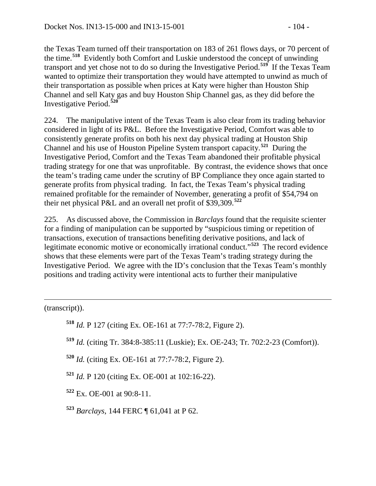the Texas Team turned off their transportation on 183 of 261 flows days, or 70 percent of the time.**[518](#page-103-0)** Evidently both Comfort and Luskie understood the concept of unwinding transport and yet chose not to do so during the Investigative Period.**[519](#page-103-1)** If the Texas Team

wanted to optimize their transportation they would have attempted to unwind as much of their transportation as possible when prices at Katy were higher than Houston Ship Channel and sell Katy gas and buy Houston Ship Channel gas, as they did before the Investigative Period.**[520](#page-103-2)**

224. The manipulative intent of the Texas Team is also clear from its trading behavior considered in light of its P&L. Before the Investigative Period, Comfort was able to consistently generate profits on both his next day physical trading at Houston Ship Channel and his use of Houston Pipeline System transport capacity.**[521](#page-103-3)** During the Investigative Period, Comfort and the Texas Team abandoned their profitable physical trading strategy for one that was unprofitable. By contrast, the evidence shows that once the team's trading came under the scrutiny of BP Compliance they once again started to generate profits from physical trading. In fact, the Texas Team's physical trading remained profitable for the remainder of November, generating a profit of \$54,794 on their net physical P&L and an overall net profit of \$39,309.**[522](#page-103-4)**

225. As discussed above, the Commission in *Barclays* found that the requisite scienter for a finding of manipulation can be supported by "suspicious timing or repetition of transactions, execution of transactions benefiting derivative positions, and lack of legitimate economic motive or economically irrational conduct."**[523](#page-103-5)** The record evidence shows that these elements were part of the Texas Team's trading strategy during the Investigative Period. We agree with the ID's conclusion that the Texas Team's monthly positions and trading activity were intentional acts to further their manipulative

<span id="page-103-1"></span><span id="page-103-0"></span>(transcript)).

 $\overline{a}$ 

- **<sup>518</sup>** *Id.* P 127 (citing Ex. OE-161 at 77:7-78:2, Figure 2).
- **<sup>519</sup>** *Id.* (citing Tr. 384:8-385:11 (Luskie); Ex. OE-243; Tr. 702:2-23 (Comfort)).
- <span id="page-103-2"></span>**<sup>520</sup>** *Id.* (citing Ex. OE-161 at 77:7-78:2, Figure 2).
- <span id="page-103-3"></span>**<sup>521</sup>** *Id.* P 120 (citing Ex. OE-001 at 102:16-22).
- <span id="page-103-4"></span>**<sup>522</sup>** Ex. OE-001 at 90:8-11.
- <span id="page-103-5"></span>**<sup>523</sup>** *Barclays*, 144 FERC ¶ 61,041 at P 62.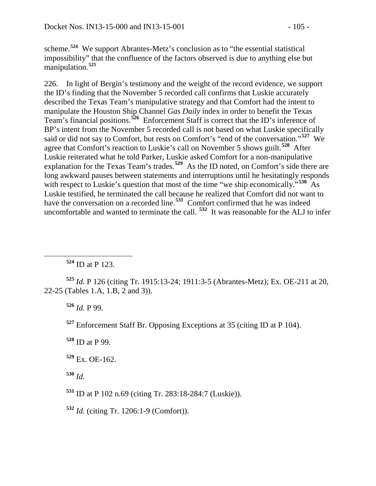scheme.**[524](#page-104-0)** We support Abrantes-Metz's conclusion as to "the essential statistical impossibility" that the confluence of the factors observed is due to anything else but manipulation.**[525](#page-104-1)**

226. In light of Bergin's testimony and the weight of the record evidence, we support the ID's finding that the November 5 recorded call confirms that Luskie accurately described the Texas Team's manipulative strategy and that Comfort had the intent to manipulate the Houston Ship Channel *Gas Daily* index in order to benefit the Texas Team's financial positions.**[526](#page-104-2)** Enforcement Staff is correct that the ID's inference of BP's intent from the November 5 recorded call is not based on what Luskie specifically said or did not say to Comfort, but rests on Comfort's "end of the conversation."**[527](#page-104-3)** We agree that Comfort's reaction to Luskie's call on November 5 shows guilt.**[528](#page-104-4)** After Luskie reiterated what he told Parker, Luskie asked Comfort for a non-manipulative explanation for the Texas Team's trades.**[529](#page-104-5)** As the ID noted, on Comfort's side there are long awkward pauses between statements and interruptions until he hesitatingly responds with respect to Luskie's question that most of the time "we ship economically."<sup>[530](#page-104-6)</sup> As Luskie testified, he terminated the call because he realized that Comfort did not want to have the conversation on a recorded line.**[531](#page-104-7)** Comfort confirmed that he was indeed uncomfortable and wanted to terminate the call. **[532](#page-104-8)** It was reasonable for the ALJ to infer

**<sup>524</sup>** ID at P 123.

<span id="page-104-3"></span><span id="page-104-2"></span><span id="page-104-1"></span><span id="page-104-0"></span>**<sup>525</sup>** *Id.* P 126 (citing Tr. 1915:13-24; 1911:3-5 (Abrantes-Metz); Ex. OE-211 at 20, 22-25 (Tables 1.A, 1.B, 2 and 3)).

**<sup>526</sup>** *Id.* P 99.

**<sup>527</sup>** Enforcement Staff Br. Opposing Exceptions at 35 (citing ID at P 104).

<span id="page-104-4"></span>**<sup>528</sup>** ID at P 99.

<span id="page-104-5"></span>**<sup>529</sup>** Ex. OE-162.

<span id="page-104-6"></span>**<sup>530</sup>** *Id.* 

<span id="page-104-7"></span>**<sup>531</sup>** ID at P 102 n.69 (citing Tr. 283:18-284:7 (Luskie)).

<span id="page-104-8"></span>**<sup>532</sup>** *Id.* (citing Tr. 1206:1-9 (Comfort)).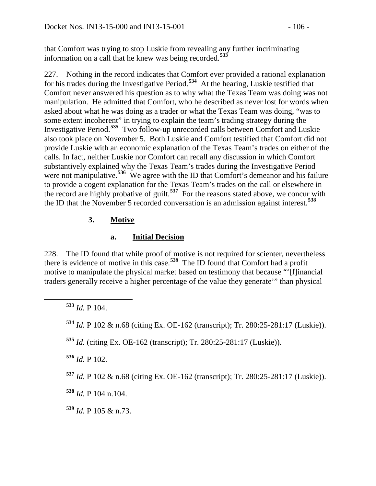that Comfort was trying to stop Luskie from revealing any further incriminating information on a call that he knew was being recorded.**[533](#page-105-0)**

227. Nothing in the record indicates that Comfort ever provided a rational explanation for his trades during the Investigative Period.**[534](#page-105-1)** At the hearing, Luskie testified that Comfort never answered his question as to why what the Texas Team was doing was not manipulation. He admitted that Comfort, who he described as never lost for words when asked about what he was doing as a trader or what the Texas Team was doing, "was to some extent incoherent" in trying to explain the team's trading strategy during the Investigative Period.**[535](#page-105-2)** Two follow-up unrecorded calls between Comfort and Luskie also took place on November 5. Both Luskie and Comfort testified that Comfort did not provide Luskie with an economic explanation of the Texas Team's trades on either of the calls. In fact, neither Luskie nor Comfort can recall any discussion in which Comfort substantively explained why the Texas Team's trades during the Investigative Period were not manipulative.<sup>[536](#page-105-3)</sup> We agree with the ID that Comfort's demeanor and his failure to provide a cogent explanation for the Texas Team's trades on the call or elsewhere in the record are highly probative of guilt.**[537](#page-105-4)** For the reasons stated above, we concur with the ID that the November 5 recorded conversation is an admission against interest.**[538](#page-105-5)**

# **3. Motive**

# **a. Initial Decision**

228. The ID found that while proof of motive is not required for scienter, nevertheless there is evidence of motive in this case.**[539](#page-105-6)** The ID found that Comfort had a profit motive to manipulate the physical market based on testimony that because "'[f]inancial traders generally receive a higher percentage of the value they generate'" than physical

<span id="page-105-3"></span>**<sup>536</sup>** *Id.* P 102.

<span id="page-105-4"></span>**<sup>537</sup>** *Id.* P 102 & n.68 (citing Ex. OE-162 (transcript); Tr. 280:25-281:17 (Luskie)).

<span id="page-105-5"></span>**<sup>538</sup>** *Id.* P 104 n.104.

<span id="page-105-6"></span>**<sup>539</sup>** *Id.* P 105 & n.73.

<span id="page-105-0"></span>**<sup>533</sup>** *Id.* P 104.

<span id="page-105-1"></span>**<sup>534</sup>** *Id.* P 102 & n.68 (citing Ex. OE-162 (transcript); Tr. 280:25-281:17 (Luskie)).

<span id="page-105-2"></span>**<sup>535</sup>** *Id.* (citing Ex. OE-162 (transcript); Tr. 280:25-281:17 (Luskie)).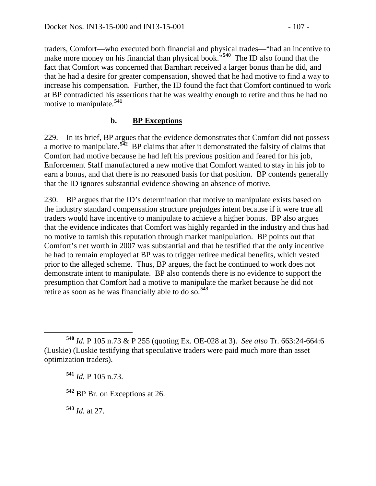traders, Comfort—who executed both financial and physical trades—"had an incentive to make more money on his financial than physical book."<sup>[540](#page-106-0)</sup> The ID also found that the fact that Comfort was concerned that Barnhart received a larger bonus than he did, and that he had a desire for greater compensation, showed that he had motive to find a way to increase his compensation. Further, the ID found the fact that Comfort continued to work at BP contradicted his assertions that he was wealthy enough to retire and thus he had no motive to manipulate.**[541](#page-106-1)**

### **b. BP Exceptions**

229. In its brief, BP argues that the evidence demonstrates that Comfort did not possess a motive to manipulate.**[542](#page-106-2)** BP claims that after it demonstrated the falsity of claims that Comfort had motive because he had left his previous position and feared for his job, Enforcement Staff manufactured a new motive that Comfort wanted to stay in his job to earn a bonus, and that there is no reasoned basis for that position. BP contends generally that the ID ignores substantial evidence showing an absence of motive.

230. BP argues that the ID's determination that motive to manipulate exists based on the industry standard compensation structure prejudges intent because if it were true all traders would have incentive to manipulate to achieve a higher bonus. BP also argues that the evidence indicates that Comfort was highly regarded in the industry and thus had no motive to tarnish this reputation through market manipulation. BP points out that Comfort's net worth in 2007 was substantial and that he testified that the only incentive he had to remain employed at BP was to trigger retiree medical benefits, which vested prior to the alleged scheme. Thus, BP argues, the fact he continued to work does not demonstrate intent to manipulate. BP also contends there is no evidence to support the presumption that Comfort had a motive to manipulate the market because he did not retire as soon as he was financially able to do so.**[543](#page-106-3)**

<span id="page-106-3"></span>**<sup>543</sup>** *Id.* at 27.

<span id="page-106-1"></span><span id="page-106-0"></span>**<sup>540</sup>** *Id.* P 105 n.73 & P 255 (quoting Ex. OE-028 at 3). *See also* Tr. 663:24-664:6 (Luskie) (Luskie testifying that speculative traders were paid much more than asset optimization traders).

**<sup>541</sup>** *Id.* P 105 n.73.

<span id="page-106-2"></span>**<sup>542</sup>** BP Br. on Exceptions at 26.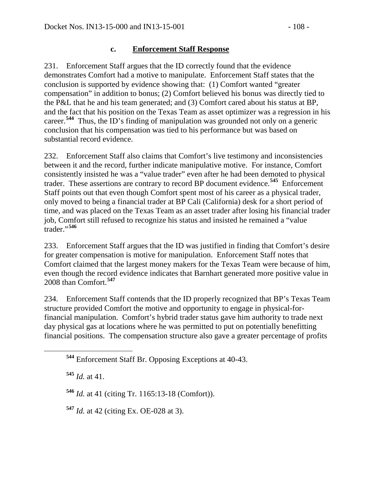# **c. Enforcement Staff Response**

231. Enforcement Staff argues that the ID correctly found that the evidence demonstrates Comfort had a motive to manipulate. Enforcement Staff states that the conclusion is supported by evidence showing that: (1) Comfort wanted "greater compensation" in addition to bonus; (2) Comfort believed his bonus was directly tied to the P&L that he and his team generated; and (3) Comfort cared about his status at BP, and the fact that his position on the Texas Team as asset optimizer was a regression in his career.**[544](#page-107-0)** Thus, the ID's finding of manipulation was grounded not only on a generic conclusion that his compensation was tied to his performance but was based on substantial record evidence.

232. Enforcement Staff also claims that Comfort's live testimony and inconsistencies between it and the record, further indicate manipulative motive. For instance, Comfort consistently insisted he was a "value trader" even after he had been demoted to physical trader. These assertions are contrary to record BP document evidence.**[545](#page-107-1)** Enforcement Staff points out that even though Comfort spent most of his career as a physical trader, only moved to being a financial trader at BP Cali (California) desk for a short period of time, and was placed on the Texas Team as an asset trader after losing his financial trader job, Comfort still refused to recognize his status and insisted he remained a "value trader."**[546](#page-107-2)**

233. Enforcement Staff argues that the ID was justified in finding that Comfort's desire for greater compensation is motive for manipulation. Enforcement Staff notes that Comfort claimed that the largest money makers for the Texas Team were because of him, even though the record evidence indicates that Barnhart generated more positive value in 2008 than Comfort.**[547](#page-107-3)**

234. Enforcement Staff contends that the ID properly recognized that BP's Texas Team structure provided Comfort the motive and opportunity to engage in physical-forfinancial manipulation. Comfort's hybrid trader status gave him authority to trade next day physical gas at locations where he was permitted to put on potentially benefitting financial positions. The compensation structure also gave a greater percentage of profits

<span id="page-107-1"></span>**<sup>545</sup>** *Id.* at 41.

<span id="page-107-2"></span>**<sup>546</sup>** *Id.* at 41 (citing Tr. 1165:13-18 (Comfort)).

<span id="page-107-3"></span>**<sup>547</sup>** *Id.* at 42 (citing Ex. OE-028 at 3).

<span id="page-107-0"></span>**<sup>544</sup>** Enforcement Staff Br. Opposing Exceptions at 40-43.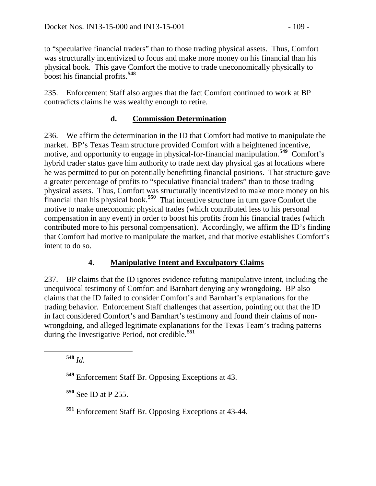to "speculative financial traders" than to those trading physical assets. Thus, Comfort was structurally incentivized to focus and make more money on his financial than his physical book. This gave Comfort the motive to trade uneconomically physically to boost his financial profits.**[548](#page-108-0)**

235. Enforcement Staff also argues that the fact Comfort continued to work at BP contradicts claims he was wealthy enough to retire.

## **d. Commission Determination**

236. We affirm the determination in the ID that Comfort had motive to manipulate the market. BP's Texas Team structure provided Comfort with a heightened incentive, motive, and opportunity to engage in physical-for-financial manipulation.**[549](#page-108-1)** Comfort's hybrid trader status gave him authority to trade next day physical gas at locations where he was permitted to put on potentially benefitting financial positions. That structure gave a greater percentage of profits to "speculative financial traders" than to those trading physical assets. Thus, Comfort was structurally incentivized to make more money on his financial than his physical book.**[550](#page-108-2)** That incentive structure in turn gave Comfort the motive to make uneconomic physical trades (which contributed less to his personal compensation in any event) in order to boost his profits from his financial trades (which contributed more to his personal compensation). Accordingly, we affirm the ID's finding that Comfort had motive to manipulate the market, and that motive establishes Comfort's intent to do so.

## **4. Manipulative Intent and Exculpatory Claims**

237. BP claims that the ID ignores evidence refuting manipulative intent, including the unequivocal testimony of Comfort and Barnhart denying any wrongdoing. BP also claims that the ID failed to consider Comfort's and Barnhart's explanations for the trading behavior. Enforcement Staff challenges that assertion, pointing out that the ID in fact considered Comfort's and Barnhart's testimony and found their claims of nonwrongdoing, and alleged legitimate explanations for the Texas Team's trading patterns during the Investigative Period, not credible.**[551](#page-108-3)**

<span id="page-108-0"></span>**<sup>548</sup>** *Id.*

<span id="page-108-1"></span>**<sup>549</sup>** Enforcement Staff Br. Opposing Exceptions at 43.

<span id="page-108-2"></span>**<sup>550</sup>** See ID at P 255.

<span id="page-108-3"></span>**<sup>551</sup>** Enforcement Staff Br. Opposing Exceptions at 43-44.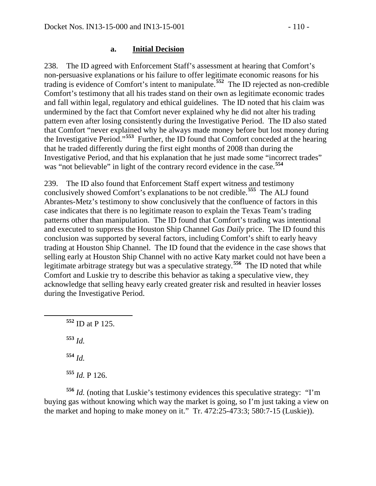#### **a. Initial Decision**

238. The ID agreed with Enforcement Staff's assessment at hearing that Comfort's non-persuasive explanations or his failure to offer legitimate economic reasons for his trading is evidence of Comfort's intent to manipulate.**[552](#page-109-0)** The ID rejected as non-credible Comfort's testimony that all his trades stand on their own as legitimate economic trades and fall within legal, regulatory and ethical guidelines. The ID noted that his claim was undermined by the fact that Comfort never explained why he did not alter his trading pattern even after losing consistently during the Investigative Period. The ID also stated that Comfort "never explained why he always made money before but lost money during the Investigative Period."**[553](#page-109-1)** Further, the ID found that Comfort conceded at the hearing that he traded differently during the first eight months of 2008 than during the Investigative Period, and that his explanation that he just made some "incorrect trades" was "not believable" in light of the contrary record evidence in the case.<sup>[554](#page-109-2)</sup>

239. The ID also found that Enforcement Staff expert witness and testimony conclusively showed Comfort's explanations to be not credible.**[555](#page-109-3)** The ALJ found Abrantes-Metz's testimony to show conclusively that the confluence of factors in this case indicates that there is no legitimate reason to explain the Texas Team's trading patterns other than manipulation. The ID found that Comfort's trading was intentional and executed to suppress the Houston Ship Channel *Gas Daily* price. The ID found this conclusion was supported by several factors, including Comfort's shift to early heavy trading at Houston Ship Channel. The ID found that the evidence in the case shows that selling early at Houston Ship Channel with no active Katy market could not have been a legitimate arbitrage strategy but was a speculative strategy.**[556](#page-109-4)** The ID noted that while Comfort and Luskie try to describe this behavior as taking a speculative view, they acknowledge that selling heavy early created greater risk and resulted in heavier losses during the Investigative Period.

<span id="page-109-0"></span> **<sup>552</sup>** ID at P 125. **<sup>553</sup>** *Id.* **<sup>554</sup>** *Id.* **<sup>555</sup>** *Id.* P 126.

<span id="page-109-4"></span><span id="page-109-3"></span><span id="page-109-2"></span><span id="page-109-1"></span>**<sup>556</sup>** *Id.* (noting that Luskie's testimony evidences this speculative strategy: "I'm buying gas without knowing which way the market is going, so I'm just taking a view on the market and hoping to make money on it." Tr. 472:25-473:3; 580:7-15 (Luskie)).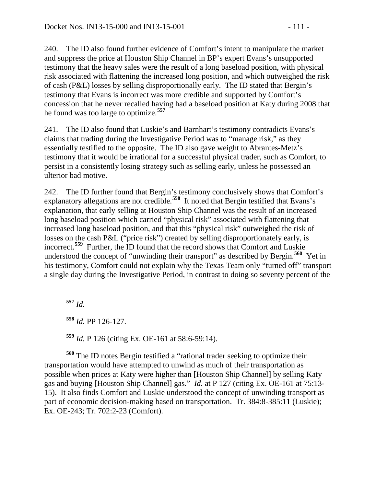240. The ID also found further evidence of Comfort's intent to manipulate the market and suppress the price at Houston Ship Channel in BP's expert Evans's unsupported testimony that the heavy sales were the result of a long baseload position, with physical risk associated with flattening the increased long position, and which outweighed the risk of cash (P&L) losses by selling disproportionally early. The ID stated that Bergin's testimony that Evans is incorrect was more credible and supported by Comfort's concession that he never recalled having had a baseload position at Katy during 2008 that he found was too large to optimize.**[557](#page-110-0)**

241. The ID also found that Luskie's and Barnhart's testimony contradicts Evans's claims that trading during the Investigative Period was to "manage risk," as they essentially testified to the opposite. The ID also gave weight to Abrantes-Metz's testimony that it would be irrational for a successful physical trader, such as Comfort, to persist in a consistently losing strategy such as selling early, unless he possessed an ulterior bad motive.

242. The ID further found that Bergin's testimony conclusively shows that Comfort's explanatory allegations are not credible.**[558](#page-110-1)** It noted that Bergin testified that Evans's explanation, that early selling at Houston Ship Channel was the result of an increased long baseload position which carried "physical risk" associated with flattening that increased long baseload position, and that this "physical risk" outweighed the risk of losses on the cash P&L ("price risk") created by selling disproportionately early, is incorrect.**[559](#page-110-2)** Further, the ID found that the record shows that Comfort and Luskie understood the concept of "unwinding their transport" as described by Bergin.**[560](#page-110-3)** Yet in his testimony, Comfort could not explain why the Texas Team only "turned off" transport a single day during the Investigative Period, in contrast to doing so seventy percent of the

<span id="page-110-0"></span>**<sup>557</sup>** *Id.*

**<sup>558</sup>** *Id.* PP 126-127.

**<sup>559</sup>** *Id.* P 126 (citing Ex. OE-161 at 58:6-59:14).

<span id="page-110-3"></span><span id="page-110-2"></span><span id="page-110-1"></span>**<sup>560</sup>** The ID notes Bergin testified a "rational trader seeking to optimize their transportation would have attempted to unwind as much of their transportation as possible when prices at Katy were higher than [Houston Ship Channel] by selling Katy gas and buying [Houston Ship Channel] gas." *Id.* at P 127 (citing Ex. OE-161 at 75:13- 15). It also finds Comfort and Luskie understood the concept of unwinding transport as part of economic decision-making based on transportation. Tr. 384:8-385:11 (Luskie); Ex. OE-243; Tr. 702:2-23 (Comfort).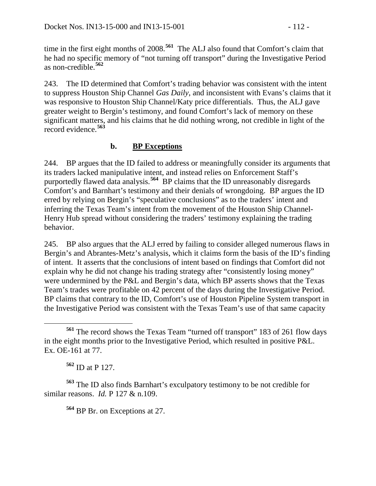time in the first eight months of 2008.**[561](#page-111-0)** The ALJ also found that Comfort's claim that he had no specific memory of "not turning off transport" during the Investigative Period as non-credible.**[562](#page-111-1)**

243. The ID determined that Comfort's trading behavior was consistent with the intent to suppress Houston Ship Channel *Gas Daily*, and inconsistent with Evans's claims that it was responsive to Houston Ship Channel/Katy price differentials. Thus, the ALJ gave greater weight to Bergin's testimony, and found Comfort's lack of memory on these significant matters, and his claims that he did nothing wrong, not credible in light of the record evidence.**[563](#page-111-2)**

## **b. BP Exceptions**

244. BP argues that the ID failed to address or meaningfully consider its arguments that its traders lacked manipulative intent, and instead relies on Enforcement Staff's purportedly flawed data analysis.<sup>[564](#page-111-3)</sup> BP claims that the ID unreasonably disregards Comfort's and Barnhart's testimony and their denials of wrongdoing. BP argues the ID erred by relying on Bergin's "speculative conclusions" as to the traders' intent and inferring the Texas Team's intent from the movement of the Houston Ship Channel-Henry Hub spread without considering the traders' testimony explaining the trading behavior.

245. BP also argues that the ALJ erred by failing to consider alleged numerous flaws in Bergin's and Abrantes-Metz's analysis, which it claims form the basis of the ID's finding of intent. It asserts that the conclusions of intent based on findings that Comfort did not explain why he did not change his trading strategy after "consistently losing money" were undermined by the P&L and Bergin's data, which BP asserts shows that the Texas Team's trades were profitable on 42 percent of the days during the Investigative Period. BP claims that contrary to the ID, Comfort's use of Houston Pipeline System transport in the Investigative Period was consistent with the Texas Team's use of that same capacity

<span id="page-111-3"></span><span id="page-111-2"></span><span id="page-111-1"></span>**<sup>563</sup>** The ID also finds Barnhart's exculpatory testimony to be not credible for similar reasons. *Id.* P 127 & n.109.

**<sup>564</sup>** BP Br. on Exceptions at 27.

<span id="page-111-0"></span>**<sup>561</sup>** The record shows the Texas Team "turned off transport" 183 of 261 flow days in the eight months prior to the Investigative Period, which resulted in positive P&L. Ex. OE-161 at 77.

**<sup>562</sup>** ID at P 127.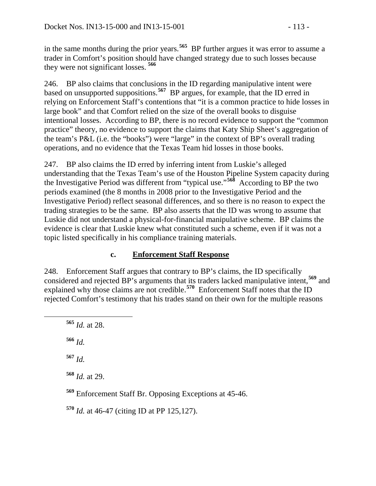in the same months during the prior years.**[565](#page-112-0)** BP further argues it was error to assume a trader in Comfort's position should have changed strategy due to such losses because they were not significant losses. **[566](#page-112-1)**

246. BP also claims that conclusions in the ID regarding manipulative intent were based on unsupported suppositions.**[567](#page-112-2)** BP argues, for example, that the ID erred in relying on Enforcement Staff's contentions that "it is a common practice to hide losses in large book" and that Comfort relied on the size of the overall books to disguise intentional losses. According to BP, there is no record evidence to support the "common practice" theory, no evidence to support the claims that Katy Ship Sheet's aggregation of the team's P&L (i.e. the "books") were "large" in the context of BP's overall trading operations, and no evidence that the Texas Team hid losses in those books.

247. BP also claims the ID erred by inferring intent from Luskie's alleged understanding that the Texas Team's use of the Houston Pipeline System capacity during the Investigative Period was different from "typical use."**[568](#page-112-3)** According to BP the two periods examined (the 8 months in 2008 prior to the Investigative Period and the Investigative Period) reflect seasonal differences, and so there is no reason to expect the trading strategies to be the same. BP also asserts that the ID was wrong to assume that Luskie did not understand a physical-for-financial manipulative scheme. BP claims the evidence is clear that Luskie knew what constituted such a scheme, even if it was not a topic listed specifically in his compliance training materials.

## **c. Enforcement Staff Response**

248. Enforcement Staff argues that contrary to BP's claims, the ID specifically considered and rejected BP's arguments that its traders lacked manipulative intent,**[569](#page-112-4)** and explained why those claims are not credible.<sup>[570](#page-112-5)</sup> Enforcement Staff notes that the ID rejected Comfort's testimony that his trades stand on their own for the multiple reasons

<span id="page-112-0"></span>**<sup>565</sup>** *Id.* at 28.

<span id="page-112-1"></span>**<sup>566</sup>** *Id.*

<span id="page-112-2"></span>**<sup>567</sup>** *Id.*

<span id="page-112-3"></span>**<sup>568</sup>** *Id.* at 29.

<span id="page-112-4"></span>**<sup>569</sup>** Enforcement Staff Br. Opposing Exceptions at 45-46.

<span id="page-112-5"></span>**<sup>570</sup>** *Id.* at 46-47 (citing ID at PP 125,127).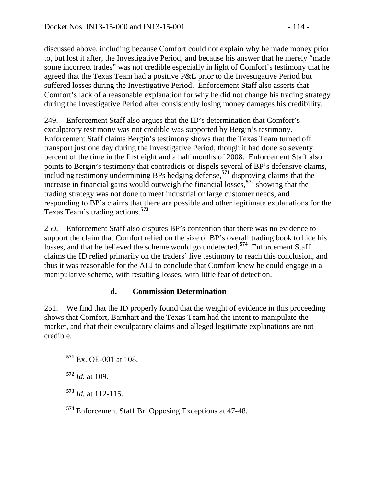discussed above, including because Comfort could not explain why he made money prior to, but lost it after, the Investigative Period, and because his answer that he merely "made some incorrect trades" was not credible especially in light of Comfort's testimony that he

agreed that the Texas Team had a positive P&L prior to the Investigative Period but suffered losses during the Investigative Period. Enforcement Staff also asserts that Comfort's lack of a reasonable explanation for why he did not change his trading strategy during the Investigative Period after consistently losing money damages his credibility.

249. Enforcement Staff also argues that the ID's determination that Comfort's exculpatory testimony was not credible was supported by Bergin's testimony. Enforcement Staff claims Bergin's testimony shows that the Texas Team turned off transport just one day during the Investigative Period, though it had done so seventy percent of the time in the first eight and a half months of 2008. Enforcement Staff also points to Bergin's testimony that contradicts or dispels several of BP's defensive claims, including testimony undermining BPs hedging defense,**[571](#page-113-0)** disproving claims that the increase in financial gains would outweigh the financial losses,**[572](#page-113-1)** showing that the trading strategy was not done to meet industrial or large customer needs, and responding to BP's claims that there are possible and other legitimate explanations for the Texas Team's trading actions.**[573](#page-113-2)**

250. Enforcement Staff also disputes BP's contention that there was no evidence to support the claim that Comfort relied on the size of BP's overall trading book to hide his losses, and that he believed the scheme would go undetected.**[574](#page-113-3)** Enforcement Staff claims the ID relied primarily on the traders' live testimony to reach this conclusion, and thus it was reasonable for the ALJ to conclude that Comfort knew he could engage in a manipulative scheme, with resulting losses, with little fear of detection.

## **d. Commission Determination**

251. We find that the ID properly found that the weight of evidence in this proceeding shows that Comfort, Barnhart and the Texas Team had the intent to manipulate the market, and that their exculpatory claims and alleged legitimate explanations are not credible.

<span id="page-113-0"></span>**<sup>571</sup>** Ex. OE-001 at 108.

<span id="page-113-1"></span>**<sup>572</sup>** *Id.* at 109.

<span id="page-113-2"></span>**<sup>573</sup>** *Id.* at 112-115.

<span id="page-113-3"></span>**<sup>574</sup>** Enforcement Staff Br. Opposing Exceptions at 47-48.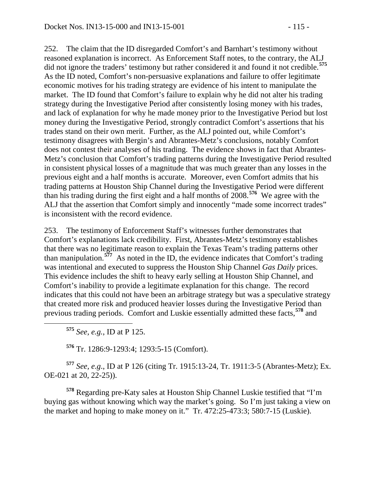252. The claim that the ID disregarded Comfort's and Barnhart's testimony without reasoned explanation is incorrect. As Enforcement Staff notes, to the contrary, the ALJ did not ignore the traders' testimony but rather considered it and found it not credible.**[575](#page-114-0)** As the ID noted, Comfort's non-persuasive explanations and failure to offer legitimate economic motives for his trading strategy are evidence of his intent to manipulate the market. The ID found that Comfort's failure to explain why he did not alter his trading strategy during the Investigative Period after consistently losing money with his trades, and lack of explanation for why he made money prior to the Investigative Period but lost money during the Investigative Period, strongly contradict Comfort's assertions that his trades stand on their own merit. Further, as the ALJ pointed out, while Comfort's testimony disagrees with Bergin's and Abrantes-Metz's conclusions, notably Comfort does not contest their analyses of his trading. The evidence shows in fact that Abrantes-Metz's conclusion that Comfort's trading patterns during the Investigative Period resulted in consistent physical losses of a magnitude that was much greater than any losses in the previous eight and a half months is accurate. Moreover, even Comfort admits that his

trading patterns at Houston Ship Channel during the Investigative Period were different than his trading during the first eight and a half months of 2008.**[576](#page-114-1)** We agree with the ALJ that the assertion that Comfort simply and innocently "made some incorrect trades" is inconsistent with the record evidence.

253. The testimony of Enforcement Staff's witnesses further demonstrates that Comfort's explanations lack credibility. First, Abrantes-Metz's testimony establishes that there was no legitimate reason to explain the Texas Team's trading patterns other than manipulation.**[577](#page-114-2)** As noted in the ID, the evidence indicates that Comfort's trading was intentional and executed to suppress the Houston Ship Channel *Gas Daily* prices. This evidence includes the shift to heavy early selling at Houston Ship Channel, and Comfort's inability to provide a legitimate explanation for this change. The record indicates that this could not have been an arbitrage strategy but was a speculative strategy that created more risk and produced heavier losses during the Investigative Period than previous trading periods. Comfort and Luskie essentially admitted these facts,**[578](#page-114-3)** and

**<sup>575</sup>** *See, e.g.*, ID at P 125.

**<sup>576</sup>** Tr. 1286:9-1293:4; 1293:5-15 (Comfort).

<span id="page-114-2"></span><span id="page-114-1"></span><span id="page-114-0"></span>**<sup>577</sup>** *See, e*.*g*., ID at P 126 (citing Tr. 1915:13-24, Tr. 1911:3-5 (Abrantes-Metz); Ex. OE-021 at 20, 22-25)).

<span id="page-114-3"></span>**<sup>578</sup>** Regarding pre-Katy sales at Houston Ship Channel Luskie testified that "I'm buying gas without knowing which way the market's going. So I'm just taking a view on the market and hoping to make money on it." Tr. 472:25-473:3; 580:7-15 (Luskie).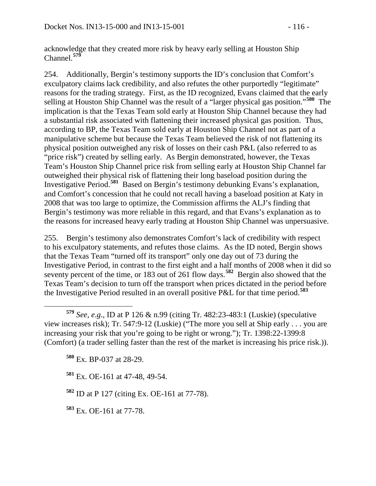acknowledge that they created more risk by heavy early selling at Houston Ship Channel.**[579](#page-115-0)**

254. Additionally, Bergin's testimony supports the ID's conclusion that Comfort's exculpatory claims lack credibility, and also refutes the other purportedly "legitimate" reasons for the trading strategy. First, as the ID recognized, Evans claimed that the early selling at Houston Ship Channel was the result of a "larger physical gas position."**[580](#page-115-1)** The implication is that the Texas Team sold early at Houston Ship Channel because they had a substantial risk associated with flattening their increased physical gas position. Thus, according to BP, the Texas Team sold early at Houston Ship Channel not as part of a manipulative scheme but because the Texas Team believed the risk of not flattening its physical position outweighed any risk of losses on their cash P&L (also referred to as "price risk") created by selling early. As Bergin demonstrated, however, the Texas Team's Houston Ship Channel price risk from selling early at Houston Ship Channel far outweighed their physical risk of flattening their long baseload position during the Investigative Period.**[581](#page-115-2)** Based on Bergin's testimony debunking Evans's explanation, and Comfort's concession that he could not recall having a baseload position at Katy in 2008 that was too large to optimize, the Commission affirms the ALJ's finding that Bergin's testimony was more reliable in this regard, and that Evans's explanation as to the reasons for increased heavy early trading at Houston Ship Channel was unpersuasive.

255. Bergin's testimony also demonstrates Comfort's lack of credibility with respect to his exculpatory statements, and refutes those claims. As the ID noted, Bergin shows that the Texas Team "turned off its transport" only one day out of 73 during the Investigative Period, in contrast to the first eight and a half months of 2008 when it did so seventy percent of the time, or 183 out of 261 flow days.**[582](#page-115-3)** Bergin also showed that the Texas Team's decision to turn off the transport when prices dictated in the period before the Investigative Period resulted in an overall positive P&L for that time period.**[583](#page-115-4)**

**<sup>580</sup>** Ex. BP-037 at 28-29.

<span id="page-115-2"></span>**<sup>581</sup>** Ex. OE-161 at 47-48, 49-54.

<span id="page-115-3"></span>**<sup>582</sup>** ID at P 127 (citing Ex. OE-161 at 77-78).

<span id="page-115-4"></span>**<sup>583</sup>** Ex. OE-161 at 77-78.

<span id="page-115-1"></span><span id="page-115-0"></span>**<sup>579</sup>** *See, <sup>e</sup>*.*g*., ID at P 126 & n.99 (citing Tr. 482:23-483:1 (Luskie) (speculative view increases risk); Tr. 547:9-12 (Luskie) ("The more you sell at Ship early . . . you are increasing your risk that you're going to be right or wrong."); Tr. 1398:22-1399:8 (Comfort) (a trader selling faster than the rest of the market is increasing his price risk.)).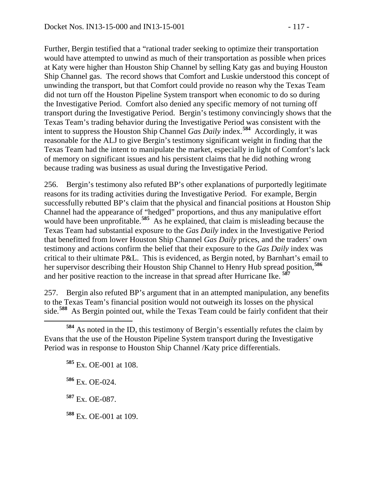Further, Bergin testified that a "rational trader seeking to optimize their transportation would have attempted to unwind as much of their transportation as possible when prices at Katy were higher than Houston Ship Channel by selling Katy gas and buying Houston Ship Channel gas. The record shows that Comfort and Luskie understood this concept of unwinding the transport, but that Comfort could provide no reason why the Texas Team did not turn off the Houston Pipeline System transport when economic to do so during the Investigative Period. Comfort also denied any specific memory of not turning off transport during the Investigative Period. Bergin's testimony convincingly shows that the Texas Team's trading behavior during the Investigative Period was consistent with the intent to suppress the Houston Ship Channel *Gas Daily* index.**[584](#page-116-0)** Accordingly, it was reasonable for the ALJ to give Bergin's testimony significant weight in finding that the Texas Team had the intent to manipulate the market, especially in light of Comfort's lack of memory on significant issues and his persistent claims that he did nothing wrong

256. Bergin's testimony also refuted BP's other explanations of purportedly legitimate reasons for its trading activities during the Investigative Period. For example, Bergin successfully rebutted BP's claim that the physical and financial positions at Houston Ship Channel had the appearance of "hedged" proportions, and thus any manipulative effort would have been unprofitable.<sup>[585](#page-116-1)</sup> As he explained, that claim is misleading because the Texas Team had substantial exposure to the *Gas Daily* index in the Investigative Period that benefitted from lower Houston Ship Channel *Gas Daily* prices, and the traders' own testimony and actions confirm the belief that their exposure to the *Gas Daily* index was critical to their ultimate P&L. This is evidenced, as Bergin noted, by Barnhart's email to her supervisor describing their Houston Ship Channel to Henry Hub spread position,**[586](#page-116-2)** and her positive reaction to the increase in that spread after Hurricane Ike. **[587](#page-116-3)**

because trading was business as usual during the Investigative Period.

257. Bergin also refuted BP's argument that in an attempted manipulation, any benefits to the Texas Team's financial position would not outweigh its losses on the physical side.**[588](#page-116-4)** As Bergin pointed out, while the Texas Team could be fairly confident that their

**<sup>585</sup>** Ex. OE-001 at 108.

<span id="page-116-2"></span>**<sup>586</sup>** Ex. OE-024.

<span id="page-116-3"></span>**<sup>587</sup>** Ex. OE-087.

<span id="page-116-4"></span>**<sup>588</sup>** Ex. OE-001 at 109.

<span id="page-116-1"></span><span id="page-116-0"></span>**<sup>584</sup>** As noted in the ID, this testimony of Bergin's essentially refutes the claim by Evans that the use of the Houston Pipeline System transport during the Investigative Period was in response to Houston Ship Channel /Katy price differentials.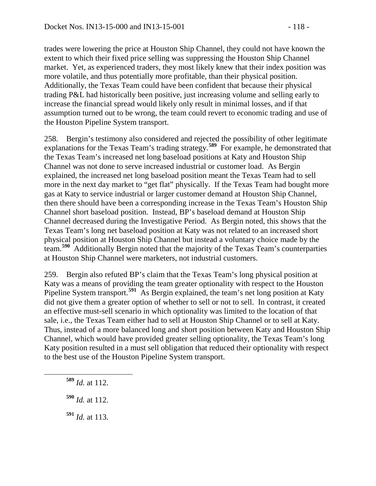trades were lowering the price at Houston Ship Channel, they could not have known the extent to which their fixed price selling was suppressing the Houston Ship Channel market. Yet, as experienced traders, they most likely knew that their index position was more volatile, and thus potentially more profitable, than their physical position. Additionally, the Texas Team could have been confident that because their physical trading P&L had historically been positive, just increasing volume and selling early to increase the financial spread would likely only result in minimal losses, and if that assumption turned out to be wrong, the team could revert to economic trading and use of the Houston Pipeline System transport.

258. Bergin's testimony also considered and rejected the possibility of other legitimate explanations for the Texas Team's trading strategy.**[589](#page-117-0)** For example, he demonstrated that the Texas Team's increased net long baseload positions at Katy and Houston Ship Channel was not done to serve increased industrial or customer load. As Bergin explained, the increased net long baseload position meant the Texas Team had to sell more in the next day market to "get flat" physically. If the Texas Team had bought more gas at Katy to service industrial or larger customer demand at Houston Ship Channel, then there should have been a corresponding increase in the Texas Team's Houston Ship Channel short baseload position. Instead, BP's baseload demand at Houston Ship Channel decreased during the Investigative Period. As Bergin noted, this shows that the Texas Team's long net baseload position at Katy was not related to an increased short physical position at Houston Ship Channel but instead a voluntary choice made by the team.**[590](#page-117-1)** Additionally Bergin noted that the majority of the Texas Team's counterparties at Houston Ship Channel were marketers, not industrial customers.

259. Bergin also refuted BP's claim that the Texas Team's long physical position at Katy was a means of providing the team greater optionality with respect to the Houston Pipeline System transport.<sup>[591](#page-117-2)</sup> As Bergin explained, the team's net long position at Katy did not give them a greater option of whether to sell or not to sell. In contrast, it created an effective must-sell scenario in which optionality was limited to the location of that sale, i.e., the Texas Team either had to sell at Houston Ship Channel or to sell at Katy. Thus, instead of a more balanced long and short position between Katy and Houston Ship Channel, which would have provided greater selling optionality, the Texas Team's long Katy position resulted in a must sell obligation that reduced their optionality with respect to the best use of the Houston Pipeline System transport.

- <span id="page-117-0"></span>**<sup>589</sup>** *Id.* at 112.
- <span id="page-117-1"></span>**<sup>590</sup>** *Id.* at 112.
- <span id="page-117-2"></span>**<sup>591</sup>** *Id.* at 113.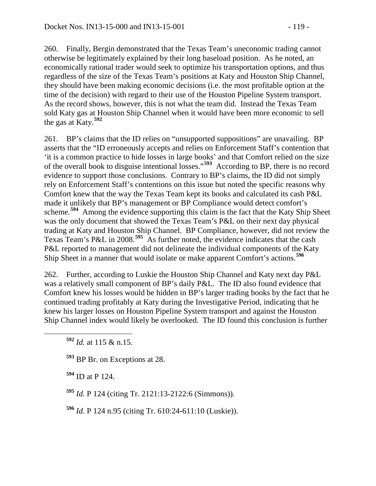260. Finally, Bergin demonstrated that the Texas Team's uneconomic trading cannot otherwise be legitimately explained by their long baseload position. As he noted, an economically rational trader would seek to optimize his transportation options, and thus regardless of the size of the Texas Team's positions at Katy and Houston Ship Channel, they should have been making economic decisions (i.e. the most profitable option at the time of the decision) with regard to their use of the Houston Pipeline System transport. As the record shows, however, this is not what the team did. Instead the Texas Team sold Katy gas at Houston Ship Channel when it would have been more economic to sell the gas at Katy.**[592](#page-118-0)**

261. BP's claims that the ID relies on "unsupported suppositions" are unavailing. BP asserts that the "ID erroneously accepts and relies on Enforcement Staff's contention that 'it is a common practice to hide losses in large books' and that Comfort relied on the size of the overall book to disguise intentional losses."**[593](#page-118-1)** According to BP, there is no record evidence to support those conclusions. Contrary to BP's claims, the ID did not simply rely on Enforcement Staff's contentions on this issue but noted the specific reasons why Comfort knew that the way the Texas Team kept its books and calculated its cash P&L made it unlikely that BP's management or BP Compliance would detect comfort's scheme.**[594](#page-118-2)** Among the evidence supporting this claim is the fact that the Katy Ship Sheet was the only document that showed the Texas Team's P&L on their next day physical trading at Katy and Houston Ship Channel. BP Compliance, however, did not review the Texas Team's P&L in 2008.**[595](#page-118-3)** As further noted, the evidence indicates that the cash P&L reported to management did not delineate the individual components of the Katy Ship Sheet in a manner that would isolate or make apparent Comfort's actions.**[596](#page-118-4)**

262. Further, according to Luskie the Houston Ship Channel and Katy next day P&L was a relatively small component of BP's daily P&L. The ID also found evidence that Comfort knew his losses would be hidden in BP's larger trading books by the fact that he continued trading profitably at Katy during the Investigative Period, indicating that he knew his larger losses on Houston Pipeline System transport and against the Houston Ship Channel index would likely be overlooked. The ID found this conclusion is further

<span id="page-118-1"></span>**<sup>593</sup>** BP Br. on Exceptions at 28.

<span id="page-118-2"></span>**<sup>594</sup>** ID at P 124.

<span id="page-118-3"></span>**<sup>595</sup>** *Id.* P 124 (citing Tr. 2121:13-2122:6 (Simmons)).

<span id="page-118-4"></span>**<sup>596</sup>** *Id.* P 124 n.95 (citing Tr. 610:24-611:10 (Luskie)).

<span id="page-118-0"></span>**<sup>592</sup>** *Id.* at 115 & n.15.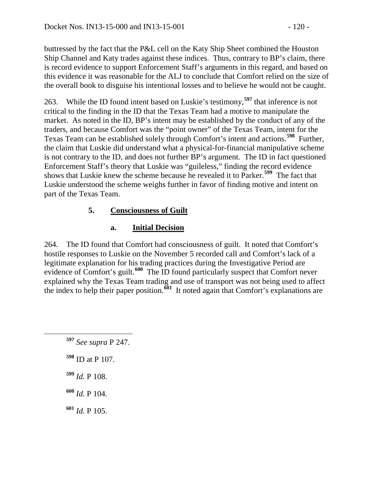buttressed by the fact that the P&L cell on the Katy Ship Sheet combined the Houston Ship Channel and Katy trades against these indices. Thus, contrary to BP's claim, there is record evidence to support Enforcement Staff's arguments in this regard, and based on this evidence it was reasonable for the ALJ to conclude that Comfort relied on the size of the overall book to disguise his intentional losses and to believe he would not be caught.

263. While the ID found intent based on Luskie's testimony,**[597](#page-119-0)** that inference is not critical to the finding in the ID that the Texas Team had a motive to manipulate the market. As noted in the ID, BP's intent may be established by the conduct of any of the traders, and because Comfort was the "point owner" of the Texas Team, intent for the Texas Team can be established solely through Comfort's intent and actions.**[598](#page-119-1)** Further, the claim that Luskie did understand what a physical-for-financial manipulative scheme is not contrary to the ID, and does not further BP's argument. The ID in fact questioned Enforcement Staff's theory that Luskie was "guileless," finding the record evidence shows that Luskie knew the scheme because he revealed it to Parker.**[599](#page-119-2)** The fact that Luskie understood the scheme weighs further in favor of finding motive and intent on part of the Texas Team.

## **5. Consciousness of Guilt**

# **a. Initial Decision**

264. The ID found that Comfort had consciousness of guilt. It noted that Comfort's hostile responses to Luskie on the November 5 recorded call and Comfort's lack of a legitimate explanation for his trading practices during the Investigative Period are evidence of Comfort's guilt.**[600](#page-119-3)** The ID found particularly suspect that Comfort never explained why the Texas Team trading and use of transport was not being used to affect the index to help their paper position.**[601](#page-119-4)** It noted again that Comfort's explanations are

<span id="page-119-1"></span><span id="page-119-0"></span> **<sup>597</sup>** *See supra* P 247. **<sup>598</sup>** ID at P 107. **<sup>599</sup>** *Id.* P 108.

<span id="page-119-3"></span><span id="page-119-2"></span>**<sup>600</sup>** *Id.* P 104.

<span id="page-119-4"></span>**<sup>601</sup>** *Id.* P 105.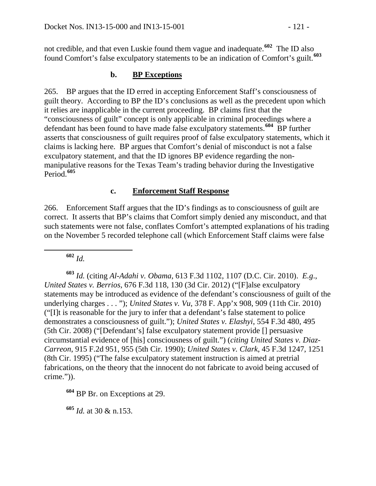not credible, and that even Luskie found them vague and inadequate.**[602](#page-120-0)** The ID also found Comfort's false exculpatory statements to be an indication of Comfort's guilt.**[603](#page-120-1)**

#### **b. BP Exceptions**

265. BP argues that the ID erred in accepting Enforcement Staff's consciousness of guilt theory. According to BP the ID's conclusions as well as the precedent upon which it relies are inapplicable in the current proceeding. BP claims first that the "consciousness of guilt" concept is only applicable in criminal proceedings where a defendant has been found to have made false exculpatory statements.<sup>[604](#page-120-2)</sup> BP further asserts that consciousness of guilt requires proof of false exculpatory statements, which it claims is lacking here. BP argues that Comfort's denial of misconduct is not a false exculpatory statement, and that the ID ignores BP evidence regarding the nonmanipulative reasons for the Texas Team's trading behavior during the Investigative Period.**[605](#page-120-3)**

#### **c. Enforcement Staff Response**

266. Enforcement Staff argues that the ID's findings as to consciousness of guilt are correct. It asserts that BP's claims that Comfort simply denied any misconduct, and that such statements were not false, conflates Comfort's attempted explanations of his trading on the November 5 recorded telephone call (which Enforcement Staff claims were false

**<sup>602</sup>** *Id.*

<span id="page-120-1"></span><span id="page-120-0"></span>**<sup>603</sup>** *Id.* (citing *Al-Adahi v. Obama,* 613 F.3d 1102, 1107 (D.C. Cir. 2010). *E.g*., *United States v. Berrios*, 676 F.3d 118, 130 (3d Cir. 2012) ("[F]alse exculpatory statements may be introduced as evidence of the defendant's consciousness of guilt of the underlying charges . . . "); *United States v. Vu,* 378 F. App'x 908, 909 (11th Cir. 2010) ("[I]t is reasonable for the jury to infer that a defendant's false statement to police demonstrates a consciousness of guilt."); *United States v. Elashyi*, 554 F.3d 480, 495 (5th Cir. 2008) ("[Defendant's] false exculpatory statement provide [] persuasive circumstantial evidence of [his] consciousness of guilt.") (*citing United States v. Diaz-Carreon*, 915 F.2d 951, 955 (5th Cir. 1990); *United States v. Clark*, 45 F.3d 1247, 1251 (8th Cir. 1995) ("The false exculpatory statement instruction is aimed at pretrial fabrications, on the theory that the innocent do not fabricate to avoid being accused of crime.")).

<span id="page-120-2"></span>**<sup>604</sup>** BP Br. on Exceptions at 29.

<span id="page-120-3"></span>**<sup>605</sup>** *Id.* at 30 & n.153.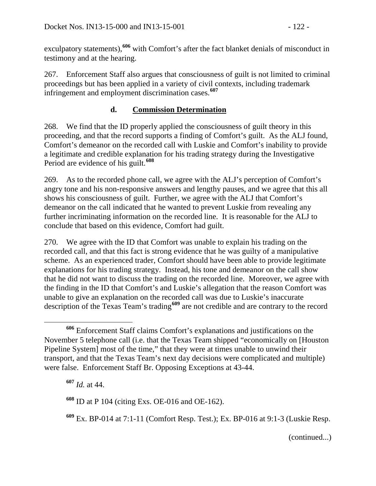exculpatory statements),**[606](#page-121-0)** with Comfort's after the fact blanket denials of misconduct in testimony and at the hearing.

267. Enforcement Staff also argues that consciousness of guilt is not limited to criminal proceedings but has been applied in a variety of civil contexts, including trademark infringement and employment discrimination cases.**[607](#page-121-1)**

## **d. Commission Determination**

268. We find that the ID properly applied the consciousness of guilt theory in this proceeding, and that the record supports a finding of Comfort's guilt. As the ALJ found, Comfort's demeanor on the recorded call with Luskie and Comfort's inability to provide a legitimate and credible explanation for his trading strategy during the Investigative Period are evidence of his guilt.**[608](#page-121-2)**

269. As to the recorded phone call, we agree with the ALJ's perception of Comfort's angry tone and his non-responsive answers and lengthy pauses, and we agree that this all shows his consciousness of guilt. Further, we agree with the ALJ that Comfort's demeanor on the call indicated that he wanted to prevent Luskie from revealing any further incriminating information on the recorded line. It is reasonable for the ALJ to conclude that based on this evidence, Comfort had guilt.

270. We agree with the ID that Comfort was unable to explain his trading on the recorded call, and that this fact is strong evidence that he was guilty of a manipulative scheme. As an experienced trader, Comfort should have been able to provide legitimate explanations for his trading strategy. Instead, his tone and demeanor on the call show that he did not want to discuss the trading on the recorded line. Moreover, we agree with the finding in the ID that Comfort's and Luskie's allegation that the reason Comfort was unable to give an explanation on the recorded call was due to Luskie's inaccurate description of the Texas Team's trading**[609](#page-121-3)** are not credible and are contrary to the record

<span id="page-121-0"></span>**<sup>606</sup>** Enforcement Staff claims Comfort's explanations and justifications on the November 5 telephone call (i.e. that the Texas Team shipped "economically on [Houston Pipeline System] most of the time," that they were at times unable to unwind their transport, and that the Texas Team's next day decisions were complicated and multiple) were false. Enforcement Staff Br. Opposing Exceptions at 43-44.

<span id="page-121-1"></span>**<sup>607</sup>** *Id.* at 44.

<span id="page-121-2"></span>**<sup>608</sup>** ID at P 104 (citing Exs. OE-016 and OE-162).

<span id="page-121-3"></span>**<sup>609</sup>** Ex. BP-014 at 7:1-11 (Comfort Resp. Test.); Ex. BP-016 at 9:1-3 (Luskie Resp.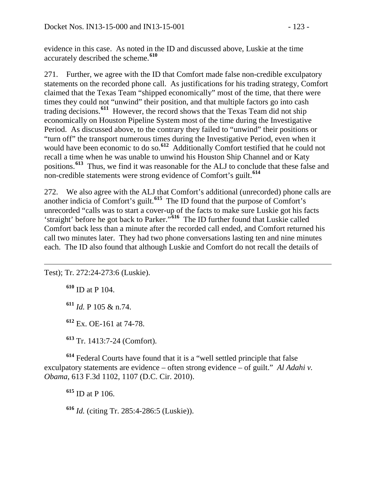evidence in this case. As noted in the ID and discussed above, Luskie at the time accurately described the scheme.**[610](#page-122-0)**

271. Further, we agree with the ID that Comfort made false non-credible exculpatory statements on the recorded phone call. As justifications for his trading strategy, Comfort claimed that the Texas Team "shipped economically" most of the time, that there were times they could not "unwind" their position, and that multiple factors go into cash trading decisions.**[611](#page-122-1)** However, the record shows that the Texas Team did not ship economically on Houston Pipeline System most of the time during the Investigative Period. As discussed above, to the contrary they failed to "unwind" their positions or "turn off" the transport numerous times during the Investigative Period, even when it would have been economic to do so.<sup>[612](#page-122-2)</sup> Additionally Comfort testified that he could not recall a time when he was unable to unwind his Houston Ship Channel and or Katy positions.**[613](#page-122-3)** Thus, we find it was reasonable for the ALJ to conclude that these false and non-credible statements were strong evidence of Comfort's guilt.**[614](#page-122-4)**

272. We also agree with the ALJ that Comfort's additional (unrecorded) phone calls are another indicia of Comfort's guilt.**[615](#page-122-5)** The ID found that the purpose of Comfort's unrecorded "calls was to start a cover-up of the facts to make sure Luskie got his facts 'straight' before he got back to Parker."**[616](#page-122-6)** The ID further found that Luskie called Comfort back less than a minute after the recorded call ended, and Comfort returned his call two minutes later. They had two phone conversations lasting ten and nine minutes each. The ID also found that although Luskie and Comfort do not recall the details of

<span id="page-122-1"></span><span id="page-122-0"></span>Test); Tr. 272:24-273:6 (Luskie).

**<sup>610</sup>** ID at P 104.

 $\overline{a}$ 

**<sup>611</sup>** *Id.* P 105 & n.74.

**<sup>612</sup>** Ex. OE-161 at 74-78.

**<sup>613</sup>** Tr. 1413:7-24 (Comfort).

<span id="page-122-5"></span><span id="page-122-4"></span><span id="page-122-3"></span><span id="page-122-2"></span>**<sup>614</sup>** Federal Courts have found that it is a "well settled principle that false exculpatory statements are evidence – often strong evidence – of guilt." *Al Adahi v*. *Obama,* 613 F.3d 1102, 1107 (D.C. Cir. 2010).

**<sup>615</sup>** ID at P 106.

<span id="page-122-6"></span>**<sup>616</sup>** *Id.* (citing Tr. 285:4-286:5 (Luskie)).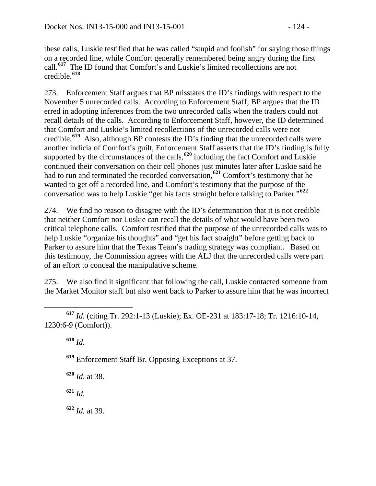these calls, Luskie testified that he was called "stupid and foolish" for saying those things on a recorded line, while Comfort generally remembered being angry during the first call.**[617](#page-123-0)** The ID found that Comfort's and Luskie's limited recollections are not credible.**[618](#page-123-1)**

273. Enforcement Staff argues that BP misstates the ID's findings with respect to the November 5 unrecorded calls. According to Enforcement Staff, BP argues that the ID erred in adopting inferences from the two unrecorded calls when the traders could not recall details of the calls. According to Enforcement Staff, however, the ID determined that Comfort and Luskie's limited recollections of the unrecorded calls were not credible.**[619](#page-123-2)** Also, although BP contests the ID's finding that the unrecorded calls were another indicia of Comfort's guilt, Enforcement Staff asserts that the ID's finding is fully supported by the circumstances of the calls,**[620](#page-123-3)** including the fact Comfort and Luskie continued their conversation on their cell phones just minutes later after Luskie said he had to run and terminated the recorded conversation,**[621](#page-123-4)** Comfort's testimony that he wanted to get off a recorded line, and Comfort's testimony that the purpose of the conversation was to help Luskie "get his facts straight before talking to Parker."**[622](#page-123-5)**

274. We find no reason to disagree with the ID's determination that it is not credible that neither Comfort nor Luskie can recall the details of what would have been two critical telephone calls. Comfort testified that the purpose of the unrecorded calls was to help Luskie "organize his thoughts" and "get his fact straight" before getting back to Parker to assure him that the Texas Team's trading strategy was compliant. Based on this testimony, the Commission agrees with the ALJ that the unrecorded calls were part of an effort to conceal the manipulative scheme.

275. We also find it significant that following the call, Luskie contacted someone from the Market Monitor staff but also went back to Parker to assure him that he was incorrect

**<sup>618</sup>** *Id.*

**<sup>619</sup>** Enforcement Staff Br. Opposing Exceptions at 37.

<span id="page-123-3"></span>**<sup>620</sup>** *Id.* at 38.

<span id="page-123-4"></span>**<sup>621</sup>** *Id.*

<span id="page-123-5"></span>**<sup>622</sup>** *Id.* at 39.

<span id="page-123-2"></span><span id="page-123-1"></span><span id="page-123-0"></span>**<sup>617</sup>** *Id.* (citing Tr. 292:1-13 (Luskie); Ex. OE-231 at 183:17-18; Tr. 1216:10-14, 1230:6-9 (Comfort)).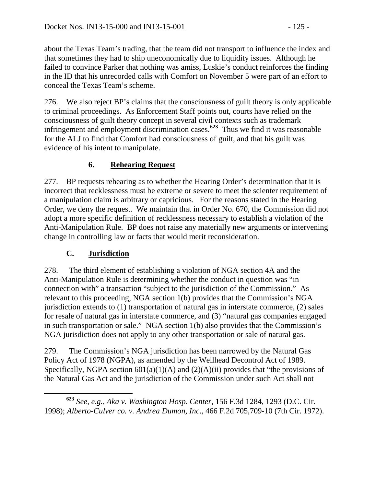about the Texas Team's trading, that the team did not transport to influence the index and that sometimes they had to ship uneconomically due to liquidity issues. Although he failed to convince Parker that nothing was amiss, Luskie's conduct reinforces the finding in the ID that his unrecorded calls with Comfort on November 5 were part of an effort to conceal the Texas Team's scheme.

276. We also reject BP's claims that the consciousness of guilt theory is only applicable to criminal proceedings. As Enforcement Staff points out, courts have relied on the consciousness of guilt theory concept in several civil contexts such as trademark infringement and employment discrimination cases.**[623](#page-124-0)** Thus we find it was reasonable for the ALJ to find that Comfort had consciousness of guilt, and that his guilt was evidence of his intent to manipulate.

# **6. Rehearing Request**

277. BP requests rehearing as to whether the Hearing Order's determination that it is incorrect that recklessness must be extreme or severe to meet the scienter requirement of a manipulation claim is arbitrary or capricious. For the reasons stated in the Hearing Order, we deny the request. We maintain that in Order No. 670, the Commission did not adopt a more specific definition of recklessness necessary to establish a violation of the Anti-Manipulation Rule. BP does not raise any materially new arguments or intervening change in controlling law or facts that would merit reconsideration.

## **C. Jurisdiction**

278. The third element of establishing a violation of NGA section 4A and the Anti-Manipulation Rule is determining whether the conduct in question was "in connection with" a transaction "subject to the jurisdiction of the Commission." As relevant to this proceeding, NGA section 1(b) provides that the Commission's NGA jurisdiction extends to (1) transportation of natural gas in interstate commerce, (2) sales for resale of natural gas in interstate commerce, and (3) "natural gas companies engaged in such transportation or sale." NGA section 1(b) also provides that the Commission's NGA jurisdiction does not apply to any other transportation or sale of natural gas.

279. The Commission's NGA jurisdiction has been narrowed by the Natural Gas Policy Act of 1978 (NGPA), as amended by the Wellhead Decontrol Act of 1989. Specifically, NGPA section  $601(a)(1)(A)$  and  $(2)(A)(ii)$  provides that "the provisions of the Natural Gas Act and the jurisdiction of the Commission under such Act shall not

<span id="page-124-0"></span>**<sup>623</sup>** *See, e.g., Aka v. Washington Hosp. Center*, 156 F.3d 1284, 1293 (D.C. Cir. 1998); *Alberto-Culver co. v. Andrea Dumon, Inc*., 466 F.2d 705,709-10 (7th Cir. 1972).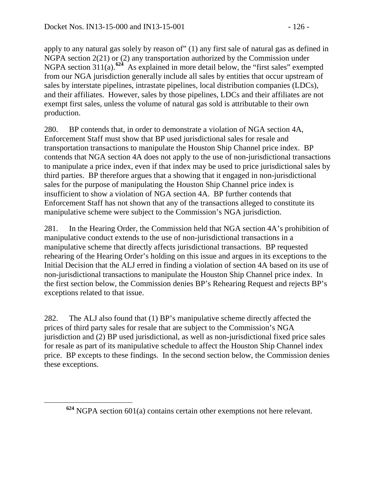apply to any natural gas solely by reason of" (1) any first sale of natural gas as defined in NGPA section 2(21) or (2) any transportation authorized by the Commission under NGPA section 311(a).**[624](#page-125-0)** As explained in more detail below, the "first sales" exempted from our NGA jurisdiction generally include all sales by entities that occur upstream of sales by interstate pipelines, intrastate pipelines, local distribution companies (LDCs), and their affiliates. However, sales by those pipelines, LDCs and their affiliates are not exempt first sales, unless the volume of natural gas sold is attributable to their own production.

280. BP contends that, in order to demonstrate a violation of NGA section 4A, Enforcement Staff must show that BP used jurisdictional sales for resale and transportation transactions to manipulate the Houston Ship Channel price index. BP contends that NGA section 4A does not apply to the use of non-jurisdictional transactions to manipulate a price index, even if that index may be used to price jurisdictional sales by third parties. BP therefore argues that a showing that it engaged in non-jurisdictional sales for the purpose of manipulating the Houston Ship Channel price index is insufficient to show a violation of NGA section 4A. BP further contends that Enforcement Staff has not shown that any of the transactions alleged to constitute its manipulative scheme were subject to the Commission's NGA jurisdiction.

281. In the Hearing Order, the Commission held that NGA section 4A's prohibition of manipulative conduct extends to the use of non-jurisdictional transactions in a manipulative scheme that directly affects jurisdictional transactions. BP requested rehearing of the Hearing Order's holding on this issue and argues in its exceptions to the Initial Decision that the ALJ erred in finding a violation of section 4A based on its use of non-jurisdictional transactions to manipulate the Houston Ship Channel price index. In the first section below, the Commission denies BP's Rehearing Request and rejects BP's exceptions related to that issue.

282. The ALJ also found that (1) BP's manipulative scheme directly affected the prices of third party sales for resale that are subject to the Commission's NGA jurisdiction and (2) BP used jurisdictional, as well as non-jurisdictional fixed price sales for resale as part of its manipulative schedule to affect the Houston Ship Channel index price. BP excepts to these findings. In the second section below, the Commission denies these exceptions.

<span id="page-125-0"></span>**<sup>624</sup>** NGPA section 601(a) contains certain other exemptions not here relevant.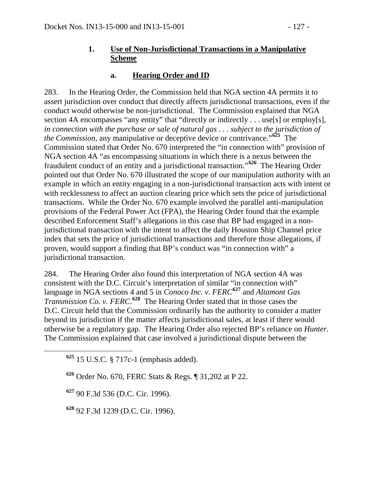## **1. Use of Non-Jurisdictional Transactions in a Manipulative Scheme**

### **a. Hearing Order and ID**

283. In the Hearing Order, the Commission held that NGA section 4A permits it to assert jurisdiction over conduct that directly affects jurisdictional transactions, even if the conduct would otherwise be non-jurisdictional. The Commission explained that NGA section 4A encompasses "any entity" that "directly or indirectly . . . use[s] or employ[s], *in connection with the purchase or sale of natural gas . . . subject to the jurisdiction of the Commission*, any manipulative or deceptive device or contrivance."**[625](#page-126-0)** The Commission stated that Order No. 670 interpreted the "in connection with" provision of NGA section 4A "as encompassing situations in which there is a nexus between the fraudulent conduct of an entity and a jurisdictional transaction."**[626](#page-126-1)** The Hearing Order pointed out that Order No. 670 illustrated the scope of our manipulation authority with an example in which an entity engaging in a non-jurisdictional transaction acts with intent or with recklessness to affect an auction clearing price which sets the price of jurisdictional transactions. While the Order No. 670 example involved the parallel anti-manipulation provisions of the Federal Power Act (FPA), the Hearing Order found that the example described Enforcement Staff's allegations in this case that BP had engaged in a nonjurisdictional transaction with the intent to affect the daily Houston Ship Channel price index that sets the price of jurisdictional transactions and therefore those allegations, if proven, would support a finding that BP's conduct was "in connection with" a jurisdictional transaction.

284. The Hearing Order also found this interpretation of NGA section 4A was consistent with the D.C. Circuit's interpretation of similar "in connection with" language in NGA sections 4 and 5 in *Conoco Inc. v. FERC***[627](#page-126-2)** and *Altamont Gas Transmission Co. v. FERC*. **[628](#page-126-3)** The Hearing Order stated that in those cases the D.C. Circuit held that the Commission ordinarily has the authority to consider a matter beyond its jurisdiction if the matter affects jurisdictional sales, at least if there would otherwise be a regulatory gap. The Hearing Order also rejected BP's reliance on *Hunter.*  The Commission explained that case involved a jurisdictional dispute between the

<span id="page-126-2"></span>**<sup>627</sup>** 90 F.3d 536 (D.C. Cir. 1996).

<span id="page-126-3"></span>**<sup>628</sup>** 92 F.3d 1239 (D.C. Cir. 1996).

<span id="page-126-0"></span>**<sup>625</sup>** 15 U.S.C. § 717c-1 (emphasis added).

<span id="page-126-1"></span>**<sup>626</sup>** Order No. 670, FERC Stats & Regs. ¶ 31,202 at P 22.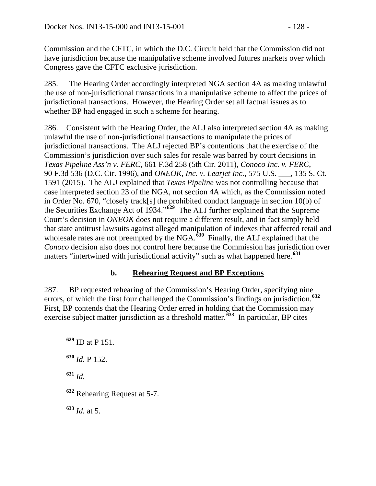Commission and the CFTC, in which the D.C. Circuit held that the Commission did not have jurisdiction because the manipulative scheme involved futures markets over which Congress gave the CFTC exclusive jurisdiction.

285. The Hearing Order accordingly interpreted NGA section 4A as making unlawful the use of non-jurisdictional transactions in a manipulative scheme to affect the prices of jurisdictional transactions. However, the Hearing Order set all factual issues as to whether BP had engaged in such a scheme for hearing.

286. Consistent with the Hearing Order, the ALJ also interpreted section 4A as making unlawful the use of non-jurisdictional transactions to manipulate the prices of jurisdictional transactions. The ALJ rejected BP's contentions that the exercise of the Commission's jurisdiction over such sales for resale was barred by court decisions in *Texas Pipeline Ass'n v. FERC*, 661 F.3d 258 (5th Cir. 2011), *Conoco Inc. v. FERC*, 90 F.3d 536 (D.C. Cir. 1996), and *ONEOK, Inc. v. Learjet Inc.*, 575 U.S. \_\_\_, 135 S. Ct. 1591 (2015). The ALJ explained that *Texas Pipeline* was not controlling because that case interpreted section 23 of the NGA, not section 4A which, as the Commission noted in Order No. 670, "closely track[s] the prohibited conduct language in section 10(b) of the Securities Exchange Act of 1934."**[629](#page-127-0)** The ALJ further explained that the Supreme Court's decision in *ONEOK* does not require a different result, and in fact simply held that state antitrust lawsuits against alleged manipulation of indexes that affected retail and wholesale rates are not preempted by the NGA.<sup>[630](#page-127-1)</sup> Finally, the ALJ explained that the *Conoco* decision also does not control here because the Commission has jurisdiction over matters "intertwined with jurisdictional activity" such as what happened here.**[631](#page-127-2)**

## **b. Rehearing Request and BP Exceptions**

287. BP requested rehearing of the Commission's Hearing Order, specifying nine errors, of which the first four challenged the Commission's findings on jurisdiction.**[632](#page-127-3)** First, BP contends that the Hearing Order erred in holding that the Commission may exercise subject matter jurisdiction as a threshold matter.**[633](#page-127-4)** In particular, BP cites

<span id="page-127-1"></span>**<sup>630</sup>** *Id.* P 152.

<span id="page-127-2"></span>**<sup>631</sup>** *Id.*

<span id="page-127-3"></span>**<sup>632</sup>** Rehearing Request at 5-7.

<span id="page-127-4"></span>**<sup>633</sup>** *Id.* at 5.

<span id="page-127-0"></span>**<sup>629</sup>** ID at P 151.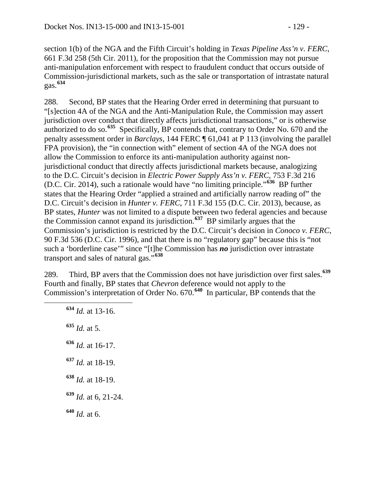section 1(b) of the NGA and the Fifth Circuit's holding in *Texas Pipeline Ass'n v. FERC*, 661 F.3d 258 (5th Cir. 2011), for the proposition that the Commission may not pursue anti-manipulation enforcement with respect to fraudulent conduct that occurs outside of Commission-jurisdictional markets, such as the sale or transportation of intrastate natural gas.**[634](#page-128-0)**

288. Second, BP states that the Hearing Order erred in determining that pursuant to "[s]ection 4A of the NGA and the Anti-Manipulation Rule, the Commission may assert jurisdiction over conduct that directly affects jurisdictional transactions," or is otherwise authorized to do so.**[635](#page-128-1)** Specifically, BP contends that, contrary to Order No. 670 and the penalty assessment order in *Barclays*, 144 FERC ¶ 61,041 at P 113 (involving the parallel FPA provision), the "in connection with" element of section 4A of the NGA does not allow the Commission to enforce its anti-manipulation authority against nonjurisdictional conduct that directly affects jurisdictional markets because, analogizing to the D.C. Circuit's decision in *Electric Power Supply Ass'n v. FERC*, 753 F.3d 216 (D.C. Cir. 2014), such a rationale would have "no limiting principle."**[636](#page-128-2)** BP further states that the Hearing Order "applied a strained and artificially narrow reading of" the D.C. Circuit's decision in *Hunter v. FERC*, 711 F.3d 155 (D.C. Cir. 2013), because, as BP states, *Hunter* was not limited to a dispute between two federal agencies and because the Commission cannot expand its jurisdiction.**[637](#page-128-3)** BP similarly argues that the Commission's jurisdiction is restricted by the D.C. Circuit's decision in *Conoco v. FERC*, 90 F.3d 536 (D.C. Cir. 1996), and that there is no "regulatory gap" because this is "not such a 'borderline case'" since "[t]he Commission has *no* jurisdiction over intrastate transport and sales of natural gas."**[638](#page-128-4)**

<span id="page-128-0"></span>289. Third, BP avers that the Commission does not have jurisdiction over first sales.**[639](#page-128-5)** Fourth and finally, BP states that *Chevron* deference would not apply to the Commission's interpretation of Order No. 670.**[640](#page-128-6)** In particular, BP contends that the

<span id="page-128-6"></span><span id="page-128-5"></span><span id="page-128-4"></span><span id="page-128-3"></span><span id="page-128-2"></span><span id="page-128-1"></span> **<sup>634</sup>** *Id.* at 13-16. *Id.* at 5. *Id.* at 16-17. *Id.* at 18-19. *Id.* at 18-19. *Id.* at 6, 21-24. **<sup>640</sup>** *Id.* at 6.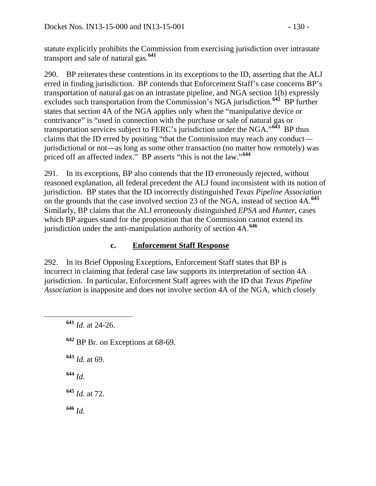statute explicitly prohibits the Commission from exercising jurisdiction over intrastate transport and sale of natural gas.**[641](#page-129-0)**

290. BP reiterates these contentions in its exceptions to the ID, asserting that the ALJ erred in finding jurisdiction. BP contends that Enforcement Staff's case concerns BP's transportation of natural gas on an intrastate pipeline, and NGA section 1(b) expressly excludes such transportation from the Commission's NGA jurisdiction.**[642](#page-129-1)** BP further states that section 4A of the NGA applies only when the "manipulative device or contrivance" is "used in connection with the purchase or sale of natural gas or transportation services subject to FERC's jurisdiction under the NGA."**[643](#page-129-2)** BP thus claims that the ID erred by positing "that the Commission may reach any conduct jurisdictional or not—as long as some other transaction (no matter how remotely) was priced off an affected index." BP asserts "this is not the law."**[644](#page-129-3)**

291. In its exceptions, BP also contends that the ID erroneously rejected, without reasoned explanation, all federal precedent the ALJ found inconsistent with its notion of jurisdiction. BP states that the ID incorrectly distinguished *Texas Pipeline Association*  on the grounds that the case involved section 23 of the NGA, instead of section 4A.**[645](#page-129-4)** Similarly, BP claims that the ALJ erroneously distinguished *EPSA* and *Hunter*, cases which BP argues stand for the proposition that the Commission cannot extend its jurisdiction under the anti-manipulation authority of section 4A.**[646](#page-129-5)**

## **c. Enforcement Staff Response**

292. In its Brief Opposing Exceptions, Enforcement Staff states that BP is incorrect in claiming that federal case law supports its interpretation of section 4A jurisdiction. In particular, Enforcement Staff agrees with the ID that *Texas Pipeline Association* is inapposite and does not involve section 4A of the NGA, which closely

<span id="page-129-1"></span>**<sup>642</sup>** BP Br. on Exceptions at 68-69.

<span id="page-129-2"></span>**<sup>643</sup>** *Id.* at 69.

<span id="page-129-3"></span>**<sup>644</sup>** *Id.*

<span id="page-129-4"></span>**<sup>645</sup>** *Id.* at 72.

<span id="page-129-5"></span>**<sup>646</sup>** *Id.*

<span id="page-129-0"></span>**<sup>641</sup>** *Id.* at 24-26.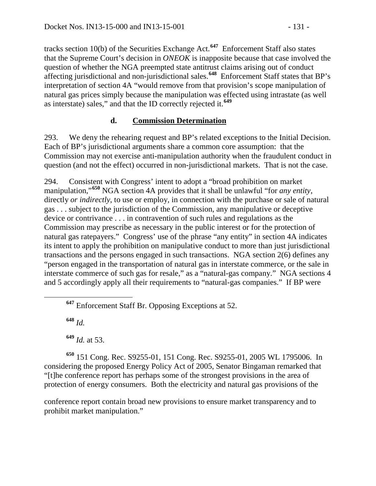tracks section 10(b) of the Securities Exchange Act.**[647](#page-130-0)** Enforcement Staff also states that the Supreme Court's decision in *ONEOK* is inapposite because that case involved the question of whether the NGA preempted state antitrust claims arising out of conduct affecting jurisdictional and non-jurisdictional sales.**[648](#page-130-1)** Enforcement Staff states that BP's interpretation of section 4A "would remove from that provision's scope manipulation of natural gas prices simply because the manipulation was effected using intrastate (as well as interstate) sales," and that the ID correctly rejected it.**[649](#page-130-2)**

## **d. Commission Determination**

293. We deny the rehearing request and BP's related exceptions to the Initial Decision. Each of BP's jurisdictional arguments share a common core assumption: that the Commission may not exercise anti-manipulation authority when the fraudulent conduct in question (and not the effect) occurred in non-jurisdictional markets. That is not the case.

294. Consistent with Congress' intent to adopt a "broad prohibition on market manipulation,"**[650](#page-130-3)** NGA section 4A provides that it shall be unlawful "for *any entity*, directly *or indirectly*, to use or employ, in connection with the purchase or sale of natural gas . . . subject to the jurisdiction of the Commission, any manipulative or deceptive device or contrivance . . . in contravention of such rules and regulations as the Commission may prescribe as necessary in the public interest or for the protection of natural gas ratepayers." Congress' use of the phrase "any entity" in section 4A indicates its intent to apply the prohibition on manipulative conduct to more than just jurisdictional transactions and the persons engaged in such transactions. NGA section 2(6) defines any "person engaged in the transportation of natural gas in interstate commerce, or the sale in interstate commerce of such gas for resale," as a "natural-gas company." NGA sections 4 and 5 accordingly apply all their requirements to "natural-gas companies." If BP were

**<sup>648</sup>** *Id.*

**<sup>649</sup>** *Id.* at 53.

<span id="page-130-3"></span><span id="page-130-2"></span><span id="page-130-1"></span>**<sup>650</sup>** 151 Cong. Rec. S9255-01, 151 Cong. Rec. S9255-01, 2005 WL 1795006. In considering the proposed Energy Policy Act of 2005, Senator Bingaman remarked that "[t]he conference report has perhaps some of the strongest provisions in the area of protection of energy consumers. Both the electricity and natural gas provisions of the

conference report contain broad new provisions to ensure market transparency and to prohibit market manipulation."

<span id="page-130-0"></span>**<sup>647</sup>** Enforcement Staff Br. Opposing Exceptions at 52.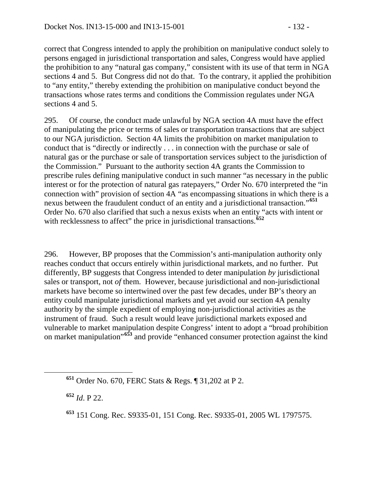correct that Congress intended to apply the prohibition on manipulative conduct solely to persons engaged in jurisdictional transportation and sales, Congress would have applied the prohibition to any "natural gas company," consistent with its use of that term in NGA sections 4 and 5. But Congress did not do that. To the contrary, it applied the prohibition to "any entity," thereby extending the prohibition on manipulative conduct beyond the transactions whose rates terms and conditions the Commission regulates under NGA sections 4 and 5.

295. Of course, the conduct made unlawful by NGA section 4A must have the effect of manipulating the price or terms of sales or transportation transactions that are subject to our NGA jurisdiction. Section 4A limits the prohibition on market manipulation to conduct that is "directly or indirectly . . . in connection with the purchase or sale of natural gas or the purchase or sale of transportation services subject to the jurisdiction of the Commission." Pursuant to the authority section 4A grants the Commission to prescribe rules defining manipulative conduct in such manner "as necessary in the public interest or for the protection of natural gas ratepayers," Order No. 670 interpreted the "in connection with" provision of section 4A "as encompassing situations in which there is a nexus between the fraudulent conduct of an entity and a jurisdictional transaction."**[651](#page-131-0)** Order No. 670 also clarified that such a nexus exists when an entity "acts with intent or with recklessness to affect" the price in jurisdictional transactions.<sup>[652](#page-131-1)</sup>

296. However, BP proposes that the Commission's anti-manipulation authority only reaches conduct that occurs entirely within jurisdictional markets, and no further. Put differently, BP suggests that Congress intended to deter manipulation *by* jurisdictional sales or transport, not *of* them. However, because jurisdictional and non-jurisdictional markets have become so intertwined over the past few decades, under BP's theory an entity could manipulate jurisdictional markets and yet avoid our section 4A penalty authority by the simple expedient of employing non-jurisdictional activities as the instrument of fraud. Such a result would leave jurisdictional markets exposed and vulnerable to market manipulation despite Congress' intent to adopt a "broad prohibition on market manipulation"**[653](#page-131-2)** and provide "enhanced consumer protection against the kind

<span id="page-131-1"></span>**<sup>652</sup>** *Id*. P 22.

<span id="page-131-0"></span>**<sup>651</sup>** Order No. 670, FERC Stats & Regs. ¶ 31,202 at P 2.

<span id="page-131-2"></span>**<sup>653</sup>** 151 Cong. Rec. S9335-01, 151 Cong. Rec. S9335-01, 2005 WL 1797575.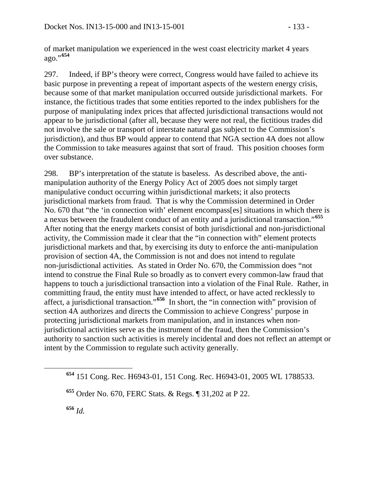of market manipulation we experienced in the west coast electricity market 4 years ago."**[654](#page-132-0)**

297. Indeed, if BP's theory were correct, Congress would have failed to achieve its basic purpose in preventing a repeat of important aspects of the western energy crisis, because some of that market manipulation occurred outside jurisdictional markets. For instance, the fictitious trades that some entities reported to the index publishers for the purpose of manipulating index prices that affected jurisdictional transactions would not appear to be jurisdictional (after all, because they were not real, the fictitious trades did not involve the sale or transport of interstate natural gas subject to the Commission's jurisdiction), and thus BP would appear to contend that NGA section 4A does not allow the Commission to take measures against that sort of fraud. This position chooses form over substance.

298. BP's interpretation of the statute is baseless. As described above, the antimanipulation authority of the Energy Policy Act of 2005 does not simply target manipulative conduct occurring within jurisdictional markets; it also protects jurisdictional markets from fraud. That is why the Commission determined in Order No. 670 that "the 'in connection with' element encompass[es] situations in which there is a nexus between the fraudulent conduct of an entity and a jurisdictional transaction."**[655](#page-132-1)** After noting that the energy markets consist of both jurisdictional and non-jurisdictional activity, the Commission made it clear that the "in connection with" element protects jurisdictional markets and that, by exercising its duty to enforce the anti-manipulation provision of section 4A, the Commission is not and does not intend to regulate non-jurisdictional activities. As stated in Order No. 670, the Commission does "not intend to construe the Final Rule so broadly as to convert every common-law fraud that happens to touch a jurisdictional transaction into a violation of the Final Rule. Rather, in committing fraud, the entity must have intended to affect, or have acted recklessly to affect, a jurisdictional transaction."**[656](#page-132-2)** In short, the "in connection with" provision of section 4A authorizes and directs the Commission to achieve Congress' purpose in protecting jurisdictional markets from manipulation, and in instances when nonjurisdictional activities serve as the instrument of the fraud, then the Commission's authority to sanction such activities is merely incidental and does not reflect an attempt or intent by the Commission to regulate such activity generally.

<span id="page-132-2"></span>**<sup>656</sup>** *Id.*

<span id="page-132-0"></span>**<sup>654</sup>** 151 Cong. Rec. H6943-01, 151 Cong. Rec. H6943-01, 2005 WL 1788533.

<span id="page-132-1"></span>**<sup>655</sup>** Order No. 670, FERC Stats. & Regs. ¶ 31,202 at P 22.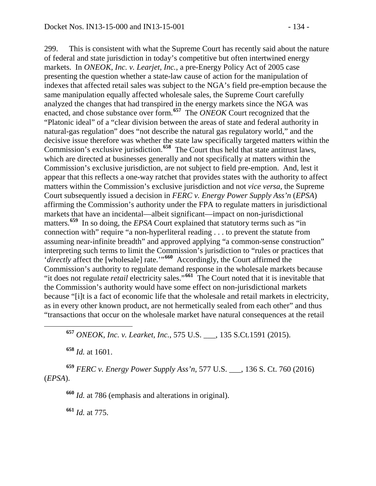299. This is consistent with what the Supreme Court has recently said about the nature of federal and state jurisdiction in today's competitive but often intertwined energy markets. In *ONEOK, Inc. v. Learjet, Inc.*, a pre-Energy Policy Act of 2005 case presenting the question whether a state-law cause of action for the manipulation of indexes that affected retail sales was subject to the NGA's field pre-emption because the same manipulation equally affected wholesale sales, the Supreme Court carefully analyzed the changes that had transpired in the energy markets since the NGA was enacted, and chose substance over form.**[657](#page-133-0)** The *ONEOK* Court recognized that the "Platonic ideal" of a "clear division between the areas of state and federal authority in natural-gas regulation" does "not describe the natural gas regulatory world," and the decisive issue therefore was whether the state law specifically targeted matters within the Commission's exclusive jurisdiction.**[658](#page-133-1)** The Court thus held that state antitrust laws, which are directed at businesses generally and not specifically at matters within the Commission's exclusive jurisdiction, are not subject to field pre-emption. And, lest it appear that this reflects a one-way ratchet that provides states with the authority to affect matters within the Commission's exclusive jurisdiction and not *vice versa*, the Supreme Court subsequently issued a decision in *FERC v. Energy Power Supply Ass'n* (*EPSA*) affirming the Commission's authority under the FPA to regulate matters in jurisdictional markets that have an incidental—albeit significant—impact on non-jurisdictional matters.<sup>[659](#page-133-2)</sup> In so doing, the *EPSA* Court explained that statutory terms such as "in connection with" require "a non-hyperliteral reading . . . to prevent the statute from assuming near-infinite breadth" and approved applying "a common-sense construction" interpreting such terms to limit the Commission's jurisdiction to "rules or practices that '*directly* affect the [wholesale] rate.'"**[660](#page-133-3)** Accordingly, the Court affirmed the Commission's authority to regulate demand response in the wholesale markets because "it does not regulate *retail* electricity sales."**[661](#page-133-4)** The Court noted that it is inevitable that the Commission's authority would have some effect on non-jurisdictional markets because "[i]t is a fact of economic life that the wholesale and retail markets in electricity, as in every other known product, are not hermetically sealed from each other" and thus

<span id="page-133-0"></span>"transactions that occur on the wholesale market have natural consequences at the retail

**<sup>657</sup>** *ONEOK, Inc. v. Learket, Inc.*, 575 U.S. \_\_\_, 135 S.Ct.1591 (2015).

**<sup>658</sup>** *Id.* at 1601.

<span id="page-133-4"></span><span id="page-133-3"></span><span id="page-133-2"></span><span id="page-133-1"></span>**<sup>659</sup>** *FERC v. Energy Power Supply Ass'n*, 577 U.S. \_\_\_, 136 S. Ct. 760 (2016) (*EPSA*).

**<sup>660</sup>** *Id.* at 786 (emphasis and alterations in original).

**<sup>661</sup>** *Id.* at 775.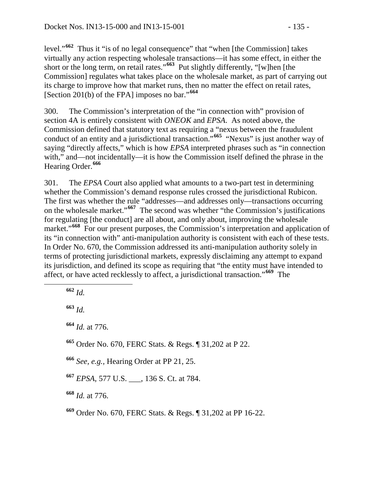level."**[662](#page-134-0)** Thus it "is of no legal consequence" that "when [the Commission] takes virtually any action respecting wholesale transactions—it has some effect, in either the short or the long term, on retail rates."**[663](#page-134-1)** Put slightly differently, "[w]hen [the Commission] regulates what takes place on the wholesale market, as part of carrying out its charge to improve how that market runs, then no matter the effect on retail rates, [Section 201(b) of the FPA] imposes no bar."**[664](#page-134-2)**

300. The Commission's interpretation of the "in connection with" provision of section 4A is entirely consistent with *ONEOK* and *EPSA*. As noted above, the Commission defined that statutory text as requiring a "nexus between the fraudulent conduct of an entity and a jurisdictional transaction."**[665](#page-134-3)** "Nexus" is just another way of saying "directly affects," which is how *EPSA* interpreted phrases such as "in connection with," and—not incidentally—it is how the Commission itself defined the phrase in the Hearing Order.**[666](#page-134-4)**

301. The *EPSA* Court also applied what amounts to a two-part test in determining whether the Commission's demand response rules crossed the jurisdictional Rubicon. The first was whether the rule "addresses—and addresses only—transactions occurring on the wholesale market."**[667](#page-134-5)** The second was whether "the Commission's justifications for regulating [the conduct] are all about, and only about, improving the wholesale market."<sup>[668](#page-134-6)</sup> For our present purposes, the Commission's interpretation and application of its "in connection with" anti-manipulation authority is consistent with each of these tests. In Order No. 670, the Commission addressed its anti-manipulation authority solely in terms of protecting jurisdictional markets, expressly disclaiming any attempt to expand its jurisdiction, and defined its scope as requiring that "the entity must have intended to affect, or have acted recklessly to affect, a jurisdictional transaction."**[669](#page-134-7)** The

<span id="page-134-0"></span>**<sup>662</sup>** *Id.*

<span id="page-134-1"></span>**<sup>663</sup>** *Id.*

<span id="page-134-2"></span>**<sup>664</sup>** *Id.* at 776.

<span id="page-134-3"></span>**<sup>665</sup>** Order No. 670, FERC Stats. & Regs. ¶ 31,202 at P 22.

<span id="page-134-4"></span>**<sup>666</sup>** *See, e.g.,* Hearing Order at PP 21, 25.

<span id="page-134-5"></span>**<sup>667</sup>** *EPSA*, 577 U.S. \_\_\_, 136 S. Ct. at 784.

<span id="page-134-6"></span>**<sup>668</sup>** *Id.* at 776.

<span id="page-134-7"></span>**<sup>669</sup>** Order No. 670, FERC Stats. & Regs. ¶ 31,202 at PP 16-22.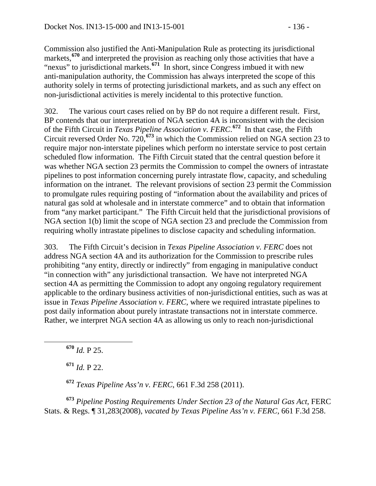Commission also justified the Anti-Manipulation Rule as protecting its jurisdictional markets,**[670](#page-135-0)** and interpreted the provision as reaching only those activities that have a "nexus" to jurisdictional markets.<sup>[671](#page-135-1)</sup> In short, since Congress imbued it with new anti-manipulation authority, the Commission has always interpreted the scope of this authority solely in terms of protecting jurisdictional markets, and as such any effect on non-jurisdictional activities is merely incidental to this protective function.

302. The various court cases relied on by BP do not require a different result. First, BP contends that our interpretation of NGA section 4A is inconsistent with the decision of the Fifth Circuit in *Texas Pipeline Association v. FERC*. **[672](#page-135-2)** In that case, the Fifth Circuit reversed Order No. 720,**[673](#page-135-3)** in which the Commission relied on NGA section 23 to require major non-interstate pipelines which perform no interstate service to post certain scheduled flow information. The Fifth Circuit stated that the central question before it was whether NGA section 23 permits the Commission to compel the owners of intrastate pipelines to post information concerning purely intrastate flow, capacity, and scheduling information on the intranet. The relevant provisions of section 23 permit the Commission to promulgate rules requiring posting of "information about the availability and prices of natural gas sold at wholesale and in interstate commerce" and to obtain that information from "any market participant." The Fifth Circuit held that the jurisdictional provisions of NGA section 1(b) limit the scope of NGA section 23 and preclude the Commission from requiring wholly intrastate pipelines to disclose capacity and scheduling information.

303. The Fifth Circuit's decision in *Texas Pipeline Association v. FERC* does not address NGA section 4A and its authorization for the Commission to prescribe rules prohibiting "any entity, directly or indirectly" from engaging in manipulative conduct "in connection with" any jurisdictional transaction. We have not interpreted NGA section 4A as permitting the Commission to adopt any ongoing regulatory requirement applicable to the ordinary business activities of non-jurisdictional entities, such as was at issue in *Texas Pipeline Association v. FERC*, where we required intrastate pipelines to post daily information about purely intrastate transactions not in interstate commerce. Rather, we interpret NGA section 4A as allowing us only to reach non-jurisdictional

<span id="page-135-0"></span>**<sup>670</sup>** *Id.* P 25.

**<sup>671</sup>** *Id.* P 22.

**<sup>672</sup>** *Texas Pipeline Ass'n v. FERC*, 661 F.3d 258 (2011).

<span id="page-135-3"></span><span id="page-135-2"></span><span id="page-135-1"></span>**<sup>673</sup>** *Pipeline Posting Requirements Under Section 23 of the Natural Gas Act*, FERC Stats. & Regs. ¶ 31,283(2008), *vacated by Texas Pipeline Ass'n v. FERC,* 661 F.3d 258.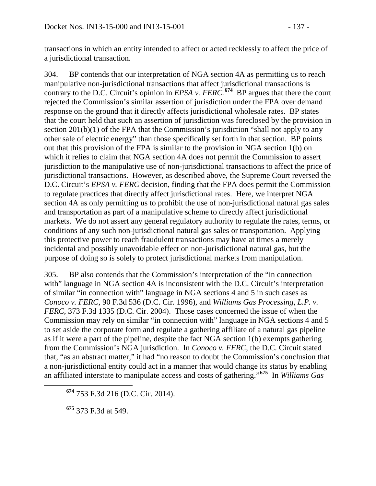transactions in which an entity intended to affect or acted recklessly to affect the price of a jurisdictional transaction.

304. BP contends that our interpretation of NGA section 4A as permitting us to reach manipulative non-jurisdictional transactions that affect jurisdictional transactions is contrary to the D.C. Circuit's opinion in *EPSA v. FERC*.<sup>[674](#page-136-0)</sup> BP argues that there the court rejected the Commission's similar assertion of jurisdiction under the FPA over demand response on the ground that it directly affects jurisdictional wholesale rates. BP states that the court held that such an assertion of jurisdiction was foreclosed by the provision in section 201(b)(1) of the FPA that the Commission's jurisdiction "shall not apply to any other sale of electric energy" than those specifically set forth in that section. BP points out that this provision of the FPA is similar to the provision in NGA section 1(b) on which it relies to claim that NGA section 4A does not permit the Commission to assert jurisdiction to the manipulative use of non-jurisdictional transactions to affect the price of jurisdictional transactions. However, as described above, the Supreme Court reversed the D.C. Circuit's *EPSA v. FERC* decision, finding that the FPA does permit the Commission to regulate practices that directly affect jurisdictional rates. Here, we interpret NGA section 4A as only permitting us to prohibit the use of non-jurisdictional natural gas sales and transportation as part of a manipulative scheme to directly affect jurisdictional markets. We do not assert any general regulatory authority to regulate the rates, terms, or conditions of any such non-jurisdictional natural gas sales or transportation. Applying this protective power to reach fraudulent transactions may have at times a merely incidental and possibly unavoidable effect on non-jurisdictional natural gas, but the purpose of doing so is solely to protect jurisdictional markets from manipulation.

305. BP also contends that the Commission's interpretation of the "in connection with" language in NGA section 4A is inconsistent with the D.C. Circuit's interpretation of similar "in connection with" language in NGA sections 4 and 5 in such cases as *Conoco v. FERC*, 90 F.3d 536 (D.C. Cir. 1996), and *Williams Gas Processing, L.P. v. FERC*, 373 F.3d 1335 (D.C. Cir. 2004). Those cases concerned the issue of when the Commission may rely on similar "in connection with" language in NGA sections 4 and 5 to set aside the corporate form and regulate a gathering affiliate of a natural gas pipeline as if it were a part of the pipeline, despite the fact NGA section 1(b) exempts gathering from the Commission's NGA jurisdiction. In *Conoco v. FERC*, the D.C. Circuit stated that, "as an abstract matter," it had "no reason to doubt the Commission's conclusion that a non-jurisdictional entity could act in a manner that would change its status by enabling an affiliated interstate to manipulate access and costs of gathering."**[675](#page-136-1)** In *Williams Gas* 

<span id="page-136-1"></span>**<sup>675</sup>** 373 F.3d at 549.

<span id="page-136-0"></span>**<sup>674</sup>** 753 F.3d 216 (D.C. Cir. 2014).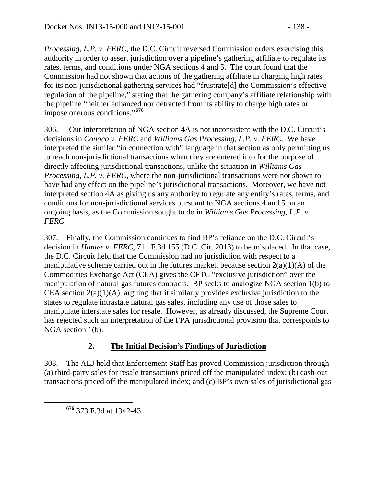*Processing, L.P. v. FERC*, the D.C. Circuit reversed Commission orders exercising this authority in order to assert jurisdiction over a pipeline's gathering affiliate to regulate its rates, terms, and conditions under NGA sections 4 and 5. The court found that the

Commission had not shown that actions of the gathering affiliate in charging high rates for its non-jurisdictional gathering services had "frustrate[d] the Commission's effective regulation of the pipeline," stating that the gathering company's affiliate relationship with the pipeline "neither enhanced nor detracted from its ability to charge high rates or impose onerous conditions."**[676](#page-137-0)**

306. Our interpretation of NGA section 4A is not inconsistent with the D.C. Circuit's decisions in *Conoco v. FERC* and *Williams Gas Processing, L.P. v. FERC*. We have interpreted the similar "in connection with" language in that section as only permitting us to reach non-jurisdictional transactions when they are entered into for the purpose of directly affecting jurisdictional transactions, unlike the situation in *Williams Gas Processing, L.P. v. FERC*, where the non-jurisdictional transactions were not shown to have had any effect on the pipeline's jurisdictional transactions. Moreover, we have not interpreted section 4A as giving us any authority to regulate any entity's rates, terms, and conditions for non-jurisdictional services pursuant to NGA sections 4 and 5 on an ongoing basis, as the Commission sought to do in *Williams Gas Processing, L.P. v. FERC*.

307. Finally, the Commission continues to find BP's reliance on the D.C. Circuit's decision in *Hunter v. FERC*, 711 F.3d 155 (D.C. Cir. 2013) to be misplaced. In that case, the D.C. Circuit held that the Commission had no jurisdiction with respect to a manipulative scheme carried out in the futures market, because section  $2(a)(1)(A)$  of the Commodities Exchange Act (CEA) gives the CFTC "exclusive jurisdiction" over the manipulation of natural gas futures contracts. BP seeks to analogize NGA section 1(b) to CEA section  $2(a)(1)(A)$ , arguing that it similarly provides exclusive jurisdiction to the states to regulate intrastate natural gas sales, including any use of those sales to manipulate interstate sales for resale. However, as already discussed, the Supreme Court has rejected such an interpretation of the FPA jurisdictional provision that corresponds to NGA section 1(b).

## **2. The Initial Decision's Findings of Jurisdiction**

<span id="page-137-0"></span>308. The ALJ held that Enforcement Staff has proved Commission jurisdiction through (a) third-party sales for resale transactions priced off the manipulated index; (b) cash-out transactions priced off the manipulated index; and (c) BP's own sales of jurisdictional gas

**<sup>676</sup>** 373 F.3d at 1342-43.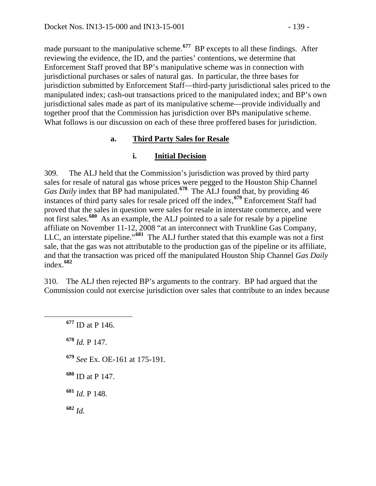made pursuant to the manipulative scheme.**[677](#page-138-0)** BP excepts to all these findings. After reviewing the evidence, the ID, and the parties' contentions, we determine that Enforcement Staff proved that BP's manipulative scheme was in connection with jurisdictional purchases or sales of natural gas. In particular, the three bases for jurisdiction submitted by Enforcement Staff—third-party jurisdictional sales priced to the manipulated index; cash-out transactions priced to the manipulated index; and BP's own jurisdictional sales made as part of its manipulative scheme—provide individually and together proof that the Commission has jurisdiction over BPs manipulative scheme. What follows is our discussion on each of these three proffered bases for jurisdiction.

#### **a. Third Party Sales for Resale**

### **i. Initial Decision**

309. The ALJ held that the Commission's jurisdiction was proved by third party sales for resale of natural gas whose prices were pegged to the Houston Ship Channel *Gas Daily* index that BP had manipulated.**[678](#page-138-1)** The ALJ found that, by providing 46 instances of third party sales for resale priced off the index,**[679](#page-138-2)** Enforcement Staff had proved that the sales in question were sales for resale in interstate commerce, and were not first sales.**[680](#page-138-3)** As an example, the ALJ pointed to a sale for resale by a pipeline affiliate on November 11-12, 2008 "at an interconnect with Trunkline Gas Company, LLC, an interstate pipeline."**[681](#page-138-4)** The ALJ further stated that this example was not a first sale, that the gas was not attributable to the production gas of the pipeline or its affiliate, and that the transaction was priced off the manipulated Houston Ship Channel *Gas Daily* index.**[682](#page-138-5)**

<span id="page-138-0"></span>310. The ALJ then rejected BP's arguments to the contrary. BP had argued that the Commission could not exercise jurisdiction over sales that contribute to an index because

<span id="page-138-5"></span><span id="page-138-4"></span><span id="page-138-3"></span><span id="page-138-2"></span><span id="page-138-1"></span> **<sup>677</sup>** ID at P 146. *Id.* P 147. *See* Ex. OE-161 at 175-191. ID at P 147. *Id.* P 148. **<sup>682</sup>** *Id.*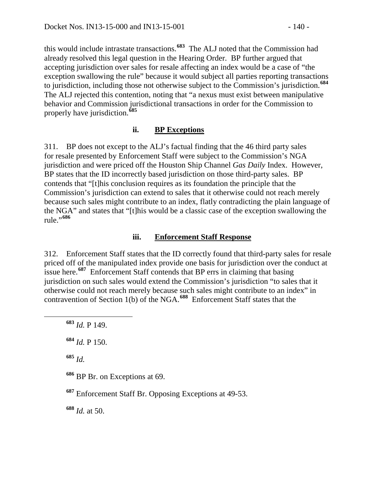this would include intrastate transactions.**[683](#page-139-0)** The ALJ noted that the Commission had already resolved this legal question in the Hearing Order. BP further argued that accepting jurisdiction over sales for resale affecting an index would be a case of "the exception swallowing the rule" because it would subject all parties reporting transactions to jurisdiction, including those not otherwise subject to the Commission's jurisdiction.**[684](#page-139-1)** The ALJ rejected this contention, noting that "a nexus must exist between manipulative behavior and Commission jurisdictional transactions in order for the Commission to properly have jurisdiction.**[685](#page-139-2)**

#### **ii. BP Exceptions**

311. BP does not except to the ALJ's factual finding that the 46 third party sales for resale presented by Enforcement Staff were subject to the Commission's NGA jurisdiction and were priced off the Houston Ship Channel *Gas Daily* Index. However, BP states that the ID incorrectly based jurisdiction on those third-party sales. BP contends that "[t]his conclusion requires as its foundation the principle that the Commission's jurisdiction can extend to sales that it otherwise could not reach merely because such sales might contribute to an index, flatly contradicting the plain language of the NGA" and states that "[t]his would be a classic case of the exception swallowing the rule."**[686](#page-139-3)**

#### **iii. Enforcement Staff Response**

312. Enforcement Staff states that the ID correctly found that third-party sales for resale priced off of the manipulated index provide one basis for jurisdiction over the conduct at issue here.**[687](#page-139-4)** Enforcement Staff contends that BP errs in claiming that basing jurisdiction on such sales would extend the Commission's jurisdiction "to sales that it otherwise could not reach merely because such sales might contribute to an index" in contravention of Section 1(b) of the NGA.**[688](#page-139-5)** Enforcement Staff states that the

<span id="page-139-2"></span>**<sup>685</sup>** *Id.*

<span id="page-139-3"></span>**<sup>686</sup>** BP Br. on Exceptions at 69.

<span id="page-139-4"></span>**<sup>687</sup>** Enforcement Staff Br. Opposing Exceptions at 49-53.

<span id="page-139-5"></span>**<sup>688</sup>** *Id.* at 50.

<span id="page-139-0"></span>**<sup>683</sup>** *Id.* P 149.

<span id="page-139-1"></span>**<sup>684</sup>** *Id.* P 150.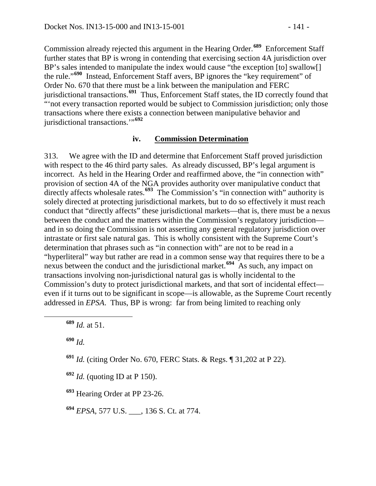Commission already rejected this argument in the Hearing Order.**[689](#page-140-0)** Enforcement Staff further states that BP is wrong in contending that exercising section 4A jurisdiction over BP's sales intended to manipulate the index would cause "the exception [to] swallow[] the rule."**[690](#page-140-1)** Instead, Enforcement Staff avers, BP ignores the "key requirement" of Order No. 670 that there must be a link between the manipulation and FERC jurisdictional transactions.**[691](#page-140-2)** Thus, Enforcement Staff states, the ID correctly found that "not every transaction reported would be subject to Commission jurisdiction; only those transactions where there exists a connection between manipulative behavior and jurisdictional transactions.'"**[692](#page-140-3)**

#### **iv. Commission Determination**

313. We agree with the ID and determine that Enforcement Staff proved jurisdiction with respect to the 46 third party sales. As already discussed, BP's legal argument is incorrect. As held in the Hearing Order and reaffirmed above, the "in connection with" provision of section 4A of the NGA provides authority over manipulative conduct that directly affects wholesale rates.**[693](#page-140-4)** The Commission's "in connection with" authority is solely directed at protecting jurisdictional markets, but to do so effectively it must reach conduct that "directly affects" these jurisdictional markets—that is, there must be a nexus between the conduct and the matters within the Commission's regulatory jurisdiction and in so doing the Commission is not asserting any general regulatory jurisdiction over intrastate or first sale natural gas. This is wholly consistent with the Supreme Court's determination that phrases such as "in connection with" are not to be read in a "hyperliteral" way but rather are read in a common sense way that requires there to be a nexus between the conduct and the jurisdictional market.**[694](#page-140-5)** As such, any impact on transactions involving non-jurisdictional natural gas is wholly incidental to the Commission's duty to protect jurisdictional markets, and that sort of incidental effect even if it turns out to be significant in scope—is allowable, as the Supreme Court recently addressed in *EPSA*. Thus, BP is wrong: far from being limited to reaching only

<span id="page-140-1"></span>**<sup>690</sup>** *Id.*

<span id="page-140-2"></span>**<sup>691</sup>** *Id.* (citing Order No. 670, FERC Stats. & Regs. ¶ 31,202 at P 22).

<span id="page-140-3"></span>**<sup>692</sup>** *Id.* (quoting ID at P 150).

<span id="page-140-4"></span>**<sup>693</sup>** Hearing Order at PP 23-26.

<span id="page-140-5"></span>**<sup>694</sup>** *EPSA*, 577 U.S. \_\_\_, 136 S. Ct. at 774.

<span id="page-140-0"></span>**<sup>689</sup>** *Id.* at 51.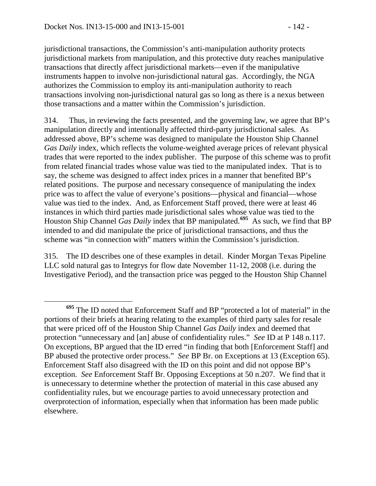jurisdictional transactions, the Commission's anti-manipulation authority protects jurisdictional markets from manipulation, and this protective duty reaches manipulative transactions that directly affect jurisdictional markets—even if the manipulative instruments happen to involve non-jurisdictional natural gas. Accordingly, the NGA authorizes the Commission to employ its anti-manipulation authority to reach transactions involving non-jurisdictional natural gas so long as there is a nexus between those transactions and a matter within the Commission's jurisdiction.

314. Thus, in reviewing the facts presented, and the governing law, we agree that BP's manipulation directly and intentionally affected third-party jurisdictional sales. As addressed above, BP's scheme was designed to manipulate the Houston Ship Channel *Gas Daily* index, which reflects the volume-weighted average prices of relevant physical trades that were reported to the index publisher. The purpose of this scheme was to profit from related financial trades whose value was tied to the manipulated index. That is to say, the scheme was designed to affect index prices in a manner that benefited BP's related positions. The purpose and necessary consequence of manipulating the index price was to affect the value of everyone's positions—physical and financial—whose value was tied to the index. And, as Enforcement Staff proved, there were at least 46 instances in which third parties made jurisdictional sales whose value was tied to the Houston Ship Channel *Gas Daily* index that BP manipulated.**[695](#page-141-0)** As such, we find that BP intended to and did manipulate the price of jurisdictional transactions, and thus the scheme was "in connection with" matters within the Commission's jurisdiction.

315. The ID describes one of these examples in detail. Kinder Morgan Texas Pipeline LLC sold natural gas to Integrys for flow date November 11-12, 2008 (i.e. during the Investigative Period), and the transaction price was pegged to the Houston Ship Channel

<span id="page-141-0"></span>**<sup>695</sup>** The ID noted that Enforcement Staff and BP "protected a lot of material" in the portions of their briefs at hearing relating to the examples of third party sales for resale that were priced off of the Houston Ship Channel *Gas Daily* index and deemed that protection "unnecessary and [an] abuse of confidentiality rules." *See* ID at P 148 n.117. On exceptions, BP argued that the ID erred "in finding that both [Enforcement Staff] and BP abused the protective order process." *See* BP Br. on Exceptions at 13 (Exception 65). Enforcement Staff also disagreed with the ID on this point and did not oppose BP's exception. *See* Enforcement Staff Br. Opposing Exceptions at 50 n.207. We find that it is unnecessary to determine whether the protection of material in this case abused any confidentiality rules, but we encourage parties to avoid unnecessary protection and overprotection of information, especially when that information has been made public elsewhere.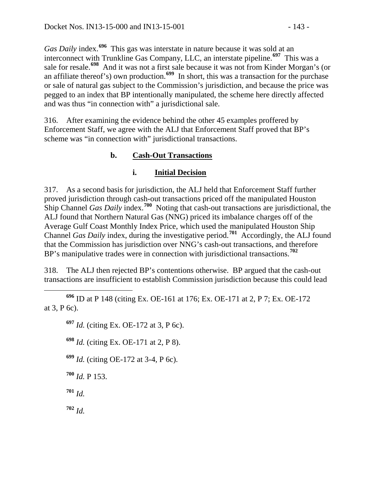*Gas Daily* index.**[696](#page-142-0)** This gas was interstate in nature because it was sold at an interconnect with Trunkline Gas Company, LLC, an interstate pipeline.**[697](#page-142-1)** This was a sale for resale.**[698](#page-142-2)** And it was not a first sale because it was not from Kinder Morgan's (or an affiliate thereof's) own production.<sup>[699](#page-142-3)</sup> In short, this was a transaction for the purchase or sale of natural gas subject to the Commission's jurisdiction, and because the price was pegged to an index that BP intentionally manipulated, the scheme here directly affected and was thus "in connection with" a jurisdictional sale.

316. After examining the evidence behind the other 45 examples proffered by Enforcement Staff, we agree with the ALJ that Enforcement Staff proved that BP's scheme was "in connection with" jurisdictional transactions.

## **b. Cash-Out Transactions**

#### **i. Initial Decision**

317. As a second basis for jurisdiction, the ALJ held that Enforcement Staff further proved jurisdiction through cash-out transactions priced off the manipulated Houston Ship Channel *Gas Daily* index.**[700](#page-142-4)** Noting that cash-out transactions are jurisdictional, the ALJ found that Northern Natural Gas (NNG) priced its imbalance charges off of the Average Gulf Coast Monthly Index Price, which used the manipulated Houston Ship Channel *Gas Daily* index, during the investigative period.**[701](#page-142-5)** Accordingly, the ALJ found that the Commission has jurisdiction over NNG's cash-out transactions, and therefore BP's manipulative trades were in connection with jurisdictional transactions.**[702](#page-142-6)**

318. The ALJ then rejected BP's contentions otherwise. BP argued that the cash-out transactions are insufficient to establish Commission jurisdiction because this could lead

<span id="page-142-2"></span><span id="page-142-1"></span><span id="page-142-0"></span> **<sup>696</sup>** ID at P 148 (citing Ex. OE-161 at 176; Ex. OE-171 at 2, P 7; Ex. OE-172 at 3, P 6c).

**<sup>697</sup>** *Id.* (citing Ex. OE-172 at 3, P 6c).

**<sup>698</sup>** *Id.* (citing Ex. OE-171 at 2, P 8).

<span id="page-142-3"></span>**<sup>699</sup>** *Id.* (citing OE-172 at 3-4, P 6c).

<span id="page-142-4"></span>**<sup>700</sup>** *Id.* P 153.

<span id="page-142-5"></span>**<sup>701</sup>** *Id.*

<span id="page-142-6"></span>**<sup>702</sup>** *Id.*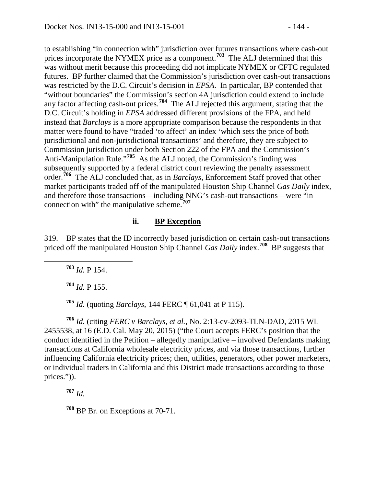to establishing "in connection with" jurisdiction over futures transactions where cash-out prices incorporate the NYMEX price as a component.**[703](#page-143-0)** The ALJ determined that this was without merit because this proceeding did not implicate NYMEX or CFTC regulated futures. BP further claimed that the Commission's jurisdiction over cash-out transactions was restricted by the D.C. Circuit's decision in *EPSA*. In particular, BP contended that "without boundaries" the Commission's section 4A jurisdiction could extend to include any factor affecting cash-out prices.**[704](#page-143-1)** The ALJ rejected this argument, stating that the D.C. Circuit's holding in *EPSA* addressed different provisions of the FPA, and held instead that *Barclays* is a more appropriate comparison because the respondents in that matter were found to have "traded 'to affect' an index 'which sets the price of both jurisdictional and non-jurisdictional transactions' and therefore, they are subject to Commission jurisdiction under both Section 222 of the FPA and the Commission's Anti-Manipulation Rule."**[705](#page-143-2)** As the ALJ noted, the Commission's finding was subsequently supported by a federal district court reviewing the penalty assessment order.**[706](#page-143-3)** The ALJ concluded that, as in *Barclays*, Enforcement Staff proved that other market participants traded off of the manipulated Houston Ship Channel *Gas Daily* index, and therefore those transactions—including NNG's cash-out transactions—were "in connection with" the manipulative scheme.**[707](#page-143-4)**

#### **ii. BP Exception**

<span id="page-143-0"></span>319. BP states that the ID incorrectly based jurisdiction on certain cash-out transactions priced off the manipulated Houston Ship Channel *Gas Daily* index.**[708](#page-143-5)** BP suggests that

**<sup>703</sup>** *Id.* P 154.

**<sup>704</sup>** *Id.* P 155.

**<sup>705</sup>** *Id.* (quoting *Barclays*, 144 FERC ¶ 61,041 at P 115).

<span id="page-143-3"></span><span id="page-143-2"></span><span id="page-143-1"></span>**<sup>706</sup>** *Id.* (citing *FERC v Barclays, et al.*, No. 2:13-cv-2093-TLN-DAD, 2015 WL 2455538, at 16 (E.D. Cal. May 20, 2015) ("the Court accepts FERC's position that the conduct identified in the Petition – allegedly manipulative – involved Defendants making transactions at California wholesale electricity prices, and via those transactions, further influencing California electricity prices; then, utilities, generators, other power marketers, or individual traders in California and this District made transactions according to those prices.")).

<span id="page-143-4"></span>**<sup>707</sup>** *Id.*

<span id="page-143-5"></span>**<sup>708</sup>** BP Br. on Exceptions at 70-71.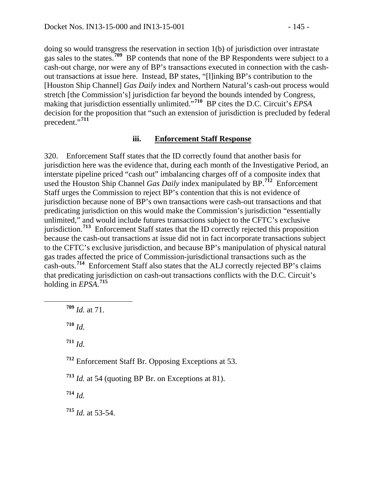doing so would transgress the reservation in section 1(b) of jurisdiction over intrastate gas sales to the states.**[709](#page-144-0)** BP contends that none of the BP Respondents were subject to a cash-out charge, nor were any of BP's transactions executed in connection with the cashout transactions at issue here. Instead, BP states, "[l]inking BP's contribution to the [Houston Ship Channel] *Gas Daily* index and Northern Natural's cash-out process would stretch [the Commission's] jurisdiction far beyond the bounds intended by Congress, making that jurisdiction essentially unlimited."**[710](#page-144-1)** BP cites the D.C. Circuit's *EPSA* decision for the proposition that "such an extension of jurisdiction is precluded by federal precedent."**[711](#page-144-2)**

#### **iii. Enforcement Staff Response**

320. Enforcement Staff states that the ID correctly found that another basis for jurisdiction here was the evidence that, during each month of the Investigative Period, an interstate pipeline priced "cash out" imbalancing charges off of a composite index that used the Houston Ship Channel *Gas Daily* index manipulated by BP.**[712](#page-144-3)** Enforcement Staff urges the Commission to reject BP's contention that this is not evidence of jurisdiction because none of BP's own transactions were cash-out transactions and that predicating jurisdiction on this would make the Commission's jurisdiction "essentially unlimited," and would include futures transactions subject to the CFTC's exclusive jurisdiction.**[713](#page-144-4)** Enforcement Staff states that the ID correctly rejected this proposition because the cash-out transactions at issue did not in fact incorporate transactions subject to the CFTC's exclusive jurisdiction, and because BP's manipulation of physical natural gas trades affected the price of Commission-jurisdictional transactions such as the cash-outs.**[714](#page-144-5)** Enforcement Staff also states that the ALJ correctly rejected BP's claims that predicating jurisdiction on cash-out transactions conflicts with the D.C. Circuit's holding in *EPSA*. **[715](#page-144-6)**

<span id="page-144-0"></span>**<sup>709</sup>** *Id.* at 71.

<span id="page-144-1"></span>**<sup>710</sup>** *Id.*

<span id="page-144-2"></span>**<sup>711</sup>** *Id.*

<span id="page-144-3"></span>**<sup>712</sup>** Enforcement Staff Br. Opposing Exceptions at 53.

<span id="page-144-4"></span>**<sup>713</sup>** *Id.* at 54 (quoting BP Br. on Exceptions at 81).

<span id="page-144-5"></span>**<sup>714</sup>** *Id.*

<span id="page-144-6"></span>**<sup>715</sup>** *Id.* at 53-54.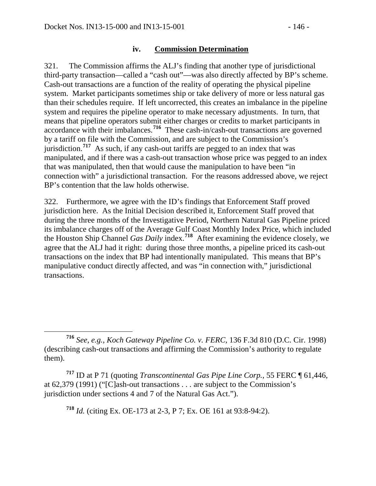### **iv. Commission Determination**

321. The Commission affirms the ALJ's finding that another type of jurisdictional third-party transaction—called a "cash out"—was also directly affected by BP's scheme. Cash-out transactions are a function of the reality of operating the physical pipeline system. Market participants sometimes ship or take delivery of more or less natural gas than their schedules require. If left uncorrected, this creates an imbalance in the pipeline system and requires the pipeline operator to make necessary adjustments. In turn, that means that pipeline operators submit either charges or credits to market participants in accordance with their imbalances.**[716](#page-145-0)** These cash-in/cash-out transactions are governed by a tariff on file with the Commission, and are subject to the Commission's jurisdiction.**[717](#page-145-1)** As such, if any cash-out tariffs are pegged to an index that was manipulated, and if there was a cash-out transaction whose price was pegged to an index that was manipulated, then that would cause the manipulation to have been "in connection with" a jurisdictional transaction. For the reasons addressed above, we reject BP's contention that the law holds otherwise.

322. Furthermore, we agree with the ID's findings that Enforcement Staff proved jurisdiction here. As the Initial Decision described it, Enforcement Staff proved that during the three months of the Investigative Period, Northern Natural Gas Pipeline priced its imbalance charges off of the Average Gulf Coast Monthly Index Price, which included the Houston Ship Channel *Gas Daily* index.**[718](#page-145-2)** After examining the evidence closely, we agree that the ALJ had it right: during those three months, a pipeline priced its cash-out transactions on the index that BP had intentionally manipulated. This means that BP's manipulative conduct directly affected, and was "in connection with," jurisdictional transactions.

<span id="page-145-2"></span><span id="page-145-1"></span>**<sup>717</sup>** ID at P 71 (quoting *Transcontinental Gas Pipe Line Corp.*, 55 FERC ¶ 61,446, at 62,379 (1991) ("[C]ash-out transactions . . . are subject to the Commission's jurisdiction under sections 4 and 7 of the Natural Gas Act.").

**<sup>718</sup>** *Id.* (citing Ex. OE-173 at 2-3, P 7; Ex. OE 161 at 93:8-94:2).

<span id="page-145-0"></span>**<sup>716</sup>** *See, e.g.*, *Koch Gateway Pipeline Co. v. FERC*, 136 F.3d 810 (D.C. Cir. 1998) (describing cash-out transactions and affirming the Commission's authority to regulate them).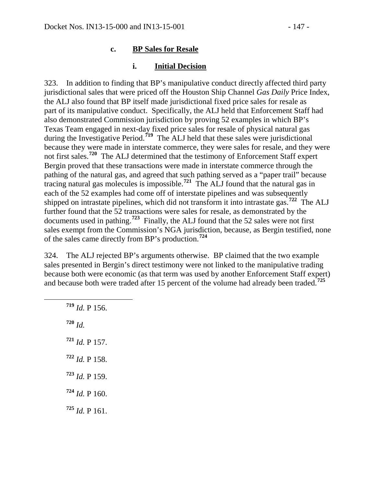#### **c. BP Sales for Resale**

#### **i. Initial Decision**

323. In addition to finding that BP's manipulative conduct directly affected third party jurisdictional sales that were priced off the Houston Ship Channel *Gas Daily* Price Index, the ALJ also found that BP itself made jurisdictional fixed price sales for resale as part of its manipulative conduct. Specifically, the ALJ held that Enforcement Staff had also demonstrated Commission jurisdiction by proving 52 examples in which BP's Texas Team engaged in next-day fixed price sales for resale of physical natural gas during the Investigative Period.<sup>[719](#page-146-0)</sup> The ALJ held that these sales were jurisdictional because they were made in interstate commerce, they were sales for resale, and they were not first sales.**[720](#page-146-1)** The ALJ determined that the testimony of Enforcement Staff expert Bergin proved that these transactions were made in interstate commerce through the pathing of the natural gas, and agreed that such pathing served as a "paper trail" because tracing natural gas molecules is impossible.**[721](#page-146-2)** The ALJ found that the natural gas in each of the 52 examples had come off of interstate pipelines and was subsequently shipped on intrastate pipelines, which did not transform it into intrastate gas.**[722](#page-146-3)** The ALJ further found that the 52 transactions were sales for resale, as demonstrated by the documents used in pathing.**[723](#page-146-4)** Finally, the ALJ found that the 52 sales were not first sales exempt from the Commission's NGA jurisdiction, because, as Bergin testified, none of the sales came directly from BP's production.**[724](#page-146-5)**

324. The ALJ rejected BP's arguments otherwise. BP claimed that the two example sales presented in Bergin's direct testimony were not linked to the manipulative trading because both were economic (as that term was used by another Enforcement Staff expert) and because both were traded after 15 percent of the volume had already been traded.**[725](#page-146-6)**

<span id="page-146-6"></span><span id="page-146-5"></span><span id="page-146-4"></span><span id="page-146-3"></span><span id="page-146-2"></span><span id="page-146-1"></span><span id="page-146-0"></span> **<sup>719</sup>** *Id.* P 156. **<sup>720</sup>** *Id. Id.* P 157. *Id.* P 158. *Id.* P 159. *Id.* P 160. *Id.* P 161.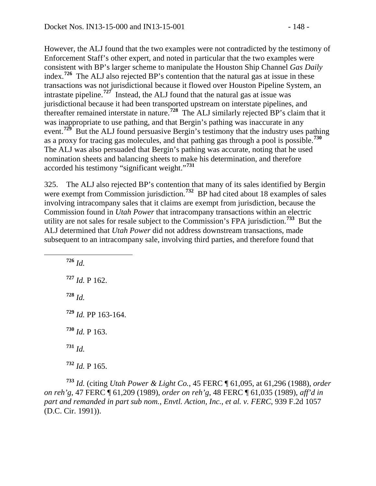However, the ALJ found that the two examples were not contradicted by the testimony of Enforcement Staff's other expert, and noted in particular that the two examples were consistent with BP's larger scheme to manipulate the Houston Ship Channel *Gas Daily* index.**[726](#page-147-0)** The ALJ also rejected BP's contention that the natural gas at issue in these transactions was not jurisdictional because it flowed over Houston Pipeline System, an intrastate pipeline.**[727](#page-147-1)** Instead, the ALJ found that the natural gas at issue was jurisdictional because it had been transported upstream on interstate pipelines, and thereafter remained interstate in nature.**[728](#page-147-2)** The ALJ similarly rejected BP's claim that it was inappropriate to use pathing, and that Bergin's pathing was inaccurate in any event.**[729](#page-147-3)** But the ALJ found persuasive Bergin's testimony that the industry uses pathing as a proxy for tracing gas molecules, and that pathing gas through a pool is possible.**[730](#page-147-4)** The ALJ was also persuaded that Bergin's pathing was accurate, noting that he used nomination sheets and balancing sheets to make his determination, and therefore accorded his testimony "significant weight."**[731](#page-147-5)**

325. The ALJ also rejected BP's contention that many of its sales identified by Bergin were exempt from Commission jurisdiction.<sup>[732](#page-147-6)</sup> BP had cited about 18 examples of sales involving intracompany sales that it claims are exempt from jurisdiction, because the Commission found in *Utah Power* that intracompany transactions within an electric utility are not sales for resale subject to the Commission's FPA jurisdiction.**[733](#page-147-7)** But the ALJ determined that *Utah Power* did not address downstream transactions, made subsequent to an intracompany sale, involving third parties, and therefore found that

<span id="page-147-2"></span><span id="page-147-1"></span><span id="page-147-0"></span> **<sup>726</sup>** *Id.* **<sup>727</sup>** *Id.* P 162. **<sup>728</sup>** *Id.* **<sup>729</sup>** *Id.* PP 163-164. **<sup>730</sup>** *Id.* P 163. **<sup>731</sup>** *Id.* **<sup>732</sup>** *Id.* P 165.

<span id="page-147-7"></span><span id="page-147-6"></span><span id="page-147-5"></span><span id="page-147-4"></span><span id="page-147-3"></span>**<sup>733</sup>** *Id.* (citing *Utah Power & Light Co.*, 45 FERC ¶ 61,095, at 61,296 (1988), *order on reh'g*, 47 FERC ¶ 61,209 (1989), *order on reh'g*, 48 FERC ¶ 61,035 (1989), *aff'd in part and remanded in part sub nom.*, *Envtl. Action, Inc., et al. v. FERC*, 939 F.2d 1057 (D.C. Cir. 1991)).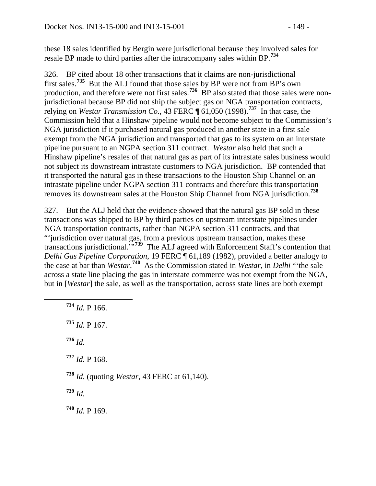these 18 sales identified by Bergin were jurisdictional because they involved sales for resale BP made to third parties after the intracompany sales within BP.**[734](#page-148-0)**

326. BP cited about 18 other transactions that it claims are non-jurisdictional first sales.**[735](#page-148-1)** But the ALJ found that those sales by BP were not from BP's own production, and therefore were not first sales.<sup>[736](#page-148-2)</sup> BP also stated that those sales were nonjurisdictional because BP did not ship the subject gas on NGA transportation contracts, relying on *Westar Transmission Co.*, 43 FERC  $\P$  61,050 (1998).<sup>[737](#page-148-3)</sup> In that case, the Commission held that a Hinshaw pipeline would not become subject to the Commission's NGA jurisdiction if it purchased natural gas produced in another state in a first sale exempt from the NGA jurisdiction and transported that gas to its system on an interstate pipeline pursuant to an NGPA section 311 contract. *Westar* also held that such a Hinshaw pipeline's resales of that natural gas as part of its intrastate sales business would not subject its downstream intrastate customers to NGA jurisdiction. BP contended that it transported the natural gas in these transactions to the Houston Ship Channel on an intrastate pipeline under NGPA section 311 contracts and therefore this transportation removes its downstream sales at the Houston Ship Channel from NGA jurisdiction.**[738](#page-148-4)**

327. But the ALJ held that the evidence showed that the natural gas BP sold in these transactions was shipped to BP by third parties on upstream interstate pipelines under NGA transportation contracts, rather than NGPA section 311 contracts, and that "'jurisdiction over natural gas, from a previous upstream transaction, makes these transactions jurisdictional.'"**[739](#page-148-5)** The ALJ agreed with Enforcement Staff's contention that *Delhi Gas Pipeline Corporation*, 19 FERC ¶ 61,189 (1982), provided a better analogy to the case at bar than *Westar*. **[740](#page-148-6)** As the Commission stated in *Westar*, in *Delhi* "'the sale across a state line placing the gas in interstate commerce was not exempt from the NGA, but in [*Westar*] the sale, as well as the transportation, across state lines are both exempt

<span id="page-148-6"></span><span id="page-148-5"></span><span id="page-148-4"></span><span id="page-148-3"></span><span id="page-148-2"></span><span id="page-148-1"></span><span id="page-148-0"></span> **<sup>734</sup>** *Id.* P 166. **<sup>735</sup>** *Id.* P 167. **<sup>736</sup>** *Id.* **<sup>737</sup>** *Id.* P 168. **<sup>738</sup>** *Id.* (quoting *Westar*, 43 FERC at 61,140). **<sup>739</sup>** *Id.* **<sup>740</sup>** *Id.* P 169.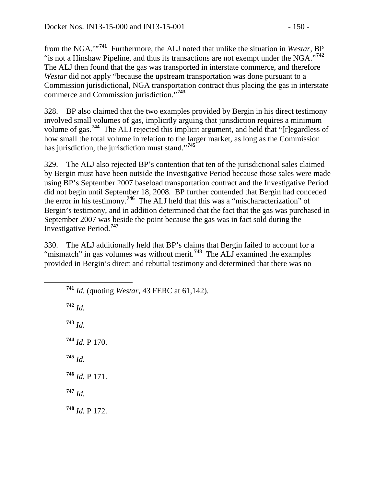from the NGA.'"**[741](#page-149-0)** Furthermore, the ALJ noted that unlike the situation in *Westar*, BP "is not a Hinshaw Pipeline, and thus its transactions are not exempt under the NGA."**[742](#page-149-1)** The ALJ then found that the gas was transported in interstate commerce, and therefore *Westar* did not apply "because the upstream transportation was done pursuant to a Commission jurisdictional, NGA transportation contract thus placing the gas in interstate commerce and Commission jurisdiction."**[743](#page-149-2)**

328. BP also claimed that the two examples provided by Bergin in his direct testimony involved small volumes of gas, implicitly arguing that jurisdiction requires a minimum volume of gas.**[744](#page-149-3)** The ALJ rejected this implicit argument, and held that "[r]egardless of how small the total volume in relation to the larger market, as long as the Commission has jurisdiction, the jurisdiction must stand."**[745](#page-149-4)**

329. The ALJ also rejected BP's contention that ten of the jurisdictional sales claimed by Bergin must have been outside the Investigative Period because those sales were made using BP's September 2007 baseload transportation contract and the Investigative Period did not begin until September 18, 2008. BP further contended that Bergin had conceded the error in his testimony.**[746](#page-149-5)** The ALJ held that this was a "mischaracterization" of Bergin's testimony, and in addition determined that the fact that the gas was purchased in September 2007 was beside the point because the gas was in fact sold during the Investigative Period.**[747](#page-149-6)**

330. The ALJ additionally held that BP's claims that Bergin failed to account for a "mismatch" in gas volumes was without merit.<sup>[748](#page-149-7)</sup> The ALJ examined the examples provided in Bergin's direct and rebuttal testimony and determined that there was no

<span id="page-149-7"></span><span id="page-149-6"></span><span id="page-149-5"></span><span id="page-149-4"></span><span id="page-149-3"></span><span id="page-149-2"></span><span id="page-149-1"></span><span id="page-149-0"></span>

| 741 Id. (quoting Westar, 43 FERC at 61,142). |
|----------------------------------------------|
| $742$ <i>Id.</i>                             |
| $^{743}$ <i>Id.</i>                          |
| $^{744}$ <i>Id.</i> P 170.                   |
| $^{745}$ <i>Id.</i>                          |
| $^{746}$ <i>Id.</i> P 171.                   |
| $747$ <i>Id.</i>                             |
| $748$ <i>Id.</i> P 172.                      |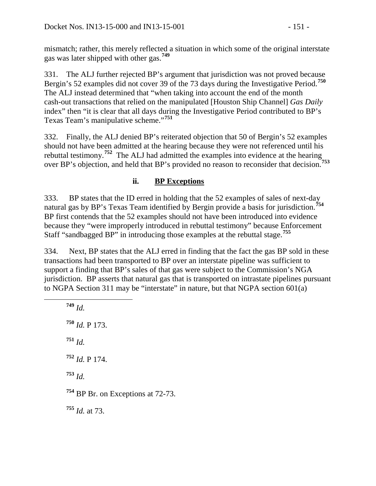mismatch; rather, this merely reflected a situation in which some of the original interstate gas was later shipped with other gas.**[749](#page-150-0)**

331. The ALJ further rejected BP's argument that jurisdiction was not proved because Bergin's 52 examples did not cover 39 of the 73 days during the Investigative Period.**[750](#page-150-1)** The ALJ instead determined that "when taking into account the end of the month cash-out transactions that relied on the manipulated [Houston Ship Channel] *Gas Daily* index" then "it is clear that all days during the Investigative Period contributed to BP's Texas Team's manipulative scheme."**[751](#page-150-2)**

332. Finally, the ALJ denied BP's reiterated objection that 50 of Bergin's 52 examples should not have been admitted at the hearing because they were not referenced until his rebuttal testimony.**[752](#page-150-3)** The ALJ had admitted the examples into evidence at the hearing over BP's objection, and held that BP's provided no reason to reconsider that decision.**[753](#page-150-4)**

# **ii. BP Exceptions**

333. BP states that the ID erred in holding that the 52 examples of sales of next-day natural gas by BP's Texas Team identified by Bergin provide a basis for jurisdiction.**[754](#page-150-5)** BP first contends that the 52 examples should not have been introduced into evidence because they "were improperly introduced in rebuttal testimony" because Enforcement Staff "sandbagged BP" in introducing those examples at the rebuttal stage.**[755](#page-150-6)**

334. Next, BP states that the ALJ erred in finding that the fact the gas BP sold in these transactions had been transported to BP over an interstate pipeline was sufficient to support a finding that BP's sales of that gas were subject to the Commission's NGA jurisdiction. BP asserts that natural gas that is transported on intrastate pipelines pursuant to NGPA Section 311 may be "interstate" in nature, but that NGPA section 601(a)

<span id="page-150-6"></span><span id="page-150-5"></span><span id="page-150-4"></span><span id="page-150-3"></span><span id="page-150-2"></span><span id="page-150-1"></span><span id="page-150-0"></span> **<sup>749</sup>** *Id.* **<sup>750</sup>** *Id.* P 173. **<sup>751</sup>** *Id.* **<sup>752</sup>** *Id.* P 174. **<sup>753</sup>** *Id.* **<sup>754</sup>** BP Br. on Exceptions at 72-73. **<sup>755</sup>** *Id.* at 73.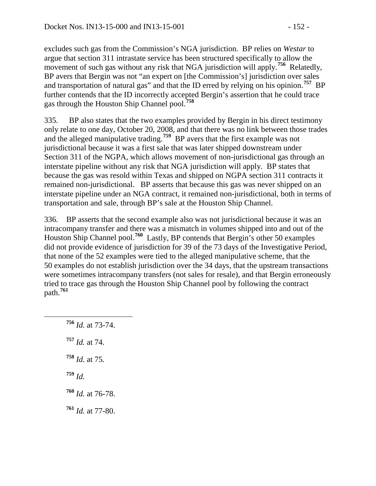excludes such gas from the Commission's NGA jurisdiction. BP relies on *Westar* to argue that section 311 intrastate service has been structured specifically to allow the movement of such gas without any risk that NGA jurisdiction will apply.<sup>[756](#page-151-0)</sup> Relatedly, BP avers that Bergin was not "an expert on [the Commission's] jurisdiction over sales and transportation of natural gas" and that the ID erred by relying on his opinion.**[757](#page-151-1)** BP further contends that the ID incorrectly accepted Bergin's assertion that he could trace gas through the Houston Ship Channel pool.**[758](#page-151-2)**

335. BP also states that the two examples provided by Bergin in his direct testimony only relate to one day, October 20, 2008, and that there was no link between those trades and the alleged manipulative trading.<sup>[759](#page-151-3)</sup> BP avers that the first example was not jurisdictional because it was a first sale that was later shipped downstream under Section 311 of the NGPA, which allows movement of non-jurisdictional gas through an interstate pipeline without any risk that NGA jurisdiction will apply. BP states that because the gas was resold within Texas and shipped on NGPA section 311 contracts it remained non-jurisdictional. BP asserts that because this gas was never shipped on an interstate pipeline under an NGA contract, it remained non-jurisdictional, both in terms of transportation and sale, through BP's sale at the Houston Ship Channel.

336. BP asserts that the second example also was not jurisdictional because it was an intracompany transfer and there was a mismatch in volumes shipped into and out of the Houston Ship Channel pool.**[760](#page-151-4)** Lastly, BP contends that Bergin's other 50 examples did not provide evidence of jurisdiction for 39 of the 73 days of the Investigative Period, that none of the 52 examples were tied to the alleged manipulative scheme, that the 50 examples do not establish jurisdiction over the 34 days, that the upstream transactions were sometimes intracompany transfers (not sales for resale), and that Bergin erroneously tried to trace gas through the Houston Ship Channel pool by following the contract path.**[761](#page-151-5)**

<span id="page-151-5"></span><span id="page-151-4"></span><span id="page-151-3"></span><span id="page-151-2"></span><span id="page-151-1"></span><span id="page-151-0"></span> **<sup>756</sup>** *Id.* at 73-74. *Id.* at 74. *Id.* at 75. **<sup>759</sup>** *Id. Id.* at 76-78. *Id.* at 77-80.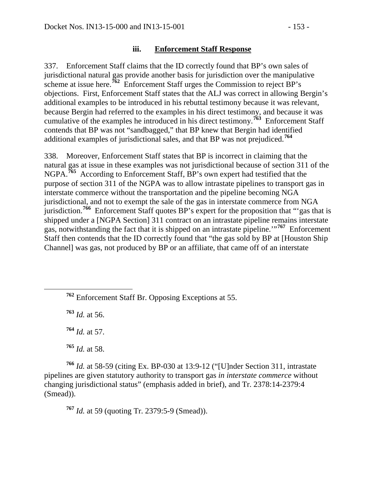### **iii. Enforcement Staff Response**

337. Enforcement Staff claims that the ID correctly found that BP's own sales of jurisdictional natural gas provide another basis for jurisdiction over the manipulative scheme at issue here.<sup>[762](#page-152-0)</sup> Enforcement Staff urges the Commission to reject  $\overrightarrow{BP}$ 's objections. First, Enforcement Staff states that the ALJ was correct in allowing Bergin's additional examples to be introduced in his rebuttal testimony because it was relevant, because Bergin had referred to the examples in his direct testimony, and because it was cumulative of the examples he introduced in his direct testimony.<sup> $763$ </sup> Enforcement Staff contends that BP was not "sandbagged," that BP knew that Bergin had identified additional examples of jurisdictional sales, and that BP was not prejudiced.**[764](#page-152-2)**

338. Moreover, Enforcement Staff states that BP is incorrect in claiming that the natural gas at issue in these examples was not jurisdictional because of section 311 of the NGPA.<sup>[765](#page-152-3)</sup> According to Enforcement Staff, BP's own expert had testified that the purpose of section 311 of the NGPA was to allow intrastate pipelines to transport gas in interstate commerce without the transportation and the pipeline becoming NGA jurisdictional, and not to exempt the sale of the gas in interstate commerce from NGA jurisdiction.**[766](#page-152-4)** Enforcement Staff quotes BP's expert for the proposition that "'gas that is shipped under a [NGPA Section] 311 contract on an intrastate pipeline remains interstate gas, notwithstanding the fact that it is shipped on an intrastate pipeline.'"**[767](#page-152-5)** Enforcement Staff then contends that the ID correctly found that "the gas sold by BP at [Houston Ship Channel] was gas, not produced by BP or an affiliate, that came off of an interstate

<span id="page-152-0"></span>**<sup>762</sup>** Enforcement Staff Br. Opposing Exceptions at 55.

<span id="page-152-1"></span>**<sup>763</sup>** *Id.* at 56.

**<sup>764</sup>** *Id.* at 57.

**<sup>765</sup>** *Id.* at 58.

<span id="page-152-5"></span><span id="page-152-4"></span><span id="page-152-3"></span><span id="page-152-2"></span>**<sup>766</sup>** *Id.* at 58-59 (citing Ex. BP-030 at 13:9-12 ("[U]nder Section 311, intrastate pipelines are given statutory authority to transport gas *in interstate commerce* without changing jurisdictional status" (emphasis added in brief), and Tr. 2378:14-2379:4 (Smead)).

**<sup>767</sup>** *Id.* at 59 (quoting Tr. 2379:5-9 (Smead)).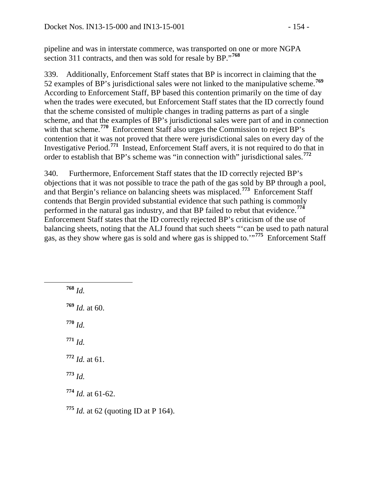pipeline and was in interstate commerce, was transported on one or more NGPA section 311 contracts, and then was sold for resale by BP."**[768](#page-153-0)**

339. Additionally, Enforcement Staff states that BP is incorrect in claiming that the 52 examples of BP's jurisdictional sales were not linked to the manipulative scheme.**[769](#page-153-1)** According to Enforcement Staff, BP based this contention primarily on the time of day when the trades were executed, but Enforcement Staff states that the ID correctly found that the scheme consisted of multiple changes in trading patterns as part of a single scheme, and that the examples of BP's jurisdictional sales were part of and in connection with that scheme.<sup>[770](#page-153-2)</sup> Enforcement Staff also urges the Commission to reject BP's contention that it was not proved that there were jurisdictional sales on every day of the Investigative Period.**[771](#page-153-3)** Instead, Enforcement Staff avers, it is not required to do that in order to establish that BP's scheme was "in connection with" jurisdictional sales.**[772](#page-153-4)**

340. Furthermore, Enforcement Staff states that the ID correctly rejected BP's objections that it was not possible to trace the path of the gas sold by BP through a pool, and that Bergin's reliance on balancing sheets was misplaced.**[773](#page-153-5)** Enforcement Staff contends that Bergin provided substantial evidence that such pathing is commonly performed in the natural gas industry, and that BP failed to rebut that evidence.**[774](#page-153-6)** Enforcement Staff states that the ID correctly rejected BP's criticism of the use of balancing sheets, noting that the ALJ found that such sheets "'can be used to path natural gas, as they show where gas is sold and where gas is shipped to.'"<sup>[775](#page-153-7)</sup> Enforcement Staff

<span id="page-153-7"></span><span id="page-153-6"></span><span id="page-153-5"></span><span id="page-153-4"></span><span id="page-153-3"></span><span id="page-153-2"></span><span id="page-153-1"></span><span id="page-153-0"></span> **<sup>768</sup>** *Id.* **<sup>769</sup>** *Id.* at 60. **<sup>770</sup>** *Id.* **<sup>771</sup>** *Id.* **<sup>772</sup>** *Id.* at 61. **<sup>773</sup>** *Id.* **<sup>774</sup>** *Id.* at 61-62. **<sup>775</sup>** *Id.* at 62 (quoting ID at P 164).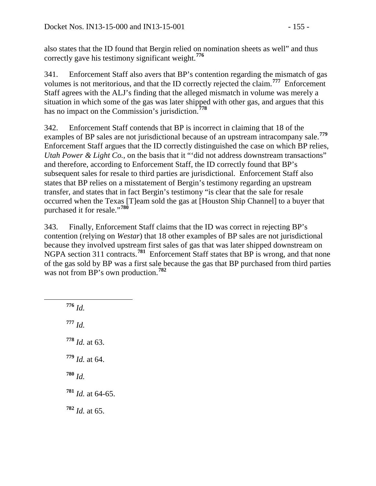also states that the ID found that Bergin relied on nomination sheets as well" and thus correctly gave his testimony significant weight.**[776](#page-154-0)**

341. Enforcement Staff also avers that BP's contention regarding the mismatch of gas volumes is not meritorious, and that the ID correctly rejected the claim.**[777](#page-154-1)** Enforcement Staff agrees with the ALJ's finding that the alleged mismatch in volume was merely a situation in which some of the gas was later shipped with other gas, and argues that this has no impact on the Commission's jurisdiction.**[778](#page-154-2)**

342. Enforcement Staff contends that BP is incorrect in claiming that 18 of the examples of BP sales are not jurisdictional because of an upstream intracompany sale.**[779](#page-154-3)** Enforcement Staff argues that the ID correctly distinguished the case on which BP relies, *Utah Power & Light Co.*, on the basis that it "'did not address downstream transactions" and therefore, according to Enforcement Staff, the ID correctly found that BP's subsequent sales for resale to third parties are jurisdictional. Enforcement Staff also states that BP relies on a misstatement of Bergin's testimony regarding an upstream transfer, and states that in fact Bergin's testimony "is clear that the sale for resale occurred when the Texas [T]eam sold the gas at [Houston Ship Channel] to a buyer that purchased it for resale."**[780](#page-154-4)**

343. Finally, Enforcement Staff claims that the ID was correct in rejecting BP's contention (relying on *Westar*) that 18 other examples of BP sales are not jurisdictional because they involved upstream first sales of gas that was later shipped downstream on NGPA section 311 contracts.**[781](#page-154-5)** Enforcement Staff states that BP is wrong, and that none of the gas sold by BP was a first sale because the gas that BP purchased from third parties was not from BP's own production.**[782](#page-154-6)**

<span id="page-154-6"></span><span id="page-154-5"></span><span id="page-154-4"></span><span id="page-154-3"></span><span id="page-154-2"></span><span id="page-154-1"></span><span id="page-154-0"></span> **<sup>776</sup>** *Id.* **<sup>777</sup>** *Id.* **<sup>778</sup>** *Id.* at 63. **<sup>779</sup>** *Id.* at 64. **<sup>780</sup>** *Id.* **<sup>781</sup>** *Id.* at 64-65. **<sup>782</sup>** *Id.* at 65.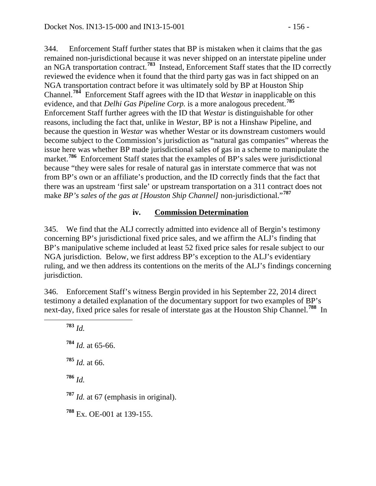344. Enforcement Staff further states that BP is mistaken when it claims that the gas remained non-jurisdictional because it was never shipped on an interstate pipeline under an NGA transportation contract.**[783](#page-155-0)** Instead, Enforcement Staff states that the ID correctly reviewed the evidence when it found that the third party gas was in fact shipped on an NGA transportation contract before it was ultimately sold by BP at Houston Ship Channel.**[784](#page-155-1)** Enforcement Staff agrees with the ID that *Westar* in inapplicable on this evidence, and that *Delhi Gas Pipeline Corp.* is a more analogous precedent.**[785](#page-155-2)** Enforcement Staff further agrees with the ID that *Westar* is distinguishable for other reasons, including the fact that, unlike in *Westar*, BP is not a Hinshaw Pipeline, and because the question in *Westar* was whether Westar or its downstream customers would become subject to the Commission's jurisdiction as "natural gas companies" whereas the issue here was whether BP made jurisdictional sales of gas in a scheme to manipulate the market.<sup>[786](#page-155-3)</sup> Enforcement Staff states that the examples of BP's sales were jurisdictional because "they were sales for resale of natural gas in interstate commerce that was not from BP's own or an affiliate's production, and the ID correctly finds that the fact that there was an upstream 'first sale' or upstream transportation on a 311 contract does not make *BP*'s sales of the gas at [Houston Ship Channel] non-jurisdictional."<sup>[787](#page-155-4)</sup>

### **iv. Commission Determination**

345. We find that the ALJ correctly admitted into evidence all of Bergin's testimony concerning BP's jurisdictional fixed price sales, and we affirm the ALJ's finding that BP's manipulative scheme included at least 52 fixed price sales for resale subject to our NGA jurisdiction. Below, we first address BP's exception to the ALJ's evidentiary ruling, and we then address its contentions on the merits of the ALJ's findings concerning jurisdiction.

346. Enforcement Staff's witness Bergin provided in his September 22, 2014 direct testimony a detailed explanation of the documentary support for two examples of BP's next-day, fixed price sales for resale of interstate gas at the Houston Ship Channel.**[788](#page-155-5)** In

<span id="page-155-5"></span><span id="page-155-4"></span><span id="page-155-3"></span><span id="page-155-2"></span><span id="page-155-1"></span><span id="page-155-0"></span> **<sup>783</sup>** *Id. Id.* at 65-66. *Id.* at 66. **<sup>786</sup>** *Id. Id.* at 67 (emphasis in original). Ex. OE-001 at 139-155.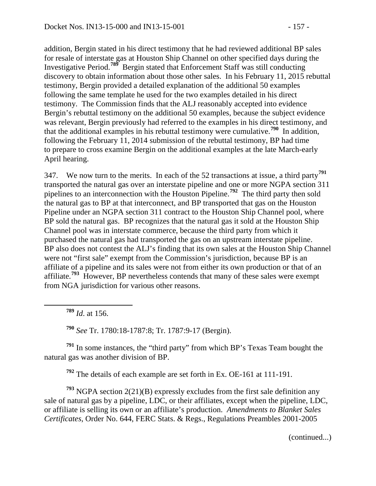addition, Bergin stated in his direct testimony that he had reviewed additional BP sales for resale of interstate gas at Houston Ship Channel on other specified days during the Investigative Period.**[789](#page-156-0)** Bergin stated that Enforcement Staff was still conducting discovery to obtain information about those other sales. In his February 11, 2015 rebuttal testimony, Bergin provided a detailed explanation of the additional 50 examples following the same template he used for the two examples detailed in his direct testimony. The Commission finds that the ALJ reasonably accepted into evidence Bergin's rebuttal testimony on the additional 50 examples, because the subject evidence was relevant, Bergin previously had referred to the examples in his direct testimony, and that the additional examples in his rebuttal testimony were cumulative.**[790](#page-156-1)** In addition, following the February 11, 2014 submission of the rebuttal testimony, BP had time to prepare to cross examine Bergin on the additional examples at the late March-early April hearing.

347. We now turn to the merits. In each of the 52 transactions at issue, a third party**[791](#page-156-2)** transported the natural gas over an interstate pipeline and one or more NGPA section 311 pipelines to an interconnection with the Houston Pipeline.**[792](#page-156-3)** The third party then sold the natural gas to BP at that interconnect, and BP transported that gas on the Houston Pipeline under an NGPA section 311 contract to the Houston Ship Channel pool, where BP sold the natural gas. BP recognizes that the natural gas it sold at the Houston Ship Channel pool was in interstate commerce, because the third party from which it purchased the natural gas had transported the gas on an upstream interstate pipeline. BP also does not contest the ALJ's finding that its own sales at the Houston Ship Channel were not "first sale" exempt from the Commission's jurisdiction, because BP is an affiliate of a pipeline and its sales were not from either its own production or that of an affiliate.**[793](#page-156-4)** However, BP nevertheless contends that many of these sales were exempt from NGA jurisdiction for various other reasons.

**<sup>789</sup>** *Id*. at 156.

**<sup>790</sup>** *See* Tr. 1780:18-1787:8; Tr. 1787:9-17 (Bergin).

<span id="page-156-2"></span><span id="page-156-1"></span><span id="page-156-0"></span>**<sup>791</sup>** In some instances, the "third party" from which BP's Texas Team bought the natural gas was another division of BP.

**<sup>792</sup>** The details of each example are set forth in Ex. OE-161 at 111-191.

<span id="page-156-4"></span><span id="page-156-3"></span>**<sup>793</sup>** NGPA section 2(21)(B) expressly excludes from the first sale definition any sale of natural gas by a pipeline, LDC, or their affiliates, except when the pipeline, LDC, or affiliate is selling its own or an affiliate's production. *Amendments to Blanket Sales Certificates*, Order No. 644, FERC Stats. & Regs., Regulations Preambles 2001-2005

(continued...)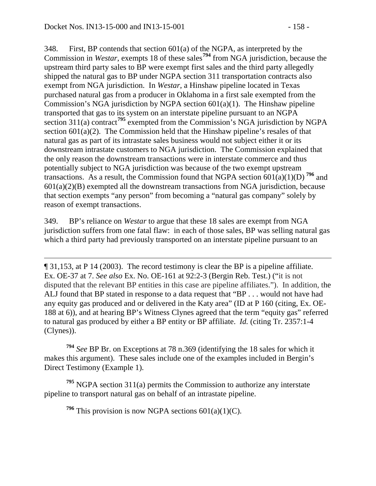$\overline{a}$ 

348. First, BP contends that section 601(a) of the NGPA, as interpreted by the Commission in *Westar*, exempts 18 of these sales**[794](#page-157-0)** from NGA jurisdiction, because the upstream third party sales to BP were exempt first sales and the third party allegedly shipped the natural gas to BP under NGPA section 311 transportation contracts also exempt from NGA jurisdiction. In *Westar*, a Hinshaw pipeline located in Texas purchased natural gas from a producer in Oklahoma in a first sale exempted from the Commission's NGA jurisdiction by NGPA section  $601(a)(1)$ . The Hinshaw pipeline transported that gas to its system on an interstate pipeline pursuant to an NGPA section 311(a) contract<sup>[795](#page-157-1)</sup> exempted from the Commission's NGA jurisdiction by NGPA section  $601(a)(2)$ . The Commission held that the Hinshaw pipeline's resales of that natural gas as part of its intrastate sales business would not subject either it or its downstream intrastate customers to NGA jurisdiction. The Commission explained that the only reason the downstream transactions were in interstate commerce and thus potentially subject to NGA jurisdiction was because of the two exempt upstream transactions. As a result, the Commission found that NGPA section  $\frac{1}{6}01(a)(1)(D)$ <sup>[796](#page-157-2)</sup> and  $601(a)(2)(B)$  exempted all the downstream transactions from NGA jurisdiction, because that section exempts "any person" from becoming a "natural gas company" solely by reason of exempt transactions.

349. BP's reliance on *Westar* to argue that these 18 sales are exempt from NGA jurisdiction suffers from one fatal flaw: in each of those sales, BP was selling natural gas which a third party had previously transported on an interstate pipeline pursuant to an

¶ 31,153, at P 14 (2003). The record testimony is clear the BP is a pipeline affiliate. Ex. OE-37 at 7. *See also* Ex. No. OE-161 at 92:2-3 (Bergin Reb. Test.) ("it is not disputed that the relevant BP entities in this case are pipeline affiliates."). In addition, the ALJ found that BP stated in response to a data request that "BP . . . would not have had any equity gas produced and or delivered in the Katy area" (ID at P 160 (citing, Ex. OE-188 at 6)), and at hearing BP's Witness Clynes agreed that the term "equity gas" referred to natural gas produced by either a BP entity or BP affiliate. *Id.* (citing Tr. 2357:1-4 (Clynes)).

<span id="page-157-0"></span>**<sup>794</sup>** *See* BP Br. on Exceptions at 78 n.369 (identifying the 18 sales for which it makes this argument). These sales include one of the examples included in Bergin's Direct Testimony (Example 1).

<span id="page-157-2"></span><span id="page-157-1"></span>**<sup>795</sup>** NGPA section 311(a) permits the Commission to authorize any interstate pipeline to transport natural gas on behalf of an intrastate pipeline.

<sup>796</sup> This provision is now NGPA sections  $601(a)(1)(C)$ .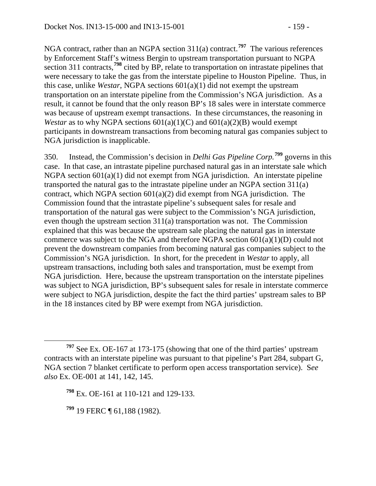NGA contract, rather than an NGPA section 311(a) contract.**[797](#page-158-0)** The various references by Enforcement Staff's witness Bergin to upstream transportation pursuant to NGPA section 311 contracts,<sup>[798](#page-158-1)</sup> cited by BP, relate to transportation on intrastate pipelines that were necessary to take the gas from the interstate pipeline to Houston Pipeline. Thus, in this case, unlike *Westar*, NGPA sections 601(a)(1) did not exempt the upstream transportation on an interstate pipeline from the Commission's NGA jurisdiction. As a result, it cannot be found that the only reason BP's 18 sales were in interstate commerce was because of upstream exempt transactions. In these circumstances, the reasoning in *Westar* as to why NGPA sections  $601(a)(1)(C)$  and  $601(a)(2)(B)$  would exempt participants in downstream transactions from becoming natural gas companies subject to NGA jurisdiction is inapplicable.

350. Instead, the Commission's decision in *Delhi Gas Pipeline Corp.***[799](#page-158-2)** governs in this case. In that case, an intrastate pipeline purchased natural gas in an interstate sale which NGPA section 601(a)(1) did not exempt from NGA jurisdiction. An interstate pipeline transported the natural gas to the intrastate pipeline under an NGPA section 311(a) contract, which NGPA section  $601(a)(2)$  did exempt from NGA jurisdiction. The Commission found that the intrastate pipeline's subsequent sales for resale and transportation of the natural gas were subject to the Commission's NGA jurisdiction, even though the upstream section 311(a) transportation was not. The Commission explained that this was because the upstream sale placing the natural gas in interstate commerce was subject to the NGA and therefore NGPA section  $601(a)(1)(D)$  could not prevent the downstream companies from becoming natural gas companies subject to the Commission's NGA jurisdiction. In short, for the precedent in *Westar* to apply, all upstream transactions, including both sales and transportation, must be exempt from NGA jurisdiction. Here, because the upstream transportation on the interstate pipelines was subject to NGA jurisdiction, BP's subsequent sales for resale in interstate commerce were subject to NGA jurisdiction, despite the fact the third parties' upstream sales to BP in the 18 instances cited by BP were exempt from NGA jurisdiction.

<span id="page-158-2"></span>**<sup>799</sup>** 19 FERC ¶ 61,188 (1982).

<span id="page-158-1"></span><span id="page-158-0"></span>**<sup>797</sup>** See Ex. OE-167 at 173-175 (showing that one of the third parties' upstream contracts with an interstate pipeline was pursuant to that pipeline's Part 284, subpart G, NGA section 7 blanket certificate to perform open access transportation service). S*ee also* Ex. OE-001 at 141, 142, 145.

**<sup>798</sup>** Ex. OE-161 at 110-121 and 129-133.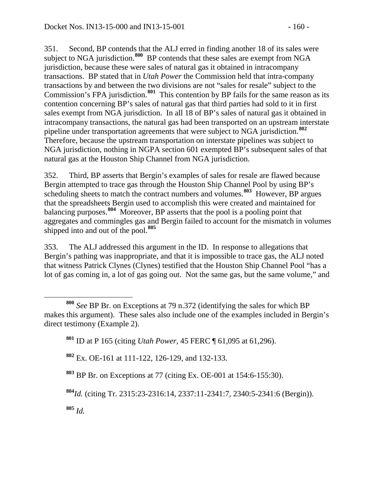351. Second, BP contends that the ALJ erred in finding another 18 of its sales were subject to NGA jurisdiction.<sup>[800](#page-159-0)</sup> BP contends that these sales are exempt from NGA jurisdiction, because these were sales of natural gas it obtained in intracompany transactions. BP stated that in *Utah Power* the Commission held that intra-company transactions by and between the two divisions are not "sales for resale" subject to the Commission's FPA jurisdiction.**[801](#page-159-1)** This contention by BP fails for the same reason as its contention concerning BP's sales of natural gas that third parties had sold to it in first sales exempt from NGA jurisdiction. In all 18 of BP's sales of natural gas it obtained in intracompany transactions, the natural gas had been transported on an upstream interstate pipeline under transportation agreements that were subject to NGA jurisdiction.**[802](#page-159-2)** Therefore, because the upstream transportation on interstate pipelines was subject to NGA jurisdiction, nothing in NGPA section 601 exempted BP's subsequent sales of that natural gas at the Houston Ship Channel from NGA jurisdiction.

352. Third, BP asserts that Bergin's examples of sales for resale are flawed because Bergin attempted to trace gas through the Houston Ship Channel Pool by using BP's scheduling sheets to match the contract numbers and volumes.<sup>[803](#page-159-3)</sup> However, BP argues that the spreadsheets Bergin used to accomplish this were created and maintained for balancing purposes.**[804](#page-159-4)** Moreover, BP asserts that the pool is a pooling point that aggregates and commingles gas and Bergin failed to account for the mismatch in volumes shipped into and out of the pool.**[805](#page-159-5)**

353. The ALJ addressed this argument in the ID. In response to allegations that Bergin's pathing was inappropriate, and that it is impossible to trace gas, the ALJ noted that witness Patrick Clynes (Clynes) testified that the Houston Ship Channel Pool "has a lot of gas coming in, a lot of gas going out. Not the same gas, but the same volume," and

<span id="page-159-2"></span>**<sup>802</sup>** Ex. OE-161 at 111-122, 126-129, and 132-133.

<span id="page-159-5"></span>**<sup>805</sup>** *Id.*

<span id="page-159-1"></span><span id="page-159-0"></span>**<sup>800</sup>** *See* BP Br. on Exceptions at 79 n.372 (identifying the sales for which BP makes this argument). These sales also include one of the examples included in Bergin's direct testimony (Example 2).

**<sup>801</sup>** ID at P 165 (citing *Utah Power*, 45 FERC ¶ 61,095 at 61,296).

<span id="page-159-3"></span>**<sup>803</sup>** BP Br. on Exceptions at 77 (citing Ex. OE-001 at 154:6-155:30).

<span id="page-159-4"></span>**<sup>804</sup>***Id.* (citing Tr. 2315:23-2316:14, 2337:11-2341:7, 2340:5-2341:6 (Bergin)).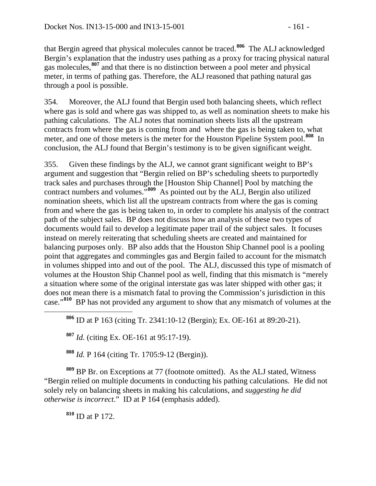that Bergin agreed that physical molecules cannot be traced.**[806](#page-160-0)** The ALJ acknowledged Bergin's explanation that the industry uses pathing as a proxy for tracing physical natural gas molecules,**[807](#page-160-1)** and that there is no distinction between a pool meter and physical meter, in terms of pathing gas. Therefore, the ALJ reasoned that pathing natural gas through a pool is possible.

354. Moreover, the ALJ found that Bergin used both balancing sheets, which reflect where gas is sold and where gas was shipped to, as well as nomination sheets to make his pathing calculations. The ALJ notes that nomination sheets lists all the upstream contracts from where the gas is coming from and where the gas is being taken to, what meter, and one of those meters is the meter for the Houston Pipeline System pool.**[808](#page-160-2)** In conclusion, the ALJ found that Bergin's testimony is to be given significant weight.

355. Given these findings by the ALJ, we cannot grant significant weight to BP's argument and suggestion that "Bergin relied on BP's scheduling sheets to purportedly track sales and purchases through the [Houston Ship Channel] Pool by matching the contract numbers and volumes."**[809](#page-160-3)** As pointed out by the ALJ, Bergin also utilized nomination sheets, which list all the upstream contracts from where the gas is coming from and where the gas is being taken to, in order to complete his analysis of the contract path of the subject sales. BP does not discuss how an analysis of these two types of documents would fail to develop a legitimate paper trail of the subject sales. It focuses instead on merely reiterating that scheduling sheets are created and maintained for balancing purposes only. BP also adds that the Houston Ship Channel pool is a pooling point that aggregates and commingles gas and Bergin failed to account for the mismatch in volumes shipped into and out of the pool. The ALJ, discussed this type of mismatch of volumes at the Houston Ship Channel pool as well, finding that this mismatch is "merely a situation where some of the original interstate gas was later shipped with other gas; it does not mean there is a mismatch fatal to proving the Commission's jurisdiction in this case."**[810](#page-160-4)** BP has not provided any argument to show that any mismatch of volumes at the

<span id="page-160-0"></span>**<sup>806</sup>** ID at P 163 (citing Tr. 2341:10-12 (Bergin); Ex. OE-161 at 89:20-21).

**<sup>807</sup>** *Id.* (citing Ex. OE-161 at 95:17-19).

**<sup>808</sup>** *Id.* P 164 (citing Tr. 1705:9-12 (Bergin)).

<span id="page-160-4"></span><span id="page-160-3"></span><span id="page-160-2"></span><span id="page-160-1"></span>**<sup>809</sup>** BP Br. on Exceptions at 77 (footnote omitted). As the ALJ stated, Witness "Bergin relied on multiple documents in conducting his pathing calculations. He did not solely rely on balancing sheets in making his calculations, and *suggesting he did otherwise is incorrect*." ID at P 164 (emphasis added).

**<sup>810</sup>** ID at P 172.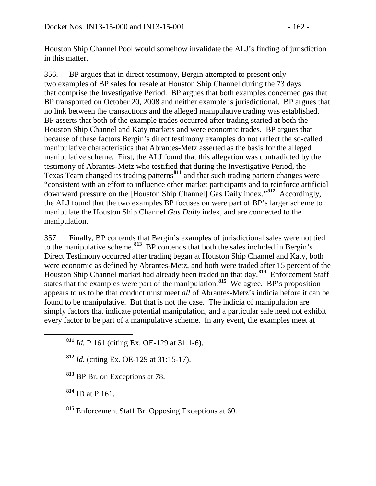Houston Ship Channel Pool would somehow invalidate the ALJ's finding of jurisdiction in this matter.

356. BP argues that in direct testimony, Bergin attempted to present only two examples of BP sales for resale at Houston Ship Channel during the 73 days that comprise the Investigative Period. BP argues that both examples concerned gas that BP transported on October 20, 2008 and neither example is jurisdictional. BP argues that no link between the transactions and the alleged manipulative trading was established. BP asserts that both of the example trades occurred after trading started at both the Houston Ship Channel and Katy markets and were economic trades. BP argues that because of these factors Bergin's direct testimony examples do not reflect the so-called manipulative characteristics that Abrantes-Metz asserted as the basis for the alleged manipulative scheme. First, the ALJ found that this allegation was contradicted by the testimony of Abrantes-Metz who testified that during the Investigative Period, the Texas Team changed its trading patterns**[811](#page-161-0)** and that such trading pattern changes were "consistent with an effort to influence other market participants and to reinforce artificial downward pressure on the [Houston Ship Channel] Gas Daily index."**[812](#page-161-1)** Accordingly, the ALJ found that the two examples BP focuses on were part of BP's larger scheme to manipulate the Houston Ship Channel *Gas Daily* index, and are connected to the manipulation.

357. Finally, BP contends that Bergin's examples of jurisdictional sales were not tied to the manipulative scheme.**[813](#page-161-2)** BP contends that both the sales included in Bergin's Direct Testimony occurred after trading began at Houston Ship Channel and Katy, both were economic as defined by Abrantes-Metz, and both were traded after 15 percent of the Houston Ship Channel market had already been traded on that day.**[814](#page-161-3)** Enforcement Staff states that the examples were part of the manipulation.**[815](#page-161-4)** We agree. BP's proposition appears to us to be that conduct must meet *all* of Abrantes-Metz's indicia before it can be found to be manipulative. But that is not the case. The indicia of manipulation are simply factors that indicate potential manipulation, and a particular sale need not exhibit every factor to be part of a manipulative scheme. In any event, the examples meet at

<span id="page-161-0"></span>**<sup>811</sup>** *Id.* P 161 (citing Ex. OE-129 at 31:1-6).

<span id="page-161-1"></span>**<sup>812</sup>** *Id.* (citing Ex. OE-129 at 31:15-17).

<span id="page-161-2"></span>**<sup>813</sup>** BP Br. on Exceptions at 78.

<span id="page-161-3"></span>**<sup>814</sup>** ID at P 161.

<span id="page-161-4"></span>**<sup>815</sup>** Enforcement Staff Br. Opposing Exceptions at 60.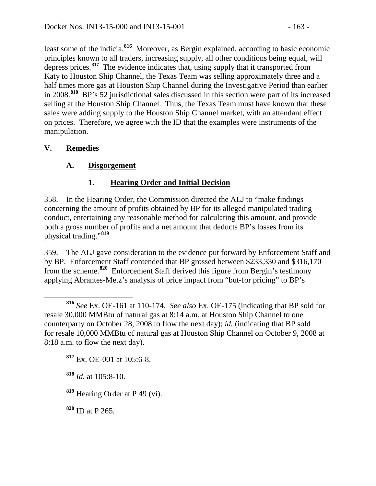least some of the indicia.**[816](#page-162-0)** Moreover, as Bergin explained, according to basic economic principles known to all traders, increasing supply, all other conditions being equal, will depress prices.**[817](#page-162-1)** The evidence indicates that, using supply that it transported from Katy to Houston Ship Channel, the Texas Team was selling approximately three and a half times more gas at Houston Ship Channel during the Investigative Period than earlier in 2008.**[818](#page-162-2)** BP's 52 jurisdictional sales discussed in this section were part of its increased selling at the Houston Ship Channel. Thus, the Texas Team must have known that these sales were adding supply to the Houston Ship Channel market, with an attendant effect on prices. Therefore, we agree with the ID that the examples were instruments of the manipulation.

# **V. Remedies**

# **A. Disgorgement**

# **1. Hearing Order and Initial Decision**

358. In the Hearing Order, the Commission directed the ALJ to "make findings concerning the amount of profits obtained by BP for its alleged manipulated trading conduct, entertaining any reasonable method for calculating this amount, and provide both a gross number of profits and a net amount that deducts BP's losses from its physical trading."**[819](#page-162-3)**

359. The ALJ gave consideration to the evidence put forward by Enforcement Staff and by BP. Enforcement Staff contended that BP grossed between \$233,330 and \$316,170 from the scheme.**[820](#page-162-4)** Enforcement Staff derived this figure from Bergin's testimony applying Abrantes-Metz's analysis of price impact from "but-for pricing" to BP's

<span id="page-162-1"></span>**<sup>817</sup>** Ex. OE-001 at 105:6-8.

<span id="page-162-2"></span>**<sup>818</sup>** *Id.* at 105:8-10.

<span id="page-162-3"></span>**<sup>819</sup>** Hearing Order at P 49 (vi).

<span id="page-162-4"></span>**<sup>820</sup>** ID at P 265.

<span id="page-162-0"></span>**<sup>816</sup>** *See* Ex. OE-161 at 110-174. *See also* Ex. OE-175 (indicating that BP sold for resale 30,000 MMBtu of natural gas at 8:14 a.m. at Houston Ship Channel to one counterparty on October 28, 2008 to flow the next day); *id.* (indicating that BP sold for resale 10,000 MMBtu of natural gas at Houston Ship Channel on October 9, 2008 at 8:18 a.m. to flow the next day).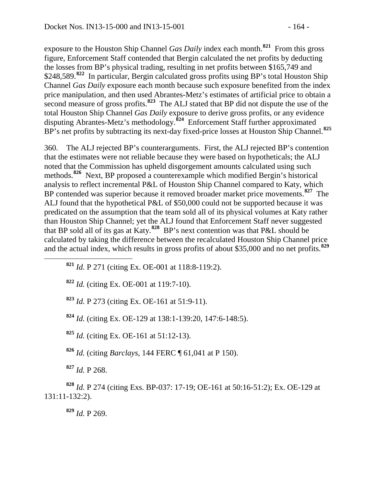exposure to the Houston Ship Channel *Gas Daily* index each month.**[821](#page-163-0)** From this gross figure, Enforcement Staff contended that Bergin calculated the net profits by deducting the losses from BP's physical trading, resulting in net profits between \$165,749 and \$248,589.<sup>[822](#page-163-1)</sup> In particular, Bergin calculated gross profits using BP's total Houston Ship Channel *Gas Daily* exposure each month because such exposure benefited from the index price manipulation, and then used Abrantes-Metz's estimates of artificial price to obtain a second measure of gross profits.**[823](#page-163-2)** The ALJ stated that BP did not dispute the use of the total Houston Ship Channel *Gas Daily* exposure to derive gross profits, or any evidence disputing Abrantes-Metz's methodology.**[824](#page-163-3)** Enforcement Staff further approximated BP's net profits by subtracting its next-day fixed-price losses at Houston Ship Channel.**[825](#page-163-4)**

360. The ALJ rejected BP's counterarguments. First, the ALJ rejected BP's contention that the estimates were not reliable because they were based on hypotheticals; the ALJ noted that the Commission has upheld disgorgement amounts calculated using such methods.**[826](#page-163-5)** Next, BP proposed a counterexample which modified Bergin's historical analysis to reflect incremental P&L of Houston Ship Channel compared to Katy, which BP contended was superior because it removed broader market price movements.**[827](#page-163-6)** The ALJ found that the hypothetical P&L of \$50,000 could not be supported because it was predicated on the assumption that the team sold all of its physical volumes at Katy rather than Houston Ship Channel; yet the ALJ found that Enforcement Staff never suggested that BP sold all of its gas at Katy.**[828](#page-163-7)** BP's next contention was that P&L should be calculated by taking the difference between the recalculated Houston Ship Channel price and the actual index, which results in gross profits of about \$35,000 and no net profits.**[829](#page-163-8)**

<span id="page-163-0"></span>**<sup>821</sup>** *Id.* P 271 (citing Ex. OE-001 at 118:8-119:2).

<span id="page-163-1"></span>**<sup>822</sup>** *Id.* (citing Ex. OE-001 at 119:7-10).

<span id="page-163-2"></span>**<sup>823</sup>** *Id.* P 273 (citing Ex. OE-161 at 51:9-11).

<span id="page-163-3"></span>**<sup>824</sup>** *Id.* (citing Ex. OE-129 at 138:1-139:20, 147:6-148:5).

<span id="page-163-4"></span>**<sup>825</sup>** *Id.* (citing Ex. OE-161 at 51:12-13).

**<sup>826</sup>** *Id.* (citing *Barclays*, 144 FERC ¶ 61,041 at P 150).

**<sup>827</sup>** *Id.* P 268.

<span id="page-163-8"></span><span id="page-163-7"></span><span id="page-163-6"></span><span id="page-163-5"></span>**<sup>828</sup>** *Id.* P 274 (citing Exs. BP-037: 17-19; OE-161 at 50:16-51:2); Ex. OE-129 at 131:11-132:2).

**<sup>829</sup>** *Id.* P 269.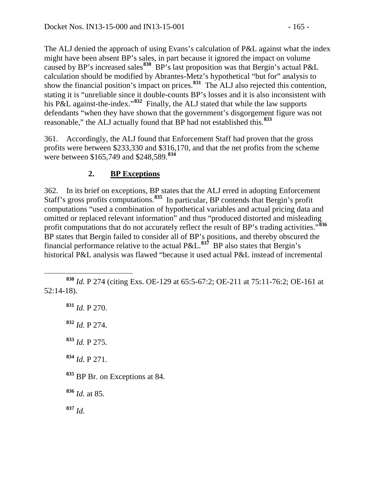The ALJ denied the approach of using Evans's calculation of P&L against what the index might have been absent BP's sales, in part because it ignored the impact on volume caused by BP's increased sales**[830](#page-164-0)** BP's last proposition was that Bergin's actual P&L calculation should be modified by Abrantes-Metz's hypothetical "but for" analysis to show the financial position's impact on prices.**[831](#page-164-1)** The ALJ also rejected this contention, stating it is "unreliable since it double-counts BP's losses and it is also inconsistent with his P&L against-the-index."**[832](#page-164-2)** Finally, the ALJ stated that while the law supports defendants "when they have shown that the government's disgorgement figure was not reasonable," the ALJ actually found that BP had not established this.**[833](#page-164-3)**

361. Accordingly, the ALJ found that Enforcement Staff had proven that the gross profits were between \$233,330 and \$316,170, and that the net profits from the scheme were between \$165,749 and \$248,589.**[834](#page-164-4)**

# **2. BP Exceptions**

362. In its brief on exceptions, BP states that the ALJ erred in adopting Enforcement Staff's gross profits computations.**[835](#page-164-5)** In particular, BP contends that Bergin's profit computations "used a combination of hypothetical variables and actual pricing data and omitted or replaced relevant information" and thus "produced distorted and misleading profit computations that do not accurately reflect the result of BP's trading activities."**[836](#page-164-6)** BP states that Bergin failed to consider all of BP's positions, and thereby obscured the financial performance relative to the actual P&L.**[837](#page-164-7)** BP also states that Bergin's historical P&L analysis was flawed "because it used actual P&L instead of incremental

<span id="page-164-7"></span><span id="page-164-6"></span><span id="page-164-5"></span><span id="page-164-4"></span><span id="page-164-3"></span> *Id.* P 270. *Id.* P 274. *Id.* P 275. *Id.* P 271. BP Br. on Exceptions at 84. *Id.* at 85. **<sup>837</sup>** *Id.*

<span id="page-164-2"></span><span id="page-164-1"></span><span id="page-164-0"></span>**<sup>830</sup>** *Id.* P 274 (citing Exs. OE-129 at 65:5-67:2; OE-211 at 75:11-76:2; OE-161 at 52:14-18).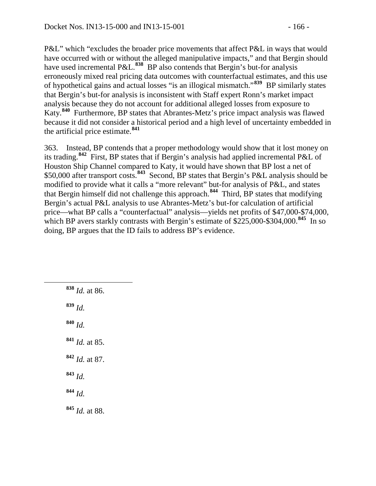P&L" which "excludes the broader price movements that affect P&L in ways that would have occurred with or without the alleged manipulative impacts," and that Bergin should have used incremental P&L.<sup>[838](#page-165-0)</sup> BP also contends that Bergin's but-for analysis erroneously mixed real pricing data outcomes with counterfactual estimates, and this use of hypothetical gains and actual losses "is an illogical mismatch."**[839](#page-165-1)** BP similarly states that Bergin's but-for analysis is inconsistent with Staff expert Ronn's market impact analysis because they do not account for additional alleged losses from exposure to Katy.**[840](#page-165-2)** Furthermore, BP states that Abrantes-Metz's price impact analysis was flawed because it did not consider a historical period and a high level of uncertainty embedded in the artificial price estimate.**[841](#page-165-3)**

363. Instead, BP contends that a proper methodology would show that it lost money on its trading.**[842](#page-165-4)** First, BP states that if Bergin's analysis had applied incremental P&L of Houston Ship Channel compared to Katy, it would have shown that BP lost a net of \$50,000 after transport costs.**[843](#page-165-5)** Second, BP states that Bergin's P&L analysis should be modified to provide what it calls a "more relevant" but-for analysis of P&L, and states that Bergin himself did not challenge this approach.**[844](#page-165-6)** Third, BP states that modifying Bergin's actual P&L analysis to use Abrantes-Metz's but-for calculation of artificial price—what BP calls a "counterfactual" analysis—yields net profits of \$47,000-\$74,000, which BP avers starkly contrasts with Bergin's estimate of \$225,000-\$304,000.<sup>[845](#page-165-7)</sup> In so doing, BP argues that the ID fails to address BP's evidence.

<span id="page-165-7"></span><span id="page-165-6"></span><span id="page-165-5"></span><span id="page-165-4"></span><span id="page-165-3"></span><span id="page-165-2"></span><span id="page-165-1"></span><span id="page-165-0"></span> **<sup>838</sup>** *Id.* at 86. **<sup>839</sup>** *Id.* **<sup>840</sup>** *Id.* **<sup>841</sup>** *Id.* at 85. **<sup>842</sup>** *Id.* at 87. **<sup>843</sup>** *Id.* **<sup>844</sup>** *Id.* **<sup>845</sup>** *Id.* at 88.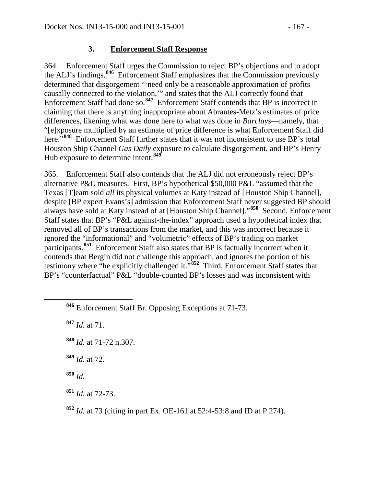## **3. Enforcement Staff Response**

364. Enforcement Staff urges the Commission to reject BP's objections and to adopt the ALJ's findings.**[846](#page-166-0)** Enforcement Staff emphasizes that the Commission previously determined that disgorgement "'need only be a reasonable approximation of profits causally connected to the violation,'" and states that the ALJ correctly found that Enforcement Staff had done so.**[847](#page-166-1)** Enforcement Staff contends that BP is incorrect in claiming that there is anything inappropriate about Abrantes-Metz's estimates of price differences, likening what was done here to what was done in *Barclays*—namely, that "[e]xposure multiplied by an estimate of price difference is what Enforcement Staff did here.<sup>7[848](#page-166-2)</sup> Enforcement Staff further states that it was not inconsistent to use BP's total Houston Ship Channel *Gas Daily* exposure to calculate disgorgement, and BP's Henry Hub exposure to determine intent.**[849](#page-166-3)**

365. Enforcement Staff also contends that the ALJ did not erroneously reject BP's alternative P&L measures. First, BP's hypothetical \$50,000 P&L "assumed that the Texas [T]eam sold *all* its physical volumes at Katy instead of [Houston Ship Channel], despite [BP expert Evans's] admission that Enforcement Staff never suggested BP should always have sold at Katy instead of at [Houston Ship Channel]."**[850](#page-166-4)** Second, Enforcement Staff states that BP's "P&L against-the-index" approach used a hypothetical index that removed all of BP's transactions from the market, and this was incorrect because it ignored the "informational" and "volumetric" effects of BP's trading on market participants.**[851](#page-166-5)** Enforcement Staff also states that BP is factually incorrect when it contends that Bergin did not challenge this approach, and ignores the portion of his testimony where "he explicitly challenged it."**[852](#page-166-6)** Third, Enforcement Staff states that BP's "counterfactual" P&L "double-counted BP's losses and was inconsistent with

<span id="page-166-1"></span>**<sup>847</sup>** *Id.* at 71.

- <span id="page-166-2"></span>**<sup>848</sup>** *Id.* at 71-72 n.307.
- <span id="page-166-3"></span>**<sup>849</sup>** *Id.* at 72.
- <span id="page-166-4"></span>**<sup>850</sup>** *Id.*

<span id="page-166-0"></span>**<sup>846</sup>** Enforcement Staff Br. Opposing Exceptions at 71-73.

<span id="page-166-5"></span>**<sup>851</sup>** *Id.* at 72-73.

<span id="page-166-6"></span>**<sup>852</sup>** *Id.* at 73 (citing in part Ex. OE-161 at 52:4-53:8 and ID at P 274).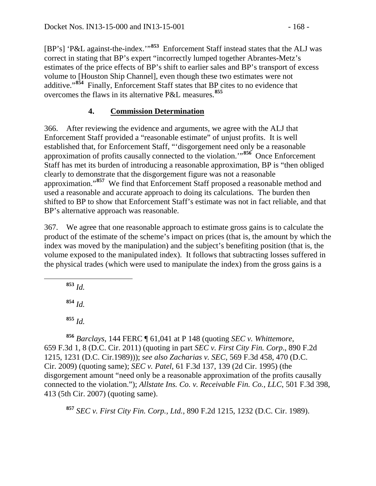[BP's] 'P&L against-the-index.'"**[853](#page-167-0)** Enforcement Staff instead states that the ALJ was correct in stating that BP's expert "incorrectly lumped together Abrantes-Metz's estimates of the price effects of BP's shift to earlier sales and BP's transport of excess volume to [Houston Ship Channel], even though these two estimates were not additive."**[854](#page-167-1)** Finally, Enforcement Staff states that BP cites to no evidence that overcomes the flaws in its alternative P&L measures.**[855](#page-167-2)**

# **4. Commission Determination**

366. After reviewing the evidence and arguments, we agree with the ALJ that Enforcement Staff provided a "reasonable estimate" of unjust profits. It is well established that, for Enforcement Staff, "'disgorgement need only be a reasonable approximation of profits causally connected to the violation.'"**[856](#page-167-3)** Once Enforcement Staff has met its burden of introducing a reasonable approximation, BP is "then obliged clearly to demonstrate that the disgorgement figure was not a reasonable approximation."**[857](#page-167-4)** We find that Enforcement Staff proposed a reasonable method and used a reasonable and accurate approach to doing its calculations. The burden then shifted to BP to show that Enforcement Staff's estimate was not in fact reliable, and that BP's alternative approach was reasonable.

367. We agree that one reasonable approach to estimate gross gains is to calculate the product of the estimate of the scheme's impact on prices (that is, the amount by which the index was moved by the manipulation) and the subject's benefiting position (that is, the volume exposed to the manipulated index). It follows that subtracting losses suffered in the physical trades (which were used to manipulate the index) from the gross gains is a

<span id="page-167-0"></span>**<sup>853</sup>** *Id.*

**<sup>854</sup>** *Id.*

**<sup>855</sup>** *Id.*

<span id="page-167-3"></span><span id="page-167-2"></span><span id="page-167-1"></span>**<sup>856</sup>** *Barclays*, 144 FERC ¶ 61,041 at P 148 (quoting *SEC v. Whittemore*, 659 F.3d 1, 8 (D.C. Cir. 2011) (quoting in part *SEC v. First City Fin. Corp*., 890 F.2d 1215, 1231 (D.C. Cir.1989))); *see also Zacharias v. SEC*, 569 F.3d 458, 470 (D.C. Cir. 2009) (quoting same); *SEC v. Patel*, 61 F.3d 137, 139 (2d Cir. 1995) (the disgorgement amount "need only be a reasonable approximation of the profits causally connected to the violation."); *Allstate Ins. Co. v. Receivable Fin. Co., LLC*, 501 F.3d 398, 413 (5th Cir. 2007) (quoting same).

<span id="page-167-4"></span>**<sup>857</sup>** *SEC v. First City Fin. Corp., Ltd.*, 890 F.2d 1215, 1232 (D.C. Cir. 1989).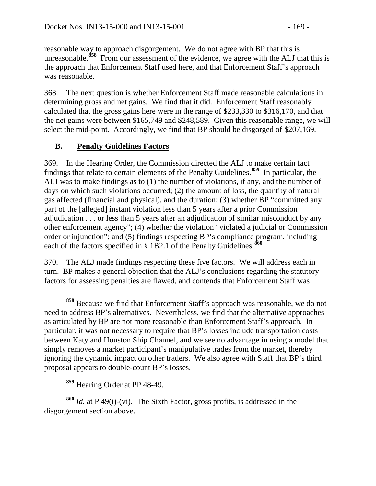reasonable way to approach disgorgement. We do not agree with BP that this is unreasonable.<sup>[858](#page-168-0)</sup> From our assessment of the evidence, we agree with the ALJ that this is the approach that Enforcement Staff used here, and that Enforcement Staff's approach was reasonable.

368. The next question is whether Enforcement Staff made reasonable calculations in determining gross and net gains. We find that it did. Enforcement Staff reasonably calculated that the gross gains here were in the range of \$233,330 to \$316,170, and that the net gains were between \$165,749 and \$248,589. Given this reasonable range, we will select the mid-point. Accordingly, we find that BP should be disgorged of \$207,169.

# **B. Penalty Guidelines Factors**

369. In the Hearing Order, the Commission directed the ALJ to make certain fact findings that relate to certain elements of the Penalty Guidelines.**[859](#page-168-1)** In particular, the ALJ was to make findings as to (1) the number of violations, if any, and the number of days on which such violations occurred; (2) the amount of loss, the quantity of natural gas affected (financial and physical), and the duration; (3) whether BP "committed any part of the [alleged] instant violation less than 5 years after a prior Commission adjudication . . . or less than 5 years after an adjudication of similar misconduct by any other enforcement agency"; (4) whether the violation "violated a judicial or Commission order or injunction"; and (5) findings respecting BP's compliance program, including each of the factors specified in § 1B2.1 of the Penalty Guidelines.**[860](#page-168-2)**

370. The ALJ made findings respecting these five factors. We will address each in turn. BP makes a general objection that the ALJ's conclusions regarding the statutory factors for assessing penalties are flawed, and contends that Enforcement Staff was

**<sup>859</sup>** Hearing Order at PP 48-49.

<span id="page-168-2"></span><span id="page-168-1"></span>**<sup>860</sup>** *Id.* at P 49(i)-(vi). The Sixth Factor, gross profits, is addressed in the disgorgement section above.

<span id="page-168-0"></span>**<sup>858</sup>** Because we find that Enforcement Staff's approach was reasonable, we do not need to address BP's alternatives. Nevertheless, we find that the alternative approaches as articulated by BP are not more reasonable than Enforcement Staff's approach. In particular, it was not necessary to require that BP's losses include transportation costs between Katy and Houston Ship Channel, and we see no advantage in using a model that simply removes a market participant's manipulative trades from the market, thereby ignoring the dynamic impact on other traders. We also agree with Staff that BP's third proposal appears to double-count BP's losses.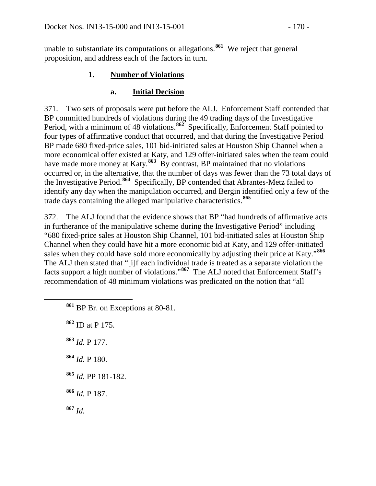unable to substantiate its computations or allegations.**[861](#page-169-0)** We reject that general proposition, and address each of the factors in turn.

### **1. Number of Violations**

### **a. Initial Decision**

371. Two sets of proposals were put before the ALJ. Enforcement Staff contended that BP committed hundreds of violations during the 49 trading days of the Investigative Period, with a minimum of 48 violations.<sup>[862](#page-169-1)</sup> Specifically, Enforcement Staff pointed to four types of affirmative conduct that occurred, and that during the Investigative Period BP made 680 fixed-price sales, 101 bid-initiated sales at Houston Ship Channel when a more economical offer existed at Katy, and 129 offer-initiated sales when the team could have made more money at Katy.<sup>[863](#page-169-2)</sup> By contrast, BP maintained that no violations occurred or, in the alternative, that the number of days was fewer than the 73 total days of the Investigative Period.**[864](#page-169-3)** Specifically, BP contended that Abrantes-Metz failed to identify any day when the manipulation occurred, and Bergin identified only a few of the trade days containing the alleged manipulative characteristics.**[865](#page-169-4)**

372. The ALJ found that the evidence shows that BP "had hundreds of affirmative acts in furtherance of the manipulative scheme during the Investigative Period" including "680 fixed-price sales at Houston Ship Channel, 101 bid-initiated sales at Houston Ship Channel when they could have hit a more economic bid at Katy, and 129 offer-initiated sales when they could have sold more economically by adjusting their price at Katy."**[866](#page-169-5)** The ALJ then stated that "[i]f each individual trade is treated as a separate violation the facts support a high number of violations."**[867](#page-169-6)** The ALJ noted that Enforcement Staff's recommendation of 48 minimum violations was predicated on the notion that "all

- <span id="page-169-0"></span>**<sup>861</sup>** BP Br. on Exceptions at 80-81.
- <span id="page-169-1"></span>**<sup>862</sup>** ID at P 175.
- <span id="page-169-2"></span>**<sup>863</sup>** *Id.* P 177.
- <span id="page-169-3"></span>**<sup>864</sup>** *Id.* P 180.
- <span id="page-169-4"></span>**<sup>865</sup>** *Id.* PP 181-182.
- <span id="page-169-5"></span>**<sup>866</sup>** *Id.* P 187.
- <span id="page-169-6"></span>**<sup>867</sup>** *Id.*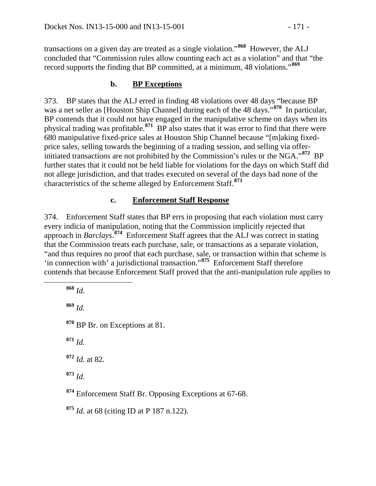transactions on a given day are treated as a single violation."**[868](#page-170-0)** However, the ALJ concluded that "Commission rules allow counting each act as a violation" and that "the record supports the finding that BP committed, at a minimum, 48 violations."**[869](#page-170-1)**

### **b. BP Exceptions**

373. BP states that the ALJ erred in finding 48 violations over 48 days "because BP was a net seller as [Houston Ship Channel] during each of the 48 days."**[870](#page-170-2)** In particular, BP contends that it could not have engaged in the manipulative scheme on days when its physical trading was profitable.**[871](#page-170-3)** BP also states that it was error to find that there were 680 manipulative fixed-price sales at Houston Ship Channel because "[m]aking fixedprice sales, selling towards the beginning of a trading session, and selling via offerinitiated transactions are not prohibited by the Commission's rules or the NGA."**[872](#page-170-4)** BP further states that it could not be held liable for violations for the days on which Staff did not allege jurisdiction, and that trades executed on several of the days had none of the characteristics of the scheme alleged by Enforcement Staff.**[873](#page-170-5)**

### **c. Enforcement Staff Response**

374. Enforcement Staff states that BP errs in proposing that each violation must carry every indicia of manipulation, noting that the Commission implicitly rejected that approach in *Barclays*. **[874](#page-170-6)** Enforcement Staff agrees that the ALJ was correct in stating that the Commission treats each purchase, sale, or transactions as a separate violation, "and thus requires no proof that each purchase, sale, or transaction within that scheme is 'in connection with' a jurisdictional transaction."**[875](#page-170-7)** Enforcement Staff therefore contends that because Enforcement Staff proved that the anti-manipulation rule applies to

<span id="page-170-7"></span><span id="page-170-6"></span><span id="page-170-5"></span><span id="page-170-4"></span><span id="page-170-3"></span><span id="page-170-2"></span><span id="page-170-1"></span><span id="page-170-0"></span> **<sup>868</sup>** *Id.* **<sup>869</sup>** *Id.* **<sup>870</sup>** BP Br. on Exceptions at 81. **<sup>871</sup>** *Id.* **<sup>872</sup>** *Id.* at 82. **<sup>873</sup>** *Id.* **<sup>874</sup>** Enforcement Staff Br. Opposing Exceptions at 67-68. **<sup>875</sup>** *Id.* at 68 (citing ID at P 187 n.122).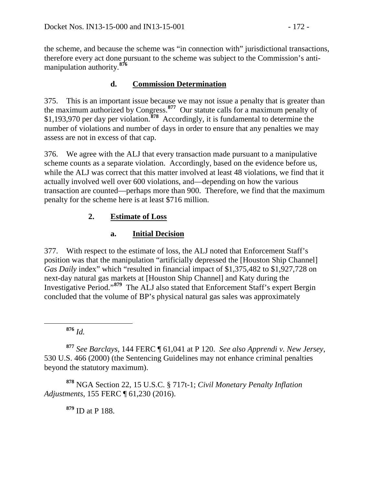the scheme, and because the scheme was "in connection with" jurisdictional transactions, therefore every act done pursuant to the scheme was subject to the Commission's antimanipulation authority.**[876](#page-171-0)**

## **d. Commission Determination**

375. This is an important issue because we may not issue a penalty that is greater than the maximum authorized by Congress.**[877](#page-171-1)** Our statute calls for a maximum penalty of \$1,193,970 per day per violation.**[878](#page-171-2)** Accordingly, it is fundamental to determine the number of violations and number of days in order to ensure that any penalties we may assess are not in excess of that cap.

376. We agree with the ALJ that every transaction made pursuant to a manipulative scheme counts as a separate violation. Accordingly, based on the evidence before us, while the ALJ was correct that this matter involved at least 48 violations, we find that it actually involved well over 600 violations, and—depending on how the various transaction are counted—perhaps more than 900. Therefore, we find that the maximum penalty for the scheme here is at least \$716 million.

# **2. Estimate of Loss**

# **a. Initial Decision**

377. With respect to the estimate of loss, the ALJ noted that Enforcement Staff's position was that the manipulation "artificially depressed the [Houston Ship Channel] *Gas Daily* index" which "resulted in financial impact of \$1,375,482 to \$1,927,728 on next-day natural gas markets at [Houston Ship Channel] and Katy during the Investigative Period."**[879](#page-171-3)** The ALJ also stated that Enforcement Staff's expert Bergin concluded that the volume of BP's physical natural gas sales was approximately

**<sup>876</sup>** *Id.*

<span id="page-171-1"></span><span id="page-171-0"></span>**<sup>877</sup>** *See Barclays,* 144 FERC ¶ 61,041 at P 120. *See also Apprendi v. New Jersey*, 530 U.S. 466 (2000) (the Sentencing Guidelines may not enhance criminal penalties beyond the statutory maximum).

<span id="page-171-3"></span><span id="page-171-2"></span>**<sup>878</sup>** NGA Section 22, 15 U.S.C. § 717t-1; *Civil Monetary Penalty Inflation Adjustments*, 155 FERC ¶ 61,230 (2016).

**<sup>879</sup>** ID at P 188.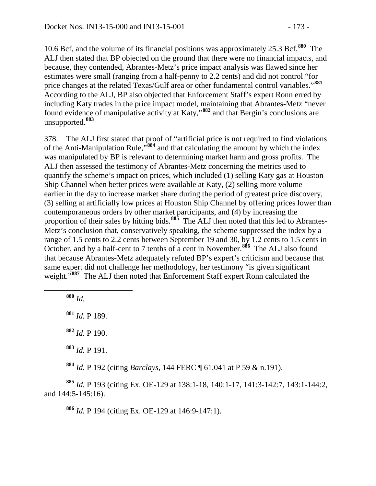10.6 Bcf, and the volume of its financial positions was approximately 25.3 Bcf.**[880](#page-172-0)** The ALJ then stated that BP objected on the ground that there were no financial impacts, and because, they contended, Abrantes-Metz's price impact analysis was flawed since her estimates were small (ranging from a half-penny to 2.2 cents) and did not control "for price changes at the related Texas/Gulf area or other fundamental control variables."**[881](#page-172-1)** According to the ALJ, BP also objected that Enforcement Staff's expert Ronn erred by including Katy trades in the price impact model, maintaining that Abrantes-Metz "never found evidence of manipulative activity at Katy,"**[882](#page-172-2)** and that Bergin's conclusions are unsupported.**[883](#page-172-3)**

378. The ALJ first stated that proof of "artificial price is not required to find violations of the Anti-Manipulation Rule,"**[884](#page-172-4)** and that calculating the amount by which the index was manipulated by BP is relevant to determining market harm and gross profits. The ALJ then assessed the testimony of Abrantes-Metz concerning the metrics used to quantify the scheme's impact on prices, which included (1) selling Katy gas at Houston Ship Channel when better prices were available at Katy, (2) selling more volume earlier in the day to increase market share during the period of greatest price discovery, (3) selling at artificially low prices at Houston Ship Channel by offering prices lower than contemporaneous orders by other market participants, and (4) by increasing the proportion of their sales by hitting bids.<sup>[885](#page-172-5)</sup> The ALJ then noted that this led to Abrantes-Metz's conclusion that, conservatively speaking, the scheme suppressed the index by a range of 1.5 cents to 2.2 cents between September 19 and 30, by 1.2 cents to 1.5 cents in October, and by a half-cent to 7 tenths of a cent in November.**[886](#page-172-6)** The ALJ also found that because Abrantes-Metz adequately refuted BP's expert's criticism and because that same expert did not challenge her methodology, her testimony "is given significant weight."<sup>[887](#page-172-7)</sup> The ALJ then noted that Enforcement Staff expert Ronn calculated the

<span id="page-172-1"></span><span id="page-172-0"></span>**<sup>880</sup>** *Id.*

<span id="page-172-2"></span>**<sup>881</sup>** *Id.* P 189.

<span id="page-172-7"></span>**<sup>882</sup>** *Id.* P 190.

**<sup>883</sup>** *Id.* P 191.

**<sup>884</sup>** *Id.* P 192 (citing *Barclays*, 144 FERC ¶ 61,041 at P 59 & n.191).

<span id="page-172-6"></span><span id="page-172-5"></span><span id="page-172-4"></span><span id="page-172-3"></span>**<sup>885</sup>** *Id.* P 193 (citing Ex. OE-129 at 138:1-18, 140:1-17, 141:3-142:7, 143:1-144:2, and 144:5-145:16).

**<sup>886</sup>** *Id.* P 194 (citing Ex. OE-129 at 146:9-147:1).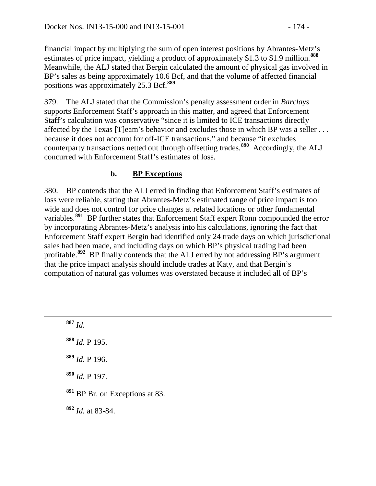financial impact by multiplying the sum of open interest positions by Abrantes-Metz's estimates of price impact, yielding a product of approximately \$1.3 to \$1.9 million.**[888](#page-173-0)** Meanwhile, the ALJ stated that Bergin calculated the amount of physical gas involved in BP's sales as being approximately 10.6 Bcf, and that the volume of affected financial positions was approximately 25.3 Bcf.**[889](#page-173-1)**

379. The ALJ stated that the Commission's penalty assessment order in *Barclays* supports Enforcement Staff's approach in this matter, and agreed that Enforcement Staff's calculation was conservative "since it is limited to ICE transactions directly affected by the Texas [T]eam's behavior and excludes those in which BP was a seller . . . because it does not account for off-ICE transactions," and because "it excludes counterparty transactions netted out through offsetting trades.**[890](#page-173-2)** Accordingly, the ALJ concurred with Enforcement Staff's estimates of loss.

# **b. BP Exceptions**

380. BP contends that the ALJ erred in finding that Enforcement Staff's estimates of loss were reliable, stating that Abrantes-Metz's estimated range of price impact is too wide and does not control for price changes at related locations or other fundamental variables.<sup>[891](#page-173-3)</sup> BP further states that Enforcement Staff expert Ronn compounded the error by incorporating Abrantes-Metz's analysis into his calculations, ignoring the fact that Enforcement Staff expert Bergin had identified only 24 trade days on which jurisdictional sales had been made, and including days on which BP's physical trading had been profitable.**[892](#page-173-4)** BP finally contends that the ALJ erred by not addressing BP's argument that the price impact analysis should include trades at Katy, and that Bergin's computation of natural gas volumes was overstated because it included all of BP's

<span id="page-173-4"></span><span id="page-173-3"></span><span id="page-173-2"></span><span id="page-173-1"></span><span id="page-173-0"></span> **<sup>887</sup>** *Id. Id.* P 195. *Id.* P 196. *Id.* P 197. BP Br. on Exceptions at 83. *Id.* at 83-84.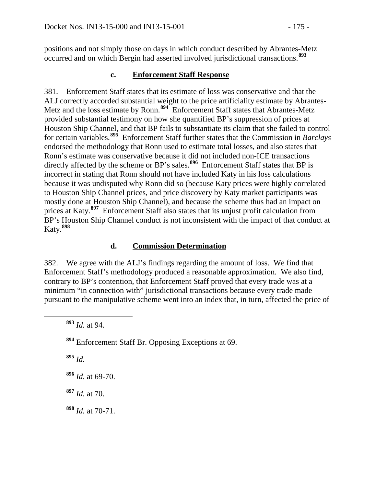positions and not simply those on days in which conduct described by Abrantes-Metz occurred and on which Bergin had asserted involved jurisdictional transactions.**[893](#page-174-0)**

#### **c. Enforcement Staff Response**

381. Enforcement Staff states that its estimate of loss was conservative and that the ALJ correctly accorded substantial weight to the price artificiality estimate by Abrantes-Metz and the loss estimate by Ronn.**[894](#page-174-1)** Enforcement Staff states that Abrantes-Metz provided substantial testimony on how she quantified BP's suppression of prices at Houston Ship Channel, and that BP fails to substantiate its claim that she failed to control for certain variables.**[895](#page-174-2)** Enforcement Staff further states that the Commission in *Barclays* endorsed the methodology that Ronn used to estimate total losses, and also states that Ronn's estimate was conservative because it did not included non-ICE transactions directly affected by the scheme or BP's sales.<sup>[896](#page-174-3)</sup> Enforcement Staff states that BP is incorrect in stating that Ronn should not have included Katy in his loss calculations because it was undisputed why Ronn did so (because Katy prices were highly correlated to Houston Ship Channel prices, and price discovery by Katy market participants was mostly done at Houston Ship Channel), and because the scheme thus had an impact on prices at Katy.**[897](#page-174-4)** Enforcement Staff also states that its unjust profit calculation from BP's Houston Ship Channel conduct is not inconsistent with the impact of that conduct at Katy.**[898](#page-174-5)**

### **d. Commission Determination**

382. We agree with the ALJ's findings regarding the amount of loss. We find that Enforcement Staff's methodology produced a reasonable approximation. We also find, contrary to BP's contention, that Enforcement Staff proved that every trade was at a minimum "in connection with" jurisdictional transactions because every trade made pursuant to the manipulative scheme went into an index that, in turn, affected the price of

<span id="page-174-2"></span>**<sup>895</sup>** *Id.*

<span id="page-174-3"></span>**<sup>896</sup>** *Id.* at 69-70.

<span id="page-174-4"></span>**<sup>897</sup>** *Id.* at 70.

<span id="page-174-5"></span>**<sup>898</sup>** *Id.* at 70-71.

<span id="page-174-0"></span>**<sup>893</sup>** *Id.* at 94.

<span id="page-174-1"></span>**<sup>894</sup>** Enforcement Staff Br. Opposing Exceptions at 69.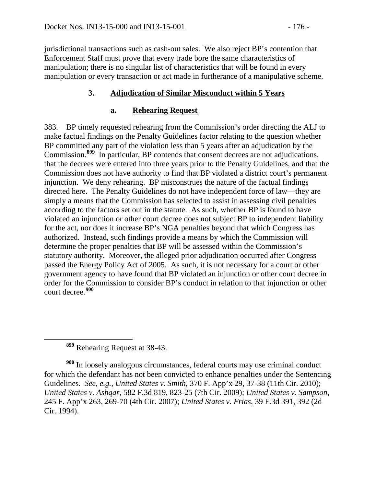jurisdictional transactions such as cash-out sales. We also reject BP's contention that Enforcement Staff must prove that every trade bore the same characteristics of manipulation; there is no singular list of characteristics that will be found in every manipulation or every transaction or act made in furtherance of a manipulative scheme.

### **3. Adjudication of Similar Misconduct within 5 Years**

#### **a. Rehearing Request**

383. BP timely requested rehearing from the Commission's order directing the ALJ to make factual findings on the Penalty Guidelines factor relating to the question whether BP committed any part of the violation less than 5 years after an adjudication by the Commission.**[899](#page-175-0)** In particular, BP contends that consent decrees are not adjudications, that the decrees were entered into three years prior to the Penalty Guidelines, and that the Commission does not have authority to find that BP violated a district court's permanent injunction. We deny rehearing. BP misconstrues the nature of the factual findings directed here. The Penalty Guidelines do not have independent force of law—they are simply a means that the Commission has selected to assist in assessing civil penalties according to the factors set out in the statute. As such, whether BP is found to have violated an injunction or other court decree does not subject BP to independent liability for the act, nor does it increase BP's NGA penalties beyond that which Congress has authorized. Instead, such findings provide a means by which the Commission will determine the proper penalties that BP will be assessed within the Commission's statutory authority. Moreover, the alleged prior adjudication occurred after Congress passed the Energy Policy Act of 2005. As such, it is not necessary for a court or other government agency to have found that BP violated an injunction or other court decree in order for the Commission to consider BP's conduct in relation to that injunction or other court decree.**[900](#page-175-1)**

**<sup>899</sup>** Rehearing Request at 38-43.

<span id="page-175-1"></span><span id="page-175-0"></span>**<sup>900</sup>** In loosely analogous circumstances, federal courts may use criminal conduct for which the defendant has not been convicted to enhance penalties under the Sentencing Guidelines. *See, e.g., United States v. Smith*, 370 F. App'x 29, 37-38 (11th Cir. 2010); *United States v. Ashqar*, 582 F.3d 819, 823-25 (7th Cir. 2009); *United States v. Sampson*, 245 F. App'x 263, 269-70 (4th Cir. 2007); *United States v. Frias*, 39 F.3d 391, 392 (2d Cir. 1994).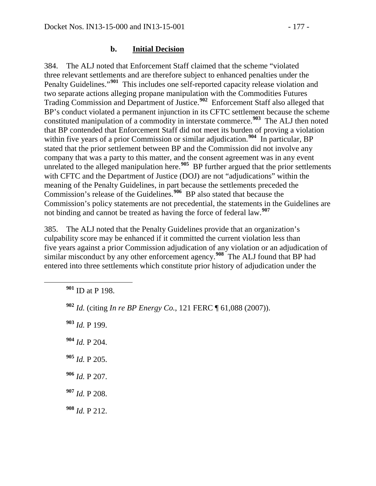### **b. Initial Decision**

384. The ALJ noted that Enforcement Staff claimed that the scheme "violated three relevant settlements and are therefore subject to enhanced penalties under the Penalty Guidelines."**[901](#page-176-0)** This includes one self-reported capacity release violation and two separate actions alleging propane manipulation with the Commodities Futures Trading Commission and Department of Justice.**[902](#page-176-1)** Enforcement Staff also alleged that BP's conduct violated a permanent injunction in its CFTC settlement because the scheme constituted manipulation of a commodity in interstate commerce.**[903](#page-176-2)** The ALJ then noted that BP contended that Enforcement Staff did not meet its burden of proving a violation within five years of a prior Commission or similar adjudication.<sup>[904](#page-176-3)</sup> In particular, BP stated that the prior settlement between BP and the Commission did not involve any company that was a party to this matter, and the consent agreement was in any event unrelated to the alleged manipulation here.<sup>[905](#page-176-4)</sup> BP further argued that the prior settlements with CFTC and the Department of Justice (DOJ) are not "adjudications" within the meaning of the Penalty Guidelines, in part because the settlements preceded the Commission's release of the Guidelines.**[906](#page-176-5)** BP also stated that because the Commission's policy statements are not precedential, the statements in the Guidelines are not binding and cannot be treated as having the force of federal law.**[907](#page-176-6)**

385. The ALJ noted that the Penalty Guidelines provide that an organization's culpability score may be enhanced if it committed the current violation less than five years against a prior Commission adjudication of any violation or an adjudication of similar misconduct by any other enforcement agency.**[908](#page-176-7)** The ALJ found that BP had entered into three settlements which constitute prior history of adjudication under the

<span id="page-176-0"></span>**<sup>901</sup>** ID at P 198.

- <span id="page-176-1"></span>**<sup>902</sup>** *Id.* (citing *In re BP Energy Co.*, 121 FERC ¶ 61,088 (2007)).
- <span id="page-176-2"></span>**<sup>903</sup>** *Id.* P 199.
- <span id="page-176-3"></span>**<sup>904</sup>** *Id.* P 204.
- <span id="page-176-4"></span>**<sup>905</sup>** *Id.* P 205.
- <span id="page-176-5"></span>**<sup>906</sup>** *Id.* P 207.
- <span id="page-176-6"></span>**<sup>907</sup>** *Id.* P 208.
- <span id="page-176-7"></span>**<sup>908</sup>** *Id.* P 212.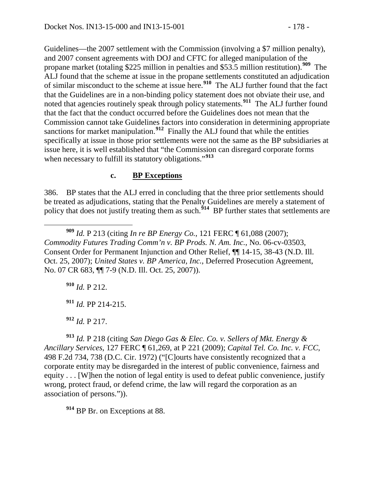Guidelines—the 2007 settlement with the Commission (involving a \$7 million penalty), and 2007 consent agreements with DOJ and CFTC for alleged manipulation of the propane market (totaling \$225 million in penalties and \$53.5 million restitution).**[909](#page-177-0)** The ALJ found that the scheme at issue in the propane settlements constituted an adjudication of similar misconduct to the scheme at issue here.**[910](#page-177-1)** The ALJ further found that the fact that the Guidelines are in a non-binding policy statement does not obviate their use, and noted that agencies routinely speak through policy statements.**[911](#page-177-2)** The ALJ further found that the fact that the conduct occurred before the Guidelines does not mean that the Commission cannot take Guidelines factors into consideration in determining appropriate sanctions for market manipulation.<sup>[912](#page-177-3)</sup> Finally the ALJ found that while the entities specifically at issue in those prior settlements were not the same as the BP subsidiaries at issue here, it is well established that "the Commission can disregard corporate forms when necessary to fulfill its statutory obligations."<sup>[913](#page-177-4)</sup>

### **c. BP Exceptions**

386. BP states that the ALJ erred in concluding that the three prior settlements should be treated as adjudications, stating that the Penalty Guidelines are merely a statement of policy that does not justify treating them as such.<sup>[914](#page-177-5)</sup> BP further states that settlements are

<span id="page-177-0"></span> **<sup>909</sup>** *Id.* P 213 (citing *In re BP Energy Co.*, 121 FERC ¶ 61,088 (2007); *Commodity Futures Trading Comm'n v. BP Prods. N. Am. Inc.*, No. 06-cv-03503, Consent Order for Permanent Injunction and Other Relief, ¶¶ 14-15, 38-43 (N.D. Ill. Oct. 25, 2007); *United States v. BP America, Inc.*, Deferred Prosecution Agreement, No. 07 CR 683, ¶¶ 7-9 (N.D. Ill. Oct. 25, 2007)).

<span id="page-177-1"></span>**<sup>910</sup>** *Id.* P 212.

**<sup>911</sup>** *Id.* PP 214-215.

**<sup>912</sup>** *Id.* P 217.

<span id="page-177-4"></span><span id="page-177-3"></span><span id="page-177-2"></span>**<sup>913</sup>** *Id.* P 218 (citing *San Diego Gas & Elec. Co. v. Sellers of Mkt. Energy & Ancillary Services*, 127 FERC ¶ 61,269, at P 221 (2009); *Capital Tel. Co. Inc. v. FCC*, 498 F.2d 734, 738 (D.C. Cir. 1972) ("[C]ourts have consistently recognized that a corporate entity may be disregarded in the interest of public convenience, fairness and equity . . . [W]hen the notion of legal entity is used to defeat public convenience, justify wrong, protect fraud, or defend crime, the law will regard the corporation as an association of persons.")).

<span id="page-177-5"></span>**<sup>914</sup>** BP Br. on Exceptions at 88.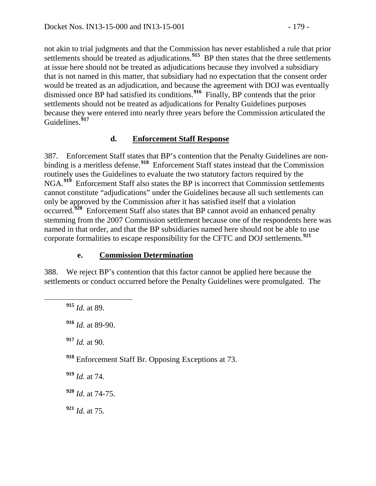not akin to trial judgments and that the Commission has never established a rule that prior settlements should be treated as adjudications.<sup>[915](#page-178-0)</sup> BP then states that the three settlements at issue here should not be treated as adjudications because they involved a subsidiary that is not named in this matter, that subsidiary had no expectation that the consent order would be treated as an adjudication, and because the agreement with DOJ was eventually dismissed once BP had satisfied its conditions.**[916](#page-178-1)** Finally, BP contends that the prior settlements should not be treated as adjudications for Penalty Guidelines purposes because they were entered into nearly three years before the Commission articulated the Guidelines.**[917](#page-178-2)**

### **d. Enforcement Staff Response**

387. Enforcement Staff states that BP's contention that the Penalty Guidelines are nonbinding is a meritless defense.**[918](#page-178-3)** Enforcement Staff states instead that the Commission routinely uses the Guidelines to evaluate the two statutory factors required by the NGA.**[919](#page-178-4)** Enforcement Staff also states the BP is incorrect that Commission settlements cannot constitute "adjudications" under the Guidelines because all such settlements can only be approved by the Commission after it has satisfied itself that a violation occurred.**[920](#page-178-5)** Enforcement Staff also states that BP cannot avoid an enhanced penalty stemming from the 2007 Commission settlement because one of the respondents here was named in that order, and that the BP subsidiaries named here should not be able to use corporate formalities to escape responsibility for the CFTC and DOJ settlements.**[921](#page-178-6)**

### **e. Commission Determination**

<span id="page-178-0"></span>388. We reject BP's contention that this factor cannot be applied here because the settlements or conduct occurred before the Penalty Guidelines were promulgated. The

<span id="page-178-6"></span><span id="page-178-5"></span><span id="page-178-4"></span><span id="page-178-3"></span><span id="page-178-2"></span><span id="page-178-1"></span> **<sup>915</sup>** *Id.* at 89. *Id.* at 89-90. *Id.* at 90. Enforcement Staff Br. Opposing Exceptions at 73. *Id.* at 74. *Id.* at 74-75. *Id.* at 75.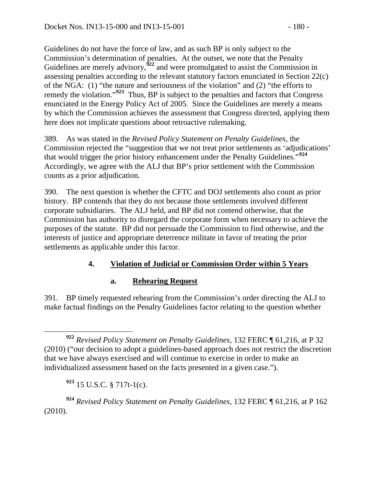Guidelines do not have the force of law, and as such BP is only subject to the Commission's determination of penalties. At the outset, we note that the Penalty Guidelines are merely advisory,<sup>[922](#page-179-0)</sup> and were promulgated to assist the Commission in assessing penalties according to the relevant statutory factors enunciated in Section 22(c) of the NGA: (1) "the nature and seriousness of the violation" and (2) "the efforts to remedy the violation."**[923](#page-179-1)** Thus, BP is subject to the penalties and factors that Congress enunciated in the Energy Policy Act of 2005. Since the Guidelines are merely a means by which the Commission achieves the assessment that Congress directed, applying them here does not implicate questions about retroactive rulemaking.

389. As was stated in the *Revised Policy Statement on Penalty Guidelines*, the Commission rejected the "suggestion that we not treat prior settlements as 'adjudications' that would trigger the prior history enhancement under the Penalty Guidelines."**[924](#page-179-2)** Accordingly, we agree with the ALJ that BP's prior settlement with the Commission counts as a prior adjudication.

390. The next question is whether the CFTC and DOJ settlements also count as prior history. BP contends that they do not because those settlements involved different corporate subsidiaries. The ALJ held, and BP did not contend otherwise, that the Commission has authority to disregard the corporate form when necessary to achieve the purposes of the statute. BP did not persuade the Commission to find otherwise, and the interests of justice and appropriate deterrence militate in favor of treating the prior settlements as applicable under this factor.

# **4. Violation of Judicial or Commission Order within 5 Years**

## **a. Rehearing Request**

391. BP timely requested rehearing from the Commission's order directing the ALJ to make factual findings on the Penalty Guidelines factor relating to the question whether

**<sup>923</sup>** 15 U.S.C. § 717t-1(c).

<span id="page-179-2"></span><span id="page-179-1"></span>**<sup>924</sup>** *Revised Policy Statement on Penalty Guidelines*, 132 FERC ¶ 61,216, at P 162 (2010).

<span id="page-179-0"></span>**<sup>922</sup>** *Revised Policy Statement on Penalty Guidelines*, 132 FERC ¶ 61,216, at P 32 (2010) ("our decision to adopt a guidelines-based approach does not restrict the discretion that we have always exercised and will continue to exercise in order to make an individualized assessment based on the facts presented in a given case.").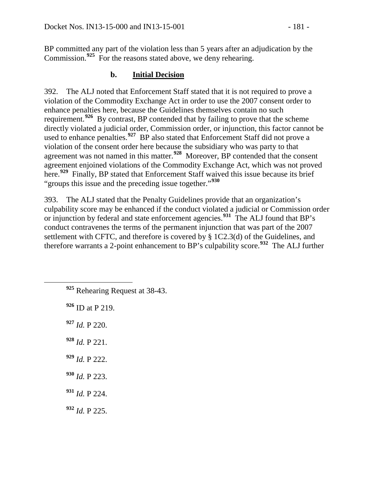BP committed any part of the violation less than 5 years after an adjudication by the Commission.**[925](#page-180-0)** For the reasons stated above, we deny rehearing.

#### **b. Initial Decision**

392. The ALJ noted that Enforcement Staff stated that it is not required to prove a violation of the Commodity Exchange Act in order to use the 2007 consent order to enhance penalties here, because the Guidelines themselves contain no such requirement.**[926](#page-180-1)** By contrast, BP contended that by failing to prove that the scheme directly violated a judicial order, Commission order, or injunction, this factor cannot be used to enhance penalties.**[927](#page-180-2)** BP also stated that Enforcement Staff did not prove a violation of the consent order here because the subsidiary who was party to that agreement was not named in this matter.**[928](#page-180-3)** Moreover, BP contended that the consent agreement enjoined violations of the Commodity Exchange Act, which was not proved here.**[929](#page-180-4)** Finally, BP stated that Enforcement Staff waived this issue because its brief "groups this issue and the preceding issue together."**[930](#page-180-5)**

393. The ALJ stated that the Penalty Guidelines provide that an organization's culpability score may be enhanced if the conduct violated a judicial or Commission order or injunction by federal and state enforcement agencies.**[931](#page-180-6)** The ALJ found that BP's conduct contravenes the terms of the permanent injunction that was part of the 2007 settlement with CFTC, and therefore is covered by § 1C2.3(d) of the Guidelines, and therefore warrants a 2-point enhancement to BP's culpability score.**[932](#page-180-7)** The ALJ further

- <span id="page-180-0"></span>**<sup>925</sup>** Rehearing Request at 38-43.
- <span id="page-180-1"></span>**<sup>926</sup>** ID at P 219.
- <span id="page-180-2"></span>**<sup>927</sup>** *Id.* P 220.
- <span id="page-180-3"></span>**<sup>928</sup>** *Id.* P 221.
- <span id="page-180-4"></span>**<sup>929</sup>** *Id.* P 222.
- <span id="page-180-5"></span>**<sup>930</sup>** *Id.* P 223.
- <span id="page-180-6"></span>**<sup>931</sup>** *Id.* P 224.
- <span id="page-180-7"></span>**<sup>932</sup>** *Id.* P 225.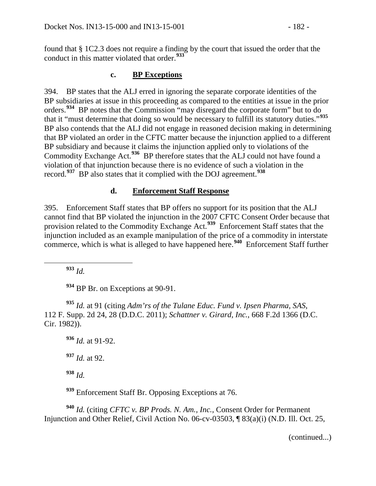found that § 1C2.3 does not require a finding by the court that issued the order that the conduct in this matter violated that order.**[933](#page-181-0)**

#### **c. BP Exceptions**

394. BP states that the ALJ erred in ignoring the separate corporate identities of the BP subsidiaries at issue in this proceeding as compared to the entities at issue in the prior orders.**[934](#page-181-1)** BP notes that the Commission "may disregard the corporate form" but to do that it "must determine that doing so would be necessary to fulfill its statutory duties."**[935](#page-181-2)** BP also contends that the ALJ did not engage in reasoned decision making in determining that BP violated an order in the CFTC matter because the injunction applied to a different BP subsidiary and because it claims the injunction applied only to violations of the Commodity Exchange Act.**[936](#page-181-3)** BP therefore states that the ALJ could not have found a violation of that injunction because there is no evidence of such a violation in the record.**[937](#page-181-4)** BP also states that it complied with the DOJ agreement.**[938](#page-181-5)**

#### **d. Enforcement Staff Response**

395. Enforcement Staff states that BP offers no support for its position that the ALJ cannot find that BP violated the injunction in the 2007 CFTC Consent Order because that provision related to the Commodity Exchange Act.**[939](#page-181-6)** Enforcement Staff states that the injunction included as an example manipulation of the price of a commodity in interstate commerce, which is what is alleged to have happened here.**[940](#page-181-7)** Enforcement Staff further

**<sup>933</sup>** *Id.*

**<sup>934</sup>** BP Br. on Exceptions at 90-91.

<span id="page-181-3"></span><span id="page-181-2"></span><span id="page-181-1"></span><span id="page-181-0"></span>**<sup>935</sup>** *Id.* at 91 (citing *Adm'rs of the Tulane Educ. Fund v. Ipsen Pharma, SAS*, 112 F. Supp. 2d 24, 28 (D.D.C. 2011); *Schattner v. Girard, Inc.*, 668 F.2d 1366 (D.C. Cir. 1982)).

**<sup>936</sup>** *Id.* at 91-92. **<sup>937</sup>** *Id.* at 92. **<sup>938</sup>** *Id.* 

**<sup>939</sup>** Enforcement Staff Br. Opposing Exceptions at 76.

<span id="page-181-7"></span><span id="page-181-6"></span><span id="page-181-5"></span><span id="page-181-4"></span>**<sup>940</sup>** *Id.* (citing *CFTC v. BP Prods. N. Am., Inc.*, Consent Order for Permanent Injunction and Other Relief, Civil Action No. 06-cv-03503, ¶ 83(a)(i) (N.D. Ill. Oct. 25,

(continued...)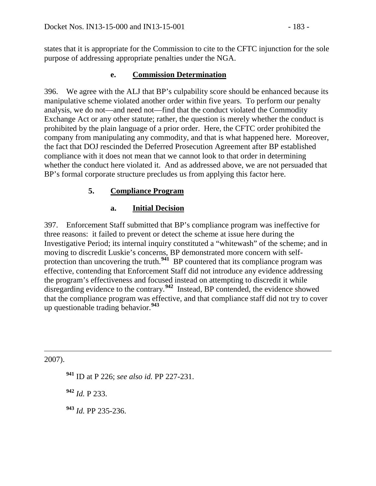states that it is appropriate for the Commission to cite to the CFTC injunction for the sole purpose of addressing appropriate penalties under the NGA.

## **e. Commission Determination**

396. We agree with the ALJ that BP's culpability score should be enhanced because its manipulative scheme violated another order within five years. To perform our penalty analysis, we do not—and need not—find that the conduct violated the Commodity Exchange Act or any other statute; rather, the question is merely whether the conduct is prohibited by the plain language of a prior order. Here, the CFTC order prohibited the company from manipulating any commodity, and that is what happened here. Moreover, the fact that DOJ rescinded the Deferred Prosecution Agreement after BP established compliance with it does not mean that we cannot look to that order in determining whether the conduct here violated it. And as addressed above, we are not persuaded that BP's formal corporate structure precludes us from applying this factor here.

# **5. Compliance Program**

## **a. Initial Decision**

397. Enforcement Staff submitted that BP's compliance program was ineffective for three reasons: it failed to prevent or detect the scheme at issue here during the Investigative Period; its internal inquiry constituted a "whitewash" of the scheme; and in moving to discredit Luskie's concerns, BP demonstrated more concern with self-protection than uncovering the truth.<sup>[941](#page-182-0)</sup> BP countered that its compliance program was effective, contending that Enforcement Staff did not introduce any evidence addressing the program's effectiveness and focused instead on attempting to discredit it while disregarding evidence to the contrary.**[942](#page-182-1)** Instead, BP contended, the evidence showed that the compliance program was effective, and that compliance staff did not try to cover up questionable trading behavior.**[943](#page-182-2)**

<span id="page-182-1"></span><span id="page-182-0"></span>2007).

 $\overline{a}$ 

**<sup>941</sup>** ID at P 226; *see also id.* PP 227-231.

**<sup>942</sup>** *Id.* P 233.

<span id="page-182-2"></span>**<sup>943</sup>** *Id.* PP 235-236.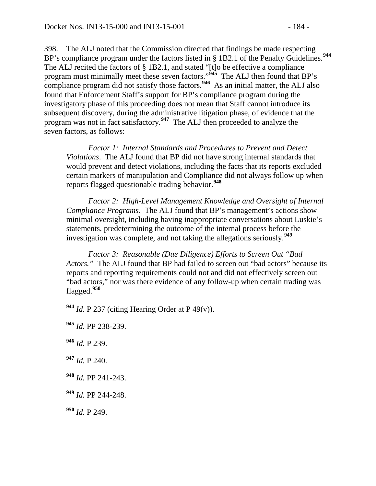398. The ALJ noted that the Commission directed that findings be made respecting BP's compliance program under the factors listed in § 1B2.1 of the Penalty Guidelines.**[944](#page-183-0)** The ALJ recited the factors of § 1B2.1, and stated "[t]o be effective a compliance program must minimally meet these seven factors."**[945](#page-183-1)** The ALJ then found that BP's compliance program did not satisfy those factors.<sup>[946](#page-183-2)</sup> As an initial matter, the ALJ also found that Enforcement Staff's support for BP's compliance program during the investigatory phase of this proceeding does not mean that Staff cannot introduce its subsequent discovery, during the administrative litigation phase, of evidence that the program was not in fact satisfactory.**[947](#page-183-3)** The ALJ then proceeded to analyze the seven factors, as follows:

*Factor 1: Internal Standards and Procedures to Prevent and Detect Violations*. The ALJ found that BP did not have strong internal standards that would prevent and detect violations, including the facts that its reports excluded certain markers of manipulation and Compliance did not always follow up when reports flagged questionable trading behavior.**[948](#page-183-4)**

*Factor 2: High-Level Management Knowledge and Oversight of Internal Compliance Programs*. The ALJ found that BP's management's actions show minimal oversight, including having inappropriate conversations about Luskie's statements, predetermining the outcome of the internal process before the investigation was complete, and not taking the allegations seriously.**[949](#page-183-5)**

*Factor 3: Reasonable (Due Diligence) Efforts to Screen Out "Bad Actors."* The ALJ found that BP had failed to screen out "bad actors" because its reports and reporting requirements could not and did not effectively screen out "bad actors," nor was there evidence of any follow-up when certain trading was flagged.**[950](#page-183-6)**

<span id="page-183-2"></span>**<sup>946</sup>** *Id.* P 239.

<span id="page-183-3"></span>**<sup>947</sup>** *Id.* P 240.

- <span id="page-183-4"></span>**<sup>948</sup>** *Id.* PP 241-243.
- <span id="page-183-5"></span>**<sup>949</sup>** *Id.* PP 244-248.

<span id="page-183-6"></span>**<sup>950</sup>** *Id.* P 249.

<span id="page-183-0"></span>**<sup>944</sup>** *Id.* P 237 (citing Hearing Order at P 49(v)).

<span id="page-183-1"></span>**<sup>945</sup>** *Id.* PP 238-239.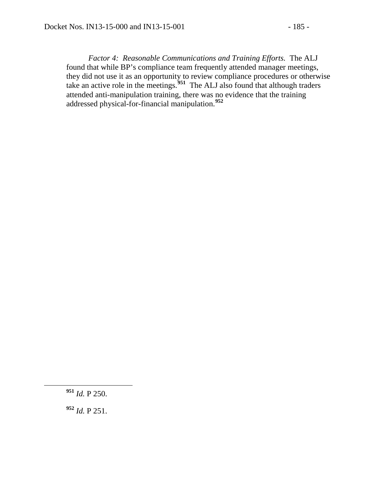*Factor 4: Reasonable Communications and Training Efforts.* The ALJ found that while BP's compliance team frequently attended manager meetings, they did not use it as an opportunity to review compliance procedures or otherwise take an active role in the meetings.**[951](#page-184-0)** The ALJ also found that although traders attended anti-manipulation training, there was no evidence that the training addressed physical-for-financial manipulation.**[952](#page-184-1)**

<span id="page-184-0"></span>**<sup>951</sup>** *Id.* P 250.

<span id="page-184-1"></span>**<sup>952</sup>** *Id.* P 251.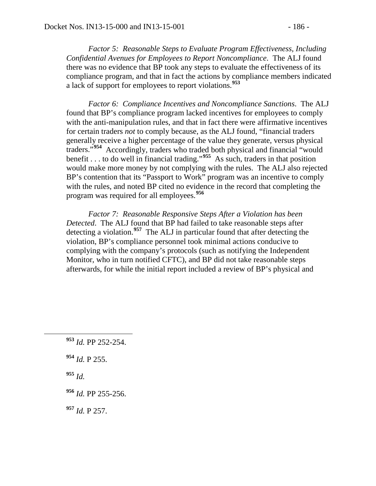*Factor 5: Reasonable Steps to Evaluate Program Effectiveness, Including Confidential Avenues for Employees to Report Noncompliance*. The ALJ found there was no evidence that BP took any steps to evaluate the effectiveness of its compliance program, and that in fact the actions by compliance members indicated a lack of support for employees to report violations.**[953](#page-185-0)**

*Factor 6: Compliance Incentives and Noncompliance Sanctions*. The ALJ found that BP's compliance program lacked incentives for employees to comply with the anti-manipulation rules, and that in fact there were affirmative incentives for certain traders *not* to comply because, as the ALJ found, "financial traders generally receive a higher percentage of the value they generate, versus physical traders."**[954](#page-185-1)** Accordingly, traders who traded both physical and financial "would benefit . . . to do well in financial trading."**[955](#page-185-2)** As such, traders in that position would make more money by not complying with the rules. The ALJ also rejected BP's contention that its "Passport to Work" program was an incentive to comply with the rules, and noted BP cited no evidence in the record that completing the program was required for all employees.**[956](#page-185-3)**

*Factor 7: Reasonable Responsive Steps After a Violation has been Detected*. The ALJ found that BP had failed to take reasonable steps after detecting a violation.**[957](#page-185-4)** The ALJ in particular found that after detecting the violation, BP's compliance personnel took minimal actions conducive to complying with the company's protocols (such as notifying the Independent Monitor, who in turn notified CFTC), and BP did not take reasonable steps afterwards, for while the initial report included a review of BP's physical and

<span id="page-185-1"></span>**<sup>954</sup>** *Id.* P 255.

<span id="page-185-2"></span>**<sup>955</sup>** *Id.* 

<span id="page-185-4"></span>**<sup>957</sup>** *Id.* P 257.

<span id="page-185-0"></span>**<sup>953</sup>** *Id.* PP 252-254.

<span id="page-185-3"></span>**<sup>956</sup>** *Id.* PP 255-256.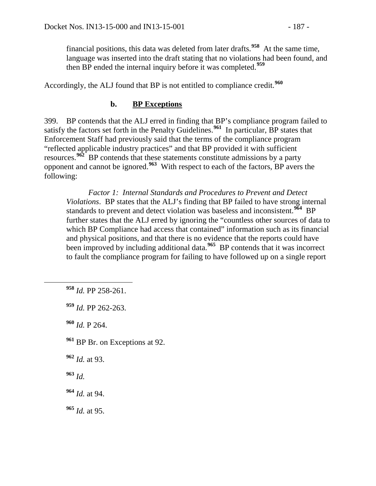financial positions, this data was deleted from later drafts.**[958](#page-186-0)** At the same time, language was inserted into the draft stating that no violations had been found, and then BP ended the internal inquiry before it was completed.**[959](#page-186-1)**

Accordingly, the ALJ found that BP is not entitled to compliance credit.**[960](#page-186-2)**

#### **b. BP Exceptions**

399. BP contends that the ALJ erred in finding that BP's compliance program failed to satisfy the factors set forth in the Penalty Guidelines.<sup>[961](#page-186-3)</sup> In particular, BP states that Enforcement Staff had previously said that the terms of the compliance program "reflected applicable industry practices" and that BP provided it with sufficient resources.**[962](#page-186-4)** BP contends that these statements constitute admissions by a party opponent and cannot be ignored.**[963](#page-186-5)** With respect to each of the factors, BP avers the following:

*Factor 1: Internal Standards and Procedures to Prevent and Detect Violations*. BP states that the ALJ's finding that BP failed to have strong internal standards to prevent and detect violation was baseless and inconsistent.**[964](#page-186-6)** BP further states that the ALJ erred by ignoring the "countless other sources of data to which BP Compliance had access that contained" information such as its financial and physical positions, and that there is no evidence that the reports could have been improved by including additional data.**[965](#page-186-7)** BP contends that it was incorrect to fault the compliance program for failing to have followed up on a single report

<span id="page-186-0"></span>**<sup>958</sup>** *Id.* PP 258-261.

<span id="page-186-1"></span>**<sup>959</sup>** *Id.* PP 262-263.

<span id="page-186-2"></span>**<sup>960</sup>** *Id.* P 264.

<span id="page-186-3"></span>**<sup>961</sup>** BP Br. on Exceptions at 92.

<span id="page-186-4"></span>**<sup>962</sup>** *Id.* at 93.

<span id="page-186-5"></span>**<sup>963</sup>** *Id.* 

<span id="page-186-6"></span>**<sup>964</sup>** *Id.* at 94.

<span id="page-186-7"></span>**<sup>965</sup>** *Id.* at 95.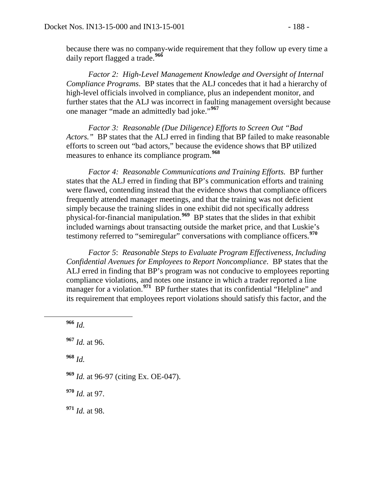because there was no company-wide requirement that they follow up every time a daily report flagged a trade.**[966](#page-187-0)**

*Factor 2: High-Level Management Knowledge and Oversight of Internal Compliance Programs*. BP states that the ALJ concedes that it had a hierarchy of high-level officials involved in compliance, plus an independent monitor, and further states that the ALJ was incorrect in faulting management oversight because one manager "made an admittedly bad joke."**[967](#page-187-1)**

*Factor 3: Reasonable (Due Diligence) Efforts to Screen Out "Bad Actors."* BP states that the ALJ erred in finding that BP failed to make reasonable efforts to screen out "bad actors," because the evidence shows that BP utilized measures to enhance its compliance program.**[968](#page-187-2)**

*Factor 4: Reasonable Communications and Training Efforts.* BP further states that the ALJ erred in finding that BP's communication efforts and training were flawed, contending instead that the evidence shows that compliance officers frequently attended manager meetings, and that the training was not deficient simply because the training slides in one exhibit did not specifically address physical-for-financial manipulation.**[969](#page-187-3)** BP states that the slides in that exhibit included warnings about transacting outside the market price, and that Luskie's testimony referred to "semiregular" conversations with compliance officers.**[970](#page-187-4)**

*Factor 5*: *Reasonable Steps to Evaluate Program Effectiveness, Including Confidential Avenues for Employees to Report Noncompliance*. BP states that the ALJ erred in finding that BP's program was not conducive to employees reporting compliance violations, and notes one instance in which a trader reported a line manager for a violation.<sup>[971](#page-187-5)</sup> BP further states that its confidential "Helpline" and its requirement that employees report violations should satisfy this factor, and the

<span id="page-187-0"></span>**<sup>966</sup>** *Id.*

<span id="page-187-1"></span>**<sup>967</sup>** *Id.* at 96.

<span id="page-187-2"></span>**<sup>968</sup>** *Id.*

<span id="page-187-3"></span>**<sup>969</sup>** *Id.* at 96-97 (citing Ex. OE-047).

<span id="page-187-4"></span>**<sup>970</sup>** *Id.* at 97.

<span id="page-187-5"></span>**<sup>971</sup>** *Id.* at 98.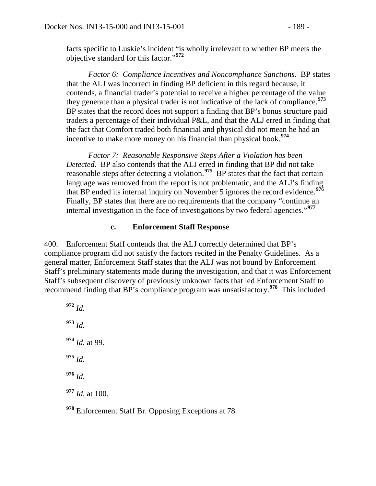facts specific to Luskie's incident "is wholly irrelevant to whether BP meets the objective standard for this factor."**[972](#page-188-0)**

*Factor 6: Compliance Incentives and Noncompliance Sanctions*. BP states that the ALJ was incorrect in finding BP deficient in this regard because, it contends, a financial trader's potential to receive a higher percentage of the value they generate than a physical trader is not indicative of the lack of compliance.**[973](#page-188-1)** BP states that the record does not support a finding that BP's bonus structure paid traders a percentage of their individual P&L, and that the ALJ erred in finding that the fact that Comfort traded both financial and physical did not mean he had an incentive to make more money on his financial than physical book.**[974](#page-188-2)**

*Factor 7: Reasonable Responsive Steps After a Violation has been Detected*. BP also contends that the ALJ erred in finding that BP did not take reasonable steps after detecting a violation.**[975](#page-188-3)** BP states that the fact that certain language was removed from the report is not problematic, and the ALJ's finding that BP ended its internal inquiry on November 5 ignores the record evidence.**[976](#page-188-4)** Finally, BP states that there are no requirements that the company "continue an internal investigation in the face of investigations by two federal agencies."**[977](#page-188-5)**

#### **c. Enforcement Staff Response**

400. Enforcement Staff contends that the ALJ correctly determined that BP's compliance program did not satisfy the factors recited in the Penalty Guidelines. As a general matter, Enforcement Staff states that the ALJ was not bound by Enforcement Staff's preliminary statements made during the investigation, and that it was Enforcement Staff's subsequent discovery of previously unknown facts that led Enforcement Staff to recommend finding that BP's compliance program was unsatisfactory.**[978](#page-188-6)** This included

<span id="page-188-3"></span><span id="page-188-2"></span><span id="page-188-1"></span><span id="page-188-0"></span> **<sup>972</sup>** *Id.* **<sup>973</sup>** *Id.* **<sup>974</sup>** *Id.* at 99. **<sup>975</sup>** *Id.* **<sup>976</sup>** *Id.* **<sup>977</sup>** *Id.* at 100.

<span id="page-188-6"></span><span id="page-188-5"></span><span id="page-188-4"></span>**<sup>978</sup>** Enforcement Staff Br. Opposing Exceptions at 78.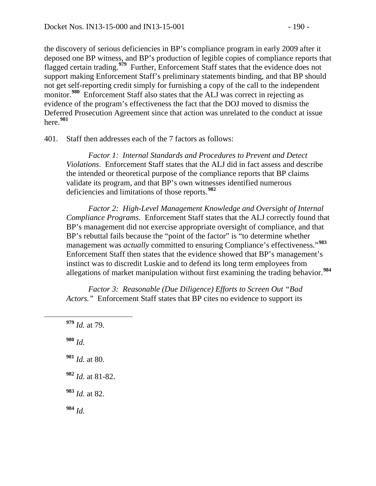the discovery of serious deficiencies in BP's compliance program in early 2009 after it deposed one BP witness, and BP's production of legible copies of compliance reports that flagged certain trading.**[979](#page-189-0)** Further, Enforcement Staff states that the evidence does not support making Enforcement Staff's preliminary statements binding, and that BP should not get self-reporting credit simply for furnishing a copy of the call to the independent monitor.<sup>[980](#page-189-1)</sup> Enforcement Staff also states that the ALJ was correct in rejecting as evidence of the program's effectiveness the fact that the DOJ moved to dismiss the Deferred Prosecution Agreement since that action was unrelated to the conduct at issue here.**[981](#page-189-2)**

401. Staff then addresses each of the 7 factors as follows:

*Factor 1: Internal Standards and Procedures to Prevent and Detect Violations*. Enforcement Staff states that the ALJ did in fact assess and describe the intended or theoretical purpose of the compliance reports that BP claims validate its program, and that BP's own witnesses identified numerous deficiencies and limitations of those reports.**[982](#page-189-3)**

*Factor 2: High-Level Management Knowledge and Oversight of Internal Compliance Programs*. Enforcement Staff states that the ALJ correctly found that BP's management did not exercise appropriate oversight of compliance, and that BP's rebuttal fails because the "point of the factor" is "to determine whether management was *actually* committed to ensuring Compliance's effectiveness."**[983](#page-189-4)** Enforcement Staff then states that the evidence showed that BP's management's instinct was to discredit Luskie and to defend its long term employees from allegations of market manipulation without first examining the trading behavior.**[984](#page-189-5)**

*Factor 3: Reasonable (Due Diligence) Efforts to Screen Out "Bad Actors.*" Enforcement Staff states that BP cites no evidence to support its

<span id="page-189-5"></span><span id="page-189-4"></span><span id="page-189-3"></span><span id="page-189-2"></span><span id="page-189-1"></span><span id="page-189-0"></span> **<sup>979</sup>** *Id.* at 79. **<sup>980</sup>** *Id.* **<sup>981</sup>** *Id.* at 80. **<sup>982</sup>** *Id.* at 81-82. **<sup>983</sup>** *Id.* at 82. **<sup>984</sup>** *Id.*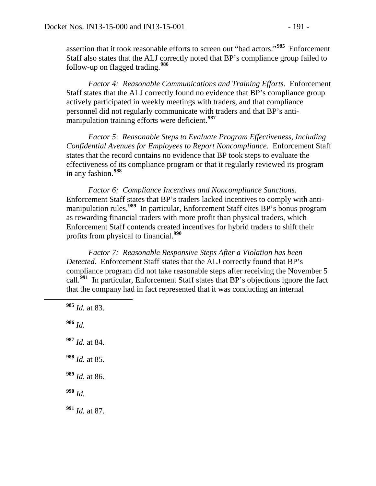assertion that it took reasonable efforts to screen out "bad actors."**[985](#page-190-0)** Enforcement Staff also states that the ALJ correctly noted that BP's compliance group failed to follow-up on flagged trading.**[986](#page-190-1)**

*Factor 4: Reasonable Communications and Training Efforts.* Enforcement Staff states that the ALJ correctly found no evidence that BP's compliance group actively participated in weekly meetings with traders, and that compliance personnel did not regularly communicate with traders and that BP's antimanipulation training efforts were deficient.**[987](#page-190-2)**

*Factor 5*: *Reasonable Steps to Evaluate Program Effectiveness, Including Confidential Avenues for Employees to Report Noncompliance*. Enforcement Staff states that the record contains no evidence that BP took steps to evaluate the effectiveness of its compliance program or that it regularly reviewed its program in any fashion.**[988](#page-190-3)**

*Factor 6: Compliance Incentives and Noncompliance Sanctions*. Enforcement Staff states that BP's traders lacked incentives to comply with antimanipulation rules.**[989](#page-190-4)** In particular, Enforcement Staff cites BP's bonus program as rewarding financial traders with more profit than physical traders, which Enforcement Staff contends created incentives for hybrid traders to shift their profits from physical to financial.**[990](#page-190-5)**

*Factor 7: Reasonable Responsive Steps After a Violation has been Detected*. Enforcement Staff states that the ALJ correctly found that BP's compliance program did not take reasonable steps after receiving the November 5 call.**[991](#page-190-6)** In particular, Enforcement Staff states that BP's objections ignore the fact that the company had in fact represented that it was conducting an internal

<span id="page-190-6"></span><span id="page-190-5"></span><span id="page-190-4"></span><span id="page-190-3"></span><span id="page-190-2"></span><span id="page-190-1"></span><span id="page-190-0"></span> **<sup>985</sup>** *Id.* at 83. **<sup>986</sup>** *Id.* **<sup>987</sup>** *Id.* at 84. **<sup>988</sup>** *Id.* at 85. **<sup>989</sup>** *Id.* at 86. **<sup>990</sup>** *Id.* **<sup>991</sup>** *Id.* at 87.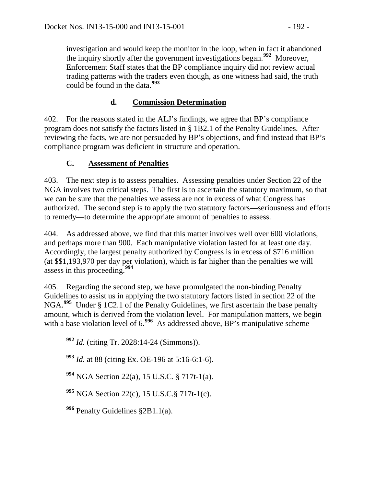investigation and would keep the monitor in the loop, when in fact it abandoned the inquiry shortly after the government investigations began.**[992](#page-191-0)** Moreover, Enforcement Staff states that the BP compliance inquiry did not review actual trading patterns with the traders even though, as one witness had said, the truth could be found in the data.**[993](#page-191-1)**

# **d. Commission Determination**

402. For the reasons stated in the ALJ's findings, we agree that BP's compliance program does not satisfy the factors listed in § 1B2.1 of the Penalty Guidelines. After reviewing the facts, we are not persuaded by BP's objections, and find instead that BP's compliance program was deficient in structure and operation.

## **C. Assessment of Penalties**

403. The next step is to assess penalties. Assessing penalties under Section 22 of the NGA involves two critical steps. The first is to ascertain the statutory maximum, so that we can be sure that the penalties we assess are not in excess of what Congress has authorized. The second step is to apply the two statutory factors—seriousness and efforts to remedy—to determine the appropriate amount of penalties to assess.

404. As addressed above, we find that this matter involves well over 600 violations, and perhaps more than 900. Each manipulative violation lasted for at least one day. Accordingly, the largest penalty authorized by Congress is in excess of \$716 million (at \$\$1,193,970 per day per violation), which is far higher than the penalties we will assess in this proceeding.**[994](#page-191-2)**

405. Regarding the second step, we have promulgated the non-binding Penalty Guidelines to assist us in applying the two statutory factors listed in section 22 of the NGA.**[995](#page-191-3)** Under § 1C2.1 of the Penalty Guidelines, we first ascertain the base penalty amount, which is derived from the violation level. For manipulation matters, we begin with a base violation level of 6.<sup>[996](#page-191-4)</sup> As addressed above, BP's manipulative scheme

<span id="page-191-0"></span>**<sup>992</sup>** *Id.* (citing Tr. 2028:14-24 (Simmons)).

<span id="page-191-1"></span>**<sup>993</sup>** *Id.* at 88 (citing Ex. OE-196 at 5:16-6:1-6).

<span id="page-191-2"></span>**<sup>994</sup>** NGA Section 22(a), 15 U.S.C. § 717t-1(a).

<span id="page-191-3"></span>**<sup>995</sup>** NGA Section 22(c), 15 U.S.C.§ 717t-1(c).

<span id="page-191-4"></span>**<sup>996</sup>** Penalty Guidelines §2B1.1(a).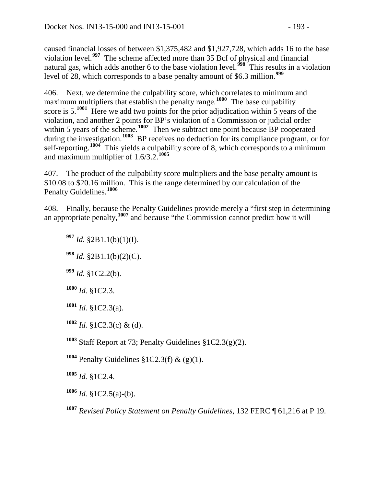caused financial losses of between \$1,375,482 and \$1,927,728, which adds 16 to the base violation level.**[997](#page-192-0)** The scheme affected more than 35 Bcf of physical and financial natural gas, which adds another 6 to the base violation level.**[998](#page-192-1)** This results in a violation level of 28, which corresponds to a base penalty amount of \$6.3 million.**[999](#page-192-2)**

406. Next, we determine the culpability score, which correlates to minimum and maximum multipliers that establish the penalty range.<sup>[1000](#page-192-3)</sup> The base culpability score is 5.<sup>[1001](#page-192-4)</sup> Here we add two points for the prior adjudication within 5 years of the violation, and another 2 points for BP's violation of a Commission or judicial order within 5 years of the scheme.<sup>[1002](#page-192-5)</sup> Then we subtract one point because BP cooperated during the investigation.**[1003](#page-192-6)** BP receives no deduction for its compliance program, or for self-reporting.**[1004](#page-192-7)** This yields a culpability score of 8, which corresponds to a minimum and maximum multiplier of 1.6/3.2.**[1005](#page-192-8)**

407. The product of the culpability score multipliers and the base penalty amount is \$10.08 to \$20.16 million. This is the range determined by our calculation of the Penalty Guidelines.**[1006](#page-192-9)**

<span id="page-192-1"></span><span id="page-192-0"></span>408. Finally, because the Penalty Guidelines provide merely a "first step in determining an appropriate penalty,**[1007](#page-192-10)** and because "the Commission cannot predict how it will

- **<sup>997</sup>** *Id.* §2B1.1(b)(1)(I).
- **<sup>998</sup>** *Id.* §2B1.1(b)(2)(C).
- <span id="page-192-2"></span>**<sup>999</sup>** *Id.* §1C2.2(b).
- <span id="page-192-3"></span>**<sup>1000</sup>** *Id.* §1C2.3.
- <span id="page-192-4"></span>**<sup>1001</sup>** *Id.* §1C2.3(a).
- <span id="page-192-5"></span> $1002$  *Id.* §1C2.3(c) & (d).
- <span id="page-192-6"></span>**<sup>1003</sup>** Staff Report at 73; Penalty Guidelines §1C2.3(g)(2).
- <span id="page-192-7"></span>**<sup>1004</sup>** Penalty Guidelines §1C2.3(f) & (g)(1).
- <span id="page-192-8"></span>**<sup>1005</sup>** *Id.* §1C2.4.
- <span id="page-192-9"></span>**<sup>1006</sup>** *Id.* §1C2.5(a)-(b).
- <span id="page-192-10"></span>**<sup>1007</sup>** *Revised Policy Statement on Penalty Guidelines*, 132 FERC ¶ 61,216 at P 19.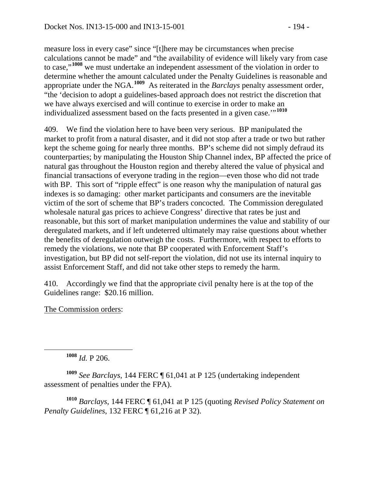measure loss in every case" since "[t]here may be circumstances when precise calculations cannot be made" and "the availability of evidence will likely vary from case to case,"**[1008](#page-193-0)** we must undertake an independent assessment of the violation in order to determine whether the amount calculated under the Penalty Guidelines is reasonable and appropriate under the NGA.**[1009](#page-193-1)** As reiterated in the *Barclays* penalty assessment order, "the 'decision to adopt a guidelines-based approach does not restrict the discretion that we have always exercised and will continue to exercise in order to make an individualized assessment based on the facts presented in a given case.'"**[1010](#page-193-2)**

409. We find the violation here to have been very serious. BP manipulated the market to profit from a natural disaster, and it did not stop after a trade or two but rather kept the scheme going for nearly three months. BP's scheme did not simply defraud its counterparties; by manipulating the Houston Ship Channel index, BP affected the price of natural gas throughout the Houston region and thereby altered the value of physical and financial transactions of everyone trading in the region—even those who did not trade with BP. This sort of "ripple effect" is one reason why the manipulation of natural gas indexes is so damaging: other market participants and consumers are the inevitable victim of the sort of scheme that BP's traders concocted. The Commission deregulated wholesale natural gas prices to achieve Congress' directive that rates be just and reasonable, but this sort of market manipulation undermines the value and stability of our deregulated markets, and if left undeterred ultimately may raise questions about whether the benefits of deregulation outweigh the costs. Furthermore, with respect to efforts to remedy the violations, we note that BP cooperated with Enforcement Staff's investigation, but BP did not self-report the violation, did not use its internal inquiry to assist Enforcement Staff, and did not take other steps to remedy the harm.

410. Accordingly we find that the appropriate civil penalty here is at the top of the Guidelines range: \$20.16 million.

The Commission orders:

**<sup>1008</sup>** *Id.* P 206.

<span id="page-193-1"></span><span id="page-193-0"></span>**<sup>1009</sup>** *See Barclays*, 144 FERC ¶ 61,041 at P 125 (undertaking independent assessment of penalties under the FPA).

<span id="page-193-2"></span>**<sup>1010</sup>** *Barclays*, 144 FERC ¶ 61,041 at P 125 (quoting *Revised Policy Statement on Penalty Guidelines*, 132 FERC ¶ 61,216 at P 32).